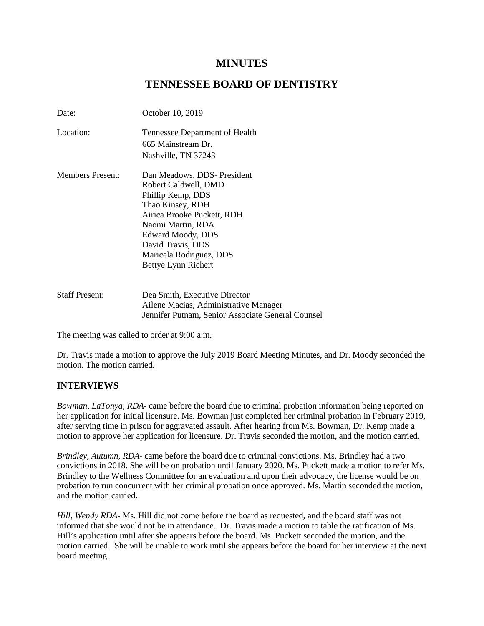# **MINUTES**

# **TENNESSEE BOARD OF DENTISTRY**

| October 10, 2019                                                                                                            |
|-----------------------------------------------------------------------------------------------------------------------------|
| Tennessee Department of Health                                                                                              |
| 665 Mainstream Dr.                                                                                                          |
| Nashville, TN 37243                                                                                                         |
| Dan Meadows, DDS- President                                                                                                 |
| Robert Caldwell, DMD                                                                                                        |
| Phillip Kemp, DDS                                                                                                           |
| Thao Kinsey, RDH                                                                                                            |
| Airica Brooke Puckett, RDH                                                                                                  |
| Naomi Martin, RDA                                                                                                           |
| Edward Moody, DDS                                                                                                           |
| David Travis, DDS                                                                                                           |
| Maricela Rodriguez, DDS                                                                                                     |
| Bettye Lynn Richert                                                                                                         |
|                                                                                                                             |
| Dea Smith, Executive Director<br>Ailene Macias, Administrative Manager<br>Jennifer Putnam, Senior Associate General Counsel |
|                                                                                                                             |

The meeting was called to order at 9:00 a.m.

Dr. Travis made a motion to approve the July 2019 Board Meeting Minutes, and Dr. Moody seconded the motion. The motion carried.

### **INTERVIEWS**

*Bowman, LaTonya, RDA*- came before the board due to criminal probation information being reported on her application for initial licensure. Ms. Bowman just completed her criminal probation in February 2019, after serving time in prison for aggravated assault. After hearing from Ms. Bowman, Dr. Kemp made a motion to approve her application for licensure. Dr. Travis seconded the motion, and the motion carried.

*Brindley, Autumn, RDA*- came before the board due to criminal convictions. Ms. Brindley had a two convictions in 2018. She will be on probation until January 2020. Ms. Puckett made a motion to refer Ms. Brindley to the Wellness Committee for an evaluation and upon their advocacy, the license would be on probation to run concurrent with her criminal probation once approved. Ms. Martin seconded the motion, and the motion carried.

*Hill, Wendy RDA*- Ms. Hill did not come before the board as requested, and the board staff was not informed that she would not be in attendance. Dr. Travis made a motion to table the ratification of Ms. Hill's application until after she appears before the board. Ms. Puckett seconded the motion, and the motion carried. She will be unable to work until she appears before the board for her interview at the next board meeting.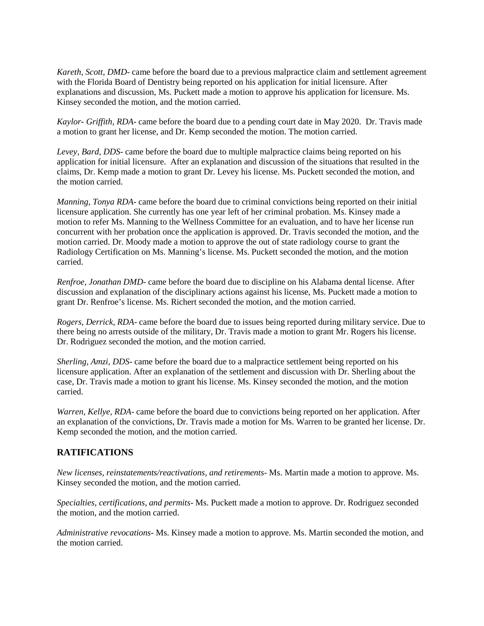*Kareth, Scott, DMD*- came before the board due to a previous malpractice claim and settlement agreement with the Florida Board of Dentistry being reported on his application for initial licensure. After explanations and discussion, Ms. Puckett made a motion to approve his application for licensure. Ms. Kinsey seconded the motion, and the motion carried.

*Kaylor- Griffith, RDA*- came before the board due to a pending court date in May 2020. Dr. Travis made a motion to grant her license, and Dr. Kemp seconded the motion. The motion carried.

*Levey, Bard, DDS*- came before the board due to multiple malpractice claims being reported on his application for initial licensure. After an explanation and discussion of the situations that resulted in the claims, Dr. Kemp made a motion to grant Dr. Levey his license. Ms. Puckett seconded the motion, and the motion carried.

*Manning, Tonya RDA*- came before the board due to criminal convictions being reported on their initial licensure application. She currently has one year left of her criminal probation. Ms. Kinsey made a motion to refer Ms. Manning to the Wellness Committee for an evaluation, and to have her license run concurrent with her probation once the application is approved. Dr. Travis seconded the motion, and the motion carried. Dr. Moody made a motion to approve the out of state radiology course to grant the Radiology Certification on Ms. Manning's license. Ms. Puckett seconded the motion, and the motion carried.

*Renfroe, Jonathan DMD*- came before the board due to discipline on his Alabama dental license. After discussion and explanation of the disciplinary actions against his license, Ms. Puckett made a motion to grant Dr. Renfroe's license. Ms. Richert seconded the motion, and the motion carried.

*Rogers, Derrick, RDA*- came before the board due to issues being reported during military service. Due to there being no arrests outside of the military, Dr. Travis made a motion to grant Mr. Rogers his license. Dr. Rodriguez seconded the motion, and the motion carried.

*Sherling, Amzi, DDS*- came before the board due to a malpractice settlement being reported on his licensure application. After an explanation of the settlement and discussion with Dr. Sherling about the case, Dr. Travis made a motion to grant his license. Ms. Kinsey seconded the motion, and the motion carried.

*Warren, Kellye, RDA*- came before the board due to convictions being reported on her application. After an explanation of the convictions, Dr. Travis made a motion for Ms. Warren to be granted her license. Dr. Kemp seconded the motion, and the motion carried.

## **RATIFICATIONS**

*New licenses, reinstatements/reactivations, and retirements*- Ms. Martin made a motion to approve. Ms. Kinsey seconded the motion, and the motion carried.

*Specialties, certifications, and permits*- Ms. Puckett made a motion to approve. Dr. Rodriguez seconded the motion, and the motion carried.

*Administrative revocations*- Ms. Kinsey made a motion to approve. Ms. Martin seconded the motion, and the motion carried.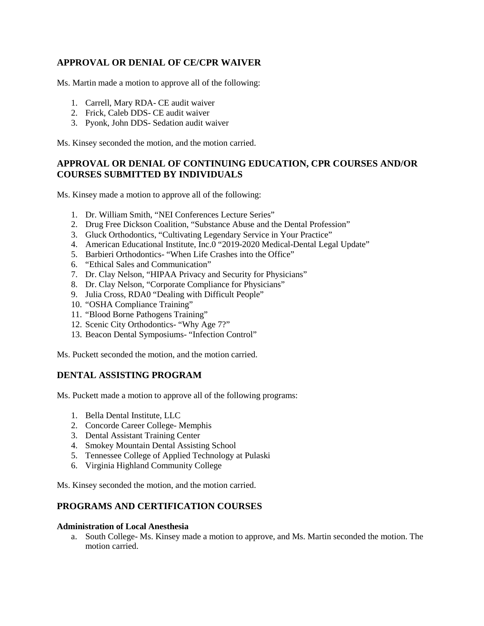## **APPROVAL OR DENIAL OF CE/CPR WAIVER**

Ms. Martin made a motion to approve all of the following:

- 1. Carrell, Mary RDA- CE audit waiver
- 2. Frick, Caleb DDS- CE audit waiver
- 3. Pyonk, John DDS- Sedation audit waiver

Ms. Kinsey seconded the motion, and the motion carried.

## **APPROVAL OR DENIAL OF CONTINUING EDUCATION, CPR COURSES AND/OR COURSES SUBMITTED BY INDIVIDUALS**

Ms. Kinsey made a motion to approve all of the following:

- 1. Dr. William Smith, "NEI Conferences Lecture Series"
- 2. Drug Free Dickson Coalition, "Substance Abuse and the Dental Profession"
- 3. Gluck Orthodontics, "Cultivating Legendary Service in Your Practice"
- 4. American Educational Institute, Inc.0 "2019-2020 Medical-Dental Legal Update"
- 5. Barbieri Orthodontics- "When Life Crashes into the Office"
- 6. "Ethical Sales and Communication"
- 7. Dr. Clay Nelson, "HIPAA Privacy and Security for Physicians"
- 8. Dr. Clay Nelson, "Corporate Compliance for Physicians"
- 9. Julia Cross, RDA0 "Dealing with Difficult People"
- 10. "OSHA Compliance Training"
- 11. "Blood Borne Pathogens Training"
- 12. Scenic City Orthodontics- "Why Age 7?"
- 13. Beacon Dental Symposiums- "Infection Control"

Ms. Puckett seconded the motion, and the motion carried.

## **DENTAL ASSISTING PROGRAM**

Ms. Puckett made a motion to approve all of the following programs:

- 1. Bella Dental Institute, LLC
- 2. Concorde Career College- Memphis
- 3. Dental Assistant Training Center
- 4. Smokey Mountain Dental Assisting School
- 5. Tennessee College of Applied Technology at Pulaski
- 6. Virginia Highland Community College

Ms. Kinsey seconded the motion, and the motion carried.

# **PROGRAMS AND CERTIFICATION COURSES**

#### **Administration of Local Anesthesia**

a. South College- Ms. Kinsey made a motion to approve, and Ms. Martin seconded the motion. The motion carried.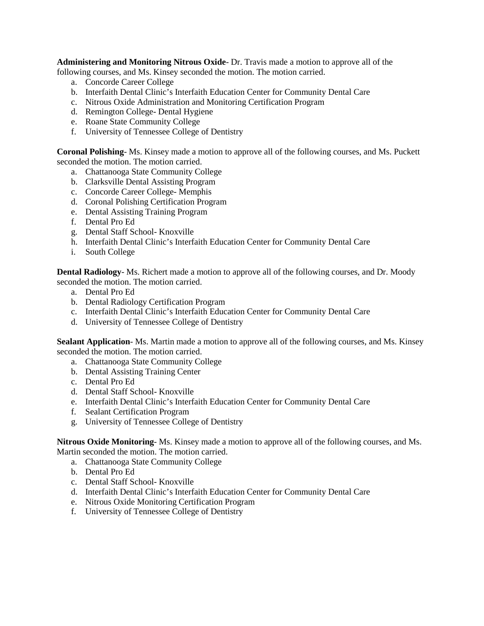**Administering and Monitoring Nitrous Oxide**- Dr. Travis made a motion to approve all of the following courses, and Ms. Kinsey seconded the motion. The motion carried.

- a. Concorde Career College
- b. Interfaith Dental Clinic's Interfaith Education Center for Community Dental Care
- c. Nitrous Oxide Administration and Monitoring Certification Program
- d. Remington College- Dental Hygiene
- e. Roane State Community College
- f. University of Tennessee College of Dentistry

**Coronal Polishing**- Ms. Kinsey made a motion to approve all of the following courses, and Ms. Puckett seconded the motion. The motion carried.

- a. Chattanooga State Community College
- b. Clarksville Dental Assisting Program
- c. Concorde Career College- Memphis
- d. Coronal Polishing Certification Program
- e. Dental Assisting Training Program
- f. Dental Pro Ed
- g. Dental Staff School- Knoxville
- h. Interfaith Dental Clinic's Interfaith Education Center for Community Dental Care
- i. South College

**Dental Radiology**- Ms. Richert made a motion to approve all of the following courses, and Dr. Moody seconded the motion. The motion carried.

- a. Dental Pro Ed
- b. Dental Radiology Certification Program
- c. Interfaith Dental Clinic's Interfaith Education Center for Community Dental Care
- d. University of Tennessee College of Dentistry

**Sealant Application**- Ms. Martin made a motion to approve all of the following courses, and Ms. Kinsey seconded the motion. The motion carried.

- a. Chattanooga State Community College
- b. Dental Assisting Training Center
- c. Dental Pro Ed
- d. Dental Staff School- Knoxville
- e. Interfaith Dental Clinic's Interfaith Education Center for Community Dental Care
- f. Sealant Certification Program
- g. University of Tennessee College of Dentistry

**Nitrous Oxide Monitoring**- Ms. Kinsey made a motion to approve all of the following courses, and Ms. Martin seconded the motion. The motion carried.

- a. Chattanooga State Community College
- b. Dental Pro Ed
- c. Dental Staff School- Knoxville
- d. Interfaith Dental Clinic's Interfaith Education Center for Community Dental Care
- e. Nitrous Oxide Monitoring Certification Program
- f. University of Tennessee College of Dentistry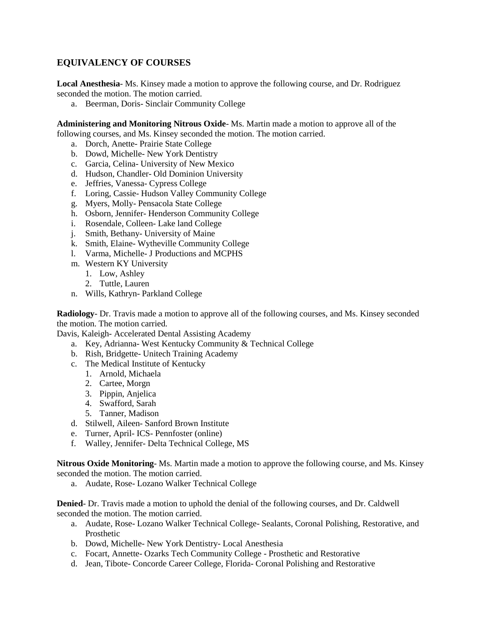## **EQUIVALENCY OF COURSES**

**Local Anesthesia**- Ms. Kinsey made a motion to approve the following course, and Dr. Rodriguez seconded the motion. The motion carried.

a. Beerman, Doris- Sinclair Community College

**Administering and Monitoring Nitrous Oxide**- Ms. Martin made a motion to approve all of the following courses, and Ms. Kinsey seconded the motion. The motion carried.

- a. Dorch, Anette- Prairie State College
- b. Dowd, Michelle- New York Dentistry
- c. Garcia, Celina- University of New Mexico
- d. Hudson, Chandler- Old Dominion University
- e. Jeffries, Vanessa- Cypress College
- f. Loring, Cassie- Hudson Valley Community College
- g. Myers, Molly- Pensacola State College
- h. Osborn, Jennifer- Henderson Community College
- i. Rosendale, Colleen- Lake land College
- j. Smith, Bethany- University of Maine
- k. Smith, Elaine- Wytheville Community College
- l. Varma, Michelle- J Productions and MCPHS
- m. Western KY University
	- 1. Low, Ashley
	- 2. Tuttle, Lauren
- n. Wills, Kathryn- Parkland College

**Radiology**- Dr. Travis made a motion to approve all of the following courses, and Ms. Kinsey seconded the motion. The motion carried.

Davis, Kaleigh- Accelerated Dental Assisting Academy

- a. Key, Adrianna- West Kentucky Community & Technical College
- b. Rish, Bridgette- Unitech Training Academy
- c. The Medical Institute of Kentucky
	- 1. Arnold, Michaela
	- 2. Cartee, Morgn
	- 3. Pippin, Anjelica
	- 4. Swafford, Sarah
	- 5. Tanner, Madison
- d. Stilwell, Aileen- Sanford Brown Institute
- e. Turner, April- ICS- Pennfoster (online)
- f. Walley, Jennifer- Delta Technical College, MS

**Nitrous Oxide Monitoring**- Ms. Martin made a motion to approve the following course, and Ms. Kinsey seconded the motion. The motion carried.

a. Audate, Rose- Lozano Walker Technical College

**Denied**- Dr. Travis made a motion to uphold the denial of the following courses, and Dr. Caldwell seconded the motion. The motion carried.

- a. Audate, Rose- Lozano Walker Technical College- Sealants, Coronal Polishing, Restorative, and Prosthetic
- b. Dowd, Michelle- New York Dentistry- Local Anesthesia
- c. Focart, Annette- Ozarks Tech Community College Prosthetic and Restorative
- d. Jean, Tibote- Concorde Career College, Florida- Coronal Polishing and Restorative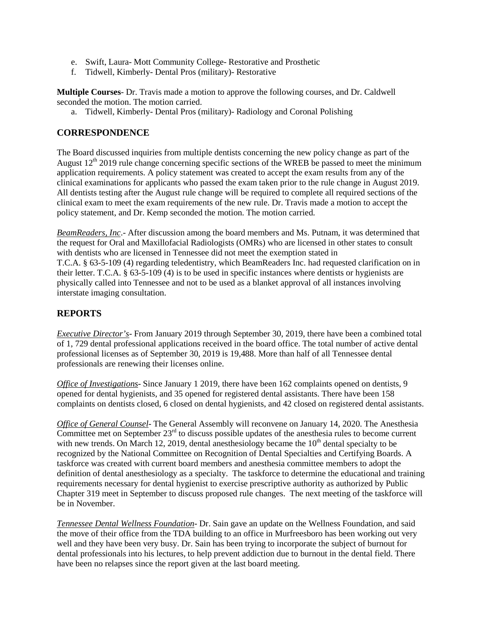- e. Swift, Laura- Mott Community College- Restorative and Prosthetic
- f. Tidwell, Kimberly- Dental Pros (military)- Restorative

**Multiple Courses**- Dr. Travis made a motion to approve the following courses, and Dr. Caldwell seconded the motion. The motion carried.

a. Tidwell, Kimberly- Dental Pros (military)- Radiology and Coronal Polishing

#### **CORRESPONDENCE**

The Board discussed inquiries from multiple dentists concerning the new policy change as part of the August  $12<sup>th</sup>$  2019 rule change concerning specific sections of the WREB be passed to meet the minimum application requirements. A policy statement was created to accept the exam results from any of the clinical examinations for applicants who passed the exam taken prior to the rule change in August 2019. All dentists testing after the August rule change will be required to complete all required sections of the clinical exam to meet the exam requirements of the new rule. Dr. Travis made a motion to accept the policy statement, and Dr. Kemp seconded the motion. The motion carried.

*BeamReaders, Inc*.- After discussion among the board members and Ms. Putnam, it was determined that the request for Oral and Maxillofacial Radiologists (OMRs) who are licensed in other states to consult with dentists who are licensed in Tennessee did not meet the exemption stated in T.C.A. § 63-5-109 (4) regarding teledentistry, which BeamReaders Inc. had requested clarification on in their letter. T.C.A. § 63-5-109 (4) is to be used in specific instances where dentists or hygienists are physically called into Tennessee and not to be used as a blanket approval of all instances involving interstate imaging consultation.

### **REPORTS**

*Executive Director's*- From January 2019 through September 30, 2019, there have been a combined total of 1, 729 dental professional applications received in the board office. The total number of active dental professional licenses as of September 30, 2019 is 19,488. More than half of all Tennessee dental professionals are renewing their licenses online.

*Office of Investigations*- Since January 1 2019, there have been 162 complaints opened on dentists, 9 opened for dental hygienists, and 35 opened for registered dental assistants. There have been 158 complaints on dentists closed, 6 closed on dental hygienists, and 42 closed on registered dental assistants.

*Office of General Counsel*- The General Assembly will reconvene on January 14, 2020. The Anesthesia Committee met on September 23<sup>rd</sup> to discuss possible updates of the anesthesia rules to become current with new trends. On March 12, 2019, dental anesthesiology became the  $10<sup>th</sup>$  dental specialty to be recognized by the National Committee on Recognition of Dental Specialties and Certifying Boards. A taskforce was created with current board members and anesthesia committee members to adopt the definition of dental anesthesiology as a specialty. The taskforce to determine the educational and training requirements necessary for dental hygienist to exercise prescriptive authority as authorized by Public Chapter 319 meet in September to discuss proposed rule changes. The next meeting of the taskforce will be in November.

*Tennessee Dental Wellness Foundation*- Dr. Sain gave an update on the Wellness Foundation, and said the move of their office from the TDA building to an office in Murfreesboro has been working out very well and they have been very busy. Dr. Sain has been trying to incorporate the subject of burnout for dental professionals into his lectures, to help prevent addiction due to burnout in the dental field. There have been no relapses since the report given at the last board meeting.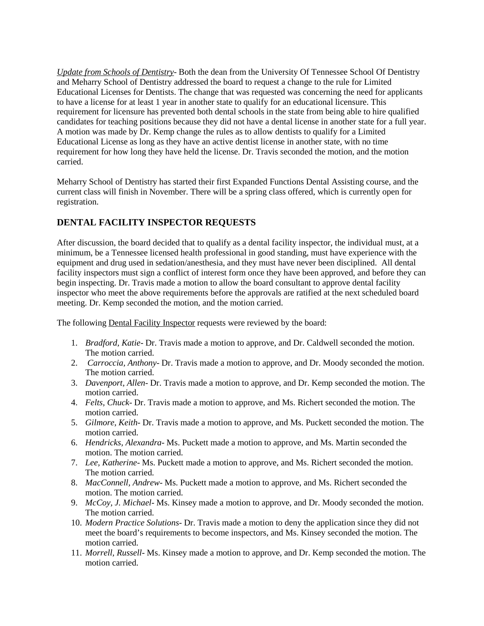*Update from Schools of Dentistry*- Both the dean from the University Of Tennessee School Of Dentistry and Meharry School of Dentistry addressed the board to request a change to the rule for Limited Educational Licenses for Dentists. The change that was requested was concerning the need for applicants to have a license for at least 1 year in another state to qualify for an educational licensure. This requirement for licensure has prevented both dental schools in the state from being able to hire qualified candidates for teaching positions because they did not have a dental license in another state for a full year. A motion was made by Dr. Kemp change the rules as to allow dentists to qualify for a Limited Educational License as long as they have an active dentist license in another state, with no time requirement for how long they have held the license. Dr. Travis seconded the motion, and the motion carried.

Meharry School of Dentistry has started their first Expanded Functions Dental Assisting course, and the current class will finish in November. There will be a spring class offered, which is currently open for registration.

# **DENTAL FACILITY INSPECTOR REQUESTS**

After discussion, the board decided that to qualify as a dental facility inspector, the individual must, at a minimum, be a Tennessee licensed health professional in good standing, must have experience with the equipment and drug used in sedation/anesthesia, and they must have never been disciplined. All dental facility inspectors must sign a conflict of interest form once they have been approved, and before they can begin inspecting. Dr. Travis made a motion to allow the board consultant to approve dental facility inspector who meet the above requirements before the approvals are ratified at the next scheduled board meeting. Dr. Kemp seconded the motion, and the motion carried.

The following Dental Facility Inspector requests were reviewed by the board:

- 1. *Bradford, Katie* Dr. Travis made a motion to approve, and Dr. Caldwell seconded the motion. The motion carried.
- 2. *Carroccia, Anthony* Dr. Travis made a motion to approve, and Dr. Moody seconded the motion. The motion carried.
- 3. *Davenport, Allen* Dr. Travis made a motion to approve, and Dr. Kemp seconded the motion. The motion carried.
- 4. *Felts, Chuck* Dr. Travis made a motion to approve, and Ms. Richert seconded the motion. The motion carried.
- 5. *Gilmore, Keith* Dr. Travis made a motion to approve, and Ms. Puckett seconded the motion. The motion carried.
- 6. *Hendricks, Alexandra* Ms. Puckett made a motion to approve, and Ms. Martin seconded the motion. The motion carried.
- 7. *Lee, Katherine* Ms. Puckett made a motion to approve, and Ms. Richert seconded the motion. The motion carried.
- 8. *MacConnell, Andrew* Ms. Puckett made a motion to approve, and Ms. Richert seconded the motion. The motion carried.
- 9. *McCoy, J. Michael* Ms. Kinsey made a motion to approve, and Dr. Moody seconded the motion. The motion carried.
- 10. *Modern Practice Solutions* Dr. Travis made a motion to deny the application since they did not meet the board's requirements to become inspectors, and Ms. Kinsey seconded the motion. The motion carried.
- 11. *Morrell, Russell* Ms. Kinsey made a motion to approve, and Dr. Kemp seconded the motion. The motion carried.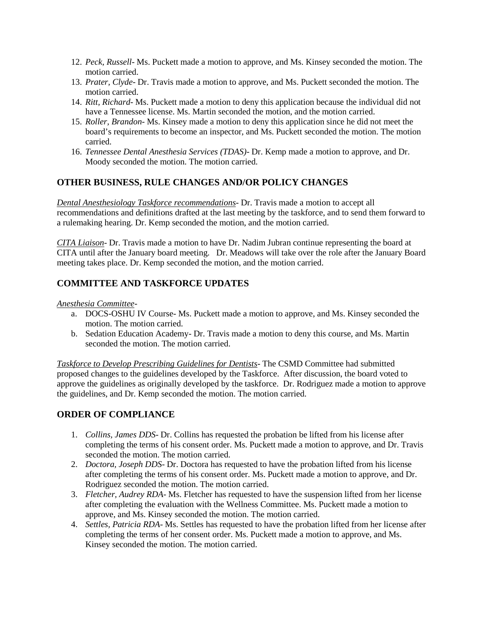- 12. *Peck, Russell* Ms. Puckett made a motion to approve, and Ms. Kinsey seconded the motion. The motion carried.
- 13. *Prater, Clyde* Dr. Travis made a motion to approve, and Ms. Puckett seconded the motion. The motion carried.
- 14. *Ritt, Richard* Ms. Puckett made a motion to deny this application because the individual did not have a Tennessee license. Ms. Martin seconded the motion, and the motion carried.
- 15. *Roller, Brandon* Ms. Kinsey made a motion to deny this application since he did not meet the board's requirements to become an inspector, and Ms. Puckett seconded the motion. The motion carried.
- 16. *Tennessee Dental Anesthesia Services (TDAS)* Dr. Kemp made a motion to approve, and Dr. Moody seconded the motion. The motion carried.

## **OTHER BUSINESS, RULE CHANGES AND/OR POLICY CHANGES**

*Dental Anesthesiology Taskforce recommendations*- Dr. Travis made a motion to accept all recommendations and definitions drafted at the last meeting by the taskforce, and to send them forward to a rulemaking hearing. Dr. Kemp seconded the motion, and the motion carried.

*CITA Liaison*- Dr. Travis made a motion to have Dr. Nadim Jubran continue representing the board at CITA until after the January board meeting. Dr. Meadows will take over the role after the January Board meeting takes place. Dr. Kemp seconded the motion, and the motion carried.

## **COMMITTEE AND TASKFORCE UPDATES**

#### *Anesthesia Committee*-

- a. DOCS-OSHU IV Course- Ms. Puckett made a motion to approve, and Ms. Kinsey seconded the motion. The motion carried.
- b. Sedation Education Academy- Dr. Travis made a motion to deny this course, and Ms. Martin seconded the motion. The motion carried.

*Taskforce to Develop Prescribing Guidelines for Dentists*- The CSMD Committee had submitted proposed changes to the guidelines developed by the Taskforce. After discussion, the board voted to approve the guidelines as originally developed by the taskforce. Dr. Rodriguez made a motion to approve the guidelines, and Dr. Kemp seconded the motion. The motion carried.

### **ORDER OF COMPLIANCE**

- 1. *Collins, James DDS* Dr. Collins has requested the probation be lifted from his license after completing the terms of his consent order. Ms. Puckett made a motion to approve, and Dr. Travis seconded the motion. The motion carried.
- 2. *Doctora, Joseph DDS* Dr. Doctora has requested to have the probation lifted from his license after completing the terms of his consent order. Ms. Puckett made a motion to approve, and Dr. Rodriguez seconded the motion. The motion carried.
- 3. *Fletcher, Audrey RDA* Ms. Fletcher has requested to have the suspension lifted from her license after completing the evaluation with the Wellness Committee. Ms. Puckett made a motion to approve, and Ms. Kinsey seconded the motion. The motion carried.
- 4. *Settles, Patricia RDA* Ms. Settles has requested to have the probation lifted from her license after completing the terms of her consent order. Ms. Puckett made a motion to approve, and Ms. Kinsey seconded the motion. The motion carried.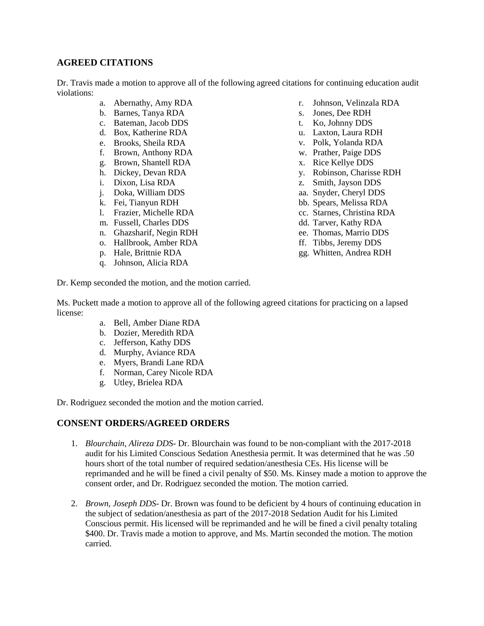## **AGREED CITATIONS**

Dr. Travis made a motion to approve all of the following agreed citations for continuing education audit violations:

- a. Abernathy, Amy RDA
- b. Barnes, Tanya RDA
- c. Bateman, Jacob DDS
- d. Box, Katherine RDA
- e. Brooks, Sheila RDA
- f. Brown, Anthony RDA
- g. Brown, Shantell RDA
- h. Dickey, Devan RDA
- i. Dixon, Lisa RDA
- j. Doka, William DDS
- k. Fei, Tianyun RDH
- l. Frazier, Michelle RDA
- m. Fussell, Charles DDS
- n. Ghazsharif, Negin RDH
- o. Hallbrook, Amber RDA
- p. Hale, Brittnie RDA
- q. Johnson, Alicia RDA
- r. Johnson, Velinzala RDA
- s. Jones, Dee RDH
- t. Ko, Johnny DDS
- u. Laxton, Laura RDH
- v. Polk, Yolanda RDA
- w. Prather, Paige DDS
- x. Rice Kellye DDS
- y. Robinson, Charisse RDH
- z. Smith, Jayson DDS
- aa. Snyder, Cheryl DDS
- bb. Spears, Melissa RDA
- cc. Starnes, Christina RDA
- dd. Tarver, Kathy RDA
- ee. Thomas, Marrio DDS
- ff. Tibbs, Jeremy DDS
- gg. Whitten, Andrea RDH

Dr. Kemp seconded the motion, and the motion carried.

Ms. Puckett made a motion to approve all of the following agreed citations for practicing on a lapsed license:

- a. Bell, Amber Diane RDA
- b. Dozier, Meredith RDA
- c. Jefferson, Kathy DDS
- d. Murphy, Aviance RDA
- e. Myers, Brandi Lane RDA
- f. Norman, Carey Nicole RDA
- g. Utley, Brielea RDA

Dr. Rodriguez seconded the motion and the motion carried.

#### **CONSENT ORDERS/AGREED ORDERS**

- 1. *Blourchain, Alireza DDS* Dr. Blourchain was found to be non-compliant with the 2017-2018 audit for his Limited Conscious Sedation Anesthesia permit. It was determined that he was .50 hours short of the total number of required sedation/anesthesia CEs. His license will be reprimanded and he will be fined a civil penalty of \$50. Ms. Kinsey made a motion to approve the consent order, and Dr. Rodriguez seconded the motion. The motion carried.
- 2. *Brown, Joseph DDS* Dr. Brown was found to be deficient by 4 hours of continuing education in the subject of sedation/anesthesia as part of the 2017-2018 Sedation Audit for his Limited Conscious permit. His licensed will be reprimanded and he will be fined a civil penalty totaling \$400. Dr. Travis made a motion to approve, and Ms. Martin seconded the motion. The motion carried.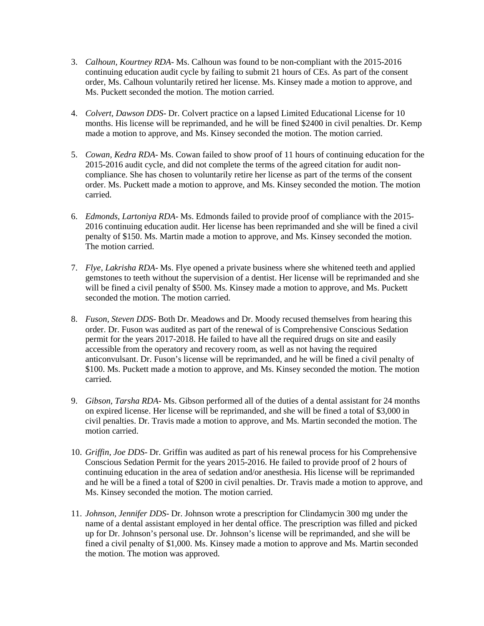- 3. *Calhoun, Kourtney RDA* Ms. Calhoun was found to be non-compliant with the 2015-2016 continuing education audit cycle by failing to submit 21 hours of CEs. As part of the consent order, Ms. Calhoun voluntarily retired her license. Ms. Kinsey made a motion to approve, and Ms. Puckett seconded the motion. The motion carried.
- 4. *Colvert, Dawson DDS* Dr. Colvert practice on a lapsed Limited Educational License for 10 months. His license will be reprimanded, and he will be fined \$2400 in civil penalties. Dr. Kemp made a motion to approve, and Ms. Kinsey seconded the motion. The motion carried.
- 5. *Cowan, Kedra RDA* Ms. Cowan failed to show proof of 11 hours of continuing education for the 2015-2016 audit cycle, and did not complete the terms of the agreed citation for audit noncompliance. She has chosen to voluntarily retire her license as part of the terms of the consent order. Ms. Puckett made a motion to approve, and Ms. Kinsey seconded the motion. The motion carried.
- 6. *Edmonds, Lartoniya RDA* Ms. Edmonds failed to provide proof of compliance with the 2015- 2016 continuing education audit. Her license has been reprimanded and she will be fined a civil penalty of \$150. Ms. Martin made a motion to approve, and Ms. Kinsey seconded the motion. The motion carried.
- 7. *Flye, Lakrisha RDA* Ms. Flye opened a private business where she whitened teeth and applied gemstones to teeth without the supervision of a dentist. Her license will be reprimanded and she will be fined a civil penalty of \$500. Ms. Kinsey made a motion to approve, and Ms. Puckett seconded the motion. The motion carried.
- 8. *Fuson, Steven DDS* Both Dr. Meadows and Dr. Moody recused themselves from hearing this order. Dr. Fuson was audited as part of the renewal of is Comprehensive Conscious Sedation permit for the years 2017-2018. He failed to have all the required drugs on site and easily accessible from the operatory and recovery room, as well as not having the required anticonvulsant. Dr. Fuson's license will be reprimanded, and he will be fined a civil penalty of \$100. Ms. Puckett made a motion to approve, and Ms. Kinsey seconded the motion. The motion carried.
- 9. *Gibson, Tarsha RDA* Ms. Gibson performed all of the duties of a dental assistant for 24 months on expired license. Her license will be reprimanded, and she will be fined a total of \$3,000 in civil penalties. Dr. Travis made a motion to approve, and Ms. Martin seconded the motion. The motion carried.
- 10. *Griffin, Joe DDS* Dr. Griffin was audited as part of his renewal process for his Comprehensive Conscious Sedation Permit for the years 2015-2016. He failed to provide proof of 2 hours of continuing education in the area of sedation and/or anesthesia. His license will be reprimanded and he will be a fined a total of \$200 in civil penalties. Dr. Travis made a motion to approve, and Ms. Kinsey seconded the motion. The motion carried.
- 11. *Johnson, Jennifer DDS* Dr. Johnson wrote a prescription for Clindamycin 300 mg under the name of a dental assistant employed in her dental office. The prescription was filled and picked up for Dr. Johnson's personal use. Dr. Johnson's license will be reprimanded, and she will be fined a civil penalty of \$1,000. Ms. Kinsey made a motion to approve and Ms. Martin seconded the motion. The motion was approved.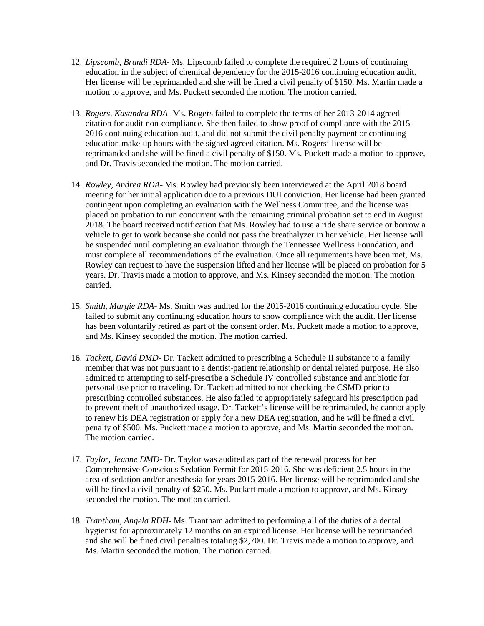- 12. *Lipscomb, Brandi RDA* Ms. Lipscomb failed to complete the required 2 hours of continuing education in the subject of chemical dependency for the 2015-2016 continuing education audit. Her license will be reprimanded and she will be fined a civil penalty of \$150. Ms. Martin made a motion to approve, and Ms. Puckett seconded the motion. The motion carried.
- 13. *Rogers, Kasandra RDA* Ms. Rogers failed to complete the terms of her 2013-2014 agreed citation for audit non-compliance. She then failed to show proof of compliance with the 2015- 2016 continuing education audit, and did not submit the civil penalty payment or continuing education make-up hours with the signed agreed citation. Ms. Rogers' license will be reprimanded and she will be fined a civil penalty of \$150. Ms. Puckett made a motion to approve, and Dr. Travis seconded the motion. The motion carried.
- 14. *Rowley, Andrea RDA* Ms. Rowley had previously been interviewed at the April 2018 board meeting for her initial application due to a previous DUI conviction. Her license had been granted contingent upon completing an evaluation with the Wellness Committee, and the license was placed on probation to run concurrent with the remaining criminal probation set to end in August 2018. The board received notification that Ms. Rowley had to use a ride share service or borrow a vehicle to get to work because she could not pass the breathalyzer in her vehicle. Her license will be suspended until completing an evaluation through the Tennessee Wellness Foundation, and must complete all recommendations of the evaluation. Once all requirements have been met, Ms. Rowley can request to have the suspension lifted and her license will be placed on probation for 5 years. Dr. Travis made a motion to approve, and Ms. Kinsey seconded the motion. The motion carried.
- 15. *Smith, Margie RDA* Ms. Smith was audited for the 2015-2016 continuing education cycle. She failed to submit any continuing education hours to show compliance with the audit. Her license has been voluntarily retired as part of the consent order. Ms. Puckett made a motion to approve, and Ms. Kinsey seconded the motion. The motion carried.
- 16. *Tackett, David DMD* Dr. Tackett admitted to prescribing a Schedule II substance to a family member that was not pursuant to a dentist-patient relationship or dental related purpose. He also admitted to attempting to self-prescribe a Schedule IV controlled substance and antibiotic for personal use prior to traveling. Dr. Tackett admitted to not checking the CSMD prior to prescribing controlled substances. He also failed to appropriately safeguard his prescription pad to prevent theft of unauthorized usage. Dr. Tackett's license will be reprimanded, he cannot apply to renew his DEA registration or apply for a new DEA registration, and he will be fined a civil penalty of \$500. Ms. Puckett made a motion to approve, and Ms. Martin seconded the motion. The motion carried.
- 17. *Taylor, Jeanne DMD* Dr. Taylor was audited as part of the renewal process for her Comprehensive Conscious Sedation Permit for 2015-2016. She was deficient 2.5 hours in the area of sedation and/or anesthesia for years 2015-2016. Her license will be reprimanded and she will be fined a civil penalty of \$250. Ms. Puckett made a motion to approve, and Ms. Kinsey seconded the motion. The motion carried.
- 18. *Trantham, Angela RDH* Ms. Trantham admitted to performing all of the duties of a dental hygienist for approximately 12 months on an expired license. Her license will be reprimanded and she will be fined civil penalties totaling \$2,700. Dr. Travis made a motion to approve, and Ms. Martin seconded the motion. The motion carried.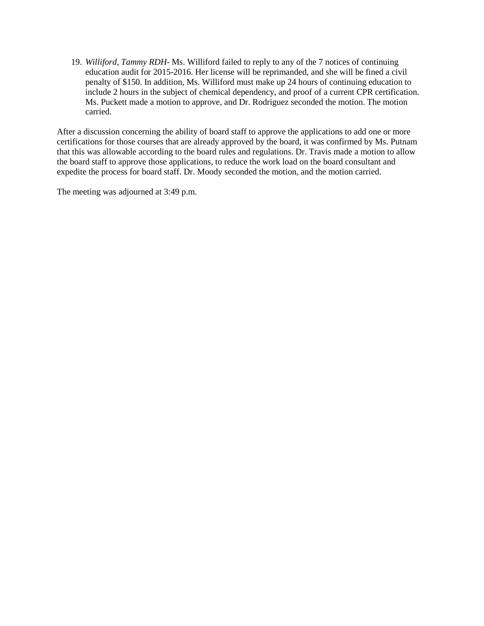19. *Williford, Tammy RDH*- Ms. Williford failed to reply to any of the 7 notices of continuing education audit for 2015-2016. Her license will be reprimanded, and she will be fined a civil penalty of \$150. In addition, Ms. Williford must make up 24 hours of continuing education to include 2 hours in the subject of chemical dependency, and proof of a current CPR certification. Ms. Puckett made a motion to approve, and Dr. Rodriguez seconded the motion. The motion carried.

After a discussion concerning the ability of board staff to approve the applications to add one or more certifications for those courses that are already approved by the board, it was confirmed by Ms. Putnam that this was allowable according to the board rules and regulations. Dr. Travis made a motion to allow the board staff to approve those applications, to reduce the work load on the board consultant and expedite the process for board staff. Dr. Moody seconded the motion, and the motion carried.

The meeting was adjourned at 3:49 p.m.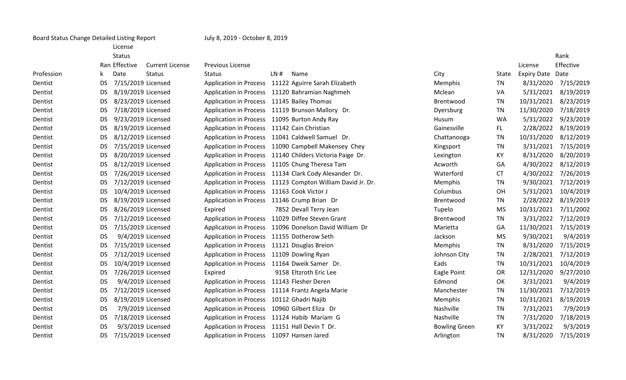| License |  |
|---------|--|
| Status  |  |

Ran Effective Current License

| ense: | <b>Previous License</b> |
|-------|-------------------------|

| Profession |           | Date               | <b>Status</b> | Status                                           | LN# | Name                                                       | City                 | State     | Expiry Date Date |           |
|------------|-----------|--------------------|---------------|--------------------------------------------------|-----|------------------------------------------------------------|----------------------|-----------|------------------|-----------|
| Dentist    | <b>DS</b> | 7/15/2019 Licensed |               |                                                  |     | Application in Process 11122 Aguirre Sarah Elizabeth       | Memphis              | TN        | 8/31/2020        | 7/15/2019 |
| Dentist    | DS.       | 8/19/2019 Licensed |               |                                                  |     | Application in Process 11120 Bahramian Naghmeh             | Mclean               | VA        | 5/31/2021        | 8/19/2019 |
| Dentist    | <b>DS</b> | 8/23/2019 Licensed |               | Application in Process 11145 Bailey Thomas       |     |                                                            | Brentwood            | TN        | 10/31/2021       | 8/23/2019 |
| Dentist    | DS.       | 7/18/2019 Licensed |               |                                                  |     | Application in Process 11119 Brunson Mallory Dr.           | Dyersburg            | TN        | 11/30/2020       | 7/18/2019 |
| Dentist    | <b>DS</b> | 9/23/2019 Licensed |               | Application in Process 11095 Burton Andy Ray     |     |                                                            | Husum                | <b>WA</b> | 5/31/2022        | 9/23/2019 |
| Dentist    | DS.       | 8/19/2019 Licensed |               | Application in Process 11142 Cain Christian      |     |                                                            | Gainesville          | FL.       | 2/28/2022        | 8/19/2019 |
| Dentist    | <b>DS</b> | 8/12/2019 Licensed |               |                                                  |     | Application in Process 11041 Caldwell Samuel Dr.           | Chattanooga          | <b>TN</b> | 10/31/2020       | 8/12/2019 |
| Dentist    | DS.       | 7/15/2019 Licensed |               |                                                  |     | Application in Process 11090 Campbell Makensey Chey        | Kingsport            | TN        | 3/31/2021        | 7/15/2019 |
| Dentist    | <b>DS</b> | 8/20/2019 Licensed |               |                                                  |     | Application in Process 11140 Childers Victoria Paige Dr.   | Lexington            | KY        | 8/31/2020        | 8/20/2019 |
| Dentist    | <b>DS</b> | 8/12/2019 Licensed |               | Application in Process 11105 Chung Theresa Tam   |     |                                                            | Acworth              | GA        | 4/30/2022        | 8/12/2019 |
| Dentist    | <b>DS</b> | 7/26/2019 Licensed |               |                                                  |     | Application in Process 11134 Clark Cody Alexander Dr.      | Waterford            | <b>CT</b> | 4/30/2022        | 7/26/2019 |
| Dentist    | DS.       | 7/12/2019 Licensed |               |                                                  |     | Application in Process 11123 Compton William David Jr. Dr. | Memphis              | TN        | 9/30/2021        | 7/12/2019 |
| Dentist    | DS.       | 10/4/2019 Licensed |               | Application in Process 11163 Cook Victor J       |     |                                                            | Columbus             | OH        | 5/31/2021        | 10/4/2019 |
| Dentist    | <b>DS</b> | 8/19/2019 Licensed |               | Application in Process 11146 Crump Brian Dr      |     |                                                            | Brentwood            | <b>TN</b> | 2/28/2022        | 8/19/2019 |
| Dentist    | <b>DS</b> | 8/26/2019 Licensed |               | Expired                                          |     | 7852 Devall Terry Jean                                     | Tupelo               | <b>MS</b> | 10/31/2021       | 7/11/2002 |
| Dentist    | DS.       | 7/12/2019 Licensed |               | Application in Process 11029 Diffee Steven Grant |     |                                                            | Brentwood            | TN        | 3/31/2022        | 7/12/2019 |
| Dentist    | DS.       | 7/15/2019 Licensed |               |                                                  |     | Application in Process 11096 Donelson David William Dr     | Marietta             | GA        | 11/30/2021       | 7/15/2019 |
| Dentist    | <b>DS</b> | 9/4/2019 Licensed  |               | Application in Process 11155 Dotherow Seth       |     |                                                            | Jackson              | <b>MS</b> | 9/30/2021        | 9/4/2019  |
| Dentist    | <b>DS</b> | 7/15/2019 Licensed |               | Application in Process 11121 Douglas Breion      |     |                                                            | Memphis              | TN        | 8/31/2020        | 7/15/2019 |
| Dentist    | DS.       | 7/12/2019 Licensed |               | Application in Process 11109 Dowling Ryan        |     |                                                            | Johnson City         | TN        | 2/28/2021        | 7/12/2019 |
| Dentist    | DS.       | 10/4/2019 Licensed |               | Application in Process 11164 Dweik Samer Dr.     |     |                                                            | Eads                 | <b>TN</b> | 10/31/2021       | 10/4/2019 |
| Dentist    | <b>DS</b> | 7/26/2019 Licensed |               | Expired                                          |     | 9158 Eltzroth Eric Lee                                     | Eagle Point          | <b>OR</b> | 12/31/2020       | 9/27/2010 |
| Dentist    | <b>DS</b> | 9/4/2019 Licensed  |               | Application in Process 11143 Flesher Deren       |     |                                                            | Edmond               | OK        | 3/31/2021        | 9/4/2019  |
| Dentist    | DS.       | 7/12/2019 Licensed |               | Application in Process 11114 Frantz Angela Marie |     |                                                            | Manchester           | TN        | 11/30/2021       | 7/12/2019 |
| Dentist    | <b>DS</b> | 8/19/2019 Licensed |               | Application in Process 10112 Ghadri Najib        |     |                                                            | Memphis              | <b>TN</b> | 10/31/2021       | 8/19/2019 |
| Dentist    | <b>DS</b> | 7/9/2019 Licensed  |               | <b>Application in Process</b>                    |     | 10960 Gilbert Eliza Dr                                     | Nashville            | TN        | 7/31/2021        | 7/9/2019  |
| Dentist    | <b>DS</b> | 7/18/2019 Licensed |               | Application in Process 11124 Habib Mariam G      |     |                                                            | Nashville            | TN        | 7/31/2020        | 7/18/2019 |
| Dentist    | DS.       | 9/3/2019 Licensed  |               | Application in Process 11151 Hall Devin T Dr.    |     |                                                            | <b>Bowling Green</b> | KY        | 3/31/2022        | 9/3/2019  |
| Dentist    | DS.       | 7/15/2019 Licensed |               | Application in Process 11097 Hansen Jared        |     |                                                            | Arlington            | TN        | 8/31/2020        | 7/15/2019 |

|                      |              |                    | Rank      |
|----------------------|--------------|--------------------|-----------|
|                      |              | License            | Effective |
| City                 | <b>State</b> | <b>Expiry Date</b> | Date      |
| Memphis              | <b>TN</b>    | 8/31/2020          | 7/15/2019 |
| Mclean               | VA           | 5/31/2021          | 8/19/2019 |
| Brentwood            | <b>TN</b>    | 10/31/2021         | 8/23/2019 |
| Dyersburg            | <b>TN</b>    | 11/30/2020         | 7/18/2019 |
| Husum                | <b>WA</b>    | 5/31/2022          | 9/23/2019 |
| Gainesville          | FL           | 2/28/2022          | 8/19/2019 |
| Chattanooga          | <b>TN</b>    | 10/31/2020         | 8/12/2019 |
| Kingsport            | <b>TN</b>    | 3/31/2021          | 7/15/2019 |
| Lexington            | KY           | 8/31/2020          | 8/20/2019 |
| Acworth              | GA           | 4/30/2022          | 8/12/2019 |
| Waterford            | <b>CT</b>    | 4/30/2022          | 7/26/2019 |
| Memphis              | <b>TN</b>    | 9/30/2021          | 7/12/2019 |
| Columbus             | OH           | 5/31/2021          | 10/4/2019 |
| Brentwood            | <b>TN</b>    | 2/28/2022          | 8/19/2019 |
| Tupelo               | <b>MS</b>    | 10/31/2021         | 7/11/2002 |
| Brentwood            | <b>TN</b>    | 3/31/2022          | 7/12/2019 |
| Marietta             | GA           | 11/30/2021         | 7/15/2019 |
| Jackson              | <b>MS</b>    | 9/30/2021          | 9/4/2019  |
| Memphis              | <b>TN</b>    | 8/31/2020          | 7/15/2019 |
| Johnson City         | <b>TN</b>    | 2/28/2021          | 7/12/2019 |
| Eads                 | <b>TN</b>    | 10/31/2021         | 10/4/2019 |
| Eagle Point          | <b>OR</b>    | 12/31/2020         | 9/27/2010 |
| Edmond               | OK           | 3/31/2021          | 9/4/2019  |
| Manchester           | <b>TN</b>    | 11/30/2021         | 7/12/2019 |
| Memphis              | <b>TN</b>    | 10/31/2021         | 8/19/2019 |
| Nashville            | <b>TN</b>    | 7/31/2021          | 7/9/2019  |
| Nashville            | <b>TN</b>    | 7/31/2020          | 7/18/2019 |
| <b>Bowling Green</b> | KY           | 3/31/2022          | 9/3/2019  |
| Arlington            | <b>TN</b>    | 8/31/2020          | 7/15/2019 |
|                      |              |                    |           |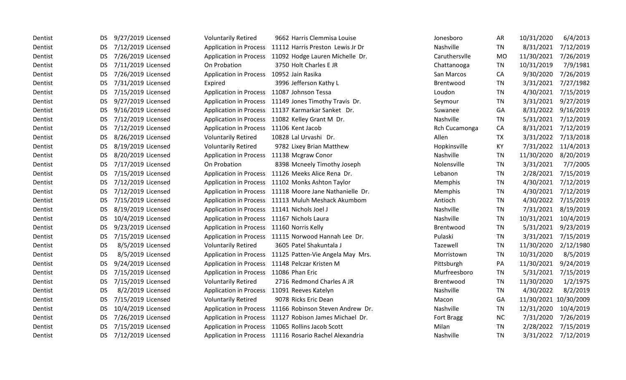| Dentist | DS.       | 9/27/2019 Licensed | <b>Voluntarily Retired</b>                  | 9662 Harris Clemmisa Louise                             | Jonesboro         | <b>AR</b> | 10/31/2020            | 6/4/2013            |
|---------|-----------|--------------------|---------------------------------------------|---------------------------------------------------------|-------------------|-----------|-----------------------|---------------------|
| Dentist | DS.       | 7/12/2019 Licensed |                                             | Application in Process 11112 Harris Preston Lewis Jr Dr | Nashville         | <b>TN</b> | 8/31/2021             | 7/12/2019           |
| Dentist | DS.       | 7/26/2019 Licensed |                                             | Application in Process 11092 Hodge Lauren Michelle Dr.  | Caruthersvlle     | <b>MO</b> | 11/30/2021            | 7/26/2019           |
| Dentist | DS.       | 7/11/2019 Licensed | On Probation                                | 3750 Holt Charles E JR                                  | Chattanooga       | <b>TN</b> | 10/31/2019            | 7/9/1981            |
| Dentist | DS.       | 7/26/2019 Licensed | Application in Process 10952 Jain Rasika    |                                                         | San Marcos        | CA        | 9/30/2020             | 7/26/2019           |
| Dentist | DS.       | 7/31/2019 Licensed | Expired                                     | 3996 Jefferson Kathy L                                  | Brentwood         | <b>TN</b> | 3/31/2021             | 7/27/1982           |
| Dentist | DS.       | 7/15/2019 Licensed | Application in Process 11087 Johnson Tessa  |                                                         | Loudon            | TN        | 4/30/2021             | 7/15/2019           |
| Dentist | DS.       | 9/27/2019 Licensed |                                             | Application in Process 11149 Jones Timothy Travis Dr.   | Seymour           | <b>TN</b> | 3/31/2021             | 9/27/2019           |
| Dentist | DS.       | 9/16/2019 Licensed |                                             | Application in Process 11137 Karmarkar Sanket Dr.       | Suwanee           | GA        | 8/31/2022             | 9/16/2019           |
| Dentist | DS.       | 7/12/2019 Licensed |                                             | Application in Process 11082 Kelley Grant M Dr.         | Nashville         | TN        | 5/31/2021             | 7/12/2019           |
| Dentist | DS.       | 7/12/2019 Licensed | Application in Process 11106 Kent Jacob     |                                                         | Rch Cucamonga     | CA        | 8/31/2021             | 7/12/2019           |
| Dentist | DS.       | 8/26/2019 Licensed | <b>Voluntarily Retired</b>                  | 10828 Lal Urvashi Dr.                                   | Allen             | <b>TX</b> | 3/31/2022             | 7/13/2018           |
| Dentist | DS.       | 8/19/2019 Licensed | <b>Voluntarily Retired</b>                  | 9782 Lixey Brian Matthew                                | Hopkinsville      | KY        | 7/31/2022             | 11/4/2013           |
| Dentist | DS.       | 8/20/2019 Licensed | Application in Process 11138 Mcgraw Conor   |                                                         | Nashville         | TN        | 11/30/2020            | 8/20/2019           |
| Dentist | <b>DS</b> | 7/17/2019 Licensed | On Probation                                | 8398 Mcneely Timothy Joseph                             | Nolensville       | TN        | 3/31/2021             | 7/7/2005            |
| Dentist | DS.       | 7/15/2019 Licensed |                                             | Application in Process 11126 Meeks Alice Rena Dr.       | Lebanon           | <b>TN</b> | 2/28/2021             | 7/15/2019           |
| Dentist | DS.       | 7/12/2019 Licensed |                                             | Application in Process 11102 Monks Ashton Taylor        | Memphis           | TN        | 4/30/2021             | 7/12/2019           |
| Dentist | DS.       | 7/12/2019 Licensed |                                             | Application in Process 11118 Moore Jane Nathanielle Dr. | Memphis           | <b>TN</b> | 4/30/2021             | 7/12/2019           |
| Dentist | DS.       | 7/15/2019 Licensed |                                             | Application in Process 11113 Muluh Meshack Akumbom      | Antioch           | TN        | 4/30/2022             | 7/15/2019           |
| Dentist | <b>DS</b> | 8/19/2019 Licensed | Application in Process 11141 Nichols Joel J |                                                         | Nashville         | TN        | 7/31/2021             | 8/19/2019           |
| Dentist | DS.       | 10/4/2019 Licensed | Application in Process 11167 Nichols Laura  |                                                         | Nashville         | TN        | 10/31/2021            | 10/4/2019           |
| Dentist | DS.       | 9/23/2019 Licensed | Application in Process 11160 Norris Kelly   |                                                         | Brentwood         | TN        | 5/31/2021             | 9/23/2019           |
| Dentist | DS.       | 7/15/2019 Licensed |                                             | Application in Process 11115 Norwood Hannah Lee Dr.     | Pulaski           | <b>TN</b> | 3/31/2021             | 7/15/2019           |
| Dentist | <b>DS</b> | 8/5/2019 Licensed  | <b>Voluntarily Retired</b>                  | 3605 Patel Shakuntala J                                 | Tazewell          | TN        | 11/30/2020            | 2/12/1980           |
| Dentist | <b>DS</b> | 8/5/2019 Licensed  |                                             | Application in Process 11125 Patten-Vie Angela May Mrs. | Morristown        | TN        | 10/31/2020            | 8/5/2019            |
| Dentist | DS        | 9/24/2019 Licensed |                                             | Application in Process 11148 Pelczar Kristen M          | Pittsburgh        | PA        | 11/30/2021            | 9/24/2019           |
| Dentist | DS.       | 7/15/2019 Licensed | Application in Process 11086 Phan Eric      |                                                         | Murfreesboro      | <b>TN</b> | 5/31/2021             | 7/15/2019           |
| Dentist | DS.       | 7/15/2019 Licensed | <b>Voluntarily Retired</b>                  | 2716 Redmond Charles A JR                               | Brentwood         | TN        | 11/30/2020            | 1/2/1975            |
| Dentist | <b>DS</b> | 8/2/2019 Licensed  |                                             | Application in Process 11091 Reeves Katelyn             | Nashville         | TN        | 4/30/2022             | 8/2/2019            |
| Dentist | <b>DS</b> | 7/15/2019 Licensed | <b>Voluntarily Retired</b>                  | 9078 Ricks Eric Dean                                    | Macon             | GA        | 11/30/2021 10/30/2009 |                     |
| Dentist | DS.       | 10/4/2019 Licensed |                                             | Application in Process 11166 Robinson Steven Andrew Dr. | Nashville         | <b>TN</b> | 12/31/2020            | 10/4/2019           |
| Dentist | DS.       | 7/26/2019 Licensed |                                             | Application in Process 11127 Robison James Michael Dr.  | <b>Fort Bragg</b> | <b>NC</b> | 7/31/2020             | 7/26/2019           |
| Dentist | DS.       | 7/15/2019 Licensed |                                             | Application in Process 11065 Rollins Jacob Scott        | Milan             | TN        | 2/28/2022             | 7/15/2019           |
| Dentist | <b>DS</b> | 7/12/2019 Licensed |                                             | Application in Process 11116 Rosario Rachel Alexandria  | Nashville         | <b>TN</b> |                       | 3/31/2022 7/12/2019 |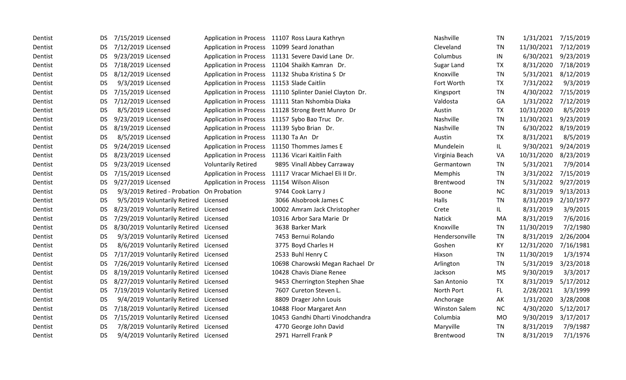| Dentist | DS.       | 7/15/2019 Licensed                        |                                            | Application in Process 11107 Ross Laura Kathryn          | Nashville            | <b>TN</b> | 1/31/2021  | 7/15/2019 |
|---------|-----------|-------------------------------------------|--------------------------------------------|----------------------------------------------------------|----------------------|-----------|------------|-----------|
| Dentist | DS.       | 7/12/2019 Licensed                        |                                            | Application in Process 11099 Seard Jonathan              | Cleveland            | <b>TN</b> | 11/30/2021 | 7/12/2019 |
| Dentist | DS        | 9/23/2019 Licensed                        |                                            | Application in Process 11131 Severe David Lane Dr.       | Columbus             | IN        | 6/30/2021  | 9/23/2019 |
| Dentist | DS.       | 7/18/2019 Licensed                        |                                            | Application in Process 11104 Shaikh Kamran Dr.           | Sugar Land           | <b>TX</b> | 8/31/2020  | 7/18/2019 |
| Dentist | <b>DS</b> | 8/12/2019 Licensed                        |                                            | Application in Process 11132 Shuba Kristina S Dr         | Knoxville            | <b>TN</b> | 5/31/2021  | 8/12/2019 |
| Dentist | <b>DS</b> | 9/3/2019 Licensed                         | Application in Process 11153 Slade Caitlin |                                                          | Fort Worth           | <b>TX</b> | 7/31/2022  | 9/3/2019  |
| Dentist | DS        | 7/15/2019 Licensed                        |                                            | Application in Process 11110 Splinter Daniel Clayton Dr. | Kingsport            | <b>TN</b> | 4/30/2022  | 7/15/2019 |
| Dentist | DS.       | 7/12/2019 Licensed                        |                                            | Application in Process 11111 Stan Nshombia Diaka         | Valdosta             | GA        | 1/31/2022  | 7/12/2019 |
| Dentist | DS        | 8/5/2019 Licensed                         |                                            | Application in Process 11128 Strong Brett Munro Dr       | Austin               | <b>TX</b> | 10/31/2020 | 8/5/2019  |
| Dentist | <b>DS</b> | 9/23/2019 Licensed                        |                                            | Application in Process 11157 Sybo Bao Truc Dr.           | Nashville            | <b>TN</b> | 11/30/2021 | 9/23/2019 |
| Dentist | DS.       | 8/19/2019 Licensed                        |                                            | Application in Process 11139 Sybo Brian Dr.              | Nashville            | <b>TN</b> | 6/30/2022  | 8/19/2019 |
| Dentist | <b>DS</b> | 8/5/2019 Licensed                         | Application in Process 11130 Ta An Dr      |                                                          | Austin               | <b>TX</b> | 8/31/2021  | 8/5/2019  |
| Dentist | <b>DS</b> | 9/24/2019 Licensed                        |                                            | Application in Process 11150 Thommes James E             | Mundelein            | IL.       | 9/30/2021  | 9/24/2019 |
| Dentist | <b>DS</b> | 8/23/2019 Licensed                        |                                            | Application in Process 11136 Vicari Kaitlin Faith        | Virginia Beach       | VA        | 10/31/2020 | 8/23/2019 |
| Dentist | DS.       | 9/23/2019 Licensed                        | <b>Voluntarily Retired</b>                 | 9895 Vinall Abbey Carraway                               | Germantown           | TN        | 5/31/2021  | 7/9/2014  |
| Dentist | DS        | 7/15/2019 Licensed                        |                                            | Application in Process 11117 Vracar Michael Eli II Dr.   | Memphis              | <b>TN</b> | 3/31/2022  | 7/15/2019 |
| Dentist | <b>DS</b> | 9/27/2019 Licensed                        | Application in Process 11154 Wilson Alison |                                                          | Brentwood            | TN        | 5/31/2022  | 9/27/2019 |
| Dentist | <b>DS</b> | 9/3/2019 Retired - Probation On Probation |                                            | 9744 Cook Larry J                                        | Boone                | <b>NC</b> | 8/31/2019  | 9/13/2013 |
| Dentist | <b>DS</b> | 9/5/2019 Voluntarily Retired Licensed     |                                            | 3066 Alsobrook James C                                   | Halls                | <b>TN</b> | 8/31/2019  | 2/10/1977 |
| Dentist | <b>DS</b> | 8/23/2019 Voluntarily Retired Licensed    |                                            | 10002 Amram Jack Christopher                             | Crete                | IL.       | 8/31/2019  | 3/9/2015  |
| Dentist | <b>DS</b> | 7/29/2019 Voluntarily Retired Licensed    |                                            | 10316 Arbor Sara Marie Dr                                | <b>Natick</b>        | MA        | 8/31/2019  | 7/6/2016  |
| Dentist | DS.       | 8/30/2019 Voluntarily Retired Licensed    |                                            | 3638 Barker Mark                                         | Knoxville            | TN        | 11/30/2019 | 7/2/1980  |
| Dentist | <b>DS</b> | 9/3/2019 Voluntarily Retired Licensed     |                                            | 7453 Bernui Rolando                                      | Hendersonville       | <b>TN</b> | 8/31/2019  | 2/26/2004 |
| Dentist | <b>DS</b> | 8/6/2019 Voluntarily Retired Licensed     |                                            | 3775 Boyd Charles H                                      | Goshen               | KY        | 12/31/2020 | 7/16/1981 |
| Dentist | <b>DS</b> | 7/17/2019 Voluntarily Retired Licensed    |                                            | 2533 Buhl Henry C                                        | Hixson               | <b>TN</b> | 11/30/2019 | 1/3/1974  |
| Dentist | <b>DS</b> | 7/26/2019 Voluntarily Retired Licensed    |                                            | 10698 Charowski Megan Rachael Dr                         | Arlington            | <b>TN</b> | 5/31/2019  | 3/23/2018 |
| Dentist | DS.       | 8/19/2019 Voluntarily Retired Licensed    |                                            | 10428 Chavis Diane Renee                                 | Jackson              | <b>MS</b> | 9/30/2019  | 3/3/2017  |
| Dentist | DS        | 8/27/2019 Voluntarily Retired Licensed    |                                            | 9453 Cherrington Stephen Shae                            | San Antonio          | <b>TX</b> | 8/31/2019  | 5/17/2012 |
| Dentist | <b>DS</b> | 7/19/2019 Voluntarily Retired Licensed    |                                            | 7607 Cureton Steven L.                                   | North Port           | FL.       | 2/28/2021  | 3/3/1999  |
| Dentist | <b>DS</b> | 9/4/2019 Voluntarily Retired Licensed     |                                            | 8809 Drager John Louis                                   | Anchorage            | AK        | 1/31/2020  | 3/28/2008 |
| Dentist | DS.       | 7/18/2019 Voluntarily Retired Licensed    |                                            | 10488 Floor Margaret Ann                                 | <b>Winston Salem</b> | <b>NC</b> | 4/30/2020  | 5/12/2017 |
| Dentist | DS.       | 7/15/2019 Voluntarily Retired Licensed    |                                            | 10453 Gandhi Dharti Vinodchandra                         | Columbia             | <b>MO</b> | 9/30/2019  | 3/17/2017 |
| Dentist | <b>DS</b> | 7/8/2019 Voluntarily Retired Licensed     |                                            | 4770 George John David                                   | Maryville            | TN        | 8/31/2019  | 7/9/1987  |
| Dentist | <b>DS</b> | 9/4/2019 Voluntarily Retired Licensed     |                                            | 2971 Harrell Frank P                                     | Brentwood            | <b>TN</b> | 8/31/2019  | 7/1/1976  |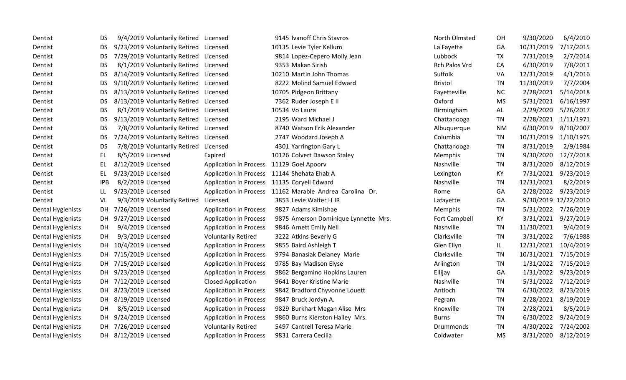| Dentist                  | <b>DS</b>  | 9/4/2019 Voluntarily Retired Licensed  |                               | 9145 Ivanoff Chris Stavros                               | North Olmsted    | OH        | 9/30/2020  | 6/4/2010             |
|--------------------------|------------|----------------------------------------|-------------------------------|----------------------------------------------------------|------------------|-----------|------------|----------------------|
| Dentist                  | DS         | 9/23/2019 Voluntarily Retired Licensed |                               | 10135 Levie Tyler Kellum                                 | La Fayette       | GA        | 10/31/2019 | 7/17/2015            |
| Dentist                  | <b>DS</b>  | 7/29/2019 Voluntarily Retired Licensed |                               | 9814 Lopez-Cepero Molly Jean                             | Lubbock          | <b>TX</b> | 7/31/2019  | 2/7/2014             |
| Dentist                  | <b>DS</b>  | 8/1/2019 Voluntarily Retired           | Licensed                      | 9353 Makan Sirish                                        | Rch Palos Vrd    | CA        | 6/30/2019  | 7/8/2011             |
| Dentist                  | <b>DS</b>  | 8/14/2019 Voluntarily Retired          | Licensed                      | 10210 Martin John Thomas                                 | Suffolk          | VA        | 12/31/2019 | 4/1/2016             |
| Dentist                  | <b>DS</b>  | 9/10/2019 Voluntarily Retired          | Licensed                      | 8222 Molind Samuel Edward                                | <b>Bristol</b>   | TN        | 11/30/2019 | 7/7/2004             |
| Dentist                  | <b>DS</b>  | 8/13/2019 Voluntarily Retired          | Licensed                      | 10705 Pidgeon Brittany                                   | Fayetteville     | NC        | 2/28/2021  | 5/14/2018            |
| Dentist                  | <b>DS</b>  | 8/13/2019 Voluntarily Retired          | Licensed                      | 7362 Ruder Joseph E II                                   | Oxford           | <b>MS</b> | 5/31/2021  | 6/16/1997            |
| Dentist                  | <b>DS</b>  | 8/1/2019 Voluntarily Retired           | Licensed                      | 10534 Vo Laura                                           | Birmingham       | AL        | 2/29/2020  | 5/26/2017            |
| Dentist                  | <b>DS</b>  | 9/13/2019 Voluntarily Retired          | Licensed                      | 2195 Ward Michael J                                      | Chattanooga      | TN        | 2/28/2021  | 1/11/1971            |
| Dentist                  | <b>DS</b>  | 7/8/2019 Voluntarily Retired           | Licensed                      | 8740 Watson Erik Alexander                               | Albuquerque      | <b>NM</b> | 6/30/2019  | 8/10/2007            |
| Dentist                  | <b>DS</b>  | 7/24/2019 Voluntarily Retired          | Licensed                      | 2747 Woodard Joseph A                                    | Columbia         | <b>TN</b> | 10/31/2019 | 1/10/1975            |
| Dentist                  | <b>DS</b>  | 7/8/2019 Voluntarily Retired           | Licensed                      | 4301 Yarrington Gary L                                   | Chattanooga      | TN        | 8/31/2019  | 2/9/1984             |
| Dentist                  | <b>EL</b>  | 8/5/2019 Licensed                      | Expired                       | 10126 Colvert Dawson Staley                              | Memphis          | TN        | 9/30/2020  | 12/7/2018            |
| Dentist                  | EL         | 8/12/2019 Licensed                     | <b>Application in Process</b> | 11129 Goel Apoorv                                        | Nashville        | TN        | 8/31/2020  | 8/12/2019            |
| Dentist                  | EL         | 9/23/2019 Licensed                     | <b>Application in Process</b> | 11144 Shehata Ehab A                                     | Lexington        | KY        | 7/31/2021  | 9/23/2019            |
| Dentist                  | <b>IPB</b> | 8/2/2019 Licensed                      | <b>Application in Process</b> | 11135 Coryell Edward                                     | Nashville        | <b>TN</b> | 12/31/2021 | 8/2/2019             |
| Dentist                  | LL         | 9/23/2019 Licensed                     |                               | Application in Process 11162 Marable Andrea Carolina Dr. | Rome             | GA        | 2/28/2022  | 9/23/2019            |
| Dentist                  | VL         | 9/3/2019 Voluntarily Retired           | Licensed                      | 3853 Levie Walter H JR                                   | Lafayette        | GA        |            | 9/30/2019 12/22/2010 |
| <b>Dental Hygienists</b> | DH         | 7/26/2019 Licensed                     | <b>Application in Process</b> | 9827 Adams Kimishae                                      | Memphis          | <b>TN</b> | 5/31/2022  | 7/26/2019            |
| <b>Dental Hygienists</b> | DH         | 9/27/2019 Licensed                     | <b>Application in Process</b> | 9875 Amerson Dominique Lynnette Mrs.                     | Fort Campbell    | KY        | 3/31/2021  | 9/27/2019            |
| <b>Dental Hygienists</b> | DH         | 9/4/2019 Licensed                      | <b>Application in Process</b> | 9846 Arnett Emily Nell                                   | Nashville        | TN        | 11/30/2021 | 9/4/2019             |
| <b>Dental Hygienists</b> | DH         | 9/3/2019 Licensed                      | <b>Voluntarily Retired</b>    | 3222 Atkins Beverly G                                    | Clarksville      | <b>TN</b> | 3/31/2022  | 7/6/1988             |
| Dental Hygienists        | DH         | 10/4/2019 Licensed                     | <b>Application in Process</b> | 9855 Baird Ashleigh T                                    | Glen Ellyn       | IL.       | 12/31/2021 | 10/4/2019            |
| <b>Dental Hygienists</b> | DH         | 7/15/2019 Licensed                     | <b>Application in Process</b> | 9794 Banasiak Delaney Marie                              | Clarksville      | <b>TN</b> | 10/31/2021 | 7/15/2019            |
| <b>Dental Hygienists</b> | DH         | 7/15/2019 Licensed                     | <b>Application in Process</b> | 9785 Bay Madison Elyse                                   | Arlington        | <b>TN</b> | 1/31/2022  | 7/15/2019            |
| <b>Dental Hygienists</b> | DH         | 9/23/2019 Licensed                     | <b>Application in Process</b> | 9862 Bergamino Hopkins Lauren                            | Ellijay          | GA        | 1/31/2022  | 9/23/2019            |
| <b>Dental Hygienists</b> | DH.        | 7/12/2019 Licensed                     | <b>Closed Application</b>     | 9641 Boyer Kristine Marie                                | Nashville        | <b>TN</b> | 5/31/2022  | 7/12/2019            |
| <b>Dental Hygienists</b> | DH         | 8/23/2019 Licensed                     | <b>Application in Process</b> | 9842 Bradford Chyvonne Louett                            | Antioch          | <b>TN</b> | 6/30/2022  | 8/23/2019            |
| Dental Hygienists        | DH         | 8/19/2019 Licensed                     | <b>Application in Process</b> | 9847 Bruck Jordyn A.                                     | Pegram           | <b>TN</b> | 2/28/2021  | 8/19/2019            |
| <b>Dental Hygienists</b> | DH         | 8/5/2019 Licensed                      | <b>Application in Process</b> | 9829 Burkhart Megan Alise Mrs                            | Knoxville        | <b>TN</b> | 2/28/2021  | 8/5/2019             |
| <b>Dental Hygienists</b> | DH.        | 9/24/2019 Licensed                     | <b>Application in Process</b> | 9860 Burns Kierston Hailey Mrs.                          | <b>Burns</b>     | TN        | 6/30/2022  | 9/24/2019            |
| <b>Dental Hygienists</b> | DH         | 7/26/2019 Licensed                     | <b>Voluntarily Retired</b>    | 5497 Cantrell Teresa Marie                               | <b>Drummonds</b> | <b>TN</b> | 4/30/2022  | 7/24/2002            |
| <b>Dental Hygienists</b> |            | DH 8/12/2019 Licensed                  | <b>Application in Process</b> | 9831 Carrera Cecilia                                     | Coldwater        | <b>MS</b> | 8/31/2020  | 8/12/2019            |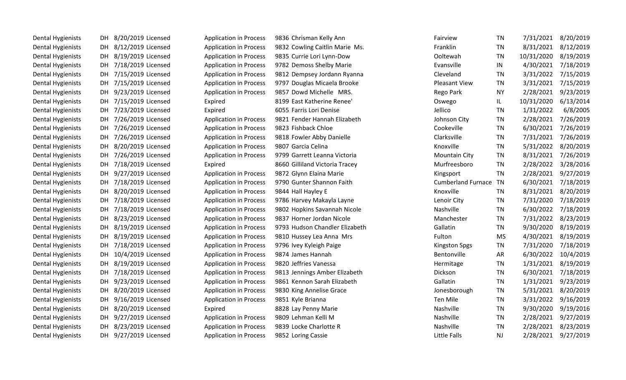| <b>Dental Hygienists</b> |     | DH 8/20/2019 Licensed | <b>Application in Process</b> | 9836 Chrisman Kelly Ann        | Fairview                  | TN        | 7/31/2021  | 8/20/2019           |
|--------------------------|-----|-----------------------|-------------------------------|--------------------------------|---------------------------|-----------|------------|---------------------|
| <b>Dental Hygienists</b> | DH  | 8/12/2019 Licensed    | <b>Application in Process</b> | 9832 Cowling Caitlin Marie Ms. | Franklin                  | TN        | 8/31/2021  | 8/12/2019           |
| <b>Dental Hygienists</b> | DH  | 8/19/2019 Licensed    | <b>Application in Process</b> | 9835 Currie Lori Lynn-Dow      | Ooltewah                  | <b>TN</b> | 10/31/2020 | 8/19/2019           |
| <b>Dental Hygienists</b> | DH  | 7/18/2019 Licensed    | <b>Application in Process</b> | 9782 Demoss Shelby Marie       | Evansville                | IN        | 4/30/2021  | 7/18/2019           |
| <b>Dental Hygienists</b> |     | DH 7/15/2019 Licensed | <b>Application in Process</b> | 9812 Dempsey Jordann Ryanna    | Cleveland                 | <b>TN</b> | 3/31/2022  | 7/15/2019           |
| <b>Dental Hygienists</b> |     | DH 7/15/2019 Licensed | <b>Application in Process</b> | 9797 Douglas Micaela Brooke    | <b>Pleasant View</b>      | <b>TN</b> | 3/31/2021  | 7/15/2019           |
| <b>Dental Hygienists</b> | DH  | 9/23/2019 Licensed    | <b>Application in Process</b> | 9857 Dowd Michelle MRS.        | Rego Park                 | <b>NY</b> | 2/28/2021  | 9/23/2019           |
| <b>Dental Hygienists</b> |     | DH 7/15/2019 Licensed | Expired                       | 8199 East Katherine Renee'     | Oswego                    | IL.       | 10/31/2020 | 6/13/2014           |
| Dental Hygienists        |     | DH 7/23/2019 Licensed | Expired                       | 6055 Farris Lori Denise        | Jellico                   | TN        | 1/31/2022  | 6/8/2005            |
| <b>Dental Hygienists</b> |     | DH 7/26/2019 Licensed | <b>Application in Process</b> | 9821 Fender Hannah Elizabeth   | Johnson City              | <b>TN</b> | 2/28/2021  | 7/26/2019           |
| <b>Dental Hygienists</b> |     | DH 7/26/2019 Licensed | <b>Application in Process</b> | 9823 Fishback Chloe            | Cookeville                | <b>TN</b> | 6/30/2021  | 7/26/2019           |
| <b>Dental Hygienists</b> |     | DH 7/26/2019 Licensed | <b>Application in Process</b> | 9818 Fowler Abby Danielle      | Clarksville               | <b>TN</b> | 7/31/2021  | 7/26/2019           |
| <b>Dental Hygienists</b> |     | DH 8/20/2019 Licensed | <b>Application in Process</b> | 9807 Garcia Celina             | Knoxville                 | <b>TN</b> | 5/31/2022  | 8/20/2019           |
| <b>Dental Hygienists</b> |     | DH 7/26/2019 Licensed | <b>Application in Process</b> | 9799 Garrett Leanna Victoria   | <b>Mountain City</b>      | <b>TN</b> | 8/31/2021  | 7/26/2019           |
| <b>Dental Hygienists</b> |     | DH 7/18/2019 Licensed | Expired                       | 8660 Gilliland Victoria Tracey | Murfreesboro              | <b>TN</b> | 2/28/2022  | 3/28/2016           |
| <b>Dental Hygienists</b> | DH  | 9/27/2019 Licensed    | <b>Application in Process</b> | 9872 Glynn Elaina Marie        | Kingsport                 | <b>TN</b> | 2/28/2021  | 9/27/2019           |
| <b>Dental Hygienists</b> | DH  | 7/18/2019 Licensed    | <b>Application in Process</b> | 9790 Gunter Shannon Faith      | <b>Cumberland Furnace</b> | TN        | 6/30/2021  | 7/18/2019           |
| <b>Dental Hygienists</b> |     | DH 8/20/2019 Licensed | <b>Application in Process</b> | 9844 Hall Hayley E             | Knoxville                 | <b>TN</b> | 8/31/2021  | 8/20/2019           |
| <b>Dental Hygienists</b> |     | DH 7/18/2019 Licensed | <b>Application in Process</b> | 9786 Harvey Makayla Layne      | Lenoir City               | <b>TN</b> | 7/31/2020  | 7/18/2019           |
| <b>Dental Hygienists</b> | DH  | 7/18/2019 Licensed    | <b>Application in Process</b> | 9802 Hopkins Savannah Nicole   | Nashville                 | TN        | 6/30/2022  | 7/18/2019           |
| <b>Dental Hygienists</b> |     | DH 8/23/2019 Licensed | <b>Application in Process</b> | 9837 Horner Jordan Nicole      | Manchester                | <b>TN</b> | 7/31/2022  | 8/23/2019           |
| <b>Dental Hygienists</b> |     | DH 8/19/2019 Licensed | <b>Application in Process</b> | 9793 Hudson Chandler Elizabeth | Gallatin                  | <b>TN</b> | 9/30/2020  | 8/19/2019           |
| <b>Dental Hygienists</b> |     | DH 8/19/2019 Licensed | <b>Application in Process</b> | 9810 Hussey Lea Anna Mrs       | Fulton                    | <b>MS</b> | 4/30/2021  | 8/19/2019           |
| <b>Dental Hygienists</b> |     | DH 7/18/2019 Licensed | <b>Application in Process</b> | 9796 Ivey Kyleigh Paige        | <b>Kingston Spgs</b>      | <b>TN</b> | 7/31/2020  | 7/18/2019           |
| <b>Dental Hygienists</b> | DH. | 10/4/2019 Licensed    | <b>Application in Process</b> | 9874 James Hannah              | Bentonville               | AR        | 6/30/2022  | 10/4/2019           |
| <b>Dental Hygienists</b> | DH  | 8/19/2019 Licensed    | <b>Application in Process</b> | 9820 Jeffries Vanessa          | Hermitage                 | <b>TN</b> | 1/31/2021  | 8/19/2019           |
| <b>Dental Hygienists</b> | DH  | 7/18/2019 Licensed    | <b>Application in Process</b> | 9813 Jennings Amber Elizabeth  | Dickson                   | <b>TN</b> | 6/30/2021  | 7/18/2019           |
| <b>Dental Hygienists</b> | DH  | 9/23/2019 Licensed    | <b>Application in Process</b> | 9861 Kennon Sarah Elizabeth    | Gallatin                  | <b>TN</b> | 1/31/2021  | 9/23/2019           |
| <b>Dental Hygienists</b> |     | DH 8/20/2019 Licensed | <b>Application in Process</b> | 9830 King Annelise Grace       | Jonesborough              | TN        | 5/31/2021  | 8/20/2019           |
| <b>Dental Hygienists</b> | DH  | 9/16/2019 Licensed    | <b>Application in Process</b> | 9851 Kyle Brianna              | Ten Mile                  | <b>TN</b> | 3/31/2022  | 9/16/2019           |
| <b>Dental Hygienists</b> |     | DH 8/20/2019 Licensed | Expired                       | 8828 Lay Penny Marie           | Nashville                 | <b>TN</b> | 9/30/2020  | 9/19/2016           |
| <b>Dental Hygienists</b> | DH  | 9/27/2019 Licensed    | <b>Application in Process</b> | 9809 Lehman Kelli M            | Nashville                 | <b>TN</b> | 2/28/2021  | 9/27/2019           |
| <b>Dental Hygienists</b> | DH  | 8/23/2019 Licensed    | <b>Application in Process</b> | 9839 Locke Charlotte R         | Nashville                 | <b>TN</b> | 2/28/2021  | 8/23/2019           |
| <b>Dental Hygienists</b> | DH  | 9/27/2019 Licensed    | <b>Application in Process</b> | 9852 Loring Cassie             | Little Falls              | <b>NJ</b> |            | 2/28/2021 9/27/2019 |
|                          |     |                       |                               |                                |                           |           |            |                     |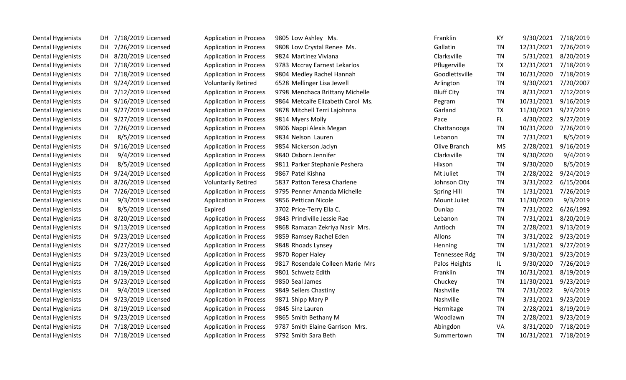| <b>Dental Hygienists</b> | 7/18/2019 Licensed<br>DH.      | <b>Application in Process</b> | 9805 Low Ashley Ms.               | Franklin           | KY        | 9/30/2021  | 7/18/2019 |
|--------------------------|--------------------------------|-------------------------------|-----------------------------------|--------------------|-----------|------------|-----------|
| <b>Dental Hygienists</b> | 7/26/2019 Licensed<br>DH.      | <b>Application in Process</b> | 9808 Low Crystal Renee Ms.        | Gallatin           | TN        | 12/31/2021 | 7/26/2019 |
| <b>Dental Hygienists</b> | 8/20/2019 Licensed<br>DH       | <b>Application in Process</b> | 9824 Martinez Viviana             | Clarksville        | TN        | 5/31/2021  | 8/20/2019 |
| Dental Hygienists        | 7/18/2019 Licensed<br>DH.      | <b>Application in Process</b> | 9783 Mccray Earnest Lekarlos      | Pflugerville       | <b>TX</b> | 12/31/2021 | 7/18/2019 |
| <b>Dental Hygienists</b> | 7/18/2019 Licensed<br>DH.      | <b>Application in Process</b> | 9804 Medley Rachel Hannah         | Goodlettsville     | TN        | 10/31/2020 | 7/18/2019 |
| <b>Dental Hygienists</b> | 9/24/2019 Licensed<br>DH       | <b>Voluntarily Retired</b>    | 6528 Mellinger Lisa Jewell        | Arlington          | TN        | 9/30/2021  | 7/20/2007 |
| Dental Hygienists        | 7/12/2019 Licensed<br>DH.      | <b>Application in Process</b> | 9798 Menchaca Brittany Michelle   | <b>Bluff City</b>  | TN        | 8/31/2021  | 7/12/2019 |
| <b>Dental Hygienists</b> | 9/16/2019 Licensed<br>DH.      | <b>Application in Process</b> | 9864 Metcalfe Elizabeth Carol Ms. | Pegram             | <b>TN</b> | 10/31/2021 | 9/16/2019 |
| <b>Dental Hygienists</b> | 9/27/2019 Licensed<br>DH       | <b>Application in Process</b> | 9878 Mitchell Terri Lajohnna      | Garland            | <b>TX</b> | 11/30/2021 | 9/27/2019 |
| <b>Dental Hygienists</b> | 9/27/2019 Licensed<br>DH       | <b>Application in Process</b> | 9814 Myers Molly                  | Pace               | FL.       | 4/30/2022  | 9/27/2019 |
| <b>Dental Hygienists</b> | 7/26/2019 Licensed<br>DH       | <b>Application in Process</b> | 9806 Nappi Alexis Megan           | Chattanooga        | TN        | 10/31/2020 | 7/26/2019 |
| Dental Hygienists        | 8/5/2019 Licensed<br>DH.       | <b>Application in Process</b> | 9834 Nelson Lauren                | Lebanon            | TN        | 7/31/2021  | 8/5/2019  |
| <b>Dental Hygienists</b> | 9/16/2019 Licensed<br>DH       | <b>Application in Process</b> | 9854 Nickerson Jaclyn             | Olive Branch       | <b>MS</b> | 2/28/2021  | 9/16/2019 |
| <b>Dental Hygienists</b> | 9/4/2019 Licensed<br><b>DH</b> | <b>Application in Process</b> | 9840 Osborn Jennifer              | Clarksville        | <b>TN</b> | 9/30/2020  | 9/4/2019  |
| Dental Hygienists        | 8/5/2019 Licensed<br>DH        | <b>Application in Process</b> | 9811 Parker Stephanie Peshera     | Hixson             | TN        | 9/30/2020  | 8/5/2019  |
| <b>Dental Hygienists</b> | 9/24/2019 Licensed<br>DH       | <b>Application in Process</b> | 9867 Patel Kishna                 | Mt Juliet          | TN        | 2/28/2022  | 9/24/2019 |
| <b>Dental Hygienists</b> | 8/26/2019 Licensed<br>DH.      | <b>Voluntarily Retired</b>    | 5837 Patton Teresa Charlene       | Johnson City       | TN        | 3/31/2022  | 6/15/2004 |
| <b>Dental Hygienists</b> | 7/26/2019 Licensed<br>DH       | <b>Application in Process</b> | 9795 Penner Amanda Michelle       | <b>Spring Hill</b> | <b>TN</b> | 1/31/2021  | 7/26/2019 |
| <b>Dental Hygienists</b> | 9/3/2019 Licensed<br><b>DH</b> | <b>Application in Process</b> | 9856 Pettican Nicole              | Mount Juliet       | <b>TN</b> | 11/30/2020 | 9/3/2019  |
| <b>Dental Hygienists</b> | 8/5/2019 Licensed<br>DH        | Expired                       | 3702 Price-Terry Ella C.          | Dunlap             | TN        | 7/31/2022  | 6/26/1992 |
| <b>Dental Hygienists</b> | 8/20/2019 Licensed<br>DH       | <b>Application in Process</b> | 9843 Prindiville Jessie Rae       | Lebanon            | TN        | 7/31/2021  | 8/20/2019 |
| <b>Dental Hygienists</b> | 9/13/2019 Licensed<br>DH.      | <b>Application in Process</b> | 9868 Ramazan Zekriya Nasir Mrs.   | Antioch            | <b>TN</b> | 2/28/2021  | 9/13/2019 |
| <b>Dental Hygienists</b> | 9/23/2019 Licensed<br>DH       | <b>Application in Process</b> | 9859 Ramsey Rachel Eden           | Allons             | TN        | 3/31/2022  | 9/23/2019 |
| <b>Dental Hygienists</b> | 9/27/2019 Licensed<br>DH.      | <b>Application in Process</b> | 9848 Rhoads Lynsey                | Henning            | <b>TN</b> | 1/31/2021  | 9/27/2019 |
| <b>Dental Hygienists</b> | 9/23/2019 Licensed<br>DH.      | <b>Application in Process</b> | 9870 Roper Haley                  | Tennessee Rdg      | TN        | 9/30/2021  | 9/23/2019 |
| <b>Dental Hygienists</b> | 7/26/2019 Licensed<br>DH.      | <b>Application in Process</b> | 9817 Rosendale Colleen Marie Mrs  | Palos Heights      | IL        | 9/30/2020  | 7/26/2019 |
| <b>Dental Hygienists</b> | 8/19/2019 Licensed<br>DH.      | <b>Application in Process</b> | 9801 Schwetz Edith                | Franklin           | <b>TN</b> | 10/31/2021 | 8/19/2019 |
| <b>Dental Hygienists</b> | 9/23/2019 Licensed<br>DH       | <b>Application in Process</b> | 9850 Seal James                   | Chuckey            | TN        | 11/30/2021 | 9/23/2019 |
| <b>Dental Hygienists</b> | 9/4/2019 Licensed<br><b>DH</b> | <b>Application in Process</b> | 9849 Sellers Chastiny             | Nashville          | TN        | 7/31/2022  | 9/4/2019  |
| <b>Dental Hygienists</b> | 9/23/2019 Licensed<br>DH.      | <b>Application in Process</b> | 9871 Shipp Mary P                 | Nashville          | TN        | 3/31/2021  | 9/23/2019 |
| <b>Dental Hygienists</b> | 8/19/2019 Licensed<br>DH.      | <b>Application in Process</b> | 9845 Sinz Lauren                  | Hermitage          | TN        | 2/28/2021  | 8/19/2019 |
| <b>Dental Hygienists</b> | 9/23/2019 Licensed<br>DH.      | <b>Application in Process</b> | 9865 Smith Bethany M              | Woodlawn           | TN        | 2/28/2021  | 9/23/2019 |
| <b>Dental Hygienists</b> | 7/18/2019 Licensed<br>DH.      | <b>Application in Process</b> | 9787 Smith Elaine Garrison Mrs.   | Abingdon           | VA        | 8/31/2020  | 7/18/2019 |
| <b>Dental Hygienists</b> | 7/18/2019 Licensed<br>DH       | <b>Application in Process</b> | 9792 Smith Sara Beth              | Summertown         | <b>TN</b> | 10/31/2021 | 7/18/2019 |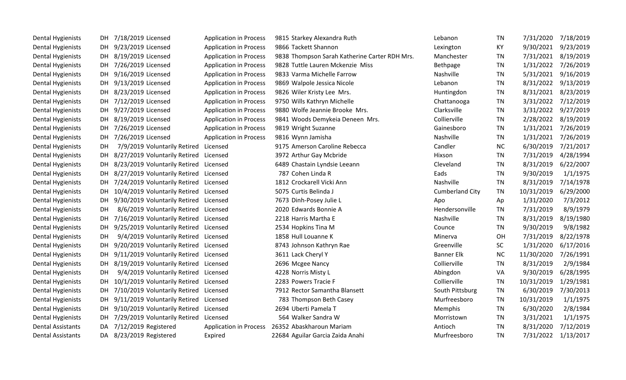| <b>Dental Hygienists</b> | DH. | 7/18/2019 Licensed                        | <b>Application in Process</b> | 9815 Starkey Alexandra Ruth                     | Lebanon                | <b>TN</b> | 7/31/2020  | 7/18/2019 |
|--------------------------|-----|-------------------------------------------|-------------------------------|-------------------------------------------------|------------------------|-----------|------------|-----------|
| <b>Dental Hygienists</b> |     | DH 9/23/2019 Licensed                     | <b>Application in Process</b> | 9866 Tackett Shannon                            | Lexington              | KY        | 9/30/2021  | 9/23/2019 |
| Dental Hygienists        |     | DH 8/19/2019 Licensed                     | <b>Application in Process</b> | 9838 Thompson Sarah Katherine Carter RDH Mrs.   | Manchester             | <b>TN</b> | 7/31/2021  | 8/19/2019 |
| Dental Hygienists        |     | DH 7/26/2019 Licensed                     | <b>Application in Process</b> | 9828 Tuttle Lauren Mckenzie Miss                | Bethpage               | TN        | 1/31/2022  | 7/26/2019 |
| <b>Dental Hygienists</b> |     | DH 9/16/2019 Licensed                     | <b>Application in Process</b> | 9833 Varma Michelle Farrow                      | Nashville              | <b>TN</b> | 5/31/2021  | 9/16/2019 |
| <b>Dental Hygienists</b> |     | DH 9/13/2019 Licensed                     | <b>Application in Process</b> | 9869 Walpole Jessica Nicole                     | Lebanon                | <b>TN</b> | 8/31/2022  | 9/13/2019 |
| <b>Dental Hygienists</b> |     | DH 8/23/2019 Licensed                     | <b>Application in Process</b> | 9826 Wiler Kristy Lee Mrs.                      | Huntingdon             | TN        | 8/31/2021  | 8/23/2019 |
| Dental Hygienists        |     | DH 7/12/2019 Licensed                     | <b>Application in Process</b> | 9750 Wills Kathryn Michelle                     | Chattanooga            | <b>TN</b> | 3/31/2022  | 7/12/2019 |
| <b>Dental Hygienists</b> | DH  | 9/27/2019 Licensed                        | <b>Application in Process</b> | 9880 Wolfe Jeannie Brooke Mrs.                  | Clarksville            | <b>TN</b> | 3/31/2022  | 9/27/2019 |
| Dental Hygienists        |     | DH 8/19/2019 Licensed                     | <b>Application in Process</b> | 9841 Woods Demykeia Deneen Mrs.                 | Collierville           | <b>TN</b> | 2/28/2022  | 8/19/2019 |
| Dental Hygienists        |     | DH 7/26/2019 Licensed                     | <b>Application in Process</b> | 9819 Wright Suzanne                             | Gainesboro             | <b>TN</b> | 1/31/2021  | 7/26/2019 |
| <b>Dental Hygienists</b> | DH  | 7/26/2019 Licensed                        | <b>Application in Process</b> | 9816 Wynn Jamisha                               | Nashville              | TN        | 1/31/2021  | 7/26/2019 |
| <b>Dental Hygienists</b> | DH. | 7/9/2019 Voluntarily Retired Licensed     |                               | 9175 Amerson Caroline Rebecca                   | Candler                | <b>NC</b> | 6/30/2019  | 7/21/2017 |
| Dental Hygienists        |     | DH 8/27/2019 Voluntarily Retired Licensed |                               | 3972 Arthur Gay Mcbride                         | Hixson                 | <b>TN</b> | 7/31/2019  | 4/28/1994 |
| Dental Hygienists        |     | DH 8/23/2019 Voluntarily Retired Licensed |                               | 6489 Chastain Lyndsie Leeann                    | Cleveland              | TN        | 8/31/2019  | 6/22/2007 |
| <b>Dental Hygienists</b> |     | DH 8/27/2019 Voluntarily Retired Licensed |                               | 787 Cohen Linda R                               | Eads                   | <b>TN</b> | 9/30/2019  | 1/1/1975  |
| <b>Dental Hygienists</b> |     | DH 7/24/2019 Voluntarily Retired Licensed |                               | 1812 Crockarell Vicki Ann                       | Nashville              | TN        | 8/31/2019  | 7/14/1978 |
| Dental Hygienists        |     | DH 10/4/2019 Voluntarily Retired Licensed |                               | 5075 Curtis Belinda J                           | <b>Cumberland City</b> | TN        | 10/31/2019 | 6/29/2000 |
| Dental Hygienists        | DH. | 9/30/2019 Voluntarily Retired Licensed    |                               | 7673 Dinh-Posey Julie L                         | Apo                    | Ap        | 1/31/2020  | 7/3/2012  |
| Dental Hygienists        | DH  | 8/6/2019 Voluntarily Retired Licensed     |                               | 2020 Edwards Bonnie A                           | Hendersonville         | <b>TN</b> | 7/31/2019  | 8/9/1979  |
| Dental Hygienists        | DH  | 7/16/2019 Voluntarily Retired Licensed    |                               | 2218 Harris Martha E                            | Nashville              | <b>TN</b> | 8/31/2019  | 8/19/1980 |
| <b>Dental Hygienists</b> | DH  | 9/25/2019 Voluntarily Retired Licensed    |                               | 2534 Hopkins Tina M                             | Counce                 | <b>TN</b> | 9/30/2019  | 9/8/1982  |
| Dental Hygienists        | DH. | 9/4/2019 Voluntarily Retired Licensed     |                               | 1858 Hull Louanne K                             | Minerva                | OH        | 7/31/2019  | 8/22/1978 |
| <b>Dental Hygienists</b> | DH. | 9/20/2019 Voluntarily Retired Licensed    |                               | 8743 Johnson Kathryn Rae                        | Greenville             | <b>SC</b> | 1/31/2020  | 6/17/2016 |
| <b>Dental Hygienists</b> | DH. | 9/11/2019 Voluntarily Retired Licensed    |                               | 3611 Lack Cheryl Y                              | <b>Banner Elk</b>      | <b>NC</b> | 11/30/2020 | 7/26/1991 |
| <b>Dental Hygienists</b> |     | DH 8/19/2019 Voluntarily Retired Licensed |                               | 2696 Mcgee Nancy                                | Collierville           | <b>TN</b> | 8/31/2019  | 2/9/1984  |
| <b>Dental Hygienists</b> | DH. | 9/4/2019 Voluntarily Retired Licensed     |                               | 4228 Norris Misty L                             | Abingdon               | VA        | 9/30/2019  | 6/28/1995 |
| <b>Dental Hygienists</b> | DH. | 10/1/2019 Voluntarily Retired Licensed    |                               | 2283 Powers Tracie F                            | Collierville           | <b>TN</b> | 10/31/2019 | 1/29/1981 |
| <b>Dental Hygienists</b> |     | DH 7/10/2019 Voluntarily Retired Licensed |                               | 7912 Rector Samantha Blansett                   | South Pittsburg        | TN        | 6/30/2019  | 7/30/2013 |
| <b>Dental Hygienists</b> | DH. | 9/11/2019 Voluntarily Retired Licensed    |                               | 783 Thompson Beth Casey                         | Murfreesboro           | <b>TN</b> | 10/31/2019 | 1/1/1975  |
| Dental Hygienists        | DH. | 9/10/2019 Voluntarily Retired Licensed    |                               | 2694 Uberti Pamela T                            | Memphis                | <b>TN</b> | 6/30/2020  | 2/8/1984  |
| <b>Dental Hygienists</b> | DH. | 7/29/2019 Voluntarily Retired Licensed    |                               | 564 Walker Sandra W                             | Morristown             | TN        | 3/31/2021  | 1/1/1975  |
| <b>Dental Assistants</b> | DA  | 7/12/2019 Registered                      |                               | Application in Process 26352 Abaskharoun Mariam | Antioch                | <b>TN</b> | 8/31/2020  | 7/12/2019 |
| <b>Dental Assistants</b> |     | DA 8/23/2019 Registered                   | Expired                       | 22684 Aguilar Garcia Zaida Anahi                | Murfreesboro           | <b>TN</b> | 7/31/2022  | 1/13/2017 |
|                          |     |                                           |                               |                                                 |                        |           |            |           |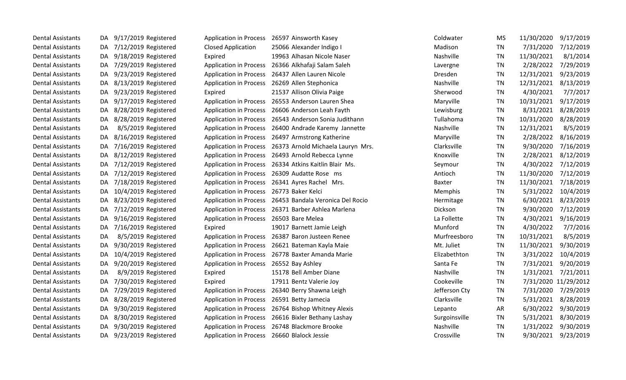| <b>Dental Assistants</b> | DA. | 9/17/2019 Registered    |                               | Application in Process 26597 Ainsworth Kasey             | Coldwater     | MS        | 11/30/2020 | 9/17/2019            |
|--------------------------|-----|-------------------------|-------------------------------|----------------------------------------------------------|---------------|-----------|------------|----------------------|
| <b>Dental Assistants</b> | DA. | 7/12/2019 Registered    | <b>Closed Application</b>     | 25066 Alexander Indigo I                                 | Madison       | TN        | 7/31/2020  | 7/12/2019            |
| <b>Dental Assistants</b> | DA. | 9/18/2019 Registered    | Expired                       | 19963 Alhasan Nicole Naser                               | Nashville     | <b>TN</b> | 11/30/2021 | 8/1/2014             |
| <b>Dental Assistants</b> | DA. | 7/29/2019 Registered    | <b>Application in Process</b> | 26366 Alkhafaji Salam Saleh                              | Lavergne      | <b>TN</b> | 2/28/2022  | 7/29/2019            |
| <b>Dental Assistants</b> | DA. | 9/23/2019 Registered    |                               | Application in Process 26437 Allen Lauren Nicole         | Dresden       | <b>TN</b> | 12/31/2021 | 9/23/2019            |
| <b>Dental Assistants</b> | DA  | 8/13/2019 Registered    |                               | Application in Process 26269 Allen Stephonica            | Nashville     | TN        | 12/31/2021 | 8/13/2019            |
| <b>Dental Assistants</b> | DA. | 9/23/2019 Registered    | Expired                       | 21537 Allison Olivia Paige                               | Sherwood      | <b>TN</b> | 4/30/2021  | 7/7/2017             |
| <b>Dental Assistants</b> | DA  | 9/17/2019 Registered    | <b>Application in Process</b> | 26553 Anderson Lauren Shea                               | Maryville     | <b>TN</b> | 10/31/2021 | 9/17/2019            |
| <b>Dental Assistants</b> | DA. | 8/28/2019 Registered    |                               | Application in Process 26606 Anderson Leah Fayth         | Lewisburg     | TN        | 8/31/2021  | 8/28/2019            |
| <b>Dental Assistants</b> | DA  | 8/28/2019 Registered    |                               | Application in Process 26543 Anderson Sonia Judithann    | Tullahoma     | <b>TN</b> | 10/31/2020 | 8/28/2019            |
| <b>Dental Assistants</b> | DA  | 8/5/2019 Registered     |                               | Application in Process 26400 Andrade Karemy Jannette     | Nashville     | <b>TN</b> | 12/31/2021 | 8/5/2019             |
| <b>Dental Assistants</b> | DA. | 8/16/2019 Registered    |                               | Application in Process 26497 Armstrong Katherine         | Maryville     | TN        | 2/28/2022  | 8/16/2019            |
| <b>Dental Assistants</b> | DA. | 7/16/2019 Registered    |                               | Application in Process 26373 Arnold Michaela Lauryn Mrs. | Clarksville   | <b>TN</b> | 9/30/2020  | 7/16/2019            |
| <b>Dental Assistants</b> | DA. | 8/12/2019 Registered    |                               | Application in Process 26493 Arnold Rebecca Lynne        | Knoxville     | TN        | 2/28/2021  | 8/12/2019            |
| <b>Dental Assistants</b> | DA. | 7/12/2019 Registered    |                               | Application in Process 26334 Atkins Kaitlin Blair Ms.    | Seymour       | <b>TN</b> | 4/30/2022  | 7/12/2019            |
| <b>Dental Assistants</b> | DA  | 7/12/2019 Registered    |                               | Application in Process 26309 Audatte Rose ms             | Antioch       | <b>TN</b> | 11/30/2020 | 7/12/2019            |
| <b>Dental Assistants</b> | DA. | 7/18/2019 Registered    | <b>Application in Process</b> | 26341 Ayres Rachel Mrs.                                  | Baxter        | <b>TN</b> | 11/30/2021 | 7/18/2019            |
| <b>Dental Assistants</b> | DA. | 10/4/2019 Registered    |                               | Application in Process 26773 Baker Kelci                 | Memphis       | <b>TN</b> | 5/31/2022  | 10/4/2019            |
| <b>Dental Assistants</b> | DA  | 8/23/2019 Registered    |                               | Application in Process 26453 Bandala Veronica Del Rocio  | Hermitage     | TN        | 6/30/2021  | 8/23/2019            |
| <b>Dental Assistants</b> | DA  | 7/12/2019 Registered    |                               | Application in Process 26371 Barber Ashlea Marlena       | Dickson       | <b>TN</b> | 9/30/2020  | 7/12/2019            |
| <b>Dental Assistants</b> | DA  | 9/16/2019 Registered    |                               | Application in Process 26503 Bare Melea                  | La Follette   | <b>TN</b> | 4/30/2021  | 9/16/2019            |
| <b>Dental Assistants</b> | DA  | 7/16/2019 Registered    | Expired                       | 19017 Barnett Jamie Leigh                                | Munford       | <b>TN</b> | 4/30/2022  | 7/7/2016             |
| <b>Dental Assistants</b> | DA  | 8/5/2019 Registered     |                               | Application in Process 26387 Baron Justeen Renee         | Murfreesboro  | TN        | 10/31/2021 | 8/5/2019             |
| <b>Dental Assistants</b> | DA. | 9/30/2019 Registered    |                               | Application in Process 26621 Bateman Kayla Maie          | Mt. Juliet    | <b>TN</b> | 11/30/2021 | 9/30/2019            |
| <b>Dental Assistants</b> | DA. | 10/4/2019 Registered    |                               | Application in Process 26778 Baxter Amanda Marie         | Elizabethton  | <b>TN</b> | 3/31/2022  | 10/4/2019            |
| <b>Dental Assistants</b> | DA  | 9/20/2019 Registered    |                               | Application in Process 26552 Bay Ashley                  | Santa Fe      | <b>TN</b> | 7/31/2021  | 9/20/2019            |
| <b>Dental Assistants</b> | DA  | 8/9/2019 Registered     | Expired                       | 15178 Bell Amber Diane                                   | Nashville     | <b>TN</b> | 1/31/2021  | 7/21/2011            |
| <b>Dental Assistants</b> | DA  | 7/30/2019 Registered    | Expired                       | 17911 Bentz Valerie Joy                                  | Cookeville    | <b>TN</b> |            | 7/31/2020 11/29/2012 |
| <b>Dental Assistants</b> | DA. | 7/29/2019 Registered    | <b>Application in Process</b> | 26340 Berry Shawna Leigh                                 | Jefferson Cty | <b>TN</b> | 7/31/2020  | 7/29/2019            |
| <b>Dental Assistants</b> | DA. | 8/28/2019 Registered    | <b>Application in Process</b> | 26591 Betty Jamecia                                      | Clarksville   | <b>TN</b> | 5/31/2021  | 8/28/2019            |
| <b>Dental Assistants</b> | DA  | 9/30/2019 Registered    |                               | Application in Process 26764 Bishop Whitney Alexis       | Lepanto       | AR        | 6/30/2022  | 9/30/2019            |
| <b>Dental Assistants</b> | DA  | 8/30/2019 Registered    |                               | Application in Process 26616 Bixler Bethany Lashay       | Surgoinsville | <b>TN</b> | 5/31/2021  | 8/30/2019            |
| <b>Dental Assistants</b> | DA. | 9/30/2019 Registered    |                               | Application in Process 26748 Blackmore Brooke            | Nashville     | <b>TN</b> | 1/31/2022  | 9/30/2019            |
| <b>Dental Assistants</b> |     | DA 9/23/2019 Registered |                               | Application in Process 26660 Blalock Jessie              | Crossville    | <b>TN</b> | 9/30/2021  | 9/23/2019            |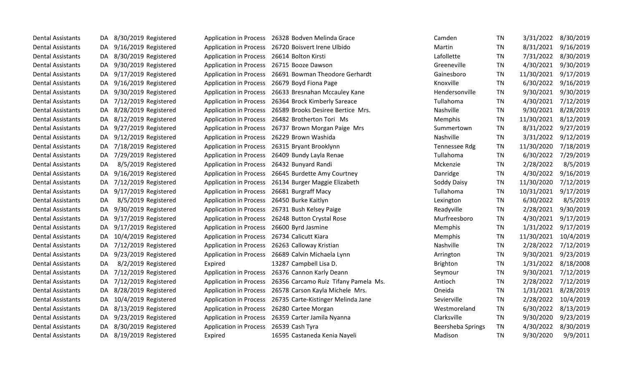| <b>Dental Assistants</b> | DA. | 8/30/2019 Registered    |                                            | Application in Process 26328 Bodven Melinda Grace           | Camden            | <b>TN</b> | 3/31/2022  | 8/30/2019 |
|--------------------------|-----|-------------------------|--------------------------------------------|-------------------------------------------------------------|-------------------|-----------|------------|-----------|
| <b>Dental Assistants</b> | DA. | 9/16/2019 Registered    |                                            | Application in Process 26720 Boisvert Irene Ulbido          | Martin            | <b>TN</b> | 8/31/2021  | 9/16/2019 |
| <b>Dental Assistants</b> |     | DA 8/30/2019 Registered | Application in Process 26614 Bolton Kirsti |                                                             | Lafollette        | TN        | 7/31/2022  | 8/30/2019 |
| <b>Dental Assistants</b> |     | DA 9/30/2019 Registered |                                            | Application in Process 26715 Booze Dawson                   | Greeneville       | ΤN        | 4/30/2021  | 9/30/2019 |
| <b>Dental Assistants</b> | DA. | 9/17/2019 Registered    |                                            | Application in Process 26691 Bowman Theodore Gerhardt       | Gainesboro        | TN        | 11/30/2021 | 9/17/2019 |
| <b>Dental Assistants</b> | DA. | 9/16/2019 Registered    |                                            | Application in Process 26679 Boyd Fiona Page                | Knoxville         | ΤN        | 6/30/2022  | 9/16/2019 |
| <b>Dental Assistants</b> | DA  | 9/30/2019 Registered    |                                            | Application in Process 26633 Bresnahan Mccauley Kane        | Hendersonville    | TN        | 9/30/2021  | 9/30/2019 |
| <b>Dental Assistants</b> | DA. | 7/12/2019 Registered    |                                            | Application in Process 26364 Brock Kimberly Sareace         | Tullahoma         | TN        | 4/30/2021  | 7/12/2019 |
| <b>Dental Assistants</b> | DA  | 8/28/2019 Registered    |                                            | Application in Process 26589 Brooks Desiree Bertice Mrs.    | Nashville         | TN        | 9/30/2021  | 8/28/2019 |
| <b>Dental Assistants</b> |     | DA 8/12/2019 Registered |                                            | Application in Process 26482 Brotherton Tori Ms             | Memphis           | TN        | 11/30/2021 | 8/12/2019 |
| <b>Dental Assistants</b> | DA. | 9/27/2019 Registered    |                                            | Application in Process 26737 Brown Morgan Paige Mrs         | Summertown        | <b>TN</b> | 8/31/2022  | 9/27/2019 |
| <b>Dental Assistants</b> | DA  | 9/12/2019 Registered    |                                            | Application in Process 26229 Brown Washida                  | Nashville         | <b>TN</b> | 3/31/2022  | 9/12/2019 |
| <b>Dental Assistants</b> | DA  | 7/18/2019 Registered    |                                            | Application in Process 26315 Bryant Brooklynn               | Tennessee Rdg     | TN        | 11/30/2020 | 7/18/2019 |
| <b>Dental Assistants</b> |     | DA 7/29/2019 Registered |                                            | Application in Process 26409 Bundy Layla Renae              | Tullahoma         | <b>TN</b> | 6/30/2022  | 7/29/2019 |
| <b>Dental Assistants</b> | DA. | 8/5/2019 Registered     |                                            | Application in Process 26432 Bunyard Randi                  | Mckenzie          | TN        | 2/28/2022  | 8/5/2019  |
| <b>Dental Assistants</b> | DA. | 9/16/2019 Registered    |                                            | Application in Process 26645 Burdette Amy Courtney          | Danridge          | <b>TN</b> | 4/30/2022  | 9/16/2019 |
| <b>Dental Assistants</b> |     | DA 7/12/2019 Registered |                                            | Application in Process 26134 Burger Maggie Elizabeth        | Soddy Daisy       | <b>TN</b> | 11/30/2020 | 7/12/2019 |
| <b>Dental Assistants</b> | DA. | 9/17/2019 Registered    | <b>Application in Process</b>              | 26681 Burgraff Macy                                         | Tullahoma         | <b>TN</b> | 10/31/2021 | 9/17/2019 |
| <b>Dental Assistants</b> | DA. | 8/5/2019 Registered     |                                            | Application in Process 26450 Burke Kaitlyn                  | Lexington         | <b>TN</b> | 6/30/2022  | 8/5/2019  |
| <b>Dental Assistants</b> | DA  | 9/30/2019 Registered    |                                            | Application in Process 26731 Bush Kelsey Paige              | Readyville        | TN        | 2/28/2021  | 9/30/2019 |
| <b>Dental Assistants</b> | DA. | 9/17/2019 Registered    |                                            | Application in Process 26248 Button Crystal Rose            | Murfreesboro      | TN        | 4/30/2021  | 9/17/2019 |
| <b>Dental Assistants</b> |     | DA 9/17/2019 Registered | <b>Application in Process</b>              | 26600 Byrd Jasmine                                          | Memphis           | TN        | 1/31/2022  | 9/17/2019 |
| <b>Dental Assistants</b> | DA  | 10/4/2019 Registered    |                                            | Application in Process 26734 Calicutt Kiara                 | Memphis           | <b>TN</b> | 11/30/2021 | 10/4/2019 |
| <b>Dental Assistants</b> |     | DA 7/12/2019 Registered |                                            | Application in Process 26263 Calloway Kristian              | Nashville         | TN        | 2/28/2022  | 7/12/2019 |
| <b>Dental Assistants</b> | DA. | 9/23/2019 Registered    | <b>Application in Process</b>              | 26689 Calvin Michaela Lynn                                  | Arrington         | TN        | 9/30/2021  | 9/23/2019 |
| <b>Dental Assistants</b> | DA  | 8/2/2019 Registered     | Expired                                    | 13287 Campbell Lisa D.                                      | <b>Brighton</b>   | TN        | 1/31/2022  | 8/18/2008 |
| <b>Dental Assistants</b> | DA  | 7/12/2019 Registered    | <b>Application in Process</b>              | 26376 Cannon Karly Deann                                    | Seymour           | TN        | 9/30/2021  | 7/12/2019 |
| <b>Dental Assistants</b> | DA  | 7/12/2019 Registered    |                                            | Application in Process 26356 Carcamo Ruiz Tifany Pamela Ms. | Antioch           | <b>TN</b> | 2/28/2022  | 7/12/2019 |
| <b>Dental Assistants</b> |     | DA 8/28/2019 Registered |                                            | Application in Process 26578 Carson Kayla Michele Mrs.      | Oneida            | TN        | 1/31/2021  | 8/28/2019 |
| <b>Dental Assistants</b> | DA. | 10/4/2019 Registered    |                                            | Application in Process 26735 Carte-Kistinger Melinda Jane   | Sevierville       | TN        | 2/28/2022  | 10/4/2019 |
| <b>Dental Assistants</b> |     | DA 8/13/2019 Registered | <b>Application in Process</b>              | 26280 Cartee Morgan                                         | Westmoreland      | TN        | 6/30/2022  | 8/13/2019 |
| <b>Dental Assistants</b> |     | DA 9/23/2019 Registered | <b>Application in Process</b>              | 26359 Carter Jamila Nyanna                                  | Clarksville       | ΤN        | 9/30/2020  | 9/23/2019 |
| <b>Dental Assistants</b> | DA  | 8/30/2019 Registered    | <b>Application in Process</b>              | 26539 Cash Tyra                                             | Beersheba Springs | TN        | 4/30/2022  | 8/30/2019 |
| <b>Dental Assistants</b> |     | DA 8/19/2019 Registered | Expired                                    | 16595 Castaneda Kenia Nayeli                                | Madison           | <b>TN</b> | 9/30/2020  | 9/9/2011  |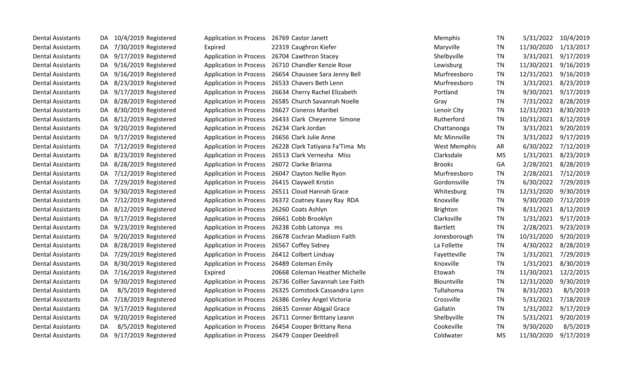| <b>Dental Assistants</b> | DA. | 10/4/2019 Registered    | Application in Process 26769 Castor Janett  |                                                         | Memphis             | <b>TN</b> | 5/31/2022  | 10/4/2019 |
|--------------------------|-----|-------------------------|---------------------------------------------|---------------------------------------------------------|---------------------|-----------|------------|-----------|
| <b>Dental Assistants</b> | DA. | 7/30/2019 Registered    | Expired                                     | 22319 Caughron Kiefer                                   | Maryville           | TN        | 11/30/2020 | 1/13/2017 |
| <b>Dental Assistants</b> | DA  | 9/17/2019 Registered    |                                             | Application in Process 26704 Cawthron Stacey            | Shelbyville         | <b>TN</b> | 3/31/2021  | 9/17/2019 |
| <b>Dental Assistants</b> | DA. | 9/16/2019 Registered    |                                             | Application in Process 26710 Chandler Kenzie Rose       | Lewisburg           | <b>TN</b> | 11/30/2021 | 9/16/2019 |
| <b>Dental Assistants</b> | DA  | 9/16/2019 Registered    |                                             | Application in Process 26654 Chaussee Sara Jenny Bell   | Murfreesboro        | <b>TN</b> | 12/31/2021 | 9/16/2019 |
| <b>Dental Assistants</b> | DA. | 8/23/2019 Registered    |                                             | Application in Process 26533 Chavers Beth Lenn          | Murfreesboro        | TN        | 3/31/2021  | 8/23/2019 |
| <b>Dental Assistants</b> | DA. | 9/17/2019 Registered    |                                             | Application in Process 26634 Cherry Rachel Elizabeth    | Portland            | TN        | 9/30/2021  | 9/17/2019 |
| <b>Dental Assistants</b> | DA. | 8/28/2019 Registered    |                                             | Application in Process 26585 Church Savannah Noelle     | Gray                | <b>TN</b> | 7/31/2022  | 8/28/2019 |
| <b>Dental Assistants</b> | DA. | 8/30/2019 Registered    | <b>Application in Process</b>               | 26627 Cisneros Maribel                                  | Lenoir City         | <b>TN</b> | 12/31/2021 | 8/30/2019 |
| <b>Dental Assistants</b> | DA. | 8/12/2019 Registered    |                                             | Application in Process 26433 Clark Cheyenne Simone      | Rutherford          | <b>TN</b> | 10/31/2021 | 8/12/2019 |
| <b>Dental Assistants</b> | DA. | 9/20/2019 Registered    | Application in Process 26234 Clark Jordan   |                                                         | Chattanooga         | <b>TN</b> | 3/31/2021  | 9/20/2019 |
| <b>Dental Assistants</b> | DA. | 9/17/2019 Registered    |                                             | Application in Process 26656 Clark Julie Anne           | Mc Minnville        | <b>TN</b> | 3/31/2022  | 9/17/2019 |
| <b>Dental Assistants</b> | DA  | 7/12/2019 Registered    |                                             | Application in Process 26228 Clark Tatiyana Fa'Tima Ms  | <b>West Memphis</b> | AR        | 6/30/2022  | 7/12/2019 |
| <b>Dental Assistants</b> | DA  | 8/23/2019 Registered    |                                             | Application in Process 26513 Clark Vernesha Miss        | Clarksdale          | <b>MS</b> | 1/31/2021  | 8/23/2019 |
| <b>Dental Assistants</b> | DA. | 8/28/2019 Registered    | Application in Process 26072 Clarke Brianna |                                                         | <b>Brooks</b>       | GA        | 2/28/2021  | 8/28/2019 |
| <b>Dental Assistants</b> | DA. | 7/12/2019 Registered    |                                             | Application in Process 26047 Clayton Nellie Ryon        | Murfreesboro        | TN        | 2/28/2021  | 7/12/2019 |
| <b>Dental Assistants</b> | DA. | 7/29/2019 Registered    | <b>Application in Process</b>               | 26415 Claywell Kristin                                  | Gordonsville        | <b>TN</b> | 6/30/2022  | 7/29/2019 |
| <b>Dental Assistants</b> | DA. | 9/30/2019 Registered    | <b>Application in Process</b>               | 26511 Cloud Hannah Grace                                | Whitesburg          | <b>TN</b> | 12/31/2020 | 9/30/2019 |
| <b>Dental Assistants</b> | DA. | 7/12/2019 Registered    |                                             | Application in Process 26372 Coatney Kasey Ray RDA      | Knoxville           | <b>TN</b> | 9/30/2020  | 7/12/2019 |
| <b>Dental Assistants</b> | DA. | 8/12/2019 Registered    | Application in Process 26260 Coats Ashlyn   |                                                         | <b>Brighton</b>     | TN        | 8/31/2021  | 8/12/2019 |
| <b>Dental Assistants</b> | DA. | 9/17/2019 Registered    |                                             | Application in Process 26661 Cobb Brooklyn              | Clarksville         | <b>TN</b> | 1/31/2021  | 9/17/2019 |
| <b>Dental Assistants</b> | DA. | 9/23/2019 Registered    |                                             | Application in Process 26238 Cobb Latonya ms            | <b>Bartlett</b>     | TN        | 2/28/2021  | 9/23/2019 |
| <b>Dental Assistants</b> | DA. | 9/20/2019 Registered    |                                             | Application in Process 26678 Cochran Madison Faith      | Jonesborough        | <b>TN</b> | 10/31/2020 | 9/20/2019 |
| <b>Dental Assistants</b> | DA. | 8/28/2019 Registered    | Application in Process 26567 Coffey Sidney  |                                                         | La Follette         | <b>TN</b> | 4/30/2022  | 8/28/2019 |
| <b>Dental Assistants</b> | DA. | 7/29/2019 Registered    |                                             | Application in Process 26412 Colbert Lindsay            | Fayetteville        | <b>TN</b> | 1/31/2021  | 7/29/2019 |
| <b>Dental Assistants</b> | DA. | 8/30/2019 Registered    |                                             | Application in Process 26489 Coleman Emily              | Knoxville           | <b>TN</b> | 1/31/2021  | 8/30/2019 |
| <b>Dental Assistants</b> | DA. | 7/16/2019 Registered    | Expired                                     | 20668 Coleman Heather Michelle                          | Etowah              | <b>TN</b> | 11/30/2021 | 12/2/2015 |
| <b>Dental Assistants</b> | DA. | 9/30/2019 Registered    |                                             | Application in Process 26736 Collier Savannah Lee Faith | Blountville         | <b>TN</b> | 12/31/2020 | 9/30/2019 |
| <b>Dental Assistants</b> | DA  | 8/5/2019 Registered     |                                             | Application in Process 26325 Comstock Cassandra Lynn    | Tullahoma           | TN        | 8/31/2021  | 8/5/2019  |
| <b>Dental Assistants</b> | DA. | 7/18/2019 Registered    |                                             | Application in Process 26386 Conley Angel Victoria      | Crossville          | <b>TN</b> | 5/31/2021  | 7/18/2019 |
| <b>Dental Assistants</b> | DA. | 9/17/2019 Registered    |                                             | Application in Process 26635 Conner Abigail Grace       | Gallatin            | <b>TN</b> | 1/31/2022  | 9/17/2019 |
| <b>Dental Assistants</b> | DA. | 9/20/2019 Registered    |                                             | Application in Process 26711 Conner Brittany Leann      | Shelbyville         | TN        | 5/31/2021  | 9/20/2019 |
| <b>Dental Assistants</b> | DA  | 8/5/2019 Registered     |                                             | Application in Process 26454 Cooper Brittany Rena       | Cookeville          | <b>TN</b> | 9/30/2020  | 8/5/2019  |
| <b>Dental Assistants</b> |     | DA 9/17/2019 Registered |                                             | Application in Process 26479 Cooper Deeldrell           | Coldwater           | <b>MS</b> | 11/30/2020 | 9/17/2019 |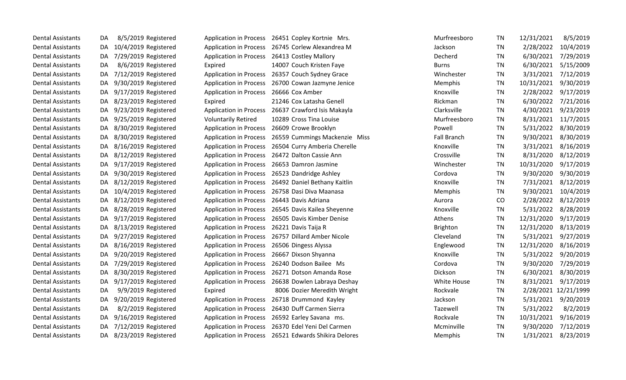| <b>Dental Assistants</b> | DA. | 8/5/2019 Registered     | <b>Application in Process</b> | 26451 Copley Kortnie Mrs.                            | Murfreesboro       | TN        | 12/31/2021 | 8/5/2019             |
|--------------------------|-----|-------------------------|-------------------------------|------------------------------------------------------|--------------------|-----------|------------|----------------------|
| <b>Dental Assistants</b> | DA. | 10/4/2019 Registered    |                               | Application in Process 26745 Corlew Alexandrea M     | Jackson            | TN        | 2/28/2022  | 10/4/2019            |
| <b>Dental Assistants</b> |     | DA 7/29/2019 Registered | <b>Application in Process</b> | 26413 Costley Mallory                                | Decherd            | TN        | 6/30/2021  | 7/29/2019            |
| <b>Dental Assistants</b> | DA  | 8/6/2019 Registered     | Expired                       | 14007 Couch Kristen Faye                             | <b>Burns</b>       | <b>TN</b> | 6/30/2021  | 5/15/2009            |
| <b>Dental Assistants</b> | DA. | 7/12/2019 Registered    | <b>Application in Process</b> | 26357 Couch Sydney Grace                             | Winchester         | TN        | 3/31/2021  | 7/12/2019            |
| <b>Dental Assistants</b> | DA  | 9/30/2019 Registered    | <b>Application in Process</b> | 26700 Cowan Jazmyne Jenice                           | Memphis            | TN        | 10/31/2021 | 9/30/2019            |
| <b>Dental Assistants</b> | DA. | 9/17/2019 Registered    | <b>Application in Process</b> | 26666 Cox Amber                                      | Knoxville          | <b>TN</b> | 2/28/2022  | 9/17/2019            |
| <b>Dental Assistants</b> | DA. | 8/23/2019 Registered    | Expired                       | 21246 Cox Latasha Genell                             | Rickman            | TN        | 6/30/2022  | 7/21/2016            |
| <b>Dental Assistants</b> | DA. | 9/23/2019 Registered    |                               | Application in Process 26637 Crawford Isis Makayla   | Clarksville        | <b>TN</b> | 4/30/2021  | 9/23/2019            |
| <b>Dental Assistants</b> | DA. | 9/25/2019 Registered    | <b>Voluntarily Retired</b>    | 10289 Cross Tina Louise                              | Murfreesboro       | <b>TN</b> | 8/31/2021  | 11/7/2015            |
| <b>Dental Assistants</b> | DA. | 8/30/2019 Registered    |                               | Application in Process 26609 Crowe Brooklyn          | Powell             | TN        | 5/31/2022  | 8/30/2019            |
| <b>Dental Assistants</b> | DA. | 8/30/2019 Registered    | <b>Application in Process</b> | 26559 Cummings Mackenzie Miss                        | <b>Fall Branch</b> | TN        | 9/30/2021  | 8/30/2019            |
| <b>Dental Assistants</b> | DA. | 8/16/2019 Registered    | <b>Application in Process</b> | 26504 Curry Amberia Cherelle                         | Knoxville          | TN        | 3/31/2021  | 8/16/2019            |
| <b>Dental Assistants</b> | DA. | 8/12/2019 Registered    | <b>Application in Process</b> | 26472 Dalton Cassie Ann                              | Crossville         | <b>TN</b> | 8/31/2020  | 8/12/2019            |
| <b>Dental Assistants</b> | DA  | 9/17/2019 Registered    | <b>Application in Process</b> | 26653 Damron Jasmine                                 | Winchester         | <b>TN</b> | 10/31/2020 | 9/17/2019            |
| <b>Dental Assistants</b> | DA. | 9/30/2019 Registered    | <b>Application in Process</b> | 26523 Dandridge Ashley                               | Cordova            | <b>TN</b> | 9/30/2020  | 9/30/2019            |
| <b>Dental Assistants</b> | DA. | 8/12/2019 Registered    | <b>Application in Process</b> | 26492 Daniel Bethany Kaitlin                         | Knoxville          | TN        | 7/31/2021  | 8/12/2019            |
| <b>Dental Assistants</b> | DA. | 10/4/2019 Registered    | <b>Application in Process</b> | 26758 Dasi Diva Maanasa                              | Memphis            | <b>TN</b> | 9/30/2021  | 10/4/2019            |
| <b>Dental Assistants</b> | DA. | 8/12/2019 Registered    | <b>Application in Process</b> | 26443 Davis Adriana                                  | Aurora             | CO        | 2/28/2022  | 8/12/2019            |
| <b>Dental Assistants</b> | DA. | 8/28/2019 Registered    |                               | Application in Process 26545 Davis Kailea Sheyenne   | Knoxville          | TN        | 5/31/2022  | 8/28/2019            |
| <b>Dental Assistants</b> | DA. | 9/17/2019 Registered    |                               | Application in Process 26505 Davis Kimber Denise     | Athens             | <b>TN</b> | 12/31/2020 | 9/17/2019            |
| <b>Dental Assistants</b> | DA. | 8/13/2019 Registered    | <b>Application in Process</b> | 26221 Davis Taija R                                  | Brighton           | <b>TN</b> | 12/31/2020 | 8/13/2019            |
| <b>Dental Assistants</b> | DA. | 9/27/2019 Registered    | <b>Application in Process</b> | 26757 Dillard Amber Nicole                           | Cleveland          | <b>TN</b> | 5/31/2021  | 9/27/2019            |
| <b>Dental Assistants</b> | DA  | 8/16/2019 Registered    | <b>Application in Process</b> | 26506 Dingess Alyssa                                 | Englewood          | TN        | 12/31/2020 | 8/16/2019            |
| <b>Dental Assistants</b> | DA. | 9/20/2019 Registered    | <b>Application in Process</b> | 26667 Dixson Shyanna                                 | Knoxville          | <b>TN</b> | 5/31/2022  | 9/20/2019            |
| <b>Dental Assistants</b> | DA. | 7/29/2019 Registered    | <b>Application in Process</b> | 26240 Dodson Bailee Ms                               | Cordova            | <b>TN</b> | 9/30/2020  | 7/29/2019            |
| <b>Dental Assistants</b> | DA. | 8/30/2019 Registered    | <b>Application in Process</b> | 26271 Dotson Amanda Rose                             | Dickson            | <b>TN</b> | 6/30/2021  | 8/30/2019            |
| <b>Dental Assistants</b> | DA. | 9/17/2019 Registered    |                               | Application in Process 26638 Dowlen Labraya Deshay   | White House        | <b>TN</b> | 8/31/2021  | 9/17/2019            |
| <b>Dental Assistants</b> | DA. | 9/9/2019 Registered     | Expired                       | 8006 Dozier Meredith Wright                          | Rockvale           | TN        |            | 2/28/2021 12/21/1999 |
| <b>Dental Assistants</b> | DA. | 9/20/2019 Registered    | <b>Application in Process</b> | 26718 Drummond Kayley                                | Jackson            | <b>TN</b> | 5/31/2021  | 9/20/2019            |
| <b>Dental Assistants</b> | DA  | 8/2/2019 Registered     | <b>Application in Process</b> | 26430 Duff Carmen Sierra                             | Tazewell           | <b>TN</b> | 5/31/2022  | 8/2/2019             |
| <b>Dental Assistants</b> | DA. | 9/16/2019 Registered    | <b>Application in Process</b> | 26592 Earley Savana ms.                              | Rockvale           | <b>TN</b> | 10/31/2021 | 9/16/2019            |
| <b>Dental Assistants</b> | DA  | 7/12/2019 Registered    | <b>Application in Process</b> | 26370 Edel Yeni Del Carmen                           | Mcminville         | <b>TN</b> | 9/30/2020  | 7/12/2019            |
| <b>Dental Assistants</b> |     | DA 8/23/2019 Registered |                               | Application in Process 26521 Edwards Shikira Delores | Memphis            | <b>TN</b> | 1/31/2021  | 8/23/2019            |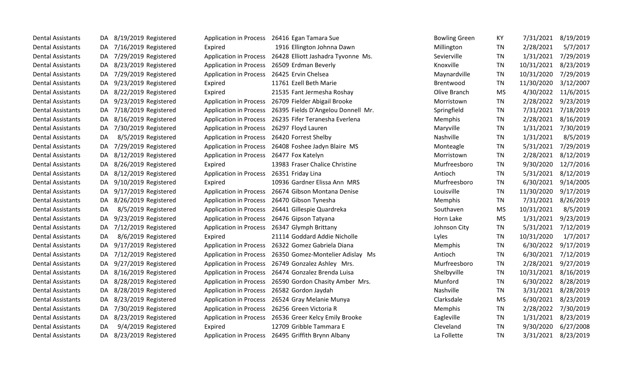| <b>Dental Assistants</b> | DA  | 8/19/2019 Registered    |                                             | Application in Process 26416 Egan Tamara Sue              | <b>Bowling Green</b> | KY        |            | 7/31/2021 8/19/2019 |
|--------------------------|-----|-------------------------|---------------------------------------------|-----------------------------------------------------------|----------------------|-----------|------------|---------------------|
| <b>Dental Assistants</b> | DA. | 7/16/2019 Registered    | Expired                                     | 1916 Ellington Johnna Dawn                                | Millington           | TN        | 2/28/2021  | 5/7/2017            |
| <b>Dental Assistants</b> | DA. | 7/29/2019 Registered    |                                             | Application in Process 26428 Elliott Jashadra Tyvonne Ms. | Sevierville          | <b>TN</b> | 1/31/2021  | 7/29/2019           |
| <b>Dental Assistants</b> | DA. | 8/23/2019 Registered    |                                             | Application in Process 26509 Erdman Beverly               | Knoxville            | TN        | 10/31/2021 | 8/23/2019           |
| <b>Dental Assistants</b> | DA. | 7/29/2019 Registered    | Application in Process 26425 Ervin Chelsea  |                                                           | Maynardville         | <b>TN</b> | 10/31/2020 | 7/29/2019           |
| <b>Dental Assistants</b> | DA. | 9/23/2019 Registered    | Expired                                     | 11761 Ezell Beth Marie                                    | <b>Brentwood</b>     | TN        | 11/30/2020 | 3/12/2007           |
| <b>Dental Assistants</b> | DA. | 8/22/2019 Registered    | Expired                                     | 21535 Fant Jermesha Roshay                                | Olive Branch         | <b>MS</b> | 4/30/2022  | 11/6/2015           |
| <b>Dental Assistants</b> | DA. | 9/23/2019 Registered    | <b>Application in Process</b>               | 26709 Fielder Abigail Brooke                              | Morristown           | TN        | 2/28/2022  | 9/23/2019           |
| <b>Dental Assistants</b> | DA. | 7/18/2019 Registered    |                                             | Application in Process 26395 Fields D'Angelou Donnell Mr. | Springfield          | <b>TN</b> | 7/31/2021  | 7/18/2019           |
| <b>Dental Assistants</b> | DA. | 8/16/2019 Registered    |                                             | Application in Process 26235 Fifer Teranesha Everlena     | Memphis              | <b>TN</b> | 2/28/2021  | 8/16/2019           |
| <b>Dental Assistants</b> | DA. | 7/30/2019 Registered    | Application in Process 26297 Floyd Lauren   |                                                           | Maryville            | <b>TN</b> | 1/31/2021  | 7/30/2019           |
| <b>Dental Assistants</b> | DA  | 8/5/2019 Registered     | Application in Process 26420 Forrest Shelby |                                                           | Nashville            | TN        | 1/31/2021  | 8/5/2019            |
| <b>Dental Assistants</b> | DA. | 7/29/2019 Registered    |                                             | Application in Process 26408 Foshee Jadyn Blaire MS       | Monteagle            | TN        | 5/31/2021  | 7/29/2019           |
| <b>Dental Assistants</b> | DA. | 8/12/2019 Registered    | <b>Application in Process</b>               | 26477 Fox Katelyn                                         | Morristown           | TN        | 2/28/2021  | 8/12/2019           |
| <b>Dental Assistants</b> | DA. | 8/26/2019 Registered    | Expired                                     | 13983 Fraser Chalice Christine                            | Murfreesboro         | TN        | 9/30/2020  | 12/7/2016           |
| <b>Dental Assistants</b> | DA. | 8/12/2019 Registered    | Application in Process 26351 Friday Lina    |                                                           | Antioch              | <b>TN</b> | 5/31/2021  | 8/12/2019           |
| <b>Dental Assistants</b> | DA. | 9/10/2019 Registered    | Expired                                     | 10936 Gardner Elissa Ann MRS                              | Murfreesboro         | <b>TN</b> | 6/30/2021  | 9/14/2005           |
| <b>Dental Assistants</b> | DA. | 9/17/2019 Registered    | <b>Application in Process</b>               | 26674 Gibson Montana Denise                               | Louisville           | <b>TN</b> | 11/30/2020 | 9/17/2019           |
| <b>Dental Assistants</b> | DA. | 8/26/2019 Registered    |                                             | Application in Process 26470 Gibson Tynesha               | Memphis              | <b>TN</b> | 7/31/2021  | 8/26/2019           |
| <b>Dental Assistants</b> | DA  | 8/5/2019 Registered     |                                             | Application in Process 26441 Gillespie Quardreka          | Southaven            | <b>MS</b> | 10/31/2021 | 8/5/2019            |
| <b>Dental Assistants</b> | DA. | 9/23/2019 Registered    |                                             | Application in Process 26476 Gipson Tatyana               | Horn Lake            | <b>MS</b> | 1/31/2021  | 9/23/2019           |
| <b>Dental Assistants</b> | DA. | 7/12/2019 Registered    | <b>Application in Process</b>               | 26347 Glymph Brittany                                     | Johnson City         | TN        | 5/31/2021  | 7/12/2019           |
| <b>Dental Assistants</b> | DA  | 8/6/2019 Registered     | Expired                                     | 21114 Goddard Addie Nicholle                              | Lyles                | <b>TN</b> | 10/31/2020 | 1/7/2017            |
| <b>Dental Assistants</b> | DA. | 9/17/2019 Registered    |                                             | Application in Process 26322 Gomez Gabriela Diana         | Memphis              | TN        | 6/30/2022  | 9/17/2019           |
| <b>Dental Assistants</b> | DA. | 7/12/2019 Registered    |                                             | Application in Process 26350 Gomez-Montelier Adislay Ms   | Antioch              | <b>TN</b> | 6/30/2021  | 7/12/2019           |
| <b>Dental Assistants</b> | DA. | 9/27/2019 Registered    |                                             | Application in Process 26749 Gonzalez Ashley Mrs.         | Murfreesboro         | <b>TN</b> | 2/28/2021  | 9/27/2019           |
| <b>Dental Assistants</b> | DA. | 8/16/2019 Registered    |                                             | Application in Process 26474 Gonzalez Brenda Luisa        | Shelbyville          | <b>TN</b> | 10/31/2021 | 8/16/2019           |
| <b>Dental Assistants</b> | DA. | 8/28/2019 Registered    |                                             | Application in Process 26590 Gordon Chasity Amber Mrs.    | Munford              | <b>TN</b> | 6/30/2022  | 8/28/2019           |
| <b>Dental Assistants</b> | DA. | 8/28/2019 Registered    |                                             | Application in Process 26582 Gordon Jaydah                | Nashville            | TN        | 3/31/2021  | 8/28/2019           |
| <b>Dental Assistants</b> | DA. | 8/23/2019 Registered    |                                             | Application in Process 26524 Gray Melanie Munya           | Clarksdale           | <b>MS</b> | 6/30/2021  | 8/23/2019           |
| <b>Dental Assistants</b> | DA. | 7/30/2019 Registered    |                                             | Application in Process 26256 Green Victoria R             | Memphis              | TN        | 2/28/2022  | 7/30/2019           |
| <b>Dental Assistants</b> | DA. | 8/23/2019 Registered    | <b>Application in Process</b>               | 26536 Greer Kelcy Emily Brooke                            | Eagleville           | <b>TN</b> | 1/31/2021  | 8/23/2019           |
| <b>Dental Assistants</b> | DA  | 9/4/2019 Registered     | Expired                                     | 12709 Gribble Tammara E                                   | Cleveland            | <b>TN</b> | 9/30/2020  | 6/27/2008           |
| <b>Dental Assistants</b> |     | DA 8/23/2019 Registered |                                             | Application in Process 26495 Griffith Brynn Albany        | La Follette          | <b>TN</b> |            | 3/31/2021 8/23/2019 |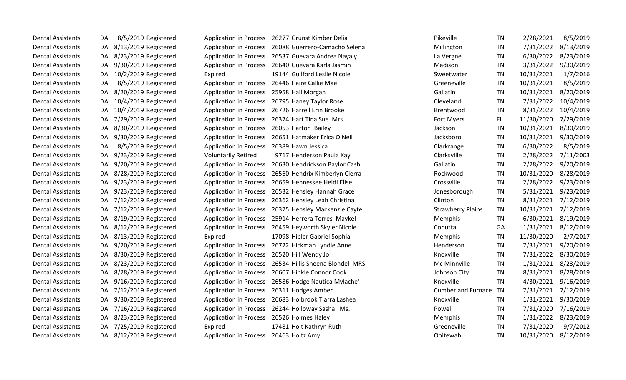| <b>Dental Assistants</b> | DA  | 8/5/2019 Registered     | <b>Application in Process</b>              | Pikeville<br>26277 Grunst Kimber Delia                         |                           | <b>TN</b> | 2/28/2021  | 8/5/2019  |
|--------------------------|-----|-------------------------|--------------------------------------------|----------------------------------------------------------------|---------------------------|-----------|------------|-----------|
| Dental Assistants        | DA  | 8/13/2019 Registered    |                                            | Application in Process 26088 Guerrero-Camacho Selena           | Millington                | TN        | 7/31/2022  | 8/13/2019 |
| <b>Dental Assistants</b> | DA. | 8/23/2019 Registered    |                                            | Application in Process 26537 Guevara Andrea Nayaly             | La Vergne                 | <b>TN</b> | 6/30/2022  | 8/23/2019 |
| <b>Dental Assistants</b> | DA. | 9/30/2019 Registered    |                                            | Application in Process 26640 Guevara Karla Jasmin<br>Madison   |                           | <b>TN</b> | 3/31/2022  | 9/30/2019 |
| <b>Dental Assistants</b> | DA. | 10/2/2019 Registered    | Expired                                    | 19144 Guilford Leslie Nicole                                   | Sweetwater                | <b>TN</b> | 10/31/2021 | 1/7/2016  |
| <b>Dental Assistants</b> | DA  | 8/5/2019 Registered     |                                            | Application in Process 26446 Haire Callie Mae                  | Greeneville               | <b>TN</b> | 10/31/2021 | 8/5/2019  |
| <b>Dental Assistants</b> | DA  | 8/20/2019 Registered    | Application in Process 25958 Hall Morgan   | Gallatin                                                       |                           | TN        | 10/31/2021 | 8/20/2019 |
| <b>Dental Assistants</b> | DA  | 10/4/2019 Registered    | <b>Application in Process</b>              | 26795 Haney Taylor Rose                                        | Cleveland                 | <b>TN</b> | 7/31/2022  | 10/4/2019 |
| <b>Dental Assistants</b> | DA. | 10/4/2019 Registered    |                                            | Application in Process 26726 Harrell Erin Brooke               | Brentwood                 | TN        | 8/31/2022  | 10/4/2019 |
| <b>Dental Assistants</b> | DA  | 7/29/2019 Registered    |                                            | Application in Process 26374 Hart Tina Sue Mrs.                | Fort Myers                | FL.       | 11/30/2020 | 7/29/2019 |
| <b>Dental Assistants</b> | DA. | 8/30/2019 Registered    | Application in Process 26053 Harton Bailey | Jackson                                                        |                           | TN        | 10/31/2021 | 8/30/2019 |
| <b>Dental Assistants</b> | DA  | 9/30/2019 Registered    |                                            | Application in Process 26651 Hatmaker Erica O'Neil             | Jacksboro                 | <b>TN</b> | 10/31/2021 | 9/30/2019 |
| <b>Dental Assistants</b> | DA  | 8/5/2019 Registered     | <b>Application in Process</b>              | 26389 Hawn Jessica                                             | Clarkrange                | <b>TN</b> | 6/30/2022  | 8/5/2019  |
| <b>Dental Assistants</b> | DA. | 9/23/2019 Registered    | <b>Voluntarily Retired</b>                 | 9717 Henderson Paula Kay                                       | Clarksville               | TN        | 2/28/2022  | 7/11/2003 |
| <b>Dental Assistants</b> | DA  | 9/20/2019 Registered    | <b>Application in Process</b>              | 26630 Hendrickson Baylor Cash<br>Gallatin                      |                           | <b>TN</b> | 2/28/2022  | 9/20/2019 |
| <b>Dental Assistants</b> | DA  | 8/28/2019 Registered    | <b>Application in Process</b>              | 26560 Hendrix Kimberlyn Cierra                                 | Rockwood                  | TN        | 10/31/2020 | 8/28/2019 |
| <b>Dental Assistants</b> | DA  | 9/23/2019 Registered    | <b>Application in Process</b>              | 26659 Hennessee Heidi Elise<br>Crossville                      |                           | <b>TN</b> | 2/28/2022  | 9/23/2019 |
| <b>Dental Assistants</b> | DA. | 9/23/2019 Registered    | <b>Application in Process</b>              | 26532 Hensley Hannah Grace                                     | Jonesborough              | TN        | 5/31/2021  | 9/23/2019 |
| <b>Dental Assistants</b> | DA  | 7/12/2019 Registered    | <b>Application in Process</b>              | 26362 Hensley Leah Christina<br>Clinton                        |                           | <b>TN</b> | 8/31/2021  | 7/12/2019 |
| <b>Dental Assistants</b> | DA. | 7/12/2019 Registered    |                                            | Application in Process 26375 Hensley Mackenzie Cayte           | <b>Strawberry Plains</b>  | <b>TN</b> | 10/31/2021 | 7/12/2019 |
| <b>Dental Assistants</b> | DA  | 8/19/2019 Registered    |                                            | Application in Process 25914 Herrera Torres Maykel             | Memphis                   | <b>TN</b> | 6/30/2021  | 8/19/2019 |
| <b>Dental Assistants</b> | DA. | 8/12/2019 Registered    |                                            | Application in Process 26459 Heyworth Skyler Nicole<br>Cohutta |                           | GA        | 1/31/2021  | 8/12/2019 |
| <b>Dental Assistants</b> | DA. | 8/13/2019 Registered    | Expired                                    | 17098 Hibler Gabriel Sophia                                    | Memphis                   | TN        | 11/30/2020 | 2/7/2017  |
| <b>Dental Assistants</b> | DA. | 9/20/2019 Registered    | <b>Application in Process</b>              | 26722 Hickman Lyndie Anne                                      | Henderson                 | <b>TN</b> | 7/31/2021  | 9/20/2019 |
| <b>Dental Assistants</b> | DA. | 8/30/2019 Registered    | Application in Process 26520 Hill Wendy Jo | Knoxville                                                      |                           | TN        | 7/31/2022  | 8/30/2019 |
| <b>Dental Assistants</b> | DA  | 8/23/2019 Registered    | <b>Application in Process</b>              | 26534 Hillis Sheena Blondel MRS.                               | Mc Minnville              | <b>TN</b> | 1/31/2021  | 8/23/2019 |
| <b>Dental Assistants</b> | DA. | 8/28/2019 Registered    | <b>Application in Process</b>              | 26607 Hinkle Connor Cook                                       | Johnson City              | <b>TN</b> | 8/31/2021  | 8/28/2019 |
| <b>Dental Assistants</b> | DA  | 9/16/2019 Registered    | <b>Application in Process</b>              | Knoxville<br>26586 Hodge Nautica Mylache'                      |                           | <b>TN</b> | 4/30/2021  | 9/16/2019 |
| <b>Dental Assistants</b> | DA. | 7/12/2019 Registered    | <b>Application in Process</b>              | 26311 Hodges Amber                                             | <b>Cumberland Furnace</b> | <b>TN</b> | 7/31/2021  | 7/12/2019 |
| <b>Dental Assistants</b> | DA  | 9/30/2019 Registered    | <b>Application in Process</b>              | 26683 Holbrook Tiarra Lashea<br>Knoxville                      |                           | TN        | 1/31/2021  | 9/30/2019 |
| <b>Dental Assistants</b> | DA. | 7/16/2019 Registered    |                                            | Application in Process 26244 Holloway Sasha Ms.<br>Powell      |                           | TN        | 7/31/2020  | 7/16/2019 |
| <b>Dental Assistants</b> | DA. | 8/23/2019 Registered    | Application in Process 26526 Holmes Haley  |                                                                | Memphis                   | <b>TN</b> | 1/31/2022  | 8/23/2019 |
| <b>Dental Assistants</b> | DA. | 7/25/2019 Registered    | Expired                                    | 17481 Holt Kathryn Ruth                                        | Greeneville               | <b>TN</b> | 7/31/2020  | 9/7/2012  |
| <b>Dental Assistants</b> |     | DA 8/12/2019 Registered | Application in Process 26463 Holtz Amy     |                                                                | Ooltewah                  | <b>TN</b> | 10/31/2020 | 8/12/2019 |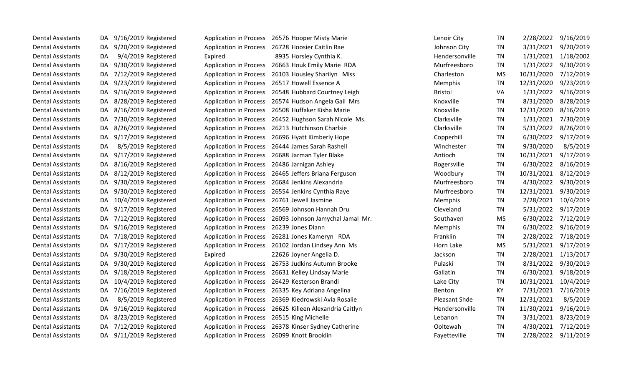| <b>Dental Assistants</b> | DA  | 9/16/2019 Registered    |                                             | Application in Process 26576 Hooper Misty Marie | Lenoir City          | TN        | 2/28/2022  | 9/16/2019 |
|--------------------------|-----|-------------------------|---------------------------------------------|-------------------------------------------------|----------------------|-----------|------------|-----------|
| <b>Dental Assistants</b> | DA. | 9/20/2019 Registered    | <b>Application in Process</b>               | 26728 Hoosier Caitlin Rae                       | Johnson City         | <b>TN</b> | 3/31/2021  | 9/20/2019 |
| <b>Dental Assistants</b> | DA  | 9/4/2019 Registered     | Expired                                     | 8935 Horsley Cynthia K.                         | Hendersonville       | <b>TN</b> | 1/31/2021  | 1/18/2002 |
| <b>Dental Assistants</b> | DA. | 9/30/2019 Registered    | <b>Application in Process</b>               | 26663 Houk Emily Marie RDA                      | Murfreesboro         | <b>TN</b> | 1/31/2022  | 9/30/2019 |
| <b>Dental Assistants</b> | DA. | 7/12/2019 Registered    | <b>Application in Process</b>               | 26103 Housley Sharilyn Miss                     | Charleston           | <b>MS</b> | 10/31/2020 | 7/12/2019 |
| <b>Dental Assistants</b> | DA  | 9/23/2019 Registered    | <b>Application in Process</b>               | 26517 Howell Essence A                          | Memphis              | <b>TN</b> | 12/31/2020 | 9/23/2019 |
| <b>Dental Assistants</b> | DA  | 9/16/2019 Registered    | <b>Application in Process</b>               | 26548 Hubbard Courtney Leigh                    | <b>Bristol</b>       | VA        | 1/31/2022  | 9/16/2019 |
| <b>Dental Assistants</b> | DA. | 8/28/2019 Registered    | <b>Application in Process</b>               | 26574 Hudson Angela Gail Mrs                    | Knoxville            | <b>TN</b> | 8/31/2020  | 8/28/2019 |
| <b>Dental Assistants</b> | DA. | 8/16/2019 Registered    | <b>Application in Process</b>               | 26508 Huffaker Kisha Marie                      | Knoxville            | <b>TN</b> | 12/31/2020 | 8/16/2019 |
| <b>Dental Assistants</b> | DA. | 7/30/2019 Registered    | <b>Application in Process</b>               | 26452 Hughson Sarah Nicole Ms.                  | Clarksville          | TN        | 1/31/2021  | 7/30/2019 |
| <b>Dental Assistants</b> | DA. | 8/26/2019 Registered    | <b>Application in Process</b>               | 26213 Hutchinson Charlsie                       | Clarksville          | <b>TN</b> | 5/31/2022  | 8/26/2019 |
| <b>Dental Assistants</b> | DA. | 9/17/2019 Registered    | <b>Application in Process</b>               | 26696 Hyatt Kimberly Hope                       | Copperhill           | <b>TN</b> | 6/30/2022  | 9/17/2019 |
| <b>Dental Assistants</b> | DA  | 8/5/2019 Registered     | <b>Application in Process</b>               | 26444 James Sarah Rashell                       | Winchester           | <b>TN</b> | 9/30/2020  | 8/5/2019  |
| <b>Dental Assistants</b> | DA. | 9/17/2019 Registered    | <b>Application in Process</b>               | 26688 Jarman Tyler Blake                        | Antioch              | <b>TN</b> | 10/31/2021 | 9/17/2019 |
| <b>Dental Assistants</b> | DA. | 8/16/2019 Registered    | <b>Application in Process</b>               | 26486 Jarnigan Ashley                           | Rogersville          | TN        | 6/30/2022  | 8/16/2019 |
| <b>Dental Assistants</b> | DA. | 8/12/2019 Registered    | <b>Application in Process</b>               | 26465 Jeffers Briana Ferguson                   | Woodbury             | <b>TN</b> | 10/31/2021 | 8/12/2019 |
| <b>Dental Assistants</b> | DA. | 9/30/2019 Registered    | <b>Application in Process</b>               | 26684 Jenkins Alexandria                        | Murfreesboro         | <b>TN</b> | 4/30/2022  | 9/30/2019 |
| <b>Dental Assistants</b> | DA. | 9/30/2019 Registered    | <b>Application in Process</b>               | 26554 Jenkins Cynthia Raye                      | Murfreesboro         | <b>TN</b> | 12/31/2021 | 9/30/2019 |
| <b>Dental Assistants</b> | DA. | 10/4/2019 Registered    | <b>Application in Process</b>               | 26761 Jewell Jasmine                            | Memphis              | <b>TN</b> | 2/28/2021  | 10/4/2019 |
| <b>Dental Assistants</b> | DA. | 9/17/2019 Registered    | <b>Application in Process</b>               | 26569 Johnson Hannah Dru                        | Cleveland            | <b>TN</b> | 5/31/2022  | 9/17/2019 |
| <b>Dental Assistants</b> | DA. | 7/12/2019 Registered    | <b>Application in Process</b>               | 26093 Johnson Jamychal Jamal Mr.                | Southaven            | <b>MS</b> | 6/30/2022  | 7/12/2019 |
| <b>Dental Assistants</b> | DA. | 9/16/2019 Registered    | <b>Application in Process</b>               | 26239 Jones Diann                               | Memphis              | TN        | 6/30/2022  | 9/16/2019 |
| <b>Dental Assistants</b> | DA. | 7/18/2019 Registered    | <b>Application in Process</b>               | 26281 Jones Kameryn RDA                         | Franklin             | TN        | 2/28/2022  | 7/18/2019 |
| <b>Dental Assistants</b> | DA. | 9/17/2019 Registered    | <b>Application in Process</b>               | 26102 Jordan Lindsey Ann Ms                     | Horn Lake            | <b>MS</b> | 5/31/2021  | 9/17/2019 |
| <b>Dental Assistants</b> | DA  | 9/30/2019 Registered    | Expired                                     | 22626 Joyner Angelia D.                         | Jackson              | TN        | 2/28/2021  | 1/13/2017 |
| <b>Dental Assistants</b> | DA. | 9/30/2019 Registered    | <b>Application in Process</b>               | 26753 Judkins Autumn Brooke                     | Pulaski              | TN        | 8/31/2022  | 9/30/2019 |
| <b>Dental Assistants</b> | DA. | 9/18/2019 Registered    | <b>Application in Process</b>               | 26631 Kelley Lindsay Marie                      | Gallatin             | TN        | 6/30/2021  | 9/18/2019 |
| <b>Dental Assistants</b> | DA. | 10/4/2019 Registered    | <b>Application in Process</b>               | 26429 Kesterson Brandi                          | Lake City            | <b>TN</b> | 10/31/2021 | 10/4/2019 |
| <b>Dental Assistants</b> | DA. | 7/16/2019 Registered    | <b>Application in Process</b>               | 26335 Key Adriana Angelina                      | Benton               | KY        | 7/31/2021  | 7/16/2019 |
| <b>Dental Assistants</b> | DA  | 8/5/2019 Registered     | <b>Application in Process</b>               | 26369 Kiedrowski Avia Rosalie                   | <b>Pleasant Shde</b> | TN        | 12/31/2021 | 8/5/2019  |
| <b>Dental Assistants</b> | DA  | 9/16/2019 Registered    | Application in Process                      | 26625 Killeen Alexandria Caitlyn                | Hendersonville       | <b>TN</b> | 11/30/2021 | 9/16/2019 |
| <b>Dental Assistants</b> | DA. | 8/23/2019 Registered    | <b>Application in Process</b>               | 26515 King Michelle                             | Lebanon              | TN        | 3/31/2021  | 8/23/2019 |
| <b>Dental Assistants</b> | DA. | 7/12/2019 Registered    | <b>Application in Process</b>               | 26378 Kinser Sydney Catherine                   | Ooltewah             | TN        | 4/30/2021  | 7/12/2019 |
| <b>Dental Assistants</b> |     | DA 9/11/2019 Registered | Application in Process 26099 Knott Brooklin |                                                 | Fayetteville         | <b>TN</b> | 2/28/2022  | 9/11/2019 |
|                          |     |                         |                                             |                                                 |                      |           |            |           |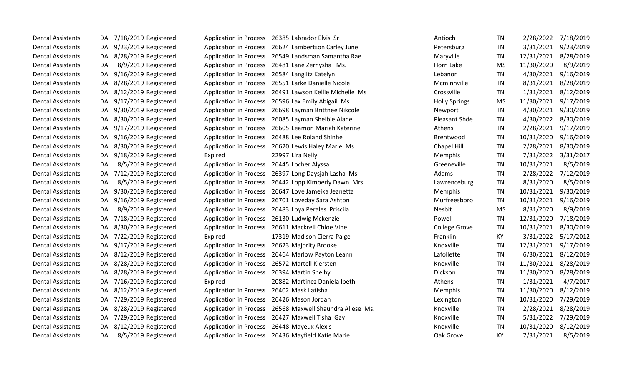| <b>Dental Assistants</b> | 7/18/2019 Registered<br>DA. | <b>Application in Process</b> | 26385 Labrador Elvis Sr                                  | Antioch              | <b>TN</b> | 2/28/2022  | 7/18/2019 |
|--------------------------|-----------------------------|-------------------------------|----------------------------------------------------------|----------------------|-----------|------------|-----------|
| <b>Dental Assistants</b> | 9/23/2019 Registered<br>DA. |                               | Application in Process 26624 Lambertson Carley June      | Petersburg           | TN        | 3/31/2021  | 9/23/2019 |
| <b>Dental Assistants</b> | 8/28/2019 Registered<br>DA. |                               | Application in Process 26549 Landsman Samantha Rae       | Maryville            | TN        | 12/31/2021 | 8/28/2019 |
| <b>Dental Assistants</b> | 8/9/2019 Registered<br>DA   | <b>Application in Process</b> | 26481 Lane Zernysha Ms.                                  | Horn Lake            | <b>MS</b> | 11/30/2020 | 8/9/2019  |
| <b>Dental Assistants</b> | 9/16/2019 Registered<br>DA  | <b>Application in Process</b> | 26584 Langlitz Katelyn                                   | Lebanon              | <b>TN</b> | 4/30/2021  | 9/16/2019 |
| <b>Dental Assistants</b> | 8/28/2019 Registered<br>DA  | <b>Application in Process</b> | 26551 Larke Danielle Nicole                              | Mcminnville          | TN        | 8/31/2021  | 8/28/2019 |
| <b>Dental Assistants</b> | 8/12/2019 Registered<br>DA. | <b>Application in Process</b> | 26491 Lawson Kellie Michelle Ms                          | Crossville           | <b>TN</b> | 1/31/2021  | 8/12/2019 |
| <b>Dental Assistants</b> | 9/17/2019 Registered<br>DA. | <b>Application in Process</b> | 26596 Lax Emily Abigail Ms                               | <b>Holly Springs</b> | <b>MS</b> | 11/30/2021 | 9/17/2019 |
| <b>Dental Assistants</b> | 9/30/2019 Registered<br>DA. | <b>Application in Process</b> | 26698 Layman Brittnee Nikcole                            | Newport              | TN        | 4/30/2021  | 9/30/2019 |
| <b>Dental Assistants</b> | 8/30/2019 Registered<br>DA. | <b>Application in Process</b> | 26085 Layman Shelbie Alane                               | Pleasant Shde        | TN        | 4/30/2022  | 8/30/2019 |
| <b>Dental Assistants</b> | 9/17/2019 Registered<br>DA. | <b>Application in Process</b> | 26605 Leamon Mariah Katerine                             | Athens               | <b>TN</b> | 2/28/2021  | 9/17/2019 |
| <b>Dental Assistants</b> | 9/16/2019 Registered<br>DA. | <b>Application in Process</b> | 26488 Lee Roland Shinhe                                  | Brentwood            | <b>TN</b> | 10/31/2020 | 9/16/2019 |
| <b>Dental Assistants</b> | 8/30/2019 Registered<br>DA  |                               | Application in Process 26620 Lewis Haley Marie Ms.       | Chapel Hill          | <b>TN</b> | 2/28/2021  | 8/30/2019 |
| <b>Dental Assistants</b> | DA 9/18/2019 Registered     | Expired                       | 22997 Lira Nelly                                         | Memphis              | <b>TN</b> | 7/31/2022  | 3/31/2017 |
| <b>Dental Assistants</b> | 8/5/2019 Registered<br>DA   | <b>Application in Process</b> | 26445 Locher Alyssa                                      | Greeneville          | <b>TN</b> | 10/31/2021 | 8/5/2019  |
| <b>Dental Assistants</b> | 7/12/2019 Registered<br>DA  |                               | Application in Process 26397 Long Daysjah Lasha Ms       | Adams                | <b>TN</b> | 2/28/2022  | 7/12/2019 |
| <b>Dental Assistants</b> | 8/5/2019 Registered<br>DA   | <b>Application in Process</b> | 26442 Lopp Kimberly Dawn Mrs.                            | Lawrenceburg         | <b>TN</b> | 8/31/2020  | 8/5/2019  |
| <b>Dental Assistants</b> | 9/30/2019 Registered<br>DA  | <b>Application in Process</b> | 26647 Love Jameika Jeanetta                              | Memphis              | TN        | 10/31/2021 | 9/30/2019 |
| <b>Dental Assistants</b> | 9/16/2019 Registered<br>DA. | <b>Application in Process</b> | 26701 Loveday Sara Ashton                                | Murfreesboro         | <b>TN</b> | 10/31/2021 | 9/16/2019 |
| <b>Dental Assistants</b> | 8/9/2019 Registered<br>DA   | <b>Application in Process</b> | 26483 Loya Perales Priscila                              | Nesbit               | <b>MS</b> | 8/31/2020  | 8/9/2019  |
| <b>Dental Assistants</b> | 7/18/2019 Registered<br>DA  | <b>Application in Process</b> | 26130 Ludwig Mckenzie                                    | Powell               | <b>TN</b> | 12/31/2020 | 7/18/2019 |
| <b>Dental Assistants</b> | 8/30/2019 Registered<br>DA. | <b>Application in Process</b> | 26611 Mackrell Chloe Vine                                | <b>College Grove</b> | <b>TN</b> | 10/31/2021 | 8/30/2019 |
| <b>Dental Assistants</b> | DA 7/22/2019 Registered     | Expired                       | 17319 Madison Cierra Paige                               | Franklin             | KY        | 3/31/2022  | 5/17/2012 |
| <b>Dental Assistants</b> | 9/17/2019 Registered<br>DA. | <b>Application in Process</b> | 26623 Majority Brooke                                    | Knoxville            | TN        | 12/31/2021 | 9/17/2019 |
| <b>Dental Assistants</b> | 8/12/2019 Registered<br>DA. | <b>Application in Process</b> | 26464 Marlow Payton Leann                                | Lafollette           | <b>TN</b> | 6/30/2021  | 8/12/2019 |
| <b>Dental Assistants</b> | DA 8/28/2019 Registered     | <b>Application in Process</b> | 26572 Martell Kiersten                                   | Knoxville            | <b>TN</b> | 11/30/2021 | 8/28/2019 |
| <b>Dental Assistants</b> | DA 8/28/2019 Registered     | <b>Application in Process</b> | 26394 Martin Shelby                                      | Dickson              | TN        | 11/30/2020 | 8/28/2019 |
| <b>Dental Assistants</b> | DA 7/16/2019 Registered     | Expired                       | 20882 Martinez Daniela Ibeth                             | Athens               | <b>TN</b> | 1/31/2021  | 4/7/2017  |
| <b>Dental Assistants</b> | DA 8/12/2019 Registered     | <b>Application in Process</b> | 26402 Mask Latisha                                       | Memphis              | <b>TN</b> | 11/30/2020 | 8/12/2019 |
| <b>Dental Assistants</b> | 7/29/2019 Registered<br>DA  | <b>Application in Process</b> | 26426 Mason Jordan                                       | Lexington            | <b>TN</b> | 10/31/2020 | 7/29/2019 |
| <b>Dental Assistants</b> | 8/28/2019 Registered<br>DA. |                               | Application in Process 26568 Maxwell Shaundra Aliese Ms. | Knoxville            | <b>TN</b> | 2/28/2021  | 8/28/2019 |
| <b>Dental Assistants</b> | 7/29/2019 Registered<br>DA. | <b>Application in Process</b> | 26427 Maxwell Tisha Gay                                  | Knoxville            | <b>TN</b> | 5/31/2022  | 7/29/2019 |
| <b>Dental Assistants</b> | 8/12/2019 Registered<br>DA  | <b>Application in Process</b> | 26448 Mayeux Alexis                                      | Knoxville            | <b>TN</b> | 10/31/2020 | 8/12/2019 |
| <b>Dental Assistants</b> | 8/5/2019 Registered<br>DA   |                               | Application in Process 26436 Mayfield Katie Marie        | Oak Grove            | KY        | 7/31/2021  | 8/5/2019  |
|                          |                             |                               |                                                          |                      |           |            |           |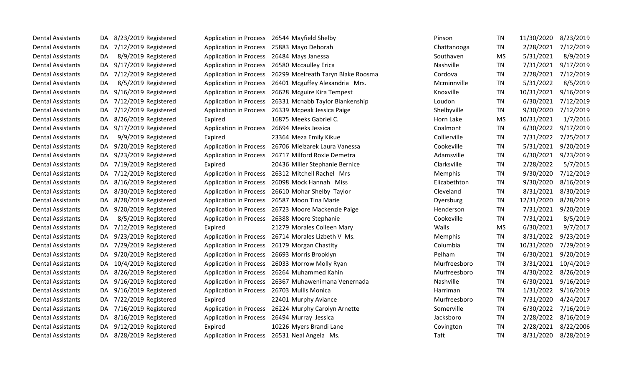| <b>Dental Assistants</b> | 8/23/2019 Registered<br>DA. |                                            | Application in Process 26544 Mayfield Shelby         | Pinson       | <b>TN</b> | 11/30/2020 | 8/23/2019 |
|--------------------------|-----------------------------|--------------------------------------------|------------------------------------------------------|--------------|-----------|------------|-----------|
| <b>Dental Assistants</b> | 7/12/2019 Registered<br>DA. |                                            | Application in Process 25883 Mayo Deborah            | Chattanooga  | TN        | 2/28/2021  | 7/12/2019 |
| <b>Dental Assistants</b> | 8/9/2019 Registered<br>DA   | <b>Application in Process</b>              | 26484 Mays Janessa                                   | Southaven    | <b>MS</b> | 5/31/2021  | 8/9/2019  |
| <b>Dental Assistants</b> | 9/17/2019 Registered<br>DA  | <b>Application in Process</b>              | 26580 Mccaulley Erica                                | Nashville    | TN        | 7/31/2021  | 9/17/2019 |
| <b>Dental Assistants</b> | 7/12/2019 Registered<br>DA. | <b>Application in Process</b>              | 26299 Mcelreath Taryn Blake Roosma                   | Cordova      | TN        | 2/28/2021  | 7/12/2019 |
| <b>Dental Assistants</b> | 8/5/2019 Registered<br>DA   | <b>Application in Process</b>              | 26401 Mcguffey Alexandria Mrs.                       | Mcminnville  | TN        | 5/31/2022  | 8/5/2019  |
| <b>Dental Assistants</b> | 9/16/2019 Registered<br>DA. | <b>Application in Process</b>              | 26628 Mcguire Kira Tempest                           | Knoxville    | TN        | 10/31/2021 | 9/16/2019 |
| <b>Dental Assistants</b> | 7/12/2019 Registered<br>DA. | <b>Application in Process</b>              | 26331 Mcnabb Taylor Blankenship                      | Loudon       | TN        | 6/30/2021  | 7/12/2019 |
| <b>Dental Assistants</b> | 7/12/2019 Registered<br>DA. |                                            | Application in Process 26339 Mcpeak Jessica Paige    | Shelbyville  | TN        | 9/30/2020  | 7/12/2019 |
| <b>Dental Assistants</b> | 8/26/2019 Registered<br>DA. | Expired                                    | 16875 Meeks Gabriel C.                               | Horn Lake    | <b>MS</b> | 10/31/2021 | 1/7/2016  |
| <b>Dental Assistants</b> | 9/17/2019 Registered<br>DA. | Application in Process 26694 Meeks Jessica |                                                      | Coalmont     | TN        | 6/30/2022  | 9/17/2019 |
| <b>Dental Assistants</b> | 9/9/2019 Registered<br>DA   | Expired                                    | 23364 Meza Emily Kikue                               | Collierville | TN        | 7/31/2022  | 7/25/2017 |
| <b>Dental Assistants</b> | 9/20/2019 Registered<br>DA. |                                            | Application in Process 26706 Mielzarek Laura Vanessa | Cookeville   | TN        | 5/31/2021  | 9/20/2019 |
| <b>Dental Assistants</b> | 9/23/2019 Registered<br>DA. |                                            | Application in Process 26717 Milford Roxie Demetra   | Adamsville   | TN        | 6/30/2021  | 9/23/2019 |
| <b>Dental Assistants</b> | 7/19/2019 Registered<br>DA. | Expired                                    | 20436 Miller Stephanie Bernice                       | Clarksville  | <b>TN</b> | 2/28/2022  | 5/7/2015  |
| <b>Dental Assistants</b> | 7/12/2019 Registered<br>DA. | <b>Application in Process</b>              | 26312 Mitchell Rachel Mrs                            | Memphis      | TN        | 9/30/2020  | 7/12/2019 |
| <b>Dental Assistants</b> | 8/16/2019 Registered<br>DA. | <b>Application in Process</b>              | 26098 Mock Hannah Miss                               | Elizabethton | <b>TN</b> | 9/30/2020  | 8/16/2019 |
| <b>Dental Assistants</b> | 8/30/2019 Registered<br>DA  | <b>Application in Process</b>              | 26610 Mohar Shelby Taylor                            | Cleveland    | TN        | 8/31/2021  | 8/30/2019 |
| <b>Dental Assistants</b> | 8/28/2019 Registered<br>DA. |                                            | Application in Process 26587 Moon Tina Marie         | Dyersburg    | TN        | 12/31/2020 | 8/28/2019 |
| <b>Dental Assistants</b> | 9/20/2019 Registered<br>DA. |                                            | Application in Process 26723 Moore Mackenzie Paige   | Henderson    | <b>TN</b> | 7/31/2021  | 9/20/2019 |
| <b>Dental Assistants</b> | 8/5/2019 Registered<br>DA   |                                            | Application in Process 26388 Moore Stephanie         | Cookeville   | TN        | 7/31/2021  | 8/5/2019  |
| <b>Dental Assistants</b> | DA 7/12/2019 Registered     | Expired                                    | 21279 Morales Colleen Mary                           | Walls        | <b>MS</b> | 6/30/2021  | 9/7/2017  |
| <b>Dental Assistants</b> | 9/23/2019 Registered<br>DA. |                                            | Application in Process 26714 Morales Lizbeth V Ms.   | Memphis      | TN        | 8/31/2022  | 9/23/2019 |
| <b>Dental Assistants</b> | 7/29/2019 Registered<br>DA  | <b>Application in Process</b>              | 26179 Morgan Chastity                                | Columbia     | <b>TN</b> | 10/31/2020 | 7/29/2019 |
| <b>Dental Assistants</b> | 9/20/2019 Registered<br>DA. | <b>Application in Process</b>              | 26693 Morris Brooklyn                                | Pelham       | TN        | 6/30/2021  | 9/20/2019 |
| <b>Dental Assistants</b> | 10/4/2019 Registered<br>DA. | <b>Application in Process</b>              | 26033 Morrow Molly Ryan                              | Murfreesboro | TN        | 3/31/2021  | 10/4/2019 |
| <b>Dental Assistants</b> | 8/26/2019 Registered<br>DA. | <b>Application in Process</b>              | 26264 Muhammed Kahin                                 | Murfreesboro | <b>TN</b> | 4/30/2022  | 8/26/2019 |
| <b>Dental Assistants</b> | 9/16/2019 Registered<br>DA  |                                            | Application in Process 26367 Muhawenimana Venernada  | Nashville    | <b>TN</b> | 6/30/2021  | 9/16/2019 |
| <b>Dental Assistants</b> | 9/16/2019 Registered<br>DA. | Application in Process 26703 Mullis Monica |                                                      | Harriman     | TN        | 1/31/2022  | 9/16/2019 |
| <b>Dental Assistants</b> | 7/22/2019 Registered<br>DA. | Expired                                    | 22401 Murphy Aviance                                 | Murfreesboro | <b>TN</b> | 7/31/2020  | 4/24/2017 |
| <b>Dental Assistants</b> | 7/16/2019 Registered<br>DA. | <b>Application in Process</b>              | 26224 Murphy Carolyn Arnette                         | Somerville   | TN        | 6/30/2022  | 7/16/2019 |
| <b>Dental Assistants</b> | DA 8/16/2019 Registered     | <b>Application in Process</b>              | 26494 Murray Jessica                                 | Jacksboro    | <b>TN</b> | 2/28/2022  | 8/16/2019 |
| <b>Dental Assistants</b> | 9/12/2019 Registered<br>DA. | Expired                                    | 10226 Myers Brandi Lane                              | Covington    | <b>TN</b> | 2/28/2021  | 8/22/2006 |
| <b>Dental Assistants</b> | DA 8/28/2019 Registered     |                                            | Application in Process 26531 Neal Angela Ms.         | Taft         | <b>TN</b> | 8/31/2020  | 8/28/2019 |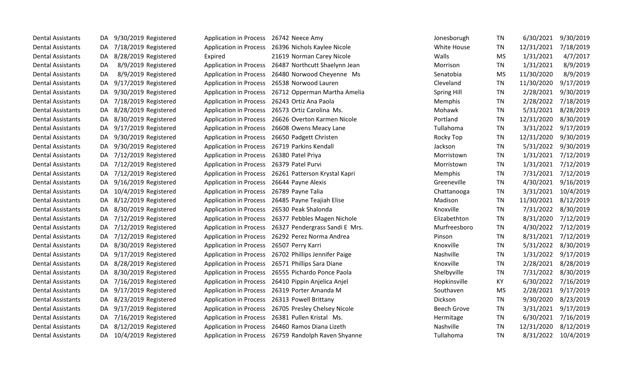| <b>Dental Assistants</b> | DA. | 9/30/2019 Registered    | <b>Application in Process</b>             | 26742 Neece Amy                                       | Jonesborugh        | <b>TN</b> | 6/30/2021  | 9/30/2019 |
|--------------------------|-----|-------------------------|-------------------------------------------|-------------------------------------------------------|--------------------|-----------|------------|-----------|
| <b>Dental Assistants</b> | DA. | 7/18/2019 Registered    |                                           | Application in Process 26396 Nichols Kaylee Nicole    | White House        | TN        | 12/31/2021 | 7/18/2019 |
| <b>Dental Assistants</b> | DA. | 8/28/2019 Registered    | Expired                                   | 21619 Norman Carey Nicole                             | Walls              | <b>MS</b> | 1/31/2021  | 4/7/2017  |
| <b>Dental Assistants</b> | DA  | 8/9/2019 Registered     |                                           | Application in Process 26487 Northcutt Shaelynn Jean  | Morrison           | <b>TN</b> | 1/31/2021  | 8/9/2019  |
| <b>Dental Assistants</b> | DA  | 8/9/2019 Registered     |                                           | Application in Process 26480 Norwood Cheyenne Ms      | Senatobia          | <b>MS</b> | 11/30/2020 | 8/9/2019  |
| <b>Dental Assistants</b> | DA  | 9/17/2019 Registered    |                                           | Application in Process 26538 Norwood Lauren           | Cleveland          | <b>TN</b> | 11/30/2020 | 9/17/2019 |
| <b>Dental Assistants</b> | DA. | 9/30/2019 Registered    |                                           | Application in Process 26712 Opperman Martha Amelia   | Spring Hill        | <b>TN</b> | 2/28/2021  | 9/30/2019 |
| <b>Dental Assistants</b> | DA. | 7/18/2019 Registered    |                                           | Application in Process 26243 Ortiz Ana Paola          | Memphis            | <b>TN</b> | 2/28/2022  | 7/18/2019 |
| <b>Dental Assistants</b> | DA. | 8/28/2019 Registered    | <b>Application in Process</b>             | 26573 Ortiz Carolina Ms.                              | Mohawk             | <b>TN</b> | 5/31/2021  | 8/28/2019 |
| <b>Dental Assistants</b> | DA. | 8/30/2019 Registered    | <b>Application in Process</b>             | 26626 Overton Karmen Nicole                           | Portland           | TN        | 12/31/2020 | 8/30/2019 |
| <b>Dental Assistants</b> | DA. | 9/17/2019 Registered    | <b>Application in Process</b>             | 26608 Owens Meacy Lane                                | Tullahoma          | <b>TN</b> | 3/31/2022  | 9/17/2019 |
| <b>Dental Assistants</b> | DA. | 9/30/2019 Registered    |                                           | Application in Process 26650 Padgett Christen         | Rocky Top          | <b>TN</b> | 12/31/2020 | 9/30/2019 |
| <b>Dental Assistants</b> | DA. | 9/30/2019 Registered    |                                           | Application in Process 26719 Parkins Kendall          | Jackson            | TN        | 5/31/2022  | 9/30/2019 |
| <b>Dental Assistants</b> |     | DA 7/12/2019 Registered | Application in Process 26380 Patel Priya  |                                                       | Morristown         | <b>TN</b> | 1/31/2021  | 7/12/2019 |
| <b>Dental Assistants</b> |     | DA 7/12/2019 Registered | Application in Process 26379 Patel Purvi  |                                                       | Morristown         | <b>TN</b> | 1/31/2021  | 7/12/2019 |
| <b>Dental Assistants</b> |     | DA 7/12/2019 Registered |                                           | Application in Process 26261 Patterson Krystal Kapri  | Memphis            | <b>TN</b> | 7/31/2021  | 7/12/2019 |
| <b>Dental Assistants</b> | DA. | 9/16/2019 Registered    | Application in Process 26644 Payne Alexis |                                                       | Greeneville        | <b>TN</b> | 4/30/2021  | 9/16/2019 |
| <b>Dental Assistants</b> | DA. | 10/4/2019 Registered    | <b>Application in Process</b>             | 26789 Payne Talia                                     | Chattanooga        | <b>TN</b> | 3/31/2021  | 10/4/2019 |
| <b>Dental Assistants</b> | DA. | 8/12/2019 Registered    | <b>Application in Process</b>             | 26485 Payne Teajiah Elise                             | Madison            | <b>TN</b> | 11/30/2021 | 8/12/2019 |
| <b>Dental Assistants</b> | DA. | 8/30/2019 Registered    | <b>Application in Process</b>             | 26530 Peak Shalonda                                   | Knoxville          | <b>TN</b> | 7/31/2022  | 8/30/2019 |
| <b>Dental Assistants</b> |     | DA 7/12/2019 Registered |                                           | Application in Process 26377 Pebbles Magen Nichole    | Elizabethton       | <b>TN</b> | 8/31/2020  | 7/12/2019 |
| <b>Dental Assistants</b> | DA. | 7/12/2019 Registered    |                                           | Application in Process 26327 Pendergrass Sandi E Mrs. | Murfreesboro       | <b>TN</b> | 4/30/2022  | 7/12/2019 |
| <b>Dental Assistants</b> | DA. | 7/12/2019 Registered    |                                           | Application in Process 26292 Perez Norma Andrea       | Pinson             | <b>TN</b> | 8/31/2021  | 7/12/2019 |
| <b>Dental Assistants</b> | DA. | 8/30/2019 Registered    | Application in Process 26507 Perry Karri  |                                                       | Knoxville          | <b>TN</b> | 5/31/2022  | 8/30/2019 |
| <b>Dental Assistants</b> | DA. | 9/17/2019 Registered    |                                           | Application in Process 26702 Phillips Jennifer Paige  | Nashville          | <b>TN</b> | 1/31/2022  | 9/17/2019 |
| <b>Dental Assistants</b> |     | DA 8/28/2019 Registered | <b>Application in Process</b>             | 26571 Phillips Sara Diane                             | Knoxville          | <b>TN</b> | 2/28/2021  | 8/28/2019 |
| <b>Dental Assistants</b> | DA. | 8/30/2019 Registered    |                                           | Application in Process 26555 Pichardo Ponce Paola     | Shelbyville        | TN        | 7/31/2022  | 8/30/2019 |
| <b>Dental Assistants</b> | DA  | 7/16/2019 Registered    |                                           | Application in Process 26410 Pippin Anjelica Anjel    | Hopkinsville       | KY        | 6/30/2022  | 7/16/2019 |
| <b>Dental Assistants</b> | DA. | 9/17/2019 Registered    | <b>Application in Process</b>             | 26319 Porter Amanda M                                 | Southaven          | <b>MS</b> | 2/28/2021  | 9/17/2019 |
| <b>Dental Assistants</b> | DA. | 8/23/2019 Registered    | <b>Application in Process</b>             | 26313 Powell Brittany                                 | Dickson            | TN        | 9/30/2020  | 8/23/2019 |
| <b>Dental Assistants</b> | DA. | 9/17/2019 Registered    | <b>Application in Process</b>             | 26705 Presley Chelsey Nicole                          | <b>Beech Grove</b> | <b>TN</b> | 3/31/2021  | 9/17/2019 |
| <b>Dental Assistants</b> | DA. | 7/16/2019 Registered    | <b>Application in Process</b>             | 26381 Pullen Kristal Ms.                              | Hermitage          | <b>TN</b> | 6/30/2021  | 7/16/2019 |
| <b>Dental Assistants</b> | DA. | 8/12/2019 Registered    |                                           | Application in Process 26460 Ramos Diana Lizeth       | Nashville          | <b>TN</b> | 12/31/2020 | 8/12/2019 |
| <b>Dental Assistants</b> |     | DA 10/4/2019 Registered |                                           | Application in Process 26759 Randolph Raven Shyanne   | Tullahoma          | TN        | 8/31/2022  | 10/4/2019 |
|                          |     |                         |                                           |                                                       |                    |           |            |           |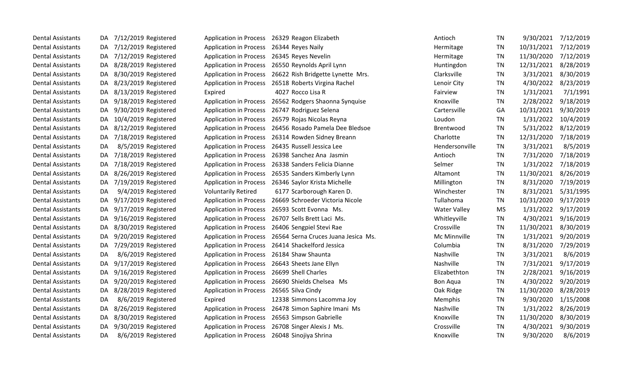| <b>Dental Assistants</b> | DA. | 7/12/2019 Registered |                                            | Application in Process 26329 Reagon Elizabeth              | Antioch             | <b>TN</b> | 9/30/2021  | 7/12/2019 |
|--------------------------|-----|----------------------|--------------------------------------------|------------------------------------------------------------|---------------------|-----------|------------|-----------|
| <b>Dental Assistants</b> | DA. | 7/12/2019 Registered | Application in Process 26344 Reyes Naily   |                                                            | Hermitage           | <b>TN</b> | 10/31/2021 | 7/12/2019 |
| <b>Dental Assistants</b> | DA. | 7/12/2019 Registered | <b>Application in Process</b>              | 26345 Reyes Nevelin                                        | Hermitage           | TN        | 11/30/2020 | 7/12/2019 |
| <b>Dental Assistants</b> | DA  | 8/28/2019 Registered |                                            | Application in Process 26550 Reynolds April Lynn           | Huntingdon          | TN        | 12/31/2021 | 8/28/2019 |
| <b>Dental Assistants</b> | DA. | 8/30/2019 Registered |                                            | Application in Process 26622 Rish Bridgette Lynette Mrs.   | Clarksville         | <b>TN</b> | 3/31/2021  | 8/30/2019 |
| <b>Dental Assistants</b> | DA. | 8/23/2019 Registered |                                            | Application in Process 26518 Roberts Virgina Rachel        | Lenoir City         | TN        | 4/30/2022  | 8/23/2019 |
| <b>Dental Assistants</b> | DA. | 8/13/2019 Registered | Expired                                    | 4027 Rocco Lisa R                                          | Fairview            | TN        | 1/31/2021  | 7/1/1991  |
| <b>Dental Assistants</b> | DA. | 9/18/2019 Registered |                                            | Application in Process 26562 Rodgers Shaonna Synquise      | Knoxville           | TN        | 2/28/2022  | 9/18/2019 |
| <b>Dental Assistants</b> | DA. | 9/30/2019 Registered |                                            | Application in Process 26747 Rodriguez Selena              | Cartersville        | GA        | 10/31/2021 | 9/30/2019 |
| <b>Dental Assistants</b> | DA. | 10/4/2019 Registered |                                            | Application in Process 26579 Rojas Nicolas Reyna           | Loudon              | TN        | 1/31/2022  | 10/4/2019 |
| <b>Dental Assistants</b> | DA  | 8/12/2019 Registered |                                            | Application in Process 26456 Rosado Pamela Dee Bledsoe     | Brentwood           | <b>TN</b> | 5/31/2022  | 8/12/2019 |
| <b>Dental Assistants</b> | DA. | 7/18/2019 Registered |                                            | Application in Process 26314 Rowden Sidney Breann          | Charlotte           | TN        | 12/31/2020 | 7/18/2019 |
| <b>Dental Assistants</b> | DA. | 8/5/2019 Registered  |                                            | Application in Process 26435 Russell Jessica Lee           | Hendersonville      | TN        | 3/31/2021  | 8/5/2019  |
| <b>Dental Assistants</b> | DA. | 7/18/2019 Registered |                                            | Application in Process 26398 Sanchez Ana Jasmin            | Antioch             | TN        | 7/31/2020  | 7/18/2019 |
| <b>Dental Assistants</b> | DA  | 7/18/2019 Registered |                                            | Application in Process 26338 Sanders Felicia Dianne        | Selmer              | <b>TN</b> | 1/31/2022  | 7/18/2019 |
| <b>Dental Assistants</b> | DA. | 8/26/2019 Registered |                                            | Application in Process 26535 Sanders Kimberly Lynn         | Altamont            | <b>TN</b> | 11/30/2021 | 8/26/2019 |
| <b>Dental Assistants</b> | DA. | 7/19/2019 Registered | <b>Application in Process</b>              | 26346 Saylor Krista Michelle                               | Millington          | <b>TN</b> | 8/31/2020  | 7/19/2019 |
| <b>Dental Assistants</b> | DA  | 9/4/2019 Registered  | <b>Voluntarily Retired</b>                 | 6177 Scarborough Karen D.                                  | Winchester          | <b>TN</b> | 8/31/2021  | 5/31/1995 |
| <b>Dental Assistants</b> | DA  | 9/17/2019 Registered | <b>Application in Process</b>              | 26669 Schroeder Victoria Nicole                            | Tullahoma           | <b>TN</b> | 10/31/2020 | 9/17/2019 |
| <b>Dental Assistants</b> | DA. | 9/17/2019 Registered |                                            | Application in Process 26593 Scott Evonna Ms.              | <b>Water Valley</b> | <b>MS</b> | 1/31/2022  | 9/17/2019 |
| <b>Dental Assistants</b> | DA. | 9/16/2019 Registered |                                            | Application in Process 26707 Sells Brett Laci Ms.          | Whitleyville        | <b>TN</b> | 4/30/2021  | 9/16/2019 |
| <b>Dental Assistants</b> | DA. | 8/30/2019 Registered |                                            | Application in Process 26406 Sengpiel Stevi Rae            | Crossville          | <b>TN</b> | 11/30/2021 | 8/30/2019 |
| <b>Dental Assistants</b> | DA. | 9/20/2019 Registered |                                            | Application in Process 26564 Serna Cruces Juana Jesica Ms. | Mc Minnville        | <b>TN</b> | 1/31/2021  | 9/20/2019 |
| <b>Dental Assistants</b> | DA. | 7/29/2019 Registered |                                            | Application in Process 26414 Shackelford Jessica           | Columbia            | <b>TN</b> | 8/31/2020  | 7/29/2019 |
| <b>Dental Assistants</b> | DA  | 8/6/2019 Registered  | Application in Process 26184 Shaw Shaunta  |                                                            | Nashville           | TN        | 3/31/2021  | 8/6/2019  |
| <b>Dental Assistants</b> | DA  | 9/17/2019 Registered | <b>Application in Process</b>              | 26643 Sheets Jane Ellyn                                    | Nashville           | <b>TN</b> | 7/31/2021  | 9/17/2019 |
| <b>Dental Assistants</b> | DA. | 9/16/2019 Registered | Application in Process 26699 Shell Charles |                                                            | Elizabethton        | TN        | 2/28/2021  | 9/16/2019 |
| <b>Dental Assistants</b> | DA. | 9/20/2019 Registered |                                            | Application in Process 26690 Shields Chelsea Ms            | Bon Aqua            | <b>TN</b> | 4/30/2022  | 9/20/2019 |
| <b>Dental Assistants</b> | DA  | 8/28/2019 Registered | Application in Process 26565 Silva Cindy   |                                                            | Oak Ridge           | <b>TN</b> | 11/30/2020 | 8/28/2019 |
| <b>Dental Assistants</b> | DA  | 8/6/2019 Registered  | Expired                                    | 12338 Simmons Lacomma Joy                                  | Memphis             | <b>TN</b> | 9/30/2020  | 1/15/2008 |
| <b>Dental Assistants</b> | DA. | 8/26/2019 Registered |                                            | Application in Process 26478 Simon Saphire Imani Ms        | Nashville           | <b>TN</b> | 1/31/2022  | 8/26/2019 |
| <b>Dental Assistants</b> | DA. | 8/30/2019 Registered | <b>Application in Process</b>              | 26563 Simpson Gabrielle                                    | Knoxville           | TN        | 11/30/2020 | 8/30/2019 |
| <b>Dental Assistants</b> | DA  | 9/30/2019 Registered | <b>Application in Process</b>              | 26708 Singer Alexis J Ms.                                  | Crossville          | <b>TN</b> | 4/30/2021  | 9/30/2019 |
| <b>Dental Assistants</b> | DA  | 8/6/2019 Registered  |                                            | Application in Process 26048 Sinojiya Shrina               | Knoxville           | <b>TN</b> | 9/30/2020  | 8/6/2019  |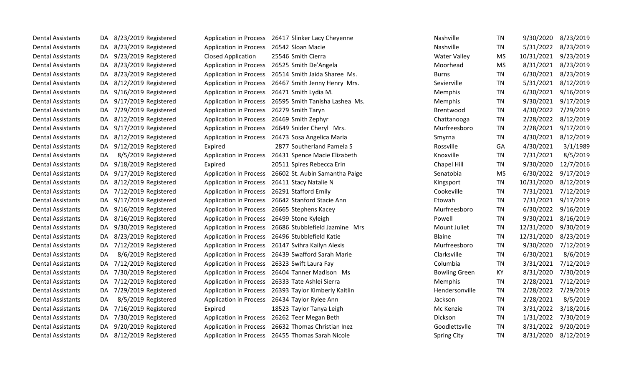| <b>Dental Assistants</b> | DA. | 8/23/2019 Registered    |                                          | Application in Process 26417 Slinker Lacy Cheyenne    | Nashville            | TN        | 9/30/2020  | 8/23/2019 |
|--------------------------|-----|-------------------------|------------------------------------------|-------------------------------------------------------|----------------------|-----------|------------|-----------|
| <b>Dental Assistants</b> | DA. | 8/23/2019 Registered    | <b>Application in Process</b>            | 26542 Sloan Macie                                     | Nashville            | <b>TN</b> | 5/31/2022  | 8/23/2019 |
| <b>Dental Assistants</b> | DA. | 9/23/2019 Registered    | <b>Closed Application</b>                | 25546 Smith Cierra                                    | <b>Water Valley</b>  | <b>MS</b> | 10/31/2021 | 9/23/2019 |
| <b>Dental Assistants</b> | DA. | 8/23/2019 Registered    |                                          | Application in Process 26525 Smith De'Angela          | Moorhead             | <b>MS</b> | 8/31/2021  | 8/23/2019 |
| <b>Dental Assistants</b> | DA. | 8/23/2019 Registered    | <b>Application in Process</b>            | 26514 Smith Jaida Sharee Ms.                          | <b>Burns</b>         | <b>TN</b> | 6/30/2021  | 8/23/2019 |
| <b>Dental Assistants</b> | DA  | 8/12/2019 Registered    | <b>Application in Process</b>            | 26467 Smith Jenny Henry Mrs.                          | Sevierville          | <b>TN</b> | 5/31/2021  | 8/12/2019 |
| <b>Dental Assistants</b> | DA  | 9/16/2019 Registered    | <b>Application in Process</b>            | 26471 Smith Lydia M.                                  | Memphis              | <b>TN</b> | 6/30/2021  | 9/16/2019 |
| <b>Dental Assistants</b> | DA. | 9/17/2019 Registered    |                                          | Application in Process 26595 Smith Tanisha Lashea Ms. | Memphis              | <b>TN</b> | 9/30/2021  | 9/17/2019 |
| <b>Dental Assistants</b> | DA. | 7/29/2019 Registered    | Application in Process 26279 Smith Taryn |                                                       | Brentwood            | <b>TN</b> | 4/30/2022  | 7/29/2019 |
| <b>Dental Assistants</b> | DA. | 8/12/2019 Registered    | <b>Application in Process</b>            | 26469 Smith Zephyr                                    | Chattanooga          | <b>TN</b> | 2/28/2022  | 8/12/2019 |
| <b>Dental Assistants</b> | DA  | 9/17/2019 Registered    | <b>Application in Process</b>            | 26649 Snider Cheryl Mrs.                              | Murfreesboro         | <b>TN</b> | 2/28/2021  | 9/17/2019 |
| <b>Dental Assistants</b> | DA  | 8/12/2019 Registered    |                                          | Application in Process 26473 Sosa Angelica Maria      | Smyrna               | <b>TN</b> | 4/30/2021  | 8/12/2019 |
| <b>Dental Assistants</b> | DA. | 9/12/2019 Registered    | Expired                                  | 2877 Southerland Pamela S                             | Rossville            | GA        | 4/30/2021  | 3/1/1989  |
| <b>Dental Assistants</b> | DA  | 8/5/2019 Registered     | <b>Application in Process</b>            | 26431 Spence Macie Elizabeth                          | Knoxville            | TN        | 7/31/2021  | 8/5/2019  |
| <b>Dental Assistants</b> | DA. | 9/18/2019 Registered    | Expired                                  | 20511 Spires Rebecca Erin                             | Chapel Hill          | <b>TN</b> | 9/30/2020  | 12/7/2016 |
| <b>Dental Assistants</b> | DA. | 9/17/2019 Registered    | <b>Application in Process</b>            | 26602 St. Aubin Samantha Paige                        | Senatobia            | <b>MS</b> | 6/30/2022  | 9/17/2019 |
| <b>Dental Assistants</b> | DA. | 8/12/2019 Registered    |                                          | Application in Process 26411 Stacy Natalie N          | Kingsport            | <b>TN</b> | 10/31/2020 | 8/12/2019 |
| <b>Dental Assistants</b> | DA. | 7/12/2019 Registered    | <b>Application in Process</b>            | 26291 Stafford Emily                                  | Cookeville           | <b>TN</b> | 7/31/2021  | 7/12/2019 |
| <b>Dental Assistants</b> | DA  | 9/17/2019 Registered    | <b>Application in Process</b>            | 26642 Stanford Stacie Ann                             | Etowah               | <b>TN</b> | 7/31/2021  | 9/17/2019 |
| <b>Dental Assistants</b> | DA. | 9/16/2019 Registered    | <b>Application in Process</b>            | 26665 Stephens Kacey                                  | Murfreesboro         | <b>TN</b> | 6/30/2022  | 9/16/2019 |
| <b>Dental Assistants</b> | DA. | 8/16/2019 Registered    | <b>Application in Process</b>            | 26499 Stone Kyleigh                                   | Powell               | <b>TN</b> | 9/30/2021  | 8/16/2019 |
| <b>Dental Assistants</b> | DA  | 9/30/2019 Registered    |                                          | Application in Process 26686 Stubblefield Jazmine Mrs | Mount Juliet         | <b>TN</b> | 12/31/2020 | 9/30/2019 |
| <b>Dental Assistants</b> | DA. | 8/23/2019 Registered    |                                          | Application in Process 26496 Stubblefield Katie       | Blaine               | <b>TN</b> | 12/31/2020 | 8/23/2019 |
| <b>Dental Assistants</b> | DA. | 7/12/2019 Registered    |                                          | Application in Process 26147 Svihra Kailyn Alexis     | Murfreesboro         | <b>TN</b> | 9/30/2020  | 7/12/2019 |
| <b>Dental Assistants</b> | DA  | 8/6/2019 Registered     | <b>Application in Process</b>            | 26439 Swafford Sarah Marie                            | Clarksville          | <b>TN</b> | 6/30/2021  | 8/6/2019  |
| <b>Dental Assistants</b> | DA. | 7/12/2019 Registered    | <b>Application in Process</b>            | 26323 Swift Laura Fay                                 | Columbia             | <b>TN</b> | 3/31/2021  | 7/12/2019 |
| <b>Dental Assistants</b> | DA  | 7/30/2019 Registered    | <b>Application in Process</b>            | 26404 Tanner Madison Ms                               | <b>Bowling Green</b> | KY        | 8/31/2020  | 7/30/2019 |
| <b>Dental Assistants</b> | DA. | 7/12/2019 Registered    |                                          | Application in Process 26333 Tate Ashlei Sierra       | Memphis              | TN        | 2/28/2021  | 7/12/2019 |
| <b>Dental Assistants</b> | DA. | 7/29/2019 Registered    |                                          | Application in Process 26393 Taylor Kimberly Kaitlin  | Hendersonville       | <b>TN</b> | 2/28/2022  | 7/29/2019 |
| <b>Dental Assistants</b> | DA  | 8/5/2019 Registered     | <b>Application in Process</b>            | 26434 Taylor Rylee Ann                                | Jackson              | <b>TN</b> | 2/28/2021  | 8/5/2019  |
| <b>Dental Assistants</b> | DA. | 7/16/2019 Registered    | Expired                                  | 18523 Taylor Tanya Leigh                              | Mc Kenzie            | <b>TN</b> | 3/31/2022  | 3/18/2016 |
| <b>Dental Assistants</b> | DA. | 7/30/2019 Registered    |                                          | Application in Process 26262 Teer Megan Beth          | Dickson              | <b>TN</b> | 1/31/2022  | 7/30/2019 |
| <b>Dental Assistants</b> | DA  | 9/20/2019 Registered    |                                          | Application in Process 26632 Thomas Christian Inez    | Goodlettsvlle        | <b>TN</b> | 8/31/2022  | 9/20/2019 |
| <b>Dental Assistants</b> |     | DA 8/12/2019 Registered |                                          | Application in Process 26455 Thomas Sarah Nicole      | <b>Spring City</b>   | <b>TN</b> | 8/31/2020  | 8/12/2019 |
|                          |     |                         |                                          |                                                       |                      |           |            |           |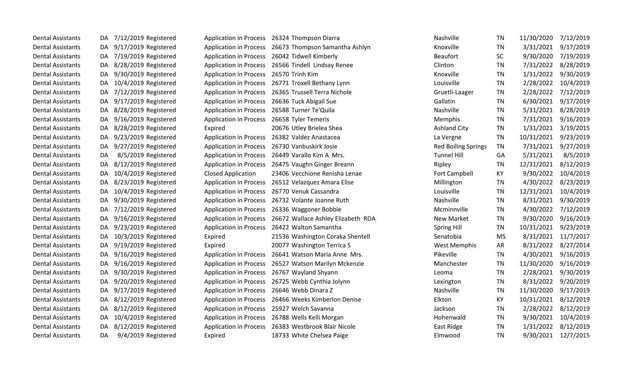| <b>Dental Assistants</b> | DA. | 7/12/2019 Registered |                               | Application in Process 26324 Thompson Diarra              | Nashville                  | TN        | 11/30/2020          | 7/12/2019 |
|--------------------------|-----|----------------------|-------------------------------|-----------------------------------------------------------|----------------------------|-----------|---------------------|-----------|
| <b>Dental Assistants</b> | DA. | 9/17/2019 Registered |                               | Application in Process 26673 Thompson Samantha Ashlyn     | Knoxville                  | TN        | 3/31/2021           | 9/17/2019 |
| <b>Dental Assistants</b> | DA. | 7/19/2019 Registered |                               | Application in Process 26042 Tidwell Kimberly             | <b>Beaufort</b>            | <b>SC</b> | 9/30/2020           | 7/19/2019 |
| <b>Dental Assistants</b> | DA. | 8/28/2019 Registered | <b>Application in Process</b> | 26566 Tindell Lindsay Renee                               | Clinton                    | <b>TN</b> | 7/31/2022           | 8/28/2019 |
| <b>Dental Assistants</b> | DA  | 9/30/2019 Registered | <b>Application in Process</b> | 26570 Trinh Kim                                           | Knoxville                  | <b>TN</b> | 1/31/2022           | 9/30/2019 |
| <b>Dental Assistants</b> | DA  | 10/4/2019 Registered | <b>Application in Process</b> | 26771 Troxell Bethany Lynn                                | Louisville                 | TN        | 2/28/2022           | 10/4/2019 |
| <b>Dental Assistants</b> | DA. | 7/12/2019 Registered |                               | Application in Process 26365 Trussell Terra Nichole       | Gruetli-Laager             | <b>TN</b> | 2/28/2022           | 7/12/2019 |
| <b>Dental Assistants</b> | DA. | 9/17/2019 Registered | <b>Application in Process</b> | 26636 Tuck Abigail Sue                                    | Gallatin                   | TN        | 6/30/2021           | 9/17/2019 |
| <b>Dental Assistants</b> | DA. | 8/28/2019 Registered | <b>Application in Process</b> | 26588 Turner Te'Quila                                     | Nashville                  | <b>TN</b> | 5/31/2021           | 8/28/2019 |
| <b>Dental Assistants</b> | DA  | 9/16/2019 Registered | <b>Application in Process</b> | 26658 Tyler Temeris                                       | Memphis                    | TN        | 7/31/2021           | 9/16/2019 |
| <b>Dental Assistants</b> | DA  | 8/28/2019 Registered | Expired                       | 20676 Utley Brielea Shea                                  | <b>Ashland City</b>        | <b>TN</b> | 1/31/2021           | 3/19/2015 |
| <b>Dental Assistants</b> | DA. | 9/23/2019 Registered | <b>Application in Process</b> | 26382 Valdez Anastacea                                    | La Vergne                  | <b>TN</b> | 10/31/2021          | 9/23/2019 |
| <b>Dental Assistants</b> | DA. | 9/27/2019 Registered | <b>Application in Process</b> | 26730 Vanbuskirk Josie                                    | <b>Red Boiling Springs</b> | TN        | 7/31/2021           | 9/27/2019 |
| <b>Dental Assistants</b> | DA  | 8/5/2019 Registered  | <b>Application in Process</b> | 26449 Varallo Kim A Mrs.                                  | <b>Tunnel Hill</b>         | GA        | 5/31/2021           | 8/5/2019  |
| <b>Dental Assistants</b> | DA  | 8/12/2019 Registered | <b>Application in Process</b> | 26475 Vaughn Ginger Breann                                | Ripley                     | TN        | 12/31/2021          | 8/12/2019 |
| <b>Dental Assistants</b> | DA  | 10/4/2019 Registered | <b>Closed Application</b>     | 23406 Vecchione Renisha Lenae                             | <b>Fort Campbell</b>       | KY        | 9/30/2022           | 10/4/2019 |
| <b>Dental Assistants</b> | DA. | 8/23/2019 Registered | <b>Application in Process</b> | 26512 Velazquez Amara Elise                               | Millington                 | <b>TN</b> | 4/30/2022           | 8/23/2019 |
| <b>Dental Assistants</b> | DA  | 10/4/2019 Registered | <b>Application in Process</b> | 26770 Venuk Cassandra                                     | Louisville                 | <b>TN</b> | 12/31/2021          | 10/4/2019 |
| <b>Dental Assistants</b> | DA  | 9/30/2019 Registered | <b>Application in Process</b> | 26732 Volante Joanne Ruth                                 | Nashville                  | <b>TN</b> | 8/31/2021           | 9/30/2019 |
| <b>Dental Assistants</b> | DA  | 7/12/2019 Registered | <b>Application in Process</b> | 26336 Waggoner Bobbie                                     | Mcminnville                | <b>TN</b> | 4/30/2022           | 7/12/2019 |
| <b>Dental Assistants</b> | DA. | 9/16/2019 Registered |                               | Application in Process 26672 Wallace Ashley Elizabeth RDA | <b>New Market</b>          | TN        | 9/30/2020           | 9/16/2019 |
| <b>Dental Assistants</b> | DA. | 9/23/2019 Registered | <b>Application in Process</b> | 26422 Walton Samantha                                     | <b>Spring Hill</b>         | <b>TN</b> | 10/31/2021          | 9/23/2019 |
| <b>Dental Assistants</b> | DA. | 10/3/2019 Registered | Expired                       | 21536 Washington Coraka Shentell                          | Senatobia                  | <b>MS</b> | 8/31/2021           | 11/7/2017 |
| <b>Dental Assistants</b> | DA. | 9/19/2019 Registered | Expired                       | 20077 Washington Terrica S                                | <b>West Memphis</b>        | AR        | 8/31/2022           | 8/27/2014 |
| <b>Dental Assistants</b> | DA. | 9/16/2019 Registered | <b>Application in Process</b> | 26641 Watson Maria Anne Mrs.                              | Pikeville                  | <b>TN</b> | 4/30/2021           | 9/16/2019 |
| <b>Dental Assistants</b> | DA. | 9/16/2019 Registered | <b>Application in Process</b> | 26527 Watson Marilyn Mckenzie                             | Manchester                 | <b>TN</b> | 11/30/2020          | 9/16/2019 |
| <b>Dental Assistants</b> | DA. | 9/30/2019 Registered | <b>Application in Process</b> | 26767 Wayland Shyann                                      | Leoma                      | <b>TN</b> | 2/28/2021           | 9/30/2019 |
| <b>Dental Assistants</b> | DA. | 9/20/2019 Registered | <b>Application in Process</b> | 26725 Webb Cynthia Jolynn                                 | Lexington                  | TN        | 8/31/2022           | 9/20/2019 |
| <b>Dental Assistants</b> | DA  | 9/17/2019 Registered | <b>Application in Process</b> | 26646 Webb Dinara Z                                       | Nashville                  | <b>TN</b> | 11/30/2020          | 9/17/2019 |
| <b>Dental Assistants</b> | DA. | 8/12/2019 Registered |                               | Application in Process 26466 Weeks Kimberlon Denise       | Elkton                     | KY        | 10/31/2021          | 8/12/2019 |
| <b>Dental Assistants</b> | DA. | 8/12/2019 Registered |                               | Application in Process 25927 Welch Savanna                | Jackson                    | <b>TN</b> | 2/28/2022           | 8/12/2019 |
| <b>Dental Assistants</b> | DA. | 10/4/2019 Registered |                               | Application in Process 26788 Wells Kelli Morgan           | Hohenwald                  | TN        | 9/30/2021           | 10/4/2019 |
| <b>Dental Assistants</b> | DA. | 8/12/2019 Registered | <b>Application in Process</b> | 26383 Westbrook Blair Nicole                              | East Ridge                 | TN        | 1/31/2022           | 8/12/2019 |
| <b>Dental Assistants</b> | DA  | 9/4/2019 Registered  | Expired                       | 18733 White Chelsea Paige                                 | Elmwood                    | <b>TN</b> | 9/30/2021 12/7/2015 |           |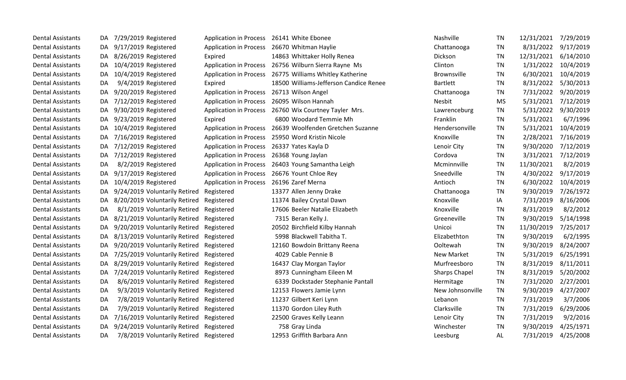| Dental Assistants        | DA. | 7/29/2019 Registered                    | <b>Application in Process</b> | 26141 White Ebonee                                      | Nashville          | <b>TN</b> | 12/31/2021 | 7/29/2019 |
|--------------------------|-----|-----------------------------------------|-------------------------------|---------------------------------------------------------|--------------------|-----------|------------|-----------|
| <b>Dental Assistants</b> | DA. | 9/17/2019 Registered                    | <b>Application in Process</b> | 26670 Whitman Haylie                                    | Chattanooga        | TN        | 8/31/2022  | 9/17/2019 |
| <b>Dental Assistants</b> | DA. | 8/26/2019 Registered                    | Expired                       | 14863 Whittaker Holly Renea                             | Dickson            | <b>TN</b> | 12/31/2021 | 6/14/2010 |
| <b>Dental Assistants</b> | DA. | 10/4/2019 Registered                    |                               | Application in Process 26756 Wilburn Sierra Rayne Ms    | Clinton            | TN        | 1/31/2022  | 10/4/2019 |
| <b>Dental Assistants</b> | DA. | 10/4/2019 Registered                    |                               | Application in Process 26775 Williams Whitley Katherine | <b>Brownsville</b> | TN        | 6/30/2021  | 10/4/2019 |
| <b>Dental Assistants</b> | DA  | 9/4/2019 Registered                     | Expired                       | 18500 Williams-Jefferson Candice Renee                  | <b>Bartlett</b>    | <b>TN</b> | 8/31/2022  | 5/30/2013 |
| <b>Dental Assistants</b> | DA. | 9/20/2019 Registered                    | <b>Application in Process</b> | 26713 Wilson Angel                                      | Chattanooga        | TN        | 7/31/2022  | 9/20/2019 |
| <b>Dental Assistants</b> | DA. | 7/12/2019 Registered                    | <b>Application in Process</b> | 26095 Wilson Hannah                                     | Nesbit             | <b>MS</b> | 5/31/2021  | 7/12/2019 |
| <b>Dental Assistants</b> | DA. | 9/30/2019 Registered                    | <b>Application in Process</b> | 26760 Wix Courtney Tayler Mrs.                          | Lawrenceburg       | <b>TN</b> | 5/31/2022  | 9/30/2019 |
| <b>Dental Assistants</b> | DA. | 9/23/2019 Registered                    | Expired                       | 6800 Woodard Temmie Mh                                  | Franklin           | <b>TN</b> | 5/31/2021  | 6/7/1996  |
| <b>Dental Assistants</b> | DA. | 10/4/2019 Registered                    | <b>Application in Process</b> | 26639 Woolfenden Gretchen Suzanne                       | Hendersonville     | TN        | 5/31/2021  | 10/4/2019 |
| <b>Dental Assistants</b> | DA. | 7/16/2019 Registered                    | <b>Application in Process</b> | 25950 Word Kristin Nicole                               | Knoxville          | TN        | 2/28/2021  | 7/16/2019 |
| <b>Dental Assistants</b> | DA. | 7/12/2019 Registered                    | <b>Application in Process</b> | 26337 Yates Kayla D                                     | Lenoir City        | TN        | 9/30/2020  | 7/12/2019 |
| <b>Dental Assistants</b> | DA. | 7/12/2019 Registered                    | <b>Application in Process</b> | 26368 Young Jaylan                                      | Cordova            | TN        | 3/31/2021  | 7/12/2019 |
| <b>Dental Assistants</b> | DA  | 8/2/2019 Registered                     | <b>Application in Process</b> | 26403 Young Samantha Leigh                              | Mcminnville        | <b>TN</b> | 11/30/2021 | 8/2/2019  |
| <b>Dental Assistants</b> | DA  | 9/17/2019 Registered                    | <b>Application in Process</b> | 26676 Yount Chloe Rey                                   | Sneedville         | <b>TN</b> | 4/30/2022  | 9/17/2019 |
| <b>Dental Assistants</b> | DA  | 10/4/2019 Registered                    | <b>Application in Process</b> | 26196 Zaref Merna                                       | Antioch            | TN        | 6/30/2022  | 10/4/2019 |
| <b>Dental Assistants</b> | DA. | 9/24/2019 Voluntarily Retired           | Registered                    | 13377 Allen Jenny Drake                                 | Chattanooga        | TN        | 9/30/2019  | 7/26/1972 |
| <b>Dental Assistants</b> | DA. | 8/20/2019 Voluntarily Retired           | Registered                    | 11374 Bailey Crystal Dawn                               | Knoxville          | ΙA        | 7/31/2019  | 8/16/2006 |
| <b>Dental Assistants</b> | DA  | 8/1/2019 Voluntarily Retired            | Registered                    | 17606 Beeler Natalie Elizabeth                          | Knoxville          | <b>TN</b> | 8/31/2019  | 8/2/2012  |
| <b>Dental Assistants</b> | DA  | 8/21/2019 Voluntarily Retired           | Registered                    | 7315 Beran Kelly J.                                     | Greeneville        | <b>TN</b> | 9/30/2019  | 5/14/1998 |
| <b>Dental Assistants</b> | DA. | 9/20/2019 Voluntarily Retired           | Registered                    | 20502 Birchfield Kilby Hannah                           | Unicoi             | <b>TN</b> | 11/30/2019 | 7/25/2017 |
| <b>Dental Assistants</b> | DA. | 8/13/2019 Voluntarily Retired           | Registered                    | 5998 Blackwell Tabitha T.                               | Elizabethton       | TN        | 9/30/2019  | 6/2/1995  |
| <b>Dental Assistants</b> | DA  | 9/20/2019 Voluntarily Retired           | Registered                    | 12160 Bowdoin Brittany Reena                            | Ooltewah           | TN        | 9/30/2019  | 8/24/2007 |
| <b>Dental Assistants</b> | DA. | 7/25/2019 Voluntarily Retired           | Registered                    | 4029 Cable Pennie B                                     | <b>New Market</b>  | <b>TN</b> | 5/31/2019  | 6/25/1991 |
| <b>Dental Assistants</b> | DA. | 8/29/2019 Voluntarily Retired           | Registered                    | 16437 Clay Morgan Taylor                                | Murfreesboro       | <b>TN</b> | 8/31/2019  | 8/11/2011 |
| <b>Dental Assistants</b> | DA  | 7/24/2019 Voluntarily Retired           | Registered                    | 8973 Cunningham Eileen M                                | Sharps Chapel      | <b>TN</b> | 8/31/2019  | 5/20/2002 |
| <b>Dental Assistants</b> | DA  | 8/6/2019 Voluntarily Retired            | Registered                    | 6339 Dockstader Stephanie Pantall                       | Hermitage          | TN        | 7/31/2020  | 2/27/2001 |
| <b>Dental Assistants</b> | DA  | 9/3/2019 Voluntarily Retired            | Registered                    | 12153 Flowers Jamie Lynn                                | New Johnsonville   | TN        | 9/30/2019  | 4/27/2007 |
| <b>Dental Assistants</b> | DA  | 7/8/2019 Voluntarily Retired            | Registered                    | 11237 Gilbert Keri Lynn                                 | Lebanon            | TN        | 7/31/2019  | 3/7/2006  |
| <b>Dental Assistants</b> | DA  | 7/9/2019 Voluntarily Retired            | Registered                    | 11370 Gordon Liley Ruth                                 | Clarksville        | TN        | 7/31/2019  | 6/29/2006 |
| <b>Dental Assistants</b> | DA  | 7/16/2019 Voluntarily Retired           | Registered                    | 22500 Graves Kelly Leann                                | Lenoir City        | <b>TN</b> | 7/31/2019  | 9/2/2016  |
| <b>Dental Assistants</b> | DA  | 9/24/2019 Voluntarily Retired           | Registered                    | 758 Gray Linda                                          | Winchester         | <b>TN</b> | 9/30/2019  | 4/25/1971 |
| <b>Dental Assistants</b> | DA  | 7/8/2019 Voluntarily Retired Registered |                               | 12953 Griffith Barbara Ann                              | Leesburg           | <b>AL</b> | 7/31/2019  | 4/25/2008 |
|                          |     |                                         |                               |                                                         |                    |           |            |           |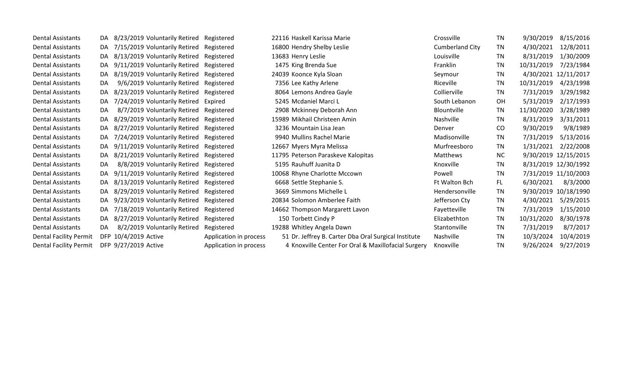Dental Assistants DA 8/23/2019 Voluntarily Retired Registered 22116 Haskell Karissa Marie Crossville TN 9/30/2019 8/15/2016 Dental Assistants DA 7/15/2019 Voluntarily Retired Registered 16800 Hendry Shelby Leslie Cumberland City TN 4/30/2021 12/8/2011 Dental Assistants DA 8/13/2019 Voluntarily Retired Registered 13683 Henry Leslie Louisville Louisville TN 8/31/2019 1/30/2009 Dental Assistants DA 9/11/2019 Voluntarily Retired Registered 1475 King Brenda Sue Franklin Franklin TN 10/31/2019 7/23/1984 Dental Assistants DA 8/19/2019 Voluntarily Retired Registered 24039 Koonce Kyla Sloan Seymour TN 4/30/2021 12/11/2017 Dental Assistants DA 9/6/2019 Voluntarily Retired Registered 7356 Lee Kathy Arlene Riceville TN 10/31/2019 4/23/1998 Dental Assistants DA 8/23/2019 Voluntarily Retired Registered 8064 Lemons Andrea Gayle Collierville TN 7/31/2019 3/29/1982 Dental Assistants DA 7/24/2019 Voluntarily Retired Expired 5245 Mcdaniel Marci L South Lebanon OH 5/31/2019 2/17/1993 Dental Assistants DA 8/7/2019 Voluntarily Retired Registered 2908 Mckinney Deborah Ann Blountville TN 11/30/2020 3/28/1989 Dental Assistants DA 8/29/2019 Voluntarily Retired Registered 15989 Mikhail Christeen Amin Nashville TN 8/31/2019 3/31/2011 Dental Assistants DA 8/27/2019 Voluntarily Retired Registered 3236 Mountain Lisa Jean Denver Denver CO 9/30/2019 9/8/1989 Dental Assistants DA 7/24/2019 Voluntarily Retired Registered 9940 Mullins Rachel Marie Madisonville TN 7/31/2019 5/13/2016 Dental Assistants DA 9/11/2019 Voluntarily Retired Registered 12667 Myers Myra Melissa Murfreesboro TN 1/31/2021 2/22/2008 Dental Assistants DA 8/21/2019 Voluntarily Retired Registered 11795 Peterson Paraskeve Kalopitas Matthews NC 9/30/2019 12/15/2015 Dental Assistants DA 8/8/2019 Voluntarily Retired Registered 5195 Rauhuff Juanita D Knoxville TN 8/31/2019 12/30/1992 Dental Assistants DA 9/11/2019 Voluntarily Retired Registered 10068 Rhyne Charlotte Mccown Powell TN 7/31/2019 11/10/2003 Dental Assistants DA 8/13/2019 Voluntarily Retired Registered 6668 Settle Stephanie S. Ft Walton Bch FL 6/30/2021 8/3/2000 Dental Assistants DA 8/29/2019 Voluntarily Retired Registered 3669 Simmons Michelle L Comment Hendersonville TN 9/30/2019 10/18/1990 Dental Assistants DA 9/23/2019 Voluntarily Retired Registered 20834 Solomon Amberlee Faith Jefferson Cty TN 4/30/2021 5/29/2015 Dental Assistants DA 7/18/2019 Voluntarily Retired Registered 14662 Thompson Margarett Lavon Fayetteville TN 7/31/2019 1/15/2010 Dental Assistants DA 8/27/2019 Voluntarily Retired Registered 150 Torbett Cindy P Elizabethton TN 10/31/2020 8/30/1978 Dental Assistants DA 8/2/2019 Voluntarily Retired Registered 19288 Whitley Angela Dawn Stantonville TN 7/31/2019 8/7/2017 Dental Facility Permit DFP 10/4/2019 Active Application in process 51 Dr. Jeffrey B. Carter Dba Oral Surgical Institute Nashville TN 10/3/2024 10/4/2019 Dental Facility Permit DFP 9/27/2019 Active **Application in process** 4 Knoxville Center For Oral & Maxillofacial Surgery Knoxville TN 9/26/2024 9/27/2019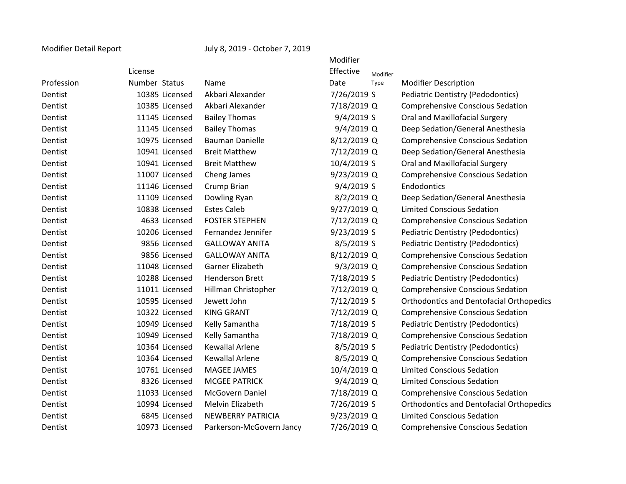Modifier Detail Report July 8, 2019 - October 7, 2019

|            |                |                          | Modifier    |          |                                                 |
|------------|----------------|--------------------------|-------------|----------|-------------------------------------------------|
|            | License        |                          | Effective   | Modifier |                                                 |
| Profession | Number Status  | Name                     | Date        | Type     | <b>Modifier Description</b>                     |
| Dentist    | 10385 Licensed | Akbari Alexander         | 7/26/2019 S |          | <b>Pediatric Dentistry (Pedodontics)</b>        |
| Dentist    | 10385 Licensed | Akbari Alexander         | 7/18/2019 Q |          | <b>Comprehensive Conscious Sedation</b>         |
| Dentist    | 11145 Licensed | <b>Bailey Thomas</b>     | 9/4/2019 S  |          | Oral and Maxillofacial Surgery                  |
| Dentist    | 11145 Licensed | <b>Bailey Thomas</b>     | 9/4/2019 Q  |          | Deep Sedation/General Anesthesia                |
| Dentist    | 10975 Licensed | <b>Bauman Danielle</b>   | 8/12/2019 Q |          | <b>Comprehensive Conscious Sedation</b>         |
| Dentist    | 10941 Licensed | <b>Breit Matthew</b>     | 7/12/2019 Q |          | Deep Sedation/General Anesthesia                |
| Dentist    | 10941 Licensed | <b>Breit Matthew</b>     | 10/4/2019 S |          | Oral and Maxillofacial Surgery                  |
| Dentist    | 11007 Licensed | Cheng James              | 9/23/2019 Q |          | <b>Comprehensive Conscious Sedation</b>         |
| Dentist    | 11146 Licensed | Crump Brian              | 9/4/2019 S  |          | Endodontics                                     |
| Dentist    | 11109 Licensed | Dowling Ryan             | 8/2/2019 Q  |          | Deep Sedation/General Anesthesia                |
| Dentist    | 10838 Licensed | <b>Estes Caleb</b>       | 9/27/2019 Q |          | <b>Limited Conscious Sedation</b>               |
| Dentist    | 4633 Licensed  | <b>FOSTER STEPHEN</b>    | 7/12/2019 Q |          | <b>Comprehensive Conscious Sedation</b>         |
| Dentist    | 10206 Licensed | Fernandez Jennifer       | 9/23/2019 S |          | Pediatric Dentistry (Pedodontics)               |
| Dentist    | 9856 Licensed  | <b>GALLOWAY ANITA</b>    | 8/5/2019 S  |          | <b>Pediatric Dentistry (Pedodontics)</b>        |
| Dentist    | 9856 Licensed  | <b>GALLOWAY ANITA</b>    | 8/12/2019 Q |          | <b>Comprehensive Conscious Sedation</b>         |
| Dentist    | 11048 Licensed | Garner Elizabeth         | 9/3/2019 Q  |          | <b>Comprehensive Conscious Sedation</b>         |
| Dentist    | 10288 Licensed | <b>Henderson Brett</b>   | 7/18/2019 S |          | Pediatric Dentistry (Pedodontics)               |
| Dentist    | 11011 Licensed | Hillman Christopher      | 7/12/2019 Q |          | <b>Comprehensive Conscious Sedation</b>         |
| Dentist    | 10595 Licensed | Jewett John              | 7/12/2019 S |          | <b>Orthodontics and Dentofacial Orthopedics</b> |
| Dentist    | 10322 Licensed | <b>KING GRANT</b>        | 7/12/2019 Q |          | <b>Comprehensive Conscious Sedation</b>         |
| Dentist    | 10949 Licensed | Kelly Samantha           | 7/18/2019 S |          | <b>Pediatric Dentistry (Pedodontics)</b>        |
| Dentist    | 10949 Licensed | Kelly Samantha           | 7/18/2019 Q |          | <b>Comprehensive Conscious Sedation</b>         |
| Dentist    | 10364 Licensed | <b>Kewallal Arlene</b>   | 8/5/2019 S  |          | Pediatric Dentistry (Pedodontics)               |
| Dentist    | 10364 Licensed | <b>Kewallal Arlene</b>   | 8/5/2019 Q  |          | <b>Comprehensive Conscious Sedation</b>         |
| Dentist    | 10761 Licensed | MAGEE JAMES              | 10/4/2019 Q |          | <b>Limited Conscious Sedation</b>               |
| Dentist    | 8326 Licensed  | <b>MCGEE PATRICK</b>     | 9/4/2019 Q  |          | <b>Limited Conscious Sedation</b>               |
| Dentist    | 11033 Licensed | McGovern Daniel          | 7/18/2019 Q |          | <b>Comprehensive Conscious Sedation</b>         |
| Dentist    | 10994 Licensed | Melvin Elizabeth         | 7/26/2019 S |          | <b>Orthodontics and Dentofacial Orthopedics</b> |
| Dentist    | 6845 Licensed  | <b>NEWBERRY PATRICIA</b> | 9/23/2019 Q |          | <b>Limited Conscious Sedation</b>               |
| Dentist    | 10973 Licensed | Parkerson-McGovern Jancy | 7/26/2019 Q |          | <b>Comprehensive Conscious Sedation</b>         |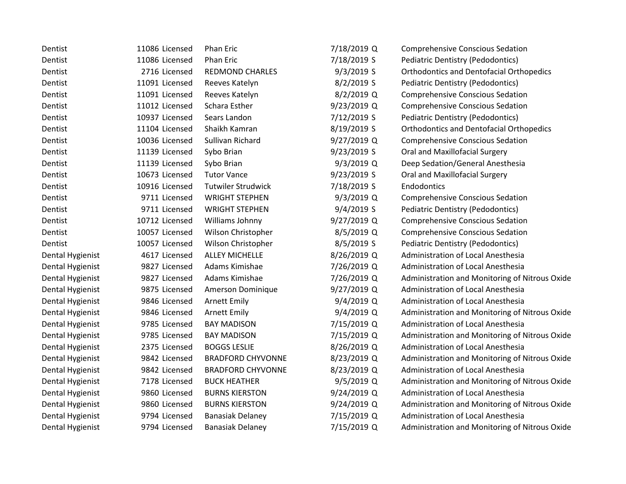| Dentist          | 11086 Licensed | <b>Phan Eric</b>          | 7/18/2019 Q  | <b>Comprehensive Conscious Sedation</b>         |
|------------------|----------------|---------------------------|--------------|-------------------------------------------------|
| Dentist          | 11086 Licensed | <b>Phan Eric</b>          | 7/18/2019 S  | <b>Pediatric Dentistry (Pedodontics)</b>        |
| Dentist          | 2716 Licensed  | <b>REDMOND CHARLES</b>    | $9/3/2019$ S | <b>Orthodontics and Dentofacial Orthopedics</b> |
| Dentist          | 11091 Licensed | Reeves Katelyn            | 8/2/2019 S   | <b>Pediatric Dentistry (Pedodontics)</b>        |
| Dentist          | 11091 Licensed | Reeves Katelyn            | 8/2/2019 Q   | <b>Comprehensive Conscious Sedation</b>         |
| Dentist          | 11012 Licensed | Schara Esther             | 9/23/2019 Q  | <b>Comprehensive Conscious Sedation</b>         |
| Dentist          | 10937 Licensed | Sears Landon              | 7/12/2019 S  | Pediatric Dentistry (Pedodontics)               |
| Dentist          | 11104 Licensed | Shaikh Kamran             | 8/19/2019 S  | <b>Orthodontics and Dentofacial Orthopedics</b> |
| Dentist          | 10036 Licensed | Sullivan Richard          | 9/27/2019 Q  | <b>Comprehensive Conscious Sedation</b>         |
| Dentist          | 11139 Licensed | Sybo Brian                | 9/23/2019 S  | Oral and Maxillofacial Surgery                  |
| Dentist          | 11139 Licensed | Sybo Brian                | $9/3/2019$ Q | Deep Sedation/General Anesthesia                |
| Dentist          | 10673 Licensed | <b>Tutor Vance</b>        | 9/23/2019 S  | Oral and Maxillofacial Surgery                  |
| Dentist          | 10916 Licensed | <b>Tutwiler Strudwick</b> | 7/18/2019 S  | Endodontics                                     |
| Dentist          | 9711 Licensed  | <b>WRIGHT STEPHEN</b>     | 9/3/2019 Q   | <b>Comprehensive Conscious Sedation</b>         |
| Dentist          | 9711 Licensed  | <b>WRIGHT STEPHEN</b>     | 9/4/2019 S   | Pediatric Dentistry (Pedodontics)               |
| Dentist          | 10712 Licensed | Williams Johnny           | 9/27/2019 Q  | <b>Comprehensive Conscious Sedation</b>         |
| Dentist          | 10057 Licensed | Wilson Christopher        | 8/5/2019 Q   | <b>Comprehensive Conscious Sedation</b>         |
| Dentist          | 10057 Licensed | Wilson Christopher        | 8/5/2019 S   | <b>Pediatric Dentistry (Pedodontics)</b>        |
| Dental Hygienist | 4617 Licensed  | <b>ALLEY MICHELLE</b>     | 8/26/2019 Q  | Administration of Local Anesthesia              |
| Dental Hygienist | 9827 Licensed  | Adams Kimishae            | 7/26/2019 Q  | Administration of Local Anesthesia              |
| Dental Hygienist | 9827 Licensed  | Adams Kimishae            | 7/26/2019 Q  | Administration and Monitoring of Nitrous Oxide  |
| Dental Hygienist | 9875 Licensed  | Amerson Dominique         | 9/27/2019 Q  | Administration of Local Anesthesia              |
| Dental Hygienist | 9846 Licensed  | <b>Arnett Emily</b>       | 9/4/2019 Q   | Administration of Local Anesthesia              |
| Dental Hygienist | 9846 Licensed  | <b>Arnett Emily</b>       | $9/4/2019$ Q | Administration and Monitoring of Nitrous Oxide  |
| Dental Hygienist | 9785 Licensed  | <b>BAY MADISON</b>        | 7/15/2019 Q  | Administration of Local Anesthesia              |
| Dental Hygienist | 9785 Licensed  | <b>BAY MADISON</b>        | 7/15/2019 Q  | Administration and Monitoring of Nitrous Oxide  |
| Dental Hygienist | 2375 Licensed  | <b>BOGGS LESLIE</b>       | 8/26/2019 Q  | Administration of Local Anesthesia              |
| Dental Hygienist | 9842 Licensed  | <b>BRADFORD CHYVONNE</b>  | 8/23/2019 Q  | Administration and Monitoring of Nitrous Oxide  |
| Dental Hygienist | 9842 Licensed  | <b>BRADFORD CHYVONNE</b>  | 8/23/2019 Q  | Administration of Local Anesthesia              |
| Dental Hygienist | 7178 Licensed  | <b>BUCK HEATHER</b>       | $9/5/2019$ Q | Administration and Monitoring of Nitrous Oxide  |
| Dental Hygienist | 9860 Licensed  | <b>BURNS KIERSTON</b>     | 9/24/2019 Q  | Administration of Local Anesthesia              |
| Dental Hygienist | 9860 Licensed  | <b>BURNS KIERSTON</b>     | 9/24/2019 Q  | Administration and Monitoring of Nitrous Oxide  |
| Dental Hygienist | 9794 Licensed  | <b>Banasiak Delaney</b>   | 7/15/2019 Q  | Administration of Local Anesthesia              |
| Dental Hygienist | 9794 Licensed  | <b>Banasiak Delaney</b>   | 7/15/2019 Q  | Administration and Monitoring of Nitrous Oxide  |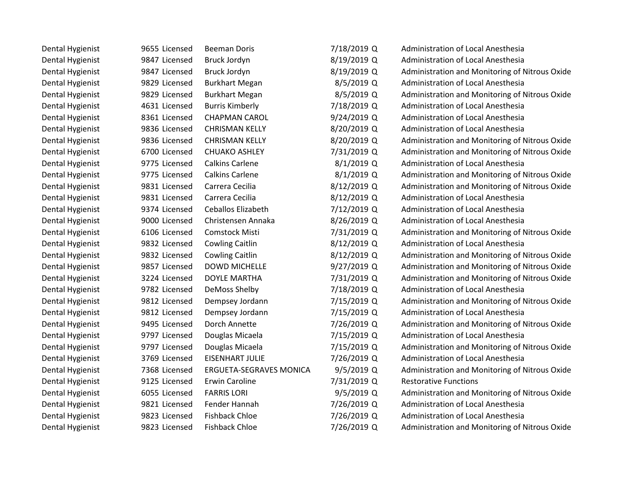| Dental Hygienist | 9655 Licensed | <b>Beeman Doris</b>            | 7/18/2019 Q  | Administration of Local Anesthesia             |
|------------------|---------------|--------------------------------|--------------|------------------------------------------------|
| Dental Hygienist | 9847 Licensed | Bruck Jordyn                   | 8/19/2019 Q  | Administration of Local Anesthesia             |
| Dental Hygienist | 9847 Licensed | Bruck Jordyn                   | 8/19/2019 Q  | Administration and Monitoring of Nitrous Oxide |
| Dental Hygienist | 9829 Licensed | <b>Burkhart Megan</b>          | 8/5/2019 Q   | Administration of Local Anesthesia             |
| Dental Hygienist | 9829 Licensed | <b>Burkhart Megan</b>          | 8/5/2019 Q   | Administration and Monitoring of Nitrous Oxide |
| Dental Hygienist | 4631 Licensed | <b>Burris Kimberly</b>         | 7/18/2019 Q  | Administration of Local Anesthesia             |
| Dental Hygienist | 8361 Licensed | <b>CHAPMAN CAROL</b>           | 9/24/2019 Q  | Administration of Local Anesthesia             |
| Dental Hygienist | 9836 Licensed | <b>CHRISMAN KELLY</b>          | 8/20/2019 Q  | Administration of Local Anesthesia             |
| Dental Hygienist | 9836 Licensed | <b>CHRISMAN KELLY</b>          | 8/20/2019 Q  | Administration and Monitoring of Nitrous Oxide |
| Dental Hygienist | 6700 Licensed | <b>CHUAKO ASHLEY</b>           | 7/31/2019 Q  | Administration and Monitoring of Nitrous Oxide |
| Dental Hygienist | 9775 Licensed | <b>Calkins Carlene</b>         | $8/1/2019$ Q | Administration of Local Anesthesia             |
| Dental Hygienist | 9775 Licensed | <b>Calkins Carlene</b>         | 8/1/2019 Q   | Administration and Monitoring of Nitrous Oxide |
| Dental Hygienist | 9831 Licensed | Carrera Cecilia                | 8/12/2019 Q  | Administration and Monitoring of Nitrous Oxide |
| Dental Hygienist | 9831 Licensed | Carrera Cecilia                | 8/12/2019 Q  | Administration of Local Anesthesia             |
| Dental Hygienist | 9374 Licensed | Ceballos Elizabeth             | 7/12/2019 Q  | Administration of Local Anesthesia             |
| Dental Hygienist | 9000 Licensed | Christensen Annaka             | 8/26/2019 Q  | Administration of Local Anesthesia             |
| Dental Hygienist | 6106 Licensed | Comstock Misti                 | 7/31/2019 Q  | Administration and Monitoring of Nitrous Oxide |
| Dental Hygienist | 9832 Licensed | <b>Cowling Caitlin</b>         | 8/12/2019 Q  | Administration of Local Anesthesia             |
| Dental Hygienist | 9832 Licensed | <b>Cowling Caitlin</b>         | 8/12/2019 Q  | Administration and Monitoring of Nitrous Oxide |
| Dental Hygienist | 9857 Licensed | <b>DOWD MICHELLE</b>           | 9/27/2019 Q  | Administration and Monitoring of Nitrous Oxide |
| Dental Hygienist | 3224 Licensed | <b>DOYLE MARTHA</b>            | 7/31/2019 Q  | Administration and Monitoring of Nitrous Oxide |
| Dental Hygienist | 9782 Licensed | DeMoss Shelby                  | 7/18/2019 Q  | Administration of Local Anesthesia             |
| Dental Hygienist | 9812 Licensed | Dempsey Jordann                | 7/15/2019 Q  | Administration and Monitoring of Nitrous Oxide |
| Dental Hygienist | 9812 Licensed | Dempsey Jordann                | 7/15/2019 Q  | Administration of Local Anesthesia             |
| Dental Hygienist | 9495 Licensed | Dorch Annette                  | 7/26/2019 Q  | Administration and Monitoring of Nitrous Oxide |
| Dental Hygienist | 9797 Licensed | Douglas Micaela                | 7/15/2019 Q  | Administration of Local Anesthesia             |
| Dental Hygienist | 9797 Licensed | Douglas Micaela                | 7/15/2019 Q  | Administration and Monitoring of Nitrous Oxide |
| Dental Hygienist | 3769 Licensed | <b>EISENHART JULIE</b>         | 7/26/2019 Q  | Administration of Local Anesthesia             |
| Dental Hygienist | 7368 Licensed | <b>ERGUETA-SEGRAVES MONICA</b> | $9/5/2019$ Q | Administration and Monitoring of Nitrous Oxide |
| Dental Hygienist | 9125 Licensed | <b>Erwin Caroline</b>          | 7/31/2019 Q  | <b>Restorative Functions</b>                   |
| Dental Hygienist | 6055 Licensed | <b>FARRIS LORI</b>             | 9/5/2019 Q   | Administration and Monitoring of Nitrous Oxide |
| Dental Hygienist | 9821 Licensed | Fender Hannah                  | 7/26/2019 Q  | Administration of Local Anesthesia             |
| Dental Hygienist | 9823 Licensed | <b>Fishback Chloe</b>          | 7/26/2019 Q  | Administration of Local Anesthesia             |
| Dental Hygienist | 9823 Licensed | <b>Fishback Chloe</b>          | 7/26/2019 Q  | Administration and Monitoring of Nitrous Oxide |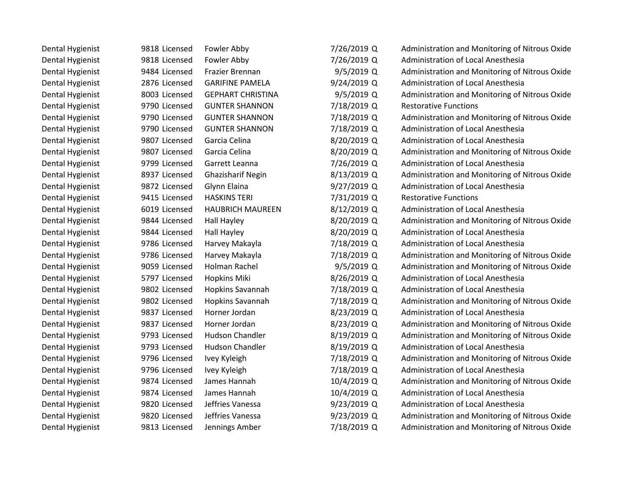| Dental Hygienist | 9818 Licensed | Fowler Abby              | 7/26/2019 Q   | Administration and Monitoring of Nitrous Oxide |
|------------------|---------------|--------------------------|---------------|------------------------------------------------|
| Dental Hygienist | 9818 Licensed | Fowler Abby              | 7/26/2019 Q   | <b>Administration of Local Anesthesia</b>      |
| Dental Hygienist | 9484 Licensed | Frazier Brennan          | 9/5/2019 Q    | Administration and Monitoring of Nitrous Oxide |
| Dental Hygienist | 2876 Licensed | <b>GARIFINE PAMELA</b>   | 9/24/2019 Q   | Administration of Local Anesthesia             |
| Dental Hygienist | 8003 Licensed | <b>GEPHART CHRISTINA</b> | $9/5/2019$ Q  | Administration and Monitoring of Nitrous Oxide |
| Dental Hygienist | 9790 Licensed | <b>GUNTER SHANNON</b>    | 7/18/2019 Q   | <b>Restorative Functions</b>                   |
| Dental Hygienist | 9790 Licensed | <b>GUNTER SHANNON</b>    | 7/18/2019 Q   | Administration and Monitoring of Nitrous Oxide |
| Dental Hygienist | 9790 Licensed | <b>GUNTER SHANNON</b>    | 7/18/2019 Q   | Administration of Local Anesthesia             |
| Dental Hygienist | 9807 Licensed | Garcia Celina            | 8/20/2019 Q   | Administration of Local Anesthesia             |
| Dental Hygienist | 9807 Licensed | Garcia Celina            | 8/20/2019 Q   | Administration and Monitoring of Nitrous Oxide |
| Dental Hygienist | 9799 Licensed | Garrett Leanna           | 7/26/2019 Q   | Administration of Local Anesthesia             |
| Dental Hygienist | 8937 Licensed | <b>Ghazisharif Negin</b> | 8/13/2019 Q   | Administration and Monitoring of Nitrous Oxide |
| Dental Hygienist | 9872 Licensed | Glynn Elaina             | 9/27/2019 Q   | Administration of Local Anesthesia             |
| Dental Hygienist | 9415 Licensed | <b>HASKINS TERI</b>      | 7/31/2019 Q   | <b>Restorative Functions</b>                   |
| Dental Hygienist | 6019 Licensed | <b>HAUBRICH MAUREEN</b>  | 8/12/2019 Q   | Administration of Local Anesthesia             |
| Dental Hygienist | 9844 Licensed | Hall Hayley              | 8/20/2019 Q   | Administration and Monitoring of Nitrous Oxide |
| Dental Hygienist | 9844 Licensed | Hall Hayley              | 8/20/2019 Q   | Administration of Local Anesthesia             |
| Dental Hygienist | 9786 Licensed | Harvey Makayla           | 7/18/2019 Q   | Administration of Local Anesthesia             |
| Dental Hygienist | 9786 Licensed | Harvey Makayla           | 7/18/2019 Q   | Administration and Monitoring of Nitrous Oxide |
| Dental Hygienist | 9059 Licensed | Holman Rachel            | $9/5/2019$ Q  | Administration and Monitoring of Nitrous Oxide |
| Dental Hygienist | 5797 Licensed | <b>Hopkins Miki</b>      | 8/26/2019 Q   | Administration of Local Anesthesia             |
| Dental Hygienist | 9802 Licensed | Hopkins Savannah         | 7/18/2019 Q   | Administration of Local Anesthesia             |
| Dental Hygienist | 9802 Licensed | <b>Hopkins Savannah</b>  | 7/18/2019 Q   | Administration and Monitoring of Nitrous Oxide |
| Dental Hygienist | 9837 Licensed | Horner Jordan            | 8/23/2019 Q   | Administration of Local Anesthesia             |
| Dental Hygienist | 9837 Licensed | Horner Jordan            | 8/23/2019 Q   | Administration and Monitoring of Nitrous Oxide |
| Dental Hygienist | 9793 Licensed | <b>Hudson Chandler</b>   | 8/19/2019 Q   | Administration and Monitoring of Nitrous Oxide |
| Dental Hygienist | 9793 Licensed | <b>Hudson Chandler</b>   | 8/19/2019 Q   | Administration of Local Anesthesia             |
| Dental Hygienist | 9796 Licensed | Ivey Kyleigh             | 7/18/2019 Q   | Administration and Monitoring of Nitrous Oxide |
| Dental Hygienist | 9796 Licensed | Ivey Kyleigh             | 7/18/2019 Q   | Administration of Local Anesthesia             |
| Dental Hygienist | 9874 Licensed | James Hannah             | 10/4/2019 Q   | Administration and Monitoring of Nitrous Oxide |
| Dental Hygienist | 9874 Licensed | James Hannah             | 10/4/2019 Q   | Administration of Local Anesthesia             |
| Dental Hygienist | 9820 Licensed | Jeffries Vanessa         | $9/23/2019$ Q | Administration of Local Anesthesia             |
| Dental Hygienist | 9820 Licensed | Jeffries Vanessa         | 9/23/2019 Q   | Administration and Monitoring of Nitrous Oxide |
| Dental Hygienist | 9813 Licensed | Jennings Amber           | 7/18/2019 Q   | Administration and Monitoring of Nitrous Oxide |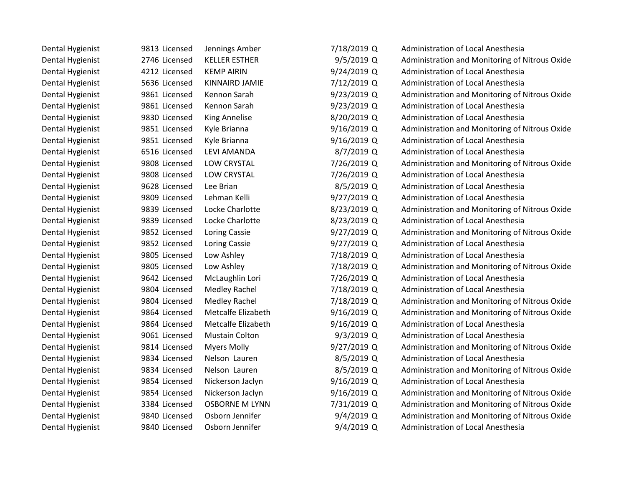| Dental Hygienist | 9813 Licensed | Jennings Amber        | 7/18/2019 Q  | Administration of Local Anesthesia             |
|------------------|---------------|-----------------------|--------------|------------------------------------------------|
| Dental Hygienist | 2746 Licensed | <b>KELLER ESTHER</b>  | $9/5/2019$ Q | Administration and Monitoring of Nitrous Oxide |
| Dental Hygienist | 4212 Licensed | <b>KEMP AIRIN</b>     | 9/24/2019 Q  | Administration of Local Anesthesia             |
| Dental Hygienist | 5636 Licensed | <b>KINNAIRD JAMIE</b> | 7/12/2019 Q  | Administration of Local Anesthesia             |
| Dental Hygienist | 9861 Licensed | Kennon Sarah          | 9/23/2019 Q  | Administration and Monitoring of Nitrous Oxide |
| Dental Hygienist | 9861 Licensed | Kennon Sarah          | 9/23/2019 Q  | Administration of Local Anesthesia             |
| Dental Hygienist | 9830 Licensed | <b>King Annelise</b>  | 8/20/2019 Q  | Administration of Local Anesthesia             |
| Dental Hygienist | 9851 Licensed | Kyle Brianna          | 9/16/2019 Q  | Administration and Monitoring of Nitrous Oxide |
| Dental Hygienist | 9851 Licensed | Kyle Brianna          | 9/16/2019 Q  | Administration of Local Anesthesia             |
| Dental Hygienist | 6516 Licensed | <b>LEVI AMANDA</b>    | 8/7/2019 Q   | Administration of Local Anesthesia             |
| Dental Hygienist | 9808 Licensed | <b>LOW CRYSTAL</b>    | 7/26/2019 Q  | Administration and Monitoring of Nitrous Oxide |
| Dental Hygienist | 9808 Licensed | <b>LOW CRYSTAL</b>    | 7/26/2019 Q  | Administration of Local Anesthesia             |
| Dental Hygienist | 9628 Licensed | Lee Brian             | 8/5/2019 Q   | Administration of Local Anesthesia             |
| Dental Hygienist | 9809 Licensed | Lehman Kelli          | 9/27/2019 Q  | Administration of Local Anesthesia             |
| Dental Hygienist | 9839 Licensed | Locke Charlotte       | 8/23/2019 Q  | Administration and Monitoring of Nitrous Oxide |
| Dental Hygienist | 9839 Licensed | Locke Charlotte       | 8/23/2019 Q  | Administration of Local Anesthesia             |
| Dental Hygienist | 9852 Licensed | Loring Cassie         | 9/27/2019 Q  | Administration and Monitoring of Nitrous Oxide |
| Dental Hygienist | 9852 Licensed | Loring Cassie         | 9/27/2019 Q  | Administration of Local Anesthesia             |
| Dental Hygienist | 9805 Licensed | Low Ashley            | 7/18/2019 Q  | Administration of Local Anesthesia             |
| Dental Hygienist | 9805 Licensed | Low Ashley            | 7/18/2019 Q  | Administration and Monitoring of Nitrous Oxide |
| Dental Hygienist | 9642 Licensed | McLaughlin Lori       | 7/26/2019 Q  | Administration of Local Anesthesia             |
| Dental Hygienist | 9804 Licensed | Medley Rachel         | 7/18/2019 Q  | Administration of Local Anesthesia             |
| Dental Hygienist | 9804 Licensed | <b>Medley Rachel</b>  | 7/18/2019 Q  | Administration and Monitoring of Nitrous Oxide |
| Dental Hygienist | 9864 Licensed | Metcalfe Elizabeth    | 9/16/2019 Q  | Administration and Monitoring of Nitrous Oxide |
| Dental Hygienist | 9864 Licensed | Metcalfe Elizabeth    | 9/16/2019 Q  | Administration of Local Anesthesia             |
| Dental Hygienist | 9061 Licensed | <b>Mustain Colton</b> | $9/3/2019$ Q | Administration of Local Anesthesia             |
| Dental Hygienist | 9814 Licensed | <b>Myers Molly</b>    | 9/27/2019 Q  | Administration and Monitoring of Nitrous Oxide |
| Dental Hygienist | 9834 Licensed | Nelson Lauren         | 8/5/2019 Q   | Administration of Local Anesthesia             |
| Dental Hygienist | 9834 Licensed | Nelson Lauren         | 8/5/2019 Q   | Administration and Monitoring of Nitrous Oxide |
| Dental Hygienist | 9854 Licensed | Nickerson Jaclyn      | 9/16/2019 Q  | Administration of Local Anesthesia             |
| Dental Hygienist | 9854 Licensed | Nickerson Jaclyn      | 9/16/2019 Q  | Administration and Monitoring of Nitrous Oxide |
| Dental Hygienist | 3384 Licensed | <b>OSBORNE M LYNN</b> | 7/31/2019 Q  | Administration and Monitoring of Nitrous Oxide |
| Dental Hygienist | 9840 Licensed | Osborn Jennifer       | $9/4/2019$ Q | Administration and Monitoring of Nitrous Oxide |
| Dental Hygienist | 9840 Licensed | Osborn Jennifer       | 9/4/2019 Q   | Administration of Local Anesthesia             |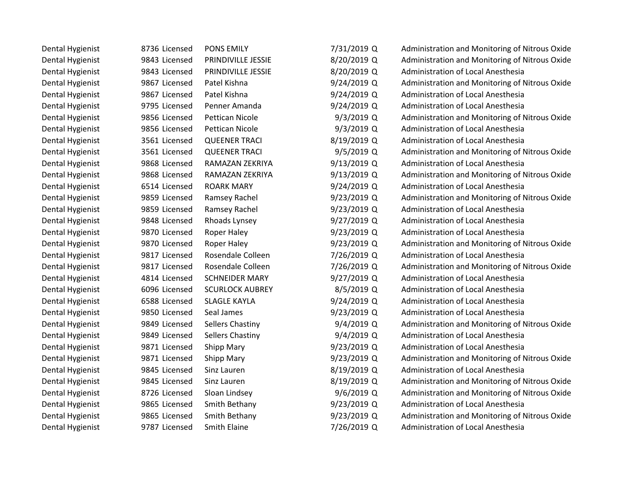| Dental Hygienist | 8736 Licensed | <b>PONS EMILY</b>      | 7/31/2019 Q   | Administration and Monitoring of Nitrous Oxide |
|------------------|---------------|------------------------|---------------|------------------------------------------------|
| Dental Hygienist | 9843 Licensed | PRINDIVILLE JESSIE     | 8/20/2019 Q   | Administration and Monitoring of Nitrous Oxide |
| Dental Hygienist | 9843 Licensed | PRINDIVILLE JESSIE     | 8/20/2019 Q   | Administration of Local Anesthesia             |
| Dental Hygienist | 9867 Licensed | Patel Kishna           | 9/24/2019 Q   | Administration and Monitoring of Nitrous Oxide |
| Dental Hygienist | 9867 Licensed | Patel Kishna           | 9/24/2019 Q   | Administration of Local Anesthesia             |
| Dental Hygienist | 9795 Licensed | Penner Amanda          | 9/24/2019 Q   | Administration of Local Anesthesia             |
| Dental Hygienist | 9856 Licensed | <b>Pettican Nicole</b> | $9/3/2019$ Q  | Administration and Monitoring of Nitrous Oxide |
| Dental Hygienist | 9856 Licensed | Pettican Nicole        | $9/3/2019$ Q  | Administration of Local Anesthesia             |
| Dental Hygienist | 3561 Licensed | <b>QUEENER TRACI</b>   | 8/19/2019 Q   | Administration of Local Anesthesia             |
| Dental Hygienist | 3561 Licensed | <b>QUEENER TRACI</b>   | $9/5/2019$ Q  | Administration and Monitoring of Nitrous Oxide |
| Dental Hygienist | 9868 Licensed | RAMAZAN ZEKRIYA        | 9/13/2019 Q   | Administration of Local Anesthesia             |
| Dental Hygienist | 9868 Licensed | RAMAZAN ZEKRIYA        | 9/13/2019 Q   | Administration and Monitoring of Nitrous Oxide |
| Dental Hygienist | 6514 Licensed | <b>ROARK MARY</b>      | 9/24/2019 Q   | Administration of Local Anesthesia             |
| Dental Hygienist | 9859 Licensed | Ramsey Rachel          | 9/23/2019 Q   | Administration and Monitoring of Nitrous Oxide |
| Dental Hygienist | 9859 Licensed | Ramsey Rachel          | 9/23/2019 Q   | Administration of Local Anesthesia             |
| Dental Hygienist | 9848 Licensed | Rhoads Lynsey          | 9/27/2019 Q   | Administration of Local Anesthesia             |
| Dental Hygienist | 9870 Licensed | Roper Haley            | $9/23/2019$ Q | Administration of Local Anesthesia             |
| Dental Hygienist | 9870 Licensed | Roper Haley            | 9/23/2019 Q   | Administration and Monitoring of Nitrous Oxide |
| Dental Hygienist | 9817 Licensed | Rosendale Colleen      | 7/26/2019 Q   | Administration of Local Anesthesia             |
| Dental Hygienist | 9817 Licensed | Rosendale Colleen      | 7/26/2019 Q   | Administration and Monitoring of Nitrous Oxide |
| Dental Hygienist | 4814 Licensed | <b>SCHNEIDER MARY</b>  | 9/27/2019 Q   | Administration of Local Anesthesia             |
| Dental Hygienist | 6096 Licensed | <b>SCURLOCK AUBREY</b> | 8/5/2019 Q    | Administration of Local Anesthesia             |
| Dental Hygienist | 6588 Licensed | <b>SLAGLE KAYLA</b>    | 9/24/2019 Q   | Administration of Local Anesthesia             |
| Dental Hygienist | 9850 Licensed | Seal James             | 9/23/2019 Q   | Administration of Local Anesthesia             |
| Dental Hygienist | 9849 Licensed | Sellers Chastiny       | $9/4/2019$ Q  | Administration and Monitoring of Nitrous Oxide |
| Dental Hygienist | 9849 Licensed | Sellers Chastiny       | 9/4/2019 Q    | Administration of Local Anesthesia             |
| Dental Hygienist | 9871 Licensed | Shipp Mary             | 9/23/2019 Q   | Administration of Local Anesthesia             |
| Dental Hygienist | 9871 Licensed | Shipp Mary             | 9/23/2019 Q   | Administration and Monitoring of Nitrous Oxide |
| Dental Hygienist | 9845 Licensed | Sinz Lauren            | 8/19/2019 Q   | Administration of Local Anesthesia             |
| Dental Hygienist | 9845 Licensed | Sinz Lauren            | 8/19/2019 Q   | Administration and Monitoring of Nitrous Oxide |
| Dental Hygienist | 8726 Licensed | Sloan Lindsey          | $9/6/2019$ Q  | Administration and Monitoring of Nitrous Oxide |
| Dental Hygienist | 9865 Licensed | Smith Bethany          | $9/23/2019$ Q | Administration of Local Anesthesia             |
| Dental Hygienist | 9865 Licensed | Smith Bethany          | 9/23/2019 Q   | Administration and Monitoring of Nitrous Oxide |
| Dental Hygienist | 9787 Licensed | Smith Elaine           | 7/26/2019 Q   | Administration of Local Anesthesia             |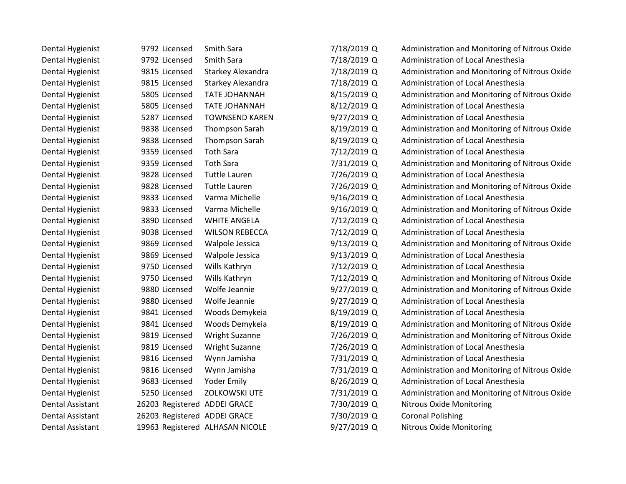| Dental Hygienist        | 9792 Licensed                | Smith Sara                      | 7/18/2019 Q | Administration and Monitoring of Nitrous Oxide |
|-------------------------|------------------------------|---------------------------------|-------------|------------------------------------------------|
| Dental Hygienist        | 9792 Licensed                | Smith Sara                      | 7/18/2019 Q | Administration of Local Anesthesia             |
| Dental Hygienist        | 9815 Licensed                | Starkey Alexandra               | 7/18/2019 Q | Administration and Monitoring of Nitrous Oxide |
| Dental Hygienist        | 9815 Licensed                | Starkey Alexandra               | 7/18/2019 Q | Administration of Local Anesthesia             |
| Dental Hygienist        | 5805 Licensed                | <b>TATE JOHANNAH</b>            | 8/15/2019 Q | Administration and Monitoring of Nitrous Oxide |
| Dental Hygienist        | 5805 Licensed                | <b>TATE JOHANNAH</b>            | 8/12/2019 Q | Administration of Local Anesthesia             |
| Dental Hygienist        | 5287 Licensed                | <b>TOWNSEND KAREN</b>           | 9/27/2019 Q | Administration of Local Anesthesia             |
| Dental Hygienist        | 9838 Licensed                | <b>Thompson Sarah</b>           | 8/19/2019 Q | Administration and Monitoring of Nitrous Oxide |
| Dental Hygienist        | 9838 Licensed                | Thompson Sarah                  | 8/19/2019 Q | Administration of Local Anesthesia             |
| Dental Hygienist        | 9359 Licensed                | <b>Toth Sara</b>                | 7/12/2019 Q | Administration of Local Anesthesia             |
| Dental Hygienist        | 9359 Licensed                | <b>Toth Sara</b>                | 7/31/2019 Q | Administration and Monitoring of Nitrous Oxide |
| Dental Hygienist        | 9828 Licensed                | <b>Tuttle Lauren</b>            | 7/26/2019 Q | Administration of Local Anesthesia             |
| Dental Hygienist        | 9828 Licensed                | <b>Tuttle Lauren</b>            | 7/26/2019 Q | Administration and Monitoring of Nitrous Oxide |
| Dental Hygienist        | 9833 Licensed                | Varma Michelle                  | 9/16/2019 Q | Administration of Local Anesthesia             |
| Dental Hygienist        | 9833 Licensed                | Varma Michelle                  | 9/16/2019 Q | Administration and Monitoring of Nitrous Oxide |
| Dental Hygienist        | 3890 Licensed                | <b>WHITE ANGELA</b>             | 7/12/2019 Q | Administration of Local Anesthesia             |
| Dental Hygienist        | 9038 Licensed                | <b>WILSON REBECCA</b>           | 7/12/2019 Q | Administration of Local Anesthesia             |
| Dental Hygienist        | 9869 Licensed                | Walpole Jessica                 | 9/13/2019 Q | Administration and Monitoring of Nitrous Oxide |
| Dental Hygienist        | 9869 Licensed                | Walpole Jessica                 | 9/13/2019 Q | Administration of Local Anesthesia             |
| Dental Hygienist        | 9750 Licensed                | Wills Kathryn                   | 7/12/2019 Q | Administration of Local Anesthesia             |
| Dental Hygienist        | 9750 Licensed                | Wills Kathryn                   | 7/12/2019 Q | Administration and Monitoring of Nitrous Oxide |
| Dental Hygienist        | 9880 Licensed                | Wolfe Jeannie                   | 9/27/2019 Q | Administration and Monitoring of Nitrous Oxide |
| Dental Hygienist        | 9880 Licensed                | Wolfe Jeannie                   | 9/27/2019 Q | Administration of Local Anesthesia             |
| Dental Hygienist        | 9841 Licensed                | Woods Demykeia                  | 8/19/2019 Q | Administration of Local Anesthesia             |
| Dental Hygienist        | 9841 Licensed                | Woods Demykeia                  | 8/19/2019 Q | Administration and Monitoring of Nitrous Oxide |
| Dental Hygienist        | 9819 Licensed                | <b>Wright Suzanne</b>           | 7/26/2019 Q | Administration and Monitoring of Nitrous Oxide |
| Dental Hygienist        | 9819 Licensed                | <b>Wright Suzanne</b>           | 7/26/2019 Q | Administration of Local Anesthesia             |
| Dental Hygienist        | 9816 Licensed                | Wynn Jamisha                    | 7/31/2019 Q | Administration of Local Anesthesia             |
| Dental Hygienist        | 9816 Licensed                | Wynn Jamisha                    | 7/31/2019 Q | Administration and Monitoring of Nitrous Oxide |
| Dental Hygienist        | 9683 Licensed                | <b>Yoder Emily</b>              | 8/26/2019 Q | Administration of Local Anesthesia             |
| Dental Hygienist        | 5250 Licensed                | <b>ZOLKOWSKI UTE</b>            | 7/31/2019 Q | Administration and Monitoring of Nitrous Oxide |
| <b>Dental Assistant</b> | 26203 Registered ADDEI GRACE |                                 | 7/30/2019 Q | <b>Nitrous Oxide Monitoring</b>                |
| <b>Dental Assistant</b> | 26203 Registered ADDEI GRACE |                                 | 7/30/2019 Q | <b>Coronal Polishing</b>                       |
| Dental Assistant        |                              | 19963 Registered ALHASAN NICOLE | 9/27/2019 Q | <b>Nitrous Oxide Monitoring</b>                |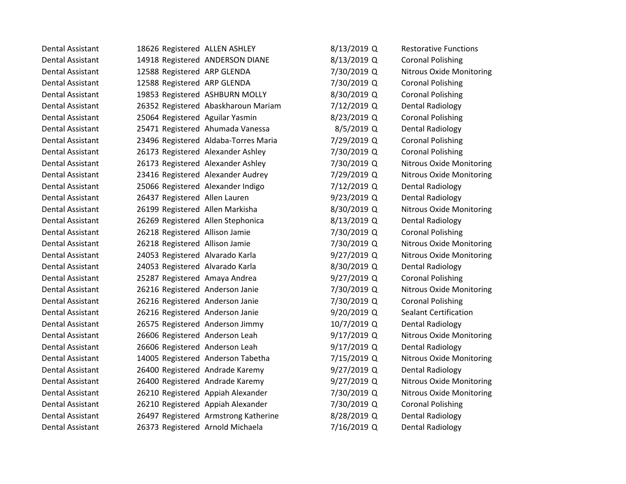| Dental Assistant        | 18626 Registered ALLEN ASHLEY        | 8/13/2019 Q   | <b>Restorative Functions</b>    |
|-------------------------|--------------------------------------|---------------|---------------------------------|
| <b>Dental Assistant</b> | 14918 Registered ANDERSON DIANE      | 8/13/2019 Q   | <b>Coronal Polishing</b>        |
| <b>Dental Assistant</b> | 12588 Registered ARP GLENDA          | 7/30/2019 Q   | <b>Nitrous Oxide Monitoring</b> |
| Dental Assistant        | 12588 Registered ARP GLENDA          | 7/30/2019 Q   | <b>Coronal Polishing</b>        |
| <b>Dental Assistant</b> | 19853 Registered ASHBURN MOLLY       | 8/30/2019 Q   | <b>Coronal Polishing</b>        |
| Dental Assistant        | 26352 Registered Abaskharoun Mariam  | 7/12/2019 Q   | Dental Radiology                |
| Dental Assistant        | 25064 Registered Aguilar Yasmin      | 8/23/2019 Q   | <b>Coronal Polishing</b>        |
| <b>Dental Assistant</b> | 25471 Registered Ahumada Vanessa     | 8/5/2019 Q    | <b>Dental Radiology</b>         |
| <b>Dental Assistant</b> | 23496 Registered Aldaba-Torres Maria | 7/29/2019 Q   | <b>Coronal Polishing</b>        |
| Dental Assistant        | 26173 Registered Alexander Ashley    | 7/30/2019 Q   | <b>Coronal Polishing</b>        |
| Dental Assistant        | 26173 Registered Alexander Ashley    | 7/30/2019 Q   | Nitrous Oxide Monitoring        |
| <b>Dental Assistant</b> | 23416 Registered Alexander Audrey    | 7/29/2019 Q   | <b>Nitrous Oxide Monitoring</b> |
| <b>Dental Assistant</b> | 25066 Registered Alexander Indigo    | 7/12/2019 Q   | <b>Dental Radiology</b>         |
| Dental Assistant        | 26437 Registered Allen Lauren        | 9/23/2019 Q   | <b>Dental Radiology</b>         |
| Dental Assistant        | 26199 Registered Allen Markisha      | 8/30/2019 Q   | <b>Nitrous Oxide Monitoring</b> |
| <b>Dental Assistant</b> | 26269 Registered Allen Stephonica    | 8/13/2019 Q   | <b>Dental Radiology</b>         |
| Dental Assistant        | 26218 Registered Allison Jamie       | 7/30/2019 Q   | <b>Coronal Polishing</b>        |
| <b>Dental Assistant</b> | 26218 Registered Allison Jamie       | 7/30/2019 Q   | <b>Nitrous Oxide Monitoring</b> |
| <b>Dental Assistant</b> | 24053 Registered Alvarado Karla      | 9/27/2019 Q   | <b>Nitrous Oxide Monitoring</b> |
| Dental Assistant        | 24053 Registered Alvarado Karla      | 8/30/2019 Q   | Dental Radiology                |
| Dental Assistant        | 25287 Registered Amaya Andrea        | 9/27/2019 Q   | <b>Coronal Polishing</b>        |
| <b>Dental Assistant</b> | 26216 Registered Anderson Janie      | 7/30/2019 Q   | <b>Nitrous Oxide Monitoring</b> |
| Dental Assistant        | 26216 Registered Anderson Janie      | 7/30/2019 Q   | <b>Coronal Polishing</b>        |
| Dental Assistant        | 26216 Registered Anderson Janie      | 9/20/2019 Q   | <b>Sealant Certification</b>    |
| <b>Dental Assistant</b> | 26575 Registered Anderson Jimmy      | 10/7/2019 Q   | <b>Dental Radiology</b>         |
| Dental Assistant        | 26606 Registered Anderson Leah       | $9/17/2019$ Q | <b>Nitrous Oxide Monitoring</b> |
| Dental Assistant        | 26606 Registered Anderson Leah       | $9/17/2019$ Q | <b>Dental Radiology</b>         |
| <b>Dental Assistant</b> | 14005 Registered Anderson Tabetha    | 7/15/2019 Q   | <b>Nitrous Oxide Monitoring</b> |
| <b>Dental Assistant</b> | 26400 Registered Andrade Karemy      | 9/27/2019 Q   | Dental Radiology                |
| Dental Assistant        | 26400 Registered Andrade Karemy      | $9/27/2019$ Q | <b>Nitrous Oxide Monitoring</b> |
| Dental Assistant        | 26210 Registered Appiah Alexander    | 7/30/2019 Q   | <b>Nitrous Oxide Monitoring</b> |
| <b>Dental Assistant</b> | 26210 Registered Appiah Alexander    | 7/30/2019 Q   | <b>Coronal Polishing</b>        |
| <b>Dental Assistant</b> | 26497 Registered Armstrong Katherine | 8/28/2019 Q   | <b>Dental Radiology</b>         |
| Dental Assistant        | 26373 Registered Arnold Michaela     | 7/16/2019 Q   | Dental Radiology                |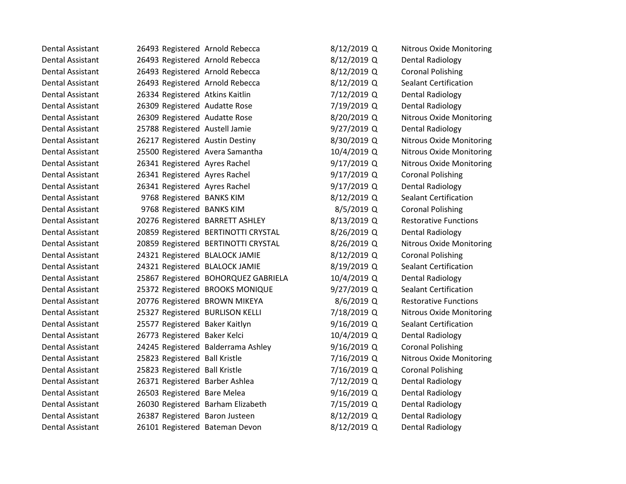| Dental Assistant        | 26493 Registered Arnold Rebecca    |                                     | 8/12/2019 Q | <b>Nitrous Oxide Monitoring</b> |
|-------------------------|------------------------------------|-------------------------------------|-------------|---------------------------------|
| <b>Dental Assistant</b> | 26493 Registered Arnold Rebecca    |                                     | 8/12/2019 Q | Dental Radiology                |
| <b>Dental Assistant</b> | 26493 Registered Arnold Rebecca    |                                     | 8/12/2019 Q | <b>Coronal Polishing</b>        |
| Dental Assistant        | 26493 Registered Arnold Rebecca    |                                     | 8/12/2019 Q | <b>Sealant Certification</b>    |
| <b>Dental Assistant</b> | 26334 Registered Atkins Kaitlin    |                                     | 7/12/2019 Q | Dental Radiology                |
| <b>Dental Assistant</b> | 26309 Registered Audatte Rose      |                                     | 7/19/2019 Q | Dental Radiology                |
| Dental Assistant        | 26309 Registered Audatte Rose      |                                     | 8/20/2019 Q | <b>Nitrous Oxide Monitoring</b> |
| <b>Dental Assistant</b> | 25788 Registered Austell Jamie     |                                     | 9/27/2019 Q | Dental Radiology                |
| <b>Dental Assistant</b> | 26217 Registered Austin Destiny    |                                     | 8/30/2019 Q | <b>Nitrous Oxide Monitoring</b> |
| <b>Dental Assistant</b> | 25500 Registered Avera Samantha    |                                     | 10/4/2019 Q | <b>Nitrous Oxide Monitoring</b> |
| Dental Assistant        | 26341 Registered Ayres Rachel      |                                     | 9/17/2019 Q | <b>Nitrous Oxide Monitoring</b> |
| <b>Dental Assistant</b> | 26341 Registered Ayres Rachel      |                                     | 9/17/2019 Q | <b>Coronal Polishing</b>        |
| <b>Dental Assistant</b> | 26341 Registered Ayres Rachel      |                                     | 9/17/2019 Q | Dental Radiology                |
| <b>Dental Assistant</b> | 9768 Registered BANKS KIM          |                                     | 8/12/2019 Q | <b>Sealant Certification</b>    |
| Dental Assistant        | 9768 Registered BANKS KIM          |                                     | 8/5/2019 Q  | <b>Coronal Polishing</b>        |
| <b>Dental Assistant</b> | 20276 Registered BARRETT ASHLEY    |                                     | 8/13/2019 Q | <b>Restorative Functions</b>    |
| <b>Dental Assistant</b> |                                    | 20859 Registered BERTINOTTI CRYSTAL | 8/26/2019 Q | Dental Radiology                |
| <b>Dental Assistant</b> |                                    | 20859 Registered BERTINOTTI CRYSTAL | 8/26/2019 Q | <b>Nitrous Oxide Monitoring</b> |
| <b>Dental Assistant</b> | 24321 Registered BLALOCK JAMIE     |                                     | 8/12/2019 Q | <b>Coronal Polishing</b>        |
| <b>Dental Assistant</b> | 24321 Registered BLALOCK JAMIE     |                                     | 8/19/2019 Q | <b>Sealant Certification</b>    |
| <b>Dental Assistant</b> |                                    | 25867 Registered BOHORQUEZ GABRIELA | 10/4/2019 Q | Dental Radiology                |
| Dental Assistant        | 25372 Registered BROOKS MONIQUE    |                                     | 9/27/2019 Q | <b>Sealant Certification</b>    |
| <b>Dental Assistant</b> | 20776 Registered BROWN MIKEYA      |                                     | 8/6/2019 Q  | <b>Restorative Functions</b>    |
| <b>Dental Assistant</b> | 25327 Registered BURLISON KELLI    |                                     | 7/18/2019 Q | <b>Nitrous Oxide Monitoring</b> |
| Dental Assistant        | 25577 Registered Baker Kaitlyn     |                                     | 9/16/2019 Q | <b>Sealant Certification</b>    |
| <b>Dental Assistant</b> | 26773 Registered Baker Kelci       |                                     | 10/4/2019 Q | <b>Dental Radiology</b>         |
| <b>Dental Assistant</b> | 24245 Registered Balderrama Ashley |                                     | 9/16/2019 Q | <b>Coronal Polishing</b>        |
| <b>Dental Assistant</b> | 25823 Registered Ball Kristle      |                                     | 7/16/2019 Q | <b>Nitrous Oxide Monitoring</b> |
| Dental Assistant        | 25823 Registered Ball Kristle      |                                     | 7/16/2019 Q | <b>Coronal Polishing</b>        |
| <b>Dental Assistant</b> | 26371 Registered Barber Ashlea     |                                     | 7/12/2019 Q | Dental Radiology                |
| <b>Dental Assistant</b> | 26503 Registered Bare Melea        |                                     | 9/16/2019 Q | Dental Radiology                |
| <b>Dental Assistant</b> | 26030 Registered Barham Elizabeth  |                                     | 7/15/2019 Q | Dental Radiology                |
| <b>Dental Assistant</b> | 26387 Registered Baron Justeen     |                                     | 8/12/2019 Q | Dental Radiology                |
| Dental Assistant        | 26101 Registered Bateman Devon     |                                     | 8/12/2019 Q | Dental Radiology                |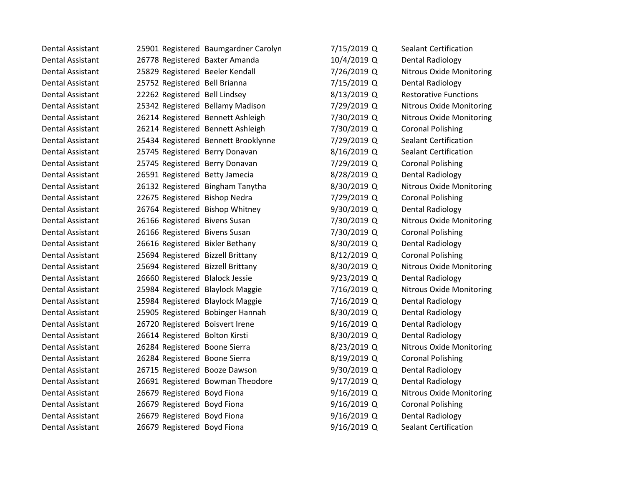| Dental Assistant        |                                   | 25901 Registered Baumgardner Carolyn | 7/15/2019 Q   | <b>Sealant Certification</b>    |
|-------------------------|-----------------------------------|--------------------------------------|---------------|---------------------------------|
| <b>Dental Assistant</b> | 26778 Registered Baxter Amanda    |                                      | 10/4/2019 Q   | <b>Dental Radiology</b>         |
| Dental Assistant        | 25829 Registered Beeler Kendall   |                                      | 7/26/2019 Q   | <b>Nitrous Oxide Monitoring</b> |
| <b>Dental Assistant</b> | 25752 Registered Bell Brianna     |                                      | 7/15/2019 Q   | <b>Dental Radiology</b>         |
| Dental Assistant        | 22262 Registered Bell Lindsey     |                                      | 8/13/2019 Q   | <b>Restorative Functions</b>    |
| Dental Assistant        | 25342 Registered Bellamy Madison  |                                      | 7/29/2019 Q   | <b>Nitrous Oxide Monitoring</b> |
| Dental Assistant        | 26214 Registered Bennett Ashleigh |                                      | 7/30/2019 Q   | <b>Nitrous Oxide Monitoring</b> |
| <b>Dental Assistant</b> | 26214 Registered Bennett Ashleigh |                                      | 7/30/2019 Q   | <b>Coronal Polishing</b>        |
| <b>Dental Assistant</b> |                                   | 25434 Registered Bennett Brooklynne  | 7/29/2019 Q   | <b>Sealant Certification</b>    |
| Dental Assistant        | 25745 Registered Berry Donavan    |                                      | 8/16/2019 Q   | <b>Sealant Certification</b>    |
| Dental Assistant        | 25745 Registered Berry Donavan    |                                      | 7/29/2019 Q   | <b>Coronal Polishing</b>        |
| Dental Assistant        | 26591 Registered Betty Jamecia    |                                      | 8/28/2019 Q   | <b>Dental Radiology</b>         |
| Dental Assistant        | 26132 Registered Bingham Tanytha  |                                      | 8/30/2019 Q   | <b>Nitrous Oxide Monitoring</b> |
| <b>Dental Assistant</b> | 22675 Registered Bishop Nedra     |                                      | 7/29/2019 Q   | <b>Coronal Polishing</b>        |
| Dental Assistant        | 26764 Registered Bishop Whitney   |                                      | 9/30/2019 Q   | <b>Dental Radiology</b>         |
| Dental Assistant        | 26166 Registered Bivens Susan     |                                      | 7/30/2019 Q   | <b>Nitrous Oxide Monitoring</b> |
| Dental Assistant        | 26166 Registered Bivens Susan     |                                      | 7/30/2019 Q   | <b>Coronal Polishing</b>        |
| Dental Assistant        | 26616 Registered Bixler Bethany   |                                      | 8/30/2019 Q   | <b>Dental Radiology</b>         |
| <b>Dental Assistant</b> | 25694 Registered Bizzell Brittany |                                      | 8/12/2019 Q   | <b>Coronal Polishing</b>        |
| Dental Assistant        | 25694 Registered Bizzell Brittany |                                      | 8/30/2019 Q   | <b>Nitrous Oxide Monitoring</b> |
| Dental Assistant        | 26660 Registered Blalock Jessie   |                                      | $9/23/2019$ Q | <b>Dental Radiology</b>         |
| Dental Assistant        | 25984 Registered Blaylock Maggie  |                                      | 7/16/2019 Q   | <b>Nitrous Oxide Monitoring</b> |
| Dental Assistant        | 25984 Registered Blaylock Maggie  |                                      | 7/16/2019 Q   | Dental Radiology                |
| <b>Dental Assistant</b> | 25905 Registered Bobinger Hannah  |                                      | 8/30/2019 Q   | Dental Radiology                |
| Dental Assistant        | 26720 Registered Boisvert Irene   |                                      | 9/16/2019 Q   | <b>Dental Radiology</b>         |
| <b>Dental Assistant</b> | 26614 Registered Bolton Kirsti    |                                      | 8/30/2019 Q   | <b>Dental Radiology</b>         |
| Dental Assistant        | 26284 Registered Boone Sierra     |                                      | 8/23/2019 Q   | <b>Nitrous Oxide Monitoring</b> |
| <b>Dental Assistant</b> | 26284 Registered Boone Sierra     |                                      | 8/19/2019 Q   | <b>Coronal Polishing</b>        |
| Dental Assistant        | 26715 Registered Booze Dawson     |                                      | 9/30/2019 Q   | Dental Radiology                |
| Dental Assistant        |                                   | 26691 Registered Bowman Theodore     | $9/17/2019$ Q | <b>Dental Radiology</b>         |
| Dental Assistant        | 26679 Registered Boyd Fiona       |                                      | 9/16/2019 Q   | <b>Nitrous Oxide Monitoring</b> |
| Dental Assistant        | 26679 Registered Boyd Fiona       |                                      | 9/16/2019 Q   | <b>Coronal Polishing</b>        |
| <b>Dental Assistant</b> | 26679 Registered Boyd Fiona       |                                      | $9/16/2019$ Q | <b>Dental Radiology</b>         |
| Dental Assistant        | 26679 Registered Boyd Fiona       |                                      | 9/16/2019 Q   | <b>Sealant Certification</b>    |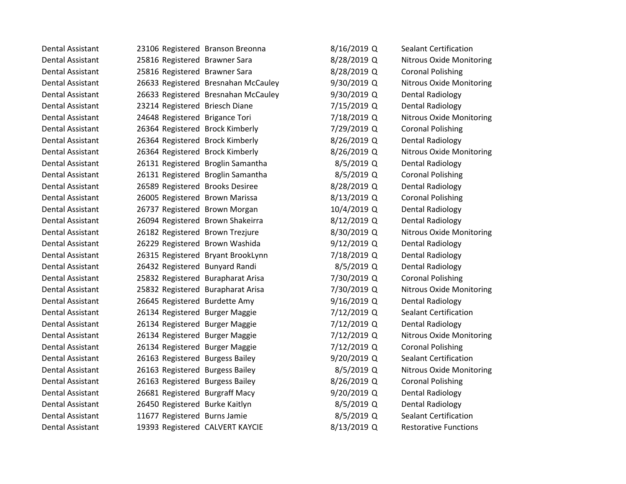| Dental Assistant        |                                  | 23106 Registered Branson Breonna    | 8/16/2019 Q   | <b>Sealant Certification</b>    |
|-------------------------|----------------------------------|-------------------------------------|---------------|---------------------------------|
| <b>Dental Assistant</b> | 25816 Registered Brawner Sara    |                                     | 8/28/2019 Q   | <b>Nitrous Oxide Monitoring</b> |
| Dental Assistant        | 25816 Registered Brawner Sara    |                                     | 8/28/2019 Q   | <b>Coronal Polishing</b>        |
| <b>Dental Assistant</b> |                                  | 26633 Registered Bresnahan McCauley | 9/30/2019 Q   | <b>Nitrous Oxide Monitoring</b> |
| <b>Dental Assistant</b> |                                  | 26633 Registered Bresnahan McCauley | 9/30/2019 Q   | <b>Dental Radiology</b>         |
| Dental Assistant        | 23214 Registered Briesch Diane   |                                     | 7/15/2019 Q   | <b>Dental Radiology</b>         |
| <b>Dental Assistant</b> | 24648 Registered Brigance Tori   |                                     | 7/18/2019 Q   | <b>Nitrous Oxide Monitoring</b> |
| Dental Assistant        | 26364 Registered Brock Kimberly  |                                     | 7/29/2019 Q   | <b>Coronal Polishing</b>        |
| <b>Dental Assistant</b> | 26364 Registered Brock Kimberly  |                                     | 8/26/2019 Q   | <b>Dental Radiology</b>         |
| <b>Dental Assistant</b> | 26364 Registered Brock Kimberly  |                                     | 8/26/2019 Q   | <b>Nitrous Oxide Monitoring</b> |
| Dental Assistant        |                                  | 26131 Registered Broglin Samantha   | 8/5/2019 Q    | <b>Dental Radiology</b>         |
| <b>Dental Assistant</b> |                                  | 26131 Registered Broglin Samantha   | 8/5/2019 Q    | <b>Coronal Polishing</b>        |
| <b>Dental Assistant</b> | 26589 Registered Brooks Desiree  |                                     | 8/28/2019 Q   | <b>Dental Radiology</b>         |
| Dental Assistant        | 26005 Registered Brown Marissa   |                                     | 8/13/2019 Q   | <b>Coronal Polishing</b>        |
| Dental Assistant        | 26737 Registered Brown Morgan    |                                     | 10/4/2019 Q   | <b>Dental Radiology</b>         |
| Dental Assistant        | 26094 Registered Brown Shakeirra |                                     | 8/12/2019 Q   | <b>Dental Radiology</b>         |
| Dental Assistant        | 26182 Registered Brown Trezjure  |                                     | 8/30/2019 Q   | <b>Nitrous Oxide Monitoring</b> |
| <b>Dental Assistant</b> | 26229 Registered Brown Washida   |                                     | 9/12/2019 Q   | <b>Dental Radiology</b>         |
| Dental Assistant        |                                  | 26315 Registered Bryant BrookLynn   | 7/18/2019 Q   | <b>Dental Radiology</b>         |
| Dental Assistant        | 26432 Registered Bunyard Randi   |                                     | $8/5/2019$ Q  | <b>Dental Radiology</b>         |
| <b>Dental Assistant</b> |                                  | 25832 Registered Burapharat Arisa   | 7/30/2019 Q   | <b>Coronal Polishing</b>        |
| Dental Assistant        |                                  | 25832 Registered Burapharat Arisa   | 7/30/2019 Q   | <b>Nitrous Oxide Monitoring</b> |
| Dental Assistant        | 26645 Registered Burdette Amy    |                                     | $9/16/2019$ Q | <b>Dental Radiology</b>         |
| <b>Dental Assistant</b> | 26134 Registered Burger Maggie   |                                     | 7/12/2019 Q   | <b>Sealant Certification</b>    |
| Dental Assistant        | 26134 Registered Burger Maggie   |                                     | 7/12/2019 Q   | <b>Dental Radiology</b>         |
| <b>Dental Assistant</b> | 26134 Registered Burger Maggie   |                                     | 7/12/2019 Q   | <b>Nitrous Oxide Monitoring</b> |
| <b>Dental Assistant</b> | 26134 Registered Burger Maggie   |                                     | 7/12/2019 Q   | <b>Coronal Polishing</b>        |
| <b>Dental Assistant</b> | 26163 Registered Burgess Bailey  |                                     | 9/20/2019 Q   | <b>Sealant Certification</b>    |
| <b>Dental Assistant</b> | 26163 Registered Burgess Bailey  |                                     | 8/5/2019 Q    | <b>Nitrous Oxide Monitoring</b> |
| <b>Dental Assistant</b> | 26163 Registered Burgess Bailey  |                                     | 8/26/2019 Q   | <b>Coronal Polishing</b>        |
| Dental Assistant        | 26681 Registered Burgraff Macy   |                                     | 9/20/2019 Q   | <b>Dental Radiology</b>         |
| Dental Assistant        | 26450 Registered Burke Kaitlyn   |                                     | 8/5/2019 Q    | <b>Dental Radiology</b>         |
| Dental Assistant        | 11677 Registered Burns Jamie     |                                     | 8/5/2019 Q    | <b>Sealant Certification</b>    |
| Dental Assistant        | 19393 Registered CALVERT KAYCIE  |                                     | 8/13/2019 Q   | <b>Restorative Functions</b>    |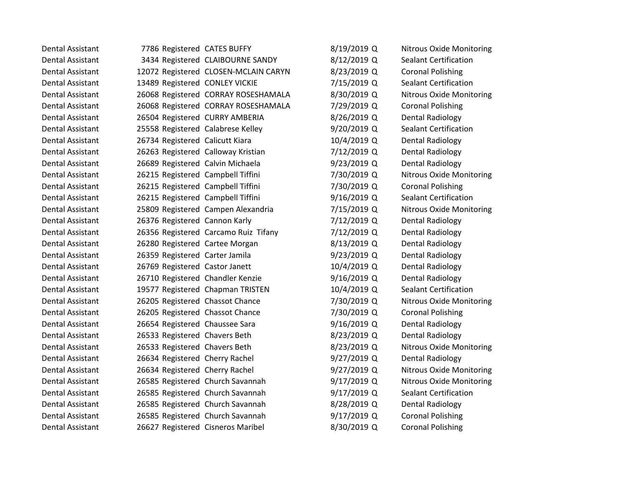| Dental Assistant        | 7786 Registered CATES BUFFY        |                                      | 8/19/2019 Q   | <b>Nitrous Oxide Monitoring</b> |
|-------------------------|------------------------------------|--------------------------------------|---------------|---------------------------------|
| <b>Dental Assistant</b> |                                    | 3434 Registered CLAIBOURNE SANDY     | 8/12/2019 Q   | <b>Sealant Certification</b>    |
| <b>Dental Assistant</b> |                                    | 12072 Registered CLOSEN-MCLAIN CARYN | 8/23/2019 Q   | <b>Coronal Polishing</b>        |
| Dental Assistant        | 13489 Registered CONLEY VICKIE     |                                      | 7/15/2019 Q   | <b>Sealant Certification</b>    |
| <b>Dental Assistant</b> |                                    | 26068 Registered CORRAY ROSESHAMALA  | 8/30/2019 Q   | <b>Nitrous Oxide Monitoring</b> |
| Dental Assistant        |                                    | 26068 Registered CORRAY ROSESHAMALA  | 7/29/2019 Q   | <b>Coronal Polishing</b>        |
| Dental Assistant        | 26504 Registered CURRY AMBERIA     |                                      | 8/26/2019 Q   | <b>Dental Radiology</b>         |
| <b>Dental Assistant</b> | 25558 Registered Calabrese Kelley  |                                      | 9/20/2019 Q   | <b>Sealant Certification</b>    |
| <b>Dental Assistant</b> | 26734 Registered Calicutt Kiara    |                                      | 10/4/2019 Q   | <b>Dental Radiology</b>         |
| <b>Dental Assistant</b> | 26263 Registered Calloway Kristian |                                      | 7/12/2019 Q   | <b>Dental Radiology</b>         |
| Dental Assistant        | 26689 Registered Calvin Michaela   |                                      | $9/23/2019$ Q | <b>Dental Radiology</b>         |
| <b>Dental Assistant</b> | 26215 Registered Campbell Tiffini  |                                      | 7/30/2019 Q   | <b>Nitrous Oxide Monitoring</b> |
| <b>Dental Assistant</b> | 26215 Registered Campbell Tiffini  |                                      | 7/30/2019 Q   | <b>Coronal Polishing</b>        |
| Dental Assistant        | 26215 Registered Campbell Tiffini  |                                      | 9/16/2019 Q   | <b>Sealant Certification</b>    |
| Dental Assistant        | 25809 Registered Campen Alexandria |                                      | 7/15/2019 Q   | Nitrous Oxide Monitoring        |
| Dental Assistant        | 26376 Registered Cannon Karly      |                                      | 7/12/2019 Q   | <b>Dental Radiology</b>         |
| Dental Assistant        |                                    | 26356 Registered Carcamo Ruiz Tifany | 7/12/2019 Q   | Dental Radiology                |
| Dental Assistant        | 26280 Registered Cartee Morgan     |                                      | 8/13/2019 Q   | <b>Dental Radiology</b>         |
| <b>Dental Assistant</b> | 26359 Registered Carter Jamila     |                                      | $9/23/2019$ Q | <b>Dental Radiology</b>         |
| <b>Dental Assistant</b> | 26769 Registered Castor Janett     |                                      | 10/4/2019 Q   | <b>Dental Radiology</b>         |
| <b>Dental Assistant</b> | 26710 Registered Chandler Kenzie   |                                      | 9/16/2019 Q   | <b>Dental Radiology</b>         |
| Dental Assistant        | 19577 Registered Chapman TRISTEN   |                                      | 10/4/2019 Q   | <b>Sealant Certification</b>    |
| Dental Assistant        | 26205 Registered Chassot Chance    |                                      | 7/30/2019 Q   | <b>Nitrous Oxide Monitoring</b> |
| <b>Dental Assistant</b> | 26205 Registered Chassot Chance    |                                      | 7/30/2019 Q   | <b>Coronal Polishing</b>        |
| Dental Assistant        | 26654 Registered Chaussee Sara     |                                      | 9/16/2019 Q   | <b>Dental Radiology</b>         |
| <b>Dental Assistant</b> | 26533 Registered Chavers Beth      |                                      | 8/23/2019 Q   | <b>Dental Radiology</b>         |
| Dental Assistant        | 26533 Registered Chavers Beth      |                                      | 8/23/2019 Q   | <b>Nitrous Oxide Monitoring</b> |
| <b>Dental Assistant</b> | 26634 Registered Cherry Rachel     |                                      | $9/27/2019$ Q | <b>Dental Radiology</b>         |
| Dental Assistant        | 26634 Registered Cherry Rachel     |                                      | $9/27/2019$ Q | Nitrous Oxide Monitoring        |
| <b>Dental Assistant</b> | 26585 Registered Church Savannah   |                                      | 9/17/2019 Q   | <b>Nitrous Oxide Monitoring</b> |
| <b>Dental Assistant</b> | 26585 Registered Church Savannah   |                                      | 9/17/2019 Q   | <b>Sealant Certification</b>    |
| <b>Dental Assistant</b> | 26585 Registered Church Savannah   |                                      | 8/28/2019 Q   | <b>Dental Radiology</b>         |
| <b>Dental Assistant</b> | 26585 Registered Church Savannah   |                                      | 9/17/2019 Q   | <b>Coronal Polishing</b>        |
| <b>Dental Assistant</b> | 26627 Registered Cisneros Maribel  |                                      | 8/30/2019 Q   | <b>Coronal Polishing</b>        |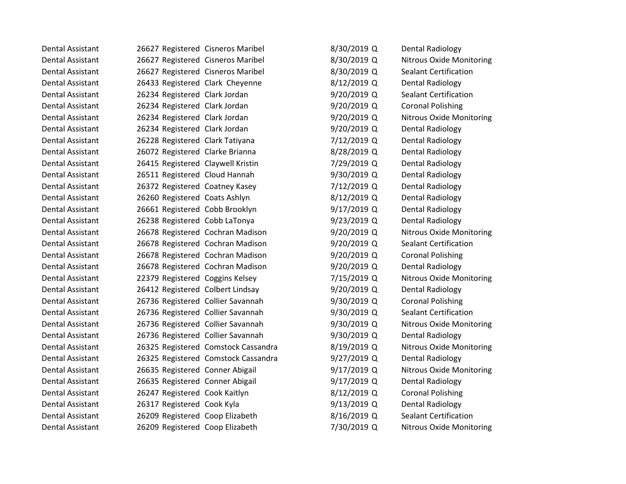| Dental Assistant        | 26627 Registered Cisneros Maribel |                                     | 8/30/2019 Q   | Dental Radiology                |
|-------------------------|-----------------------------------|-------------------------------------|---------------|---------------------------------|
| <b>Dental Assistant</b> | 26627 Registered Cisneros Maribel |                                     | 8/30/2019 Q   | <b>Nitrous Oxide Monitoring</b> |
| Dental Assistant        | 26627 Registered Cisneros Maribel |                                     | 8/30/2019 Q   | <b>Sealant Certification</b>    |
| <b>Dental Assistant</b> | 26433 Registered Clark Cheyenne   |                                     | 8/12/2019 Q   | Dental Radiology                |
| Dental Assistant        | 26234 Registered Clark Jordan     |                                     | 9/20/2019 Q   | <b>Sealant Certification</b>    |
| Dental Assistant        | 26234 Registered Clark Jordan     |                                     | 9/20/2019 Q   | <b>Coronal Polishing</b>        |
| Dental Assistant        | 26234 Registered Clark Jordan     |                                     | 9/20/2019 Q   | <b>Nitrous Oxide Monitoring</b> |
| <b>Dental Assistant</b> | 26234 Registered Clark Jordan     |                                     | 9/20/2019 Q   | Dental Radiology                |
| Dental Assistant        | 26228 Registered Clark Tatiyana   |                                     | 7/12/2019 Q   | Dental Radiology                |
| <b>Dental Assistant</b> | 26072 Registered Clarke Brianna   |                                     | 8/28/2019 Q   | <b>Dental Radiology</b>         |
| <b>Dental Assistant</b> | 26415 Registered Claywell Kristin |                                     | 7/29/2019 Q   | Dental Radiology                |
| Dental Assistant        | 26511 Registered Cloud Hannah     |                                     | 9/30/2019 Q   | Dental Radiology                |
| <b>Dental Assistant</b> | 26372 Registered Coatney Kasey    |                                     | 7/12/2019 Q   | Dental Radiology                |
| Dental Assistant        | 26260 Registered Coats Ashlyn     |                                     | 8/12/2019 Q   | Dental Radiology                |
| <b>Dental Assistant</b> | 26661 Registered Cobb Brooklyn    |                                     | 9/17/2019 Q   | <b>Dental Radiology</b>         |
| Dental Assistant        | 26238 Registered Cobb LaTonya     |                                     | $9/23/2019$ Q | Dental Radiology                |
| Dental Assistant        | 26678 Registered Cochran Madison  |                                     | 9/20/2019 Q   | <b>Nitrous Oxide Monitoring</b> |
| Dental Assistant        | 26678 Registered Cochran Madison  |                                     | 9/20/2019 Q   | <b>Sealant Certification</b>    |
| <b>Dental Assistant</b> | 26678 Registered Cochran Madison  |                                     | 9/20/2019 Q   | <b>Coronal Polishing</b>        |
| <b>Dental Assistant</b> | 26678 Registered Cochran Madison  |                                     | 9/20/2019 Q   | Dental Radiology                |
| Dental Assistant        | 22379 Registered Coggins Kelsey   |                                     | 7/15/2019 Q   | <b>Nitrous Oxide Monitoring</b> |
| <b>Dental Assistant</b> | 26412 Registered Colbert Lindsay  |                                     | 9/20/2019 Q   | <b>Dental Radiology</b>         |
| Dental Assistant        | 26736 Registered Collier Savannah |                                     | 9/30/2019 Q   | <b>Coronal Polishing</b>        |
| Dental Assistant        | 26736 Registered Collier Savannah |                                     | 9/30/2019 Q   | <b>Sealant Certification</b>    |
| Dental Assistant        | 26736 Registered Collier Savannah |                                     | 9/30/2019 Q   | <b>Nitrous Oxide Monitoring</b> |
| Dental Assistant        | 26736 Registered Collier Savannah |                                     | 9/30/2019 Q   | Dental Radiology                |
| <b>Dental Assistant</b> |                                   | 26325 Registered Comstock Cassandra | 8/19/2019 Q   | <b>Nitrous Oxide Monitoring</b> |
| Dental Assistant        |                                   | 26325 Registered Comstock Cassandra | 9/27/2019 Q   | <b>Dental Radiology</b>         |
| <b>Dental Assistant</b> | 26635 Registered Conner Abigail   |                                     | 9/17/2019 Q   | <b>Nitrous Oxide Monitoring</b> |
| Dental Assistant        | 26635 Registered Conner Abigail   |                                     | 9/17/2019 Q   | Dental Radiology                |
| <b>Dental Assistant</b> | 26247 Registered Cook Kaitlyn     |                                     | 8/12/2019 Q   | <b>Coronal Polishing</b>        |
| Dental Assistant        | 26317 Registered Cook Kyla        |                                     | 9/13/2019 Q   | Dental Radiology                |
| <b>Dental Assistant</b> | 26209 Registered Coop Elizabeth   |                                     | 8/16/2019 Q   | <b>Sealant Certification</b>    |
| Dental Assistant        | 26209 Registered Coop Elizabeth   |                                     | 7/30/2019 Q   | <b>Nitrous Oxide Monitoring</b> |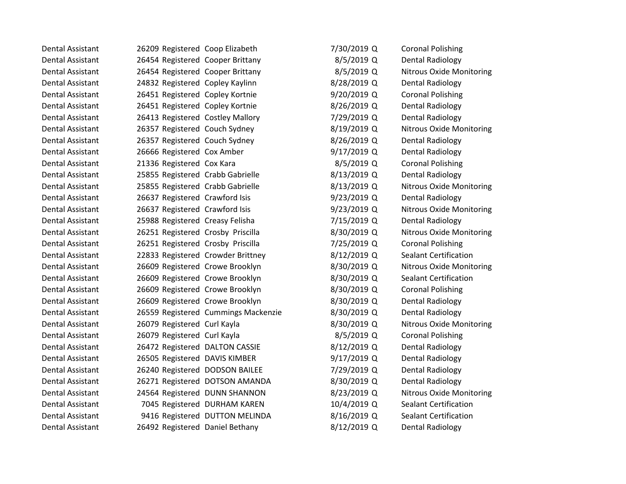| Dental Assistant        | 26209 Registered Coop Elizabeth   |                                     | 7/30/2019 Q | <b>Coronal Polishing</b>        |
|-------------------------|-----------------------------------|-------------------------------------|-------------|---------------------------------|
| <b>Dental Assistant</b> | 26454 Registered Cooper Brittany  |                                     | 8/5/2019 Q  | <b>Dental Radiology</b>         |
| Dental Assistant        | 26454 Registered Cooper Brittany  |                                     | 8/5/2019 Q  | <b>Nitrous Oxide Monitoring</b> |
| <b>Dental Assistant</b> | 24832 Registered Copley Kaylinn   |                                     | 8/28/2019 Q | <b>Dental Radiology</b>         |
| <b>Dental Assistant</b> | 26451 Registered Copley Kortnie   |                                     | 9/20/2019 Q | <b>Coronal Polishing</b>        |
| Dental Assistant        | 26451 Registered Copley Kortnie   |                                     | 8/26/2019 Q | <b>Dental Radiology</b>         |
| <b>Dental Assistant</b> | 26413 Registered Costley Mallory  |                                     | 7/29/2019 Q | Dental Radiology                |
| <b>Dental Assistant</b> | 26357 Registered Couch Sydney     |                                     | 8/19/2019 Q | <b>Nitrous Oxide Monitoring</b> |
| Dental Assistant        | 26357 Registered Couch Sydney     |                                     | 8/26/2019 Q | <b>Dental Radiology</b>         |
| <b>Dental Assistant</b> | 26666 Registered Cox Amber        |                                     | 9/17/2019 Q | <b>Dental Radiology</b>         |
| <b>Dental Assistant</b> | 21336 Registered Cox Kara         |                                     | 8/5/2019 Q  | <b>Coronal Polishing</b>        |
| <b>Dental Assistant</b> | 25855 Registered Crabb Gabrielle  |                                     | 8/13/2019 Q | <b>Dental Radiology</b>         |
| <b>Dental Assistant</b> | 25855 Registered Crabb Gabrielle  |                                     | 8/13/2019 Q | <b>Nitrous Oxide Monitoring</b> |
| <b>Dental Assistant</b> | 26637 Registered Crawford Isis    |                                     | 9/23/2019 Q | <b>Dental Radiology</b>         |
| <b>Dental Assistant</b> | 26637 Registered Crawford Isis    |                                     | 9/23/2019 Q | <b>Nitrous Oxide Monitoring</b> |
| <b>Dental Assistant</b> | 25988 Registered Creasy Felisha   |                                     | 7/15/2019 Q | <b>Dental Radiology</b>         |
| <b>Dental Assistant</b> | 26251 Registered Crosby Priscilla |                                     | 8/30/2019 Q | <b>Nitrous Oxide Monitoring</b> |
| <b>Dental Assistant</b> | 26251 Registered Crosby Priscilla |                                     | 7/25/2019 Q | <b>Coronal Polishing</b>        |
| <b>Dental Assistant</b> | 22833 Registered Crowder Brittney |                                     | 8/12/2019 Q | <b>Sealant Certification</b>    |
| <b>Dental Assistant</b> | 26609 Registered Crowe Brooklyn   |                                     | 8/30/2019 Q | <b>Nitrous Oxide Monitoring</b> |
| Dental Assistant        | 26609 Registered Crowe Brooklyn   |                                     | 8/30/2019 Q | Sealant Certification           |
| <b>Dental Assistant</b> | 26609 Registered Crowe Brooklyn   |                                     | 8/30/2019 Q | <b>Coronal Polishing</b>        |
| <b>Dental Assistant</b> | 26609 Registered Crowe Brooklyn   |                                     | 8/30/2019 Q | Dental Radiology                |
| <b>Dental Assistant</b> |                                   | 26559 Registered Cummings Mackenzie | 8/30/2019 Q | <b>Dental Radiology</b>         |
| <b>Dental Assistant</b> | 26079 Registered Curl Kayla       |                                     | 8/30/2019 Q | <b>Nitrous Oxide Monitoring</b> |
| <b>Dental Assistant</b> | 26079 Registered Curl Kayla       |                                     | 8/5/2019 Q  | <b>Coronal Polishing</b>        |
| <b>Dental Assistant</b> | 26472 Registered DALTON CASSIE    |                                     | 8/12/2019 Q | <b>Dental Radiology</b>         |
| <b>Dental Assistant</b> | 26505 Registered DAVIS KIMBER     |                                     | 9/17/2019 Q | <b>Dental Radiology</b>         |
| <b>Dental Assistant</b> | 26240 Registered DODSON BAILEE    |                                     | 7/29/2019 Q | <b>Dental Radiology</b>         |
| Dental Assistant        |                                   | 26271 Registered DOTSON AMANDA      | 8/30/2019 Q | <b>Dental Radiology</b>         |
| <b>Dental Assistant</b> | 24564 Registered DUNN SHANNON     |                                     | 8/23/2019 Q | <b>Nitrous Oxide Monitoring</b> |
| <b>Dental Assistant</b> |                                   | 7045 Registered DURHAM KAREN        | 10/4/2019 Q | <b>Sealant Certification</b>    |
| <b>Dental Assistant</b> |                                   | 9416 Registered DUTTON MELINDA      | 8/16/2019 Q | <b>Sealant Certification</b>    |
| Dental Assistant        | 26492 Registered Daniel Bethany   |                                     | 8/12/2019 Q | Dental Radiology                |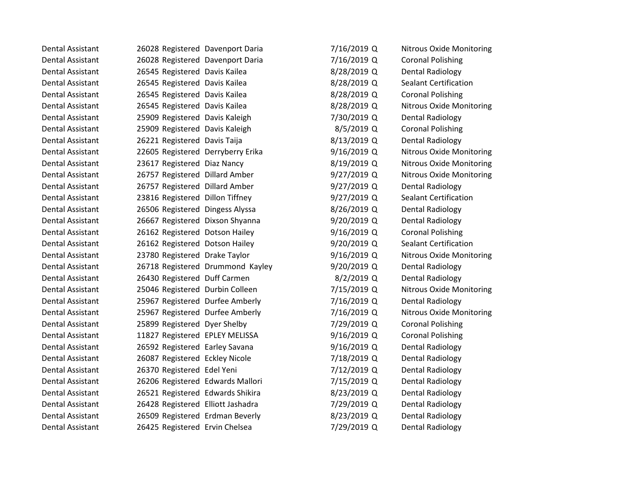| Dental Assistant        | 26028 Registered Davenport Daria  |                                  | 7/16/2019 Q   | <b>Nitrous Oxide Monitoring</b> |
|-------------------------|-----------------------------------|----------------------------------|---------------|---------------------------------|
| <b>Dental Assistant</b> | 26028 Registered Davenport Daria  |                                  | 7/16/2019 Q   | <b>Coronal Polishing</b>        |
| <b>Dental Assistant</b> | 26545 Registered Davis Kailea     |                                  | 8/28/2019 Q   | <b>Dental Radiology</b>         |
| Dental Assistant        | 26545 Registered Davis Kailea     |                                  | 8/28/2019 Q   | <b>Sealant Certification</b>    |
| <b>Dental Assistant</b> | 26545 Registered Davis Kailea     |                                  | 8/28/2019 Q   | <b>Coronal Polishing</b>        |
| <b>Dental Assistant</b> | 26545 Registered Davis Kailea     |                                  | 8/28/2019 Q   | <b>Nitrous Oxide Monitoring</b> |
| Dental Assistant        | 25909 Registered Davis Kaleigh    |                                  | 7/30/2019 Q   | <b>Dental Radiology</b>         |
| <b>Dental Assistant</b> | 25909 Registered Davis Kaleigh    |                                  | 8/5/2019 Q    | <b>Coronal Polishing</b>        |
| <b>Dental Assistant</b> | 26221 Registered Davis Taija      |                                  | 8/13/2019 Q   | <b>Dental Radiology</b>         |
| Dental Assistant        | 22605 Registered Derryberry Erika |                                  | 9/16/2019 Q   | <b>Nitrous Oxide Monitoring</b> |
| Dental Assistant        | 23617 Registered Diaz Nancy       |                                  | 8/19/2019 Q   | <b>Nitrous Oxide Monitoring</b> |
| <b>Dental Assistant</b> | 26757 Registered Dillard Amber    |                                  | 9/27/2019 Q   | <b>Nitrous Oxide Monitoring</b> |
| <b>Dental Assistant</b> | 26757 Registered Dillard Amber    |                                  | $9/27/2019$ Q | <b>Dental Radiology</b>         |
| Dental Assistant        | 23816 Registered Dillon Tiffney   |                                  | $9/27/2019$ Q | <b>Sealant Certification</b>    |
| <b>Dental Assistant</b> | 26506 Registered Dingess Alyssa   |                                  | 8/26/2019 Q   | <b>Dental Radiology</b>         |
| <b>Dental Assistant</b> | 26667 Registered Dixson Shyanna   |                                  | $9/20/2019$ Q | Dental Radiology                |
| Dental Assistant        | 26162 Registered Dotson Hailey    |                                  | $9/16/2019$ Q | <b>Coronal Polishing</b>        |
| <b>Dental Assistant</b> | 26162 Registered Dotson Hailey    |                                  | 9/20/2019 Q   | <b>Sealant Certification</b>    |
| <b>Dental Assistant</b> | 23780 Registered Drake Taylor     |                                  | 9/16/2019 Q   | <b>Nitrous Oxide Monitoring</b> |
| Dental Assistant        |                                   | 26718 Registered Drummond Kayley | $9/20/2019$ Q | <b>Dental Radiology</b>         |
| Dental Assistant        | 26430 Registered Duff Carmen      |                                  | 8/2/2019 Q    | <b>Dental Radiology</b>         |
| <b>Dental Assistant</b> | 25046 Registered Durbin Colleen   |                                  | 7/15/2019 Q   | <b>Nitrous Oxide Monitoring</b> |
| <b>Dental Assistant</b> | 25967 Registered Durfee Amberly   |                                  | 7/16/2019 Q   | <b>Dental Radiology</b>         |
| Dental Assistant        | 25967 Registered Durfee Amberly   |                                  | 7/16/2019 Q   | Nitrous Oxide Monitoring        |
| Dental Assistant        | 25899 Registered Dyer Shelby      |                                  | 7/29/2019 Q   | <b>Coronal Polishing</b>        |
| <b>Dental Assistant</b> | 11827 Registered EPLEY MELISSA    |                                  | 9/16/2019 Q   | <b>Coronal Polishing</b>        |
| Dental Assistant        | 26592 Registered Earley Savana    |                                  | 9/16/2019 Q   | <b>Dental Radiology</b>         |
| <b>Dental Assistant</b> | 26087 Registered Eckley Nicole    |                                  | 7/18/2019 Q   | <b>Dental Radiology</b>         |
| <b>Dental Assistant</b> | 26370 Registered Edel Yeni        |                                  | 7/12/2019 Q   | <b>Dental Radiology</b>         |
| Dental Assistant        | 26206 Registered Edwards Mallori  |                                  | 7/15/2019 Q   | <b>Dental Radiology</b>         |
| Dental Assistant        | 26521 Registered Edwards Shikira  |                                  | 8/23/2019 Q   | <b>Dental Radiology</b>         |
| <b>Dental Assistant</b> | 26428 Registered Elliott Jashadra |                                  | 7/29/2019 Q   | <b>Dental Radiology</b>         |
| Dental Assistant        | 26509 Registered Erdman Beverly   |                                  | 8/23/2019 Q   | <b>Dental Radiology</b>         |
| Dental Assistant        | 26425 Registered Ervin Chelsea    |                                  | 7/29/2019 Q   | Dental Radiology                |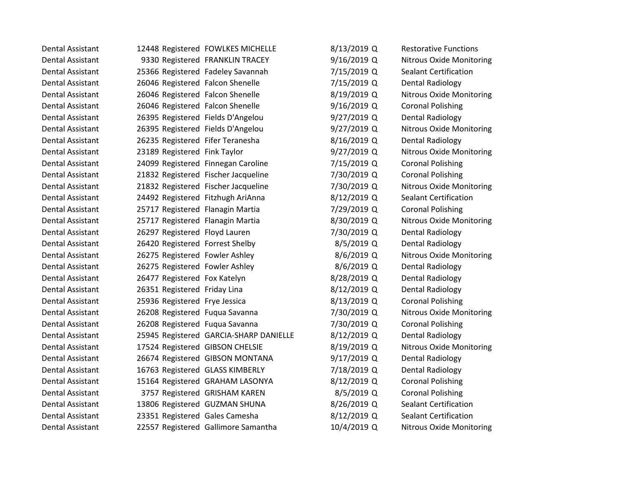| Dental Assistant        |                                   | 12448 Registered FOWLKES MICHELLE      | 8/13/2019 Q   | <b>Restorative Functions</b>    |
|-------------------------|-----------------------------------|----------------------------------------|---------------|---------------------------------|
| <b>Dental Assistant</b> |                                   | 9330 Registered FRANKLIN TRACEY        | 9/16/2019 Q   | <b>Nitrous Oxide Monitoring</b> |
| Dental Assistant        |                                   | 25366 Registered Fadeley Savannah      | 7/15/2019 Q   | <b>Sealant Certification</b>    |
| Dental Assistant        | 26046 Registered Falcon Shenelle  |                                        | 7/15/2019 Q   | <b>Dental Radiology</b>         |
| <b>Dental Assistant</b> | 26046 Registered Falcon Shenelle  |                                        | 8/19/2019 Q   | <b>Nitrous Oxide Monitoring</b> |
| Dental Assistant        | 26046 Registered Falcon Shenelle  |                                        | 9/16/2019 Q   | <b>Coronal Polishing</b>        |
| Dental Assistant        | 26395 Registered Fields D'Angelou |                                        | 9/27/2019 Q   | Dental Radiology                |
| <b>Dental Assistant</b> | 26395 Registered Fields D'Angelou |                                        | $9/27/2019$ Q | <b>Nitrous Oxide Monitoring</b> |
| Dental Assistant        | 26235 Registered Fifer Teranesha  |                                        | 8/16/2019 Q   | <b>Dental Radiology</b>         |
| Dental Assistant        | 23189 Registered Fink Taylor      |                                        | $9/27/2019$ Q | <b>Nitrous Oxide Monitoring</b> |
| <b>Dental Assistant</b> |                                   | 24099 Registered Finnegan Caroline     | 7/15/2019 Q   | <b>Coronal Polishing</b>        |
| Dental Assistant        |                                   | 21832 Registered Fischer Jacqueline    | 7/30/2019 Q   | <b>Coronal Polishing</b>        |
| Dental Assistant        |                                   | 21832 Registered Fischer Jacqueline    | 7/30/2019 Q   | <b>Nitrous Oxide Monitoring</b> |
| <b>Dental Assistant</b> | 24492 Registered Fitzhugh AriAnna |                                        | 8/12/2019 Q   | <b>Sealant Certification</b>    |
| Dental Assistant        | 25717 Registered Flanagin Martia  |                                        | 7/29/2019 Q   | <b>Coronal Polishing</b>        |
| <b>Dental Assistant</b> | 25717 Registered Flanagin Martia  |                                        | 8/30/2019 Q   | <b>Nitrous Oxide Monitoring</b> |
| <b>Dental Assistant</b> | 26297 Registered Floyd Lauren     |                                        | 7/30/2019 Q   | <b>Dental Radiology</b>         |
| Dental Assistant        | 26420 Registered Forrest Shelby   |                                        | 8/5/2019 Q    | <b>Dental Radiology</b>         |
| <b>Dental Assistant</b> | 26275 Registered Fowler Ashley    |                                        | 8/6/2019 Q    | <b>Nitrous Oxide Monitoring</b> |
| Dental Assistant        | 26275 Registered Fowler Ashley    |                                        | $8/6/2019$ Q  | Dental Radiology                |
| Dental Assistant        | 26477 Registered Fox Katelyn      |                                        | 8/28/2019 Q   | <b>Dental Radiology</b>         |
| Dental Assistant        | 26351 Registered Friday Lina      |                                        | 8/12/2019 Q   | <b>Dental Radiology</b>         |
| Dental Assistant        | 25936 Registered Frye Jessica     |                                        | 8/13/2019 Q   | <b>Coronal Polishing</b>        |
| Dental Assistant        | 26208 Registered Fuqua Savanna    |                                        | 7/30/2019 Q   | <b>Nitrous Oxide Monitoring</b> |
| Dental Assistant        | 26208 Registered Fuqua Savanna    |                                        | 7/30/2019 Q   | <b>Coronal Polishing</b>        |
| <b>Dental Assistant</b> |                                   | 25945 Registered GARCIA-SHARP DANIELLE | 8/12/2019 Q   | <b>Dental Radiology</b>         |
| Dental Assistant        | 17524 Registered GIBSON CHELSIE   |                                        | 8/19/2019 Q   | <b>Nitrous Oxide Monitoring</b> |
| <b>Dental Assistant</b> |                                   | 26674 Registered GIBSON MONTANA        | 9/17/2019 Q   | <b>Dental Radiology</b>         |
| <b>Dental Assistant</b> | 16763 Registered GLASS KIMBERLY   |                                        | 7/18/2019 Q   | Dental Radiology                |
| Dental Assistant        |                                   | 15164 Registered GRAHAM LASONYA        | 8/12/2019 Q   | <b>Coronal Polishing</b>        |
| Dental Assistant        |                                   | 3757 Registered GRISHAM KAREN          | 8/5/2019 Q    | <b>Coronal Polishing</b>        |
| <b>Dental Assistant</b> | 13806 Registered GUZMAN SHUNA     |                                        | 8/26/2019 Q   | <b>Sealant Certification</b>    |
| <b>Dental Assistant</b> | 23351 Registered Gales Camesha    |                                        | 8/12/2019 Q   | <b>Sealant Certification</b>    |
| Dental Assistant        |                                   | 22557 Registered Gallimore Samantha    | 10/4/2019 Q   | Nitrous Oxide Monitoring        |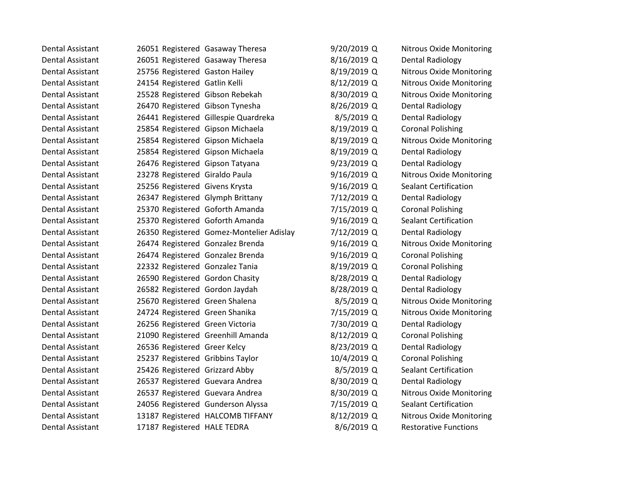| Dental Assistant        | 26051 Registered Gasaway Theresa |                                          | 9/20/2019 Q   | <b>Nitrous Oxide Monitoring</b> |
|-------------------------|----------------------------------|------------------------------------------|---------------|---------------------------------|
| <b>Dental Assistant</b> | 26051 Registered Gasaway Theresa |                                          | 8/16/2019 Q   | Dental Radiology                |
| Dental Assistant        | 25756 Registered Gaston Hailey   |                                          | 8/19/2019 Q   | <b>Nitrous Oxide Monitoring</b> |
| <b>Dental Assistant</b> | 24154 Registered Gatlin Kelli    |                                          | 8/12/2019 Q   | <b>Nitrous Oxide Monitoring</b> |
| <b>Dental Assistant</b> | 25528 Registered Gibson Rebekah  |                                          | 8/30/2019 Q   | <b>Nitrous Oxide Monitoring</b> |
| <b>Dental Assistant</b> | 26470 Registered Gibson Tynesha  |                                          | 8/26/2019 Q   | Dental Radiology                |
| Dental Assistant        |                                  | 26441 Registered Gillespie Quardreka     | 8/5/2019 Q    | <b>Dental Radiology</b>         |
| <b>Dental Assistant</b> | 25854 Registered Gipson Michaela |                                          | 8/19/2019 Q   | <b>Coronal Polishing</b>        |
| <b>Dental Assistant</b> | 25854 Registered Gipson Michaela |                                          | 8/19/2019 Q   | <b>Nitrous Oxide Monitoring</b> |
| Dental Assistant        | 25854 Registered Gipson Michaela |                                          | 8/19/2019 Q   | <b>Dental Radiology</b>         |
| <b>Dental Assistant</b> | 26476 Registered Gipson Tatyana  |                                          | 9/23/2019 Q   | <b>Dental Radiology</b>         |
| <b>Dental Assistant</b> | 23278 Registered Giraldo Paula   |                                          | 9/16/2019 Q   | <b>Nitrous Oxide Monitoring</b> |
| Dental Assistant        | 25256 Registered Givens Krysta   |                                          | 9/16/2019 Q   | <b>Sealant Certification</b>    |
| <b>Dental Assistant</b> | 26347 Registered Glymph Brittany |                                          | 7/12/2019 Q   | <b>Dental Radiology</b>         |
| <b>Dental Assistant</b> | 25370 Registered Goforth Amanda  |                                          | 7/15/2019 Q   | <b>Coronal Polishing</b>        |
| <b>Dental Assistant</b> | 25370 Registered Goforth Amanda  |                                          | $9/16/2019$ Q | <b>Sealant Certification</b>    |
| <b>Dental Assistant</b> |                                  | 26350 Registered Gomez-Montelier Adislay | 7/12/2019 Q   | <b>Dental Radiology</b>         |
| <b>Dental Assistant</b> | 26474 Registered Gonzalez Brenda |                                          | 9/16/2019 Q   | <b>Nitrous Oxide Monitoring</b> |
| Dental Assistant        | 26474 Registered Gonzalez Brenda |                                          | 9/16/2019 Q   | <b>Coronal Polishing</b>        |
| Dental Assistant        | 22332 Registered Gonzalez Tania  |                                          | 8/19/2019 Q   | <b>Coronal Polishing</b>        |
| <b>Dental Assistant</b> | 26590 Registered Gordon Chasity  |                                          | 8/28/2019 Q   | <b>Dental Radiology</b>         |
| <b>Dental Assistant</b> | 26582 Registered Gordon Jaydah   |                                          | 8/28/2019 Q   | <b>Dental Radiology</b>         |
| Dental Assistant        | 25670 Registered Green Shalena   |                                          | 8/5/2019 Q    | <b>Nitrous Oxide Monitoring</b> |
| Dental Assistant        | 24724 Registered Green Shanika   |                                          | 7/15/2019 Q   | <b>Nitrous Oxide Monitoring</b> |
| <b>Dental Assistant</b> | 26256 Registered Green Victoria  |                                          | 7/30/2019 Q   | <b>Dental Radiology</b>         |
| <b>Dental Assistant</b> |                                  | 21090 Registered Greenhill Amanda        | 8/12/2019 Q   | <b>Coronal Polishing</b>        |
| <b>Dental Assistant</b> | 26536 Registered Greer Kelcy     |                                          | 8/23/2019 Q   | <b>Dental Radiology</b>         |
| <b>Dental Assistant</b> | 25237 Registered Gribbins Taylor |                                          | 10/4/2019 Q   | <b>Coronal Polishing</b>        |
| Dental Assistant        | 25426 Registered Grizzard Abby   |                                          | 8/5/2019 Q    | <b>Sealant Certification</b>    |
| Dental Assistant        | 26537 Registered Guevara Andrea  |                                          | 8/30/2019 Q   | <b>Dental Radiology</b>         |
| <b>Dental Assistant</b> | 26537 Registered Guevara Andrea  |                                          | 8/30/2019 Q   | <b>Nitrous Oxide Monitoring</b> |
| <b>Dental Assistant</b> |                                  | 24056 Registered Gunderson Alyssa        | 7/15/2019 Q   | <b>Sealant Certification</b>    |
| <b>Dental Assistant</b> |                                  | 13187 Registered HALCOMB TIFFANY         | 8/12/2019 Q   | <b>Nitrous Oxide Monitoring</b> |
| Dental Assistant        | 17187 Registered HALE TEDRA      |                                          | 8/6/2019 Q    | <b>Restorative Functions</b>    |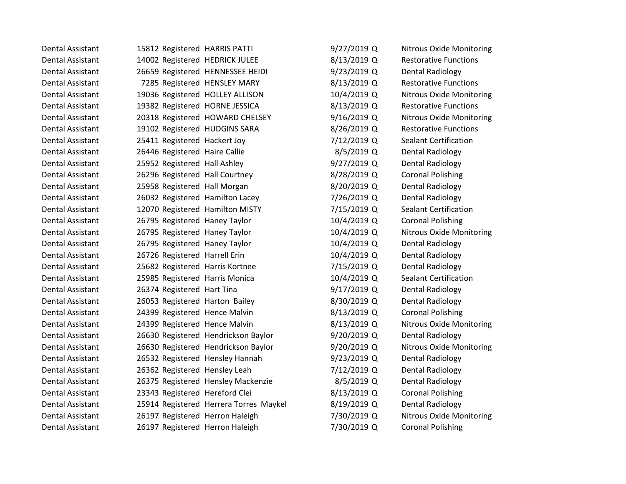| <b>Dental Assistant</b> | 15812 Registered HARRIS PATTI   |                                        | 9/27/2019 Q   | <b>Nitrous Oxide Monitoring</b> |
|-------------------------|---------------------------------|----------------------------------------|---------------|---------------------------------|
| <b>Dental Assistant</b> | 14002 Registered HEDRICK JULEE  |                                        | 8/13/2019 Q   | <b>Restorative Functions</b>    |
| Dental Assistant        |                                 | 26659 Registered HENNESSEE HEIDI       | 9/23/2019 Q   | Dental Radiology                |
| Dental Assistant        |                                 | 7285 Registered HENSLEY MARY           | 8/13/2019 Q   | <b>Restorative Functions</b>    |
| Dental Assistant        | 19036 Registered HOLLEY ALLISON |                                        | 10/4/2019 Q   | <b>Nitrous Oxide Monitoring</b> |
| Dental Assistant        | 19382 Registered HORNE JESSICA  |                                        | 8/13/2019 Q   | <b>Restorative Functions</b>    |
| Dental Assistant        |                                 | 20318 Registered HOWARD CHELSEY        | 9/16/2019 Q   | <b>Nitrous Oxide Monitoring</b> |
| <b>Dental Assistant</b> | 19102 Registered HUDGINS SARA   |                                        | 8/26/2019 Q   | <b>Restorative Functions</b>    |
| Dental Assistant        | 25411 Registered Hackert Joy    |                                        | 7/12/2019 Q   | <b>Sealant Certification</b>    |
| <b>Dental Assistant</b> | 26446 Registered Haire Callie   |                                        | 8/5/2019 Q    | <b>Dental Radiology</b>         |
| Dental Assistant        | 25952 Registered Hall Ashley    |                                        | $9/27/2019$ Q | <b>Dental Radiology</b>         |
| Dental Assistant        | 26296 Registered Hall Courtney  |                                        | 8/28/2019 Q   | <b>Coronal Polishing</b>        |
| Dental Assistant        | 25958 Registered Hall Morgan    |                                        | 8/20/2019 Q   | Dental Radiology                |
| Dental Assistant        | 26032 Registered Hamilton Lacey |                                        | 7/26/2019 Q   | <b>Dental Radiology</b>         |
| <b>Dental Assistant</b> | 12070 Registered Hamilton MISTY |                                        | 7/15/2019 Q   | <b>Sealant Certification</b>    |
| Dental Assistant        | 26795 Registered Haney Taylor   |                                        | 10/4/2019 Q   | <b>Coronal Polishing</b>        |
| Dental Assistant        | 26795 Registered Haney Taylor   |                                        | 10/4/2019 Q   | <b>Nitrous Oxide Monitoring</b> |
| Dental Assistant        | 26795 Registered Haney Taylor   |                                        | 10/4/2019 Q   | Dental Radiology                |
| Dental Assistant        | 26726 Registered Harrell Erin   |                                        | 10/4/2019 Q   | <b>Dental Radiology</b>         |
| Dental Assistant        | 25682 Registered Harris Kortnee |                                        | 7/15/2019 Q   | <b>Dental Radiology</b>         |
| Dental Assistant        | 25985 Registered Harris Monica  |                                        | 10/4/2019 Q   | <b>Sealant Certification</b>    |
| Dental Assistant        | 26374 Registered Hart Tina      |                                        | 9/17/2019 Q   | <b>Dental Radiology</b>         |
| Dental Assistant        | 26053 Registered Harton Bailey  |                                        | 8/30/2019 Q   | <b>Dental Radiology</b>         |
| Dental Assistant        | 24399 Registered Hence Malvin   |                                        | 8/13/2019 Q   | <b>Coronal Polishing</b>        |
| Dental Assistant        | 24399 Registered Hence Malvin   |                                        | 8/13/2019 Q   | <b>Nitrous Oxide Monitoring</b> |
| Dental Assistant        |                                 | 26630 Registered Hendrickson Baylor    | 9/20/2019 Q   | Dental Radiology                |
| Dental Assistant        |                                 | 26630 Registered Hendrickson Baylor    | 9/20/2019 Q   | <b>Nitrous Oxide Monitoring</b> |
| <b>Dental Assistant</b> | 26532 Registered Hensley Hannah |                                        | 9/23/2019 Q   | <b>Dental Radiology</b>         |
| <b>Dental Assistant</b> | 26362 Registered Hensley Leah   |                                        | 7/12/2019 Q   | Dental Radiology                |
| <b>Dental Assistant</b> |                                 | 26375 Registered Hensley Mackenzie     | 8/5/2019 Q    | <b>Dental Radiology</b>         |
| Dental Assistant        | 23343 Registered Hereford Clei  |                                        | 8/13/2019 Q   | <b>Coronal Polishing</b>        |
| <b>Dental Assistant</b> |                                 | 25914 Registered Herrera Torres Maykel | 8/19/2019 Q   | <b>Dental Radiology</b>         |
| <b>Dental Assistant</b> | 26197 Registered Herron Haleigh |                                        | 7/30/2019 Q   | <b>Nitrous Oxide Monitoring</b> |
| Dental Assistant        | 26197 Registered Herron Haleigh |                                        | 7/30/2019 Q   | <b>Coronal Polishing</b>        |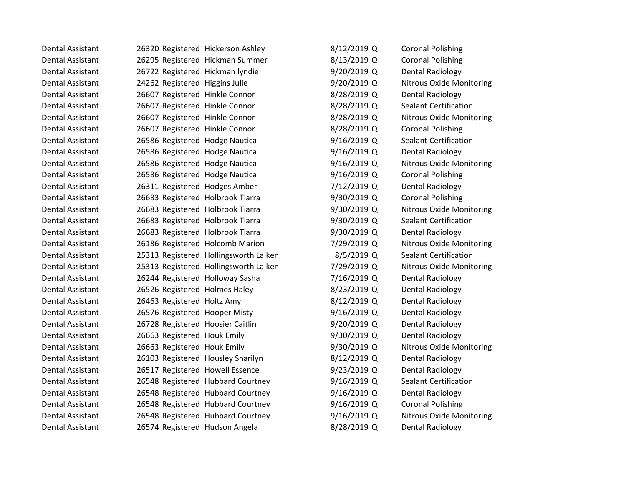| Dental Assistant        | 26320 Registered Hickerson Ashley |                                       | 8/12/2019 Q   | <b>Coronal Polishing</b>        |
|-------------------------|-----------------------------------|---------------------------------------|---------------|---------------------------------|
| <b>Dental Assistant</b> | 26295 Registered Hickman Summer   |                                       | 8/13/2019 Q   | <b>Coronal Polishing</b>        |
| <b>Dental Assistant</b> | 26722 Registered Hickman lyndie   |                                       | 9/20/2019 Q   | <b>Dental Radiology</b>         |
| <b>Dental Assistant</b> | 24262 Registered Higgins Julie    |                                       | 9/20/2019 Q   | <b>Nitrous Oxide Monitoring</b> |
| <b>Dental Assistant</b> | 26607 Registered Hinkle Connor    |                                       | 8/28/2019 Q   | <b>Dental Radiology</b>         |
| Dental Assistant        | 26607 Registered Hinkle Connor    |                                       | 8/28/2019 Q   | <b>Sealant Certification</b>    |
| <b>Dental Assistant</b> | 26607 Registered Hinkle Connor    |                                       | 8/28/2019 Q   | <b>Nitrous Oxide Monitoring</b> |
| <b>Dental Assistant</b> | 26607 Registered Hinkle Connor    |                                       | 8/28/2019 Q   | <b>Coronal Polishing</b>        |
| <b>Dental Assistant</b> | 26586 Registered Hodge Nautica    |                                       | $9/16/2019$ Q | <b>Sealant Certification</b>    |
| Dental Assistant        | 26586 Registered Hodge Nautica    |                                       | $9/16/2019$ Q | <b>Dental Radiology</b>         |
| <b>Dental Assistant</b> | 26586 Registered Hodge Nautica    |                                       | 9/16/2019 Q   | <b>Nitrous Oxide Monitoring</b> |
| <b>Dental Assistant</b> | 26586 Registered Hodge Nautica    |                                       | 9/16/2019 Q   | <b>Coronal Polishing</b>        |
| Dental Assistant        | 26311 Registered Hodges Amber     |                                       | 7/12/2019 Q   | <b>Dental Radiology</b>         |
| <b>Dental Assistant</b> | 26683 Registered Holbrook Tiarra  |                                       | 9/30/2019 Q   | <b>Coronal Polishing</b>        |
| Dental Assistant        | 26683 Registered Holbrook Tiarra  |                                       | 9/30/2019 Q   | <b>Nitrous Oxide Monitoring</b> |
| Dental Assistant        | 26683 Registered Holbrook Tiarra  |                                       | 9/30/2019 Q   | <b>Sealant Certification</b>    |
| <b>Dental Assistant</b> | 26683 Registered Holbrook Tiarra  |                                       | 9/30/2019 Q   | <b>Dental Radiology</b>         |
| <b>Dental Assistant</b> | 26186 Registered Holcomb Marion   |                                       | 7/29/2019 Q   | <b>Nitrous Oxide Monitoring</b> |
| <b>Dental Assistant</b> |                                   | 25313 Registered Hollingsworth Laiken | $8/5/2019$ Q  | <b>Sealant Certification</b>    |
| <b>Dental Assistant</b> |                                   | 25313 Registered Hollingsworth Laiken | 7/29/2019 Q   | <b>Nitrous Oxide Monitoring</b> |
| <b>Dental Assistant</b> | 26244 Registered Holloway Sasha   |                                       | 7/16/2019 Q   | <b>Dental Radiology</b>         |
| <b>Dental Assistant</b> | 26526 Registered Holmes Haley     |                                       | 8/23/2019 Q   | <b>Dental Radiology</b>         |
| Dental Assistant        | 26463 Registered Holtz Amy        |                                       | 8/12/2019 Q   | <b>Dental Radiology</b>         |
| <b>Dental Assistant</b> | 26576 Registered Hooper Misty     |                                       | $9/16/2019$ Q | <b>Dental Radiology</b>         |
| <b>Dental Assistant</b> | 26728 Registered Hoosier Caitlin  |                                       | $9/20/2019$ Q | <b>Dental Radiology</b>         |
| <b>Dental Assistant</b> | 26663 Registered Houk Emily       |                                       | 9/30/2019 Q   | <b>Dental Radiology</b>         |
| <b>Dental Assistant</b> | 26663 Registered Houk Emily       |                                       | 9/30/2019 Q   | <b>Nitrous Oxide Monitoring</b> |
| <b>Dental Assistant</b> | 26103 Registered Housley Sharilyn |                                       | 8/12/2019 Q   | <b>Dental Radiology</b>         |
| <b>Dental Assistant</b> | 26517 Registered Howell Essence   |                                       | $9/23/2019$ Q | <b>Dental Radiology</b>         |
| <b>Dental Assistant</b> |                                   | 26548 Registered Hubbard Courtney     | 9/16/2019 Q   | <b>Sealant Certification</b>    |
| Dental Assistant        |                                   | 26548 Registered Hubbard Courtney     | 9/16/2019 Q   | <b>Dental Radiology</b>         |
| <b>Dental Assistant</b> |                                   | 26548 Registered Hubbard Courtney     | 9/16/2019 Q   | <b>Coronal Polishing</b>        |
| <b>Dental Assistant</b> |                                   | 26548 Registered Hubbard Courtney     | 9/16/2019 Q   | <b>Nitrous Oxide Monitoring</b> |
| Dental Assistant        | 26574 Registered Hudson Angela    |                                       | 8/28/2019 Q   | <b>Dental Radiology</b>         |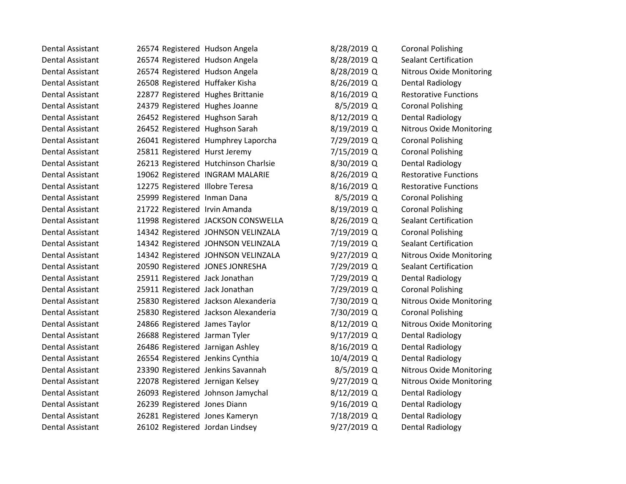Dental Assistant 26574 Registered Hudson Angela 8/28/2019 Q Coronal Polishing Dental Assistant 26574 Registered Hudson Angela 2002/2019 Q Sealant Certification Dental Assistant 26574 Registered Hudson Angela 8/28/2019 Q Nitrous Oxide Monitoring Dental Assistant 26508 Registered Huffaker Kisha 18/26/2019 Q Dental Radiology Dental Assistant 22877 Registered Hughes Brittanie 8/16/2019 Q Restorative Functions Dental Assistant 24379 Registered Hughes Joanne 18/5/2019 Q Coronal Polishing Dental Assistant 26452 Registered Hughson Sarah 8/12/2019 Q Dental Radiology Dental Assistant 26452 Registered Hughson Sarah 8/19/2019 Q Nitrous Oxide Monitoring Dental Assistant 26041 Registered Humphrey Laporcha 7/29/2019 Q Coronal Polishing Dental Assistant 25811 Registered Hurst Jeremy 7/15/2019 Q Coronal Polishing Dental Assistant 26213 Registered Hutchinson Charlsie 3/30/2019 Q Dental Radiology Dental Assistant 19062 Registered INGRAM MALARIE 8/26/2019 Q Restorative Functions Dental Assistant 12275 Registered Illobre Teresa 8/16/2019 Q Restorative Functions Dental Assistant 25999 Registered Inman Dana 1996 8/5/2019 Q Coronal Polishing Dental Assistant 21722 Registered Irvin Amanda 8/19/2019 Q Coronal Polishing Dental Assistant 11998 Registered JACKSON CONSWELLA 8/26/2019 Q Sealant Certification Dental Assistant 14342 Registered JOHNSON VELINZALA 7/19/2019 Q Coronal Polishing Dental Assistant 14342 Registered JOHNSON VELINZALA 7/19/2019 Q Sealant Certification Dental Assistant 14342 Registered JOHNSON VELINZALA 9/27/2019 Q Nitrous Oxide Monitoring Dental Assistant 20590 Registered JONES JONRESHA 7/29/2019 Q Sealant Certification Dental Assistant 25911 Registered Jack Jonathan 7/29/2019 Q Dental Radiology Dental Assistant 25911 Registered Jack Jonathan 7/29/2019 Q Coronal Polishing Dental Assistant 25830 Registered Jackson Alexanderia 7/30/2019 Q Nitrous Oxide Monitoring Dental Assistant 25830 Registered Jackson Alexanderia 7/30/2019 Q Coronal Polishing Dental Assistant 24866 Registered James Taylor 8/12/2019 Q Nitrous Oxide Monitoring Dental Assistant 26688 Registered Jarman Tyler 19917/2019 Q Dental Radiology Dental Assistant 26486 Registered Jarnigan Ashley 1982 8/16/2019 Q Dental Radiology Dental Assistant 26554 Registered Jenkins Cynthia 10/4/2019 Q Dental Radiology Dental Assistant 23390 Registered Jenkins Savannah 8/5/2019 Q Nitrous Oxide Monitoring Dental Assistant 22078 Registered Jernigan Kelsey 9/27/2019 Q Nitrous Oxide Monitoring Dental Assistant 26093 Registered Johnson Jamychal 8/12/2019 Q Dental Radiology Dental Assistant 26239 Registered Jones Diann 9/16/2019 Q Dental Radiology Dental Assistant 26281 Registered Jones Kameryn 7/18/2019 Q Dental Radiology Dental Assistant 26102 Registered Jordan Lindsey 19/27/2019 Q Dental Radiology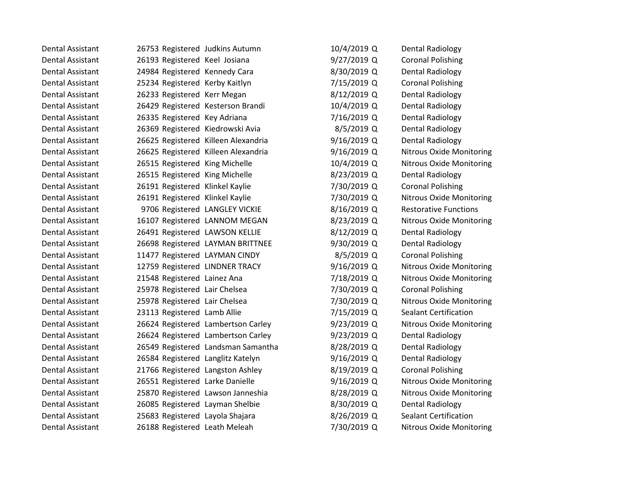| Dental Assistant        | 26753 Registered Judkins Autumn     |                                    | 10/4/2019 Q   | <b>Dental Radiology</b>         |
|-------------------------|-------------------------------------|------------------------------------|---------------|---------------------------------|
| <b>Dental Assistant</b> | 26193 Registered Keel Josiana       |                                    | 9/27/2019 Q   | <b>Coronal Polishing</b>        |
| Dental Assistant        | 24984 Registered Kennedy Cara       |                                    | 8/30/2019 Q   | <b>Dental Radiology</b>         |
| <b>Dental Assistant</b> | 25234 Registered Kerby Kaitlyn      |                                    | 7/15/2019 Q   | <b>Coronal Polishing</b>        |
| Dental Assistant        | 26233 Registered Kerr Megan         |                                    | 8/12/2019 Q   | <b>Dental Radiology</b>         |
| Dental Assistant        | 26429 Registered Kesterson Brandi   |                                    | 10/4/2019 Q   | <b>Dental Radiology</b>         |
| Dental Assistant        | 26335 Registered Key Adriana        |                                    | 7/16/2019 Q   | <b>Dental Radiology</b>         |
| <b>Dental Assistant</b> | 26369 Registered Kiedrowski Avia    |                                    | 8/5/2019 Q    | Dental Radiology                |
| <b>Dental Assistant</b> | 26625 Registered Killeen Alexandria |                                    | $9/16/2019$ Q | <b>Dental Radiology</b>         |
| Dental Assistant        | 26625 Registered Killeen Alexandria |                                    | $9/16/2019$ Q | <b>Nitrous Oxide Monitoring</b> |
| <b>Dental Assistant</b> | 26515 Registered King Michelle      |                                    | 10/4/2019 Q   | <b>Nitrous Oxide Monitoring</b> |
| Dental Assistant        | 26515 Registered King Michelle      |                                    | 8/23/2019 Q   | <b>Dental Radiology</b>         |
| Dental Assistant        | 26191 Registered Klinkel Kaylie     |                                    | 7/30/2019 Q   | <b>Coronal Polishing</b>        |
| <b>Dental Assistant</b> | 26191 Registered Klinkel Kaylie     |                                    | 7/30/2019 Q   | <b>Nitrous Oxide Monitoring</b> |
| Dental Assistant        | 9706 Registered LANGLEY VICKIE      |                                    | 8/16/2019 Q   | <b>Restorative Functions</b>    |
| Dental Assistant        | 16107 Registered LANNOM MEGAN       |                                    | 8/23/2019 Q   | <b>Nitrous Oxide Monitoring</b> |
| <b>Dental Assistant</b> | 26491 Registered LAWSON KELLIE      |                                    | 8/12/2019 Q   | Dental Radiology                |
| Dental Assistant        |                                     | 26698 Registered LAYMAN BRITTNEE   | 9/30/2019 Q   | <b>Dental Radiology</b>         |
| <b>Dental Assistant</b> | 11477 Registered LAYMAN CINDY       |                                    | 8/5/2019 Q    | <b>Coronal Polishing</b>        |
| <b>Dental Assistant</b> | 12759 Registered LINDNER TRACY      |                                    | 9/16/2019 Q   | <b>Nitrous Oxide Monitoring</b> |
| <b>Dental Assistant</b> | 21548 Registered Lainez Ana         |                                    | 7/18/2019 Q   | <b>Nitrous Oxide Monitoring</b> |
| <b>Dental Assistant</b> | 25978 Registered Lair Chelsea       |                                    | 7/30/2019 Q   | <b>Coronal Polishing</b>        |
| Dental Assistant        | 25978 Registered Lair Chelsea       |                                    | 7/30/2019 Q   | <b>Nitrous Oxide Monitoring</b> |
| <b>Dental Assistant</b> | 23113 Registered Lamb Allie         |                                    | 7/15/2019 Q   | <b>Sealant Certification</b>    |
| <b>Dental Assistant</b> |                                     | 26624 Registered Lambertson Carley | 9/23/2019 Q   | <b>Nitrous Oxide Monitoring</b> |
| Dental Assistant        |                                     | 26624 Registered Lambertson Carley | $9/23/2019$ Q | Dental Radiology                |
| <b>Dental Assistant</b> |                                     | 26549 Registered Landsman Samantha | 8/28/2019 Q   | Dental Radiology                |
| Dental Assistant        | 26584 Registered Langlitz Katelyn   |                                    | $9/16/2019$ Q | <b>Dental Radiology</b>         |
| <b>Dental Assistant</b> | 21766 Registered Langston Ashley    |                                    | 8/19/2019 Q   | <b>Coronal Polishing</b>        |
| <b>Dental Assistant</b> | 26551 Registered Larke Danielle     |                                    | 9/16/2019 Q   | <b>Nitrous Oxide Monitoring</b> |
| Dental Assistant        | 25870 Registered Lawson Janneshia   |                                    | 8/28/2019 Q   | <b>Nitrous Oxide Monitoring</b> |
| <b>Dental Assistant</b> | 26085 Registered Layman Shelbie     |                                    | 8/30/2019 Q   | Dental Radiology                |
| <b>Dental Assistant</b> | 25683 Registered Layola Shajara     |                                    | 8/26/2019 Q   | <b>Sealant Certification</b>    |
| Dental Assistant        | 26188 Registered Leath Meleah       |                                    | 7/30/2019 Q   | <b>Nitrous Oxide Monitoring</b> |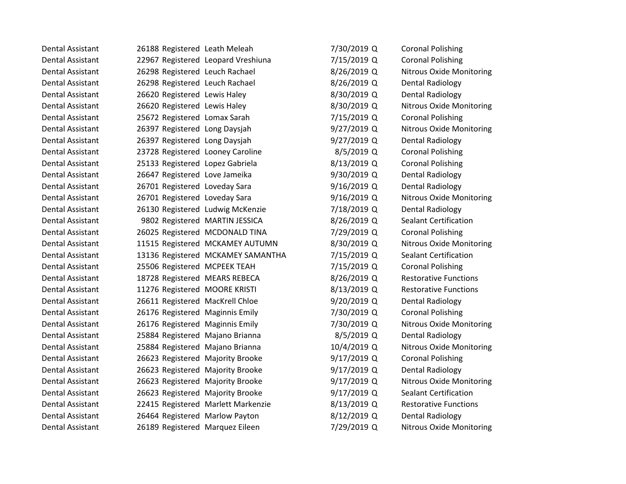| Dental Assistant        | 26188 Registered Leath Meleah    |                                    | 7/30/2019 Q | <b>Coronal Polishing</b>        |
|-------------------------|----------------------------------|------------------------------------|-------------|---------------------------------|
| <b>Dental Assistant</b> |                                  | 22967 Registered Leopard Vreshiuna | 7/15/2019 Q | <b>Coronal Polishing</b>        |
| Dental Assistant        | 26298 Registered Leuch Rachael   |                                    | 8/26/2019 Q | <b>Nitrous Oxide Monitoring</b> |
| <b>Dental Assistant</b> | 26298 Registered Leuch Rachael   |                                    | 8/26/2019 Q | Dental Radiology                |
| <b>Dental Assistant</b> | 26620 Registered Lewis Haley     |                                    | 8/30/2019 Q | <b>Dental Radiology</b>         |
| Dental Assistant        | 26620 Registered Lewis Haley     |                                    | 8/30/2019 Q | Nitrous Oxide Monitoring        |
| <b>Dental Assistant</b> | 25672 Registered Lomax Sarah     |                                    | 7/15/2019 Q | <b>Coronal Polishing</b>        |
| Dental Assistant        | 26397 Registered Long Daysjah    |                                    | 9/27/2019 Q | <b>Nitrous Oxide Monitoring</b> |
| <b>Dental Assistant</b> | 26397 Registered Long Daysjah    |                                    | 9/27/2019 Q | <b>Dental Radiology</b>         |
| <b>Dental Assistant</b> | 23728 Registered Looney Caroline |                                    | 8/5/2019 Q  | <b>Coronal Polishing</b>        |
| Dental Assistant        | 25133 Registered Lopez Gabriela  |                                    | 8/13/2019 Q | <b>Coronal Polishing</b>        |
| <b>Dental Assistant</b> | 26647 Registered Love Jameika    |                                    | 9/30/2019 Q | <b>Dental Radiology</b>         |
| <b>Dental Assistant</b> | 26701 Registered Loveday Sara    |                                    | 9/16/2019 Q | Dental Radiology                |
| Dental Assistant        | 26701 Registered Loveday Sara    |                                    | 9/16/2019 Q | <b>Nitrous Oxide Monitoring</b> |
| <b>Dental Assistant</b> |                                  | 26130 Registered Ludwig McKenzie   | 7/18/2019 Q | <b>Dental Radiology</b>         |
| <b>Dental Assistant</b> |                                  | 9802 Registered MARTIN JESSICA     | 8/26/2019 Q | <b>Sealant Certification</b>    |
| Dental Assistant        |                                  | 26025 Registered MCDONALD TINA     | 7/29/2019 Q | <b>Coronal Polishing</b>        |
| <b>Dental Assistant</b> |                                  | 11515 Registered MCKAMEY AUTUMN    | 8/30/2019 Q | <b>Nitrous Oxide Monitoring</b> |
| Dental Assistant        |                                  | 13136 Registered MCKAMEY SAMANTHA  | 7/15/2019 Q | <b>Sealant Certification</b>    |
| Dental Assistant        | 25506 Registered MCPEEK TEAH     |                                    | 7/15/2019 Q | <b>Coronal Polishing</b>        |
| <b>Dental Assistant</b> | 18728 Registered MEARS REBECA    |                                    | 8/26/2019 Q | <b>Restorative Functions</b>    |
| <b>Dental Assistant</b> | 11276 Registered MOORE KRISTI    |                                    | 8/13/2019 Q | <b>Restorative Functions</b>    |
| Dental Assistant        | 26611 Registered MacKrell Chloe  |                                    | 9/20/2019 Q | <b>Dental Radiology</b>         |
| <b>Dental Assistant</b> | 26176 Registered Maginnis Emily  |                                    | 7/30/2019 Q | <b>Coronal Polishing</b>        |
| Dental Assistant        | 26176 Registered Maginnis Emily  |                                    | 7/30/2019 Q | Nitrous Oxide Monitoring        |
| <b>Dental Assistant</b> | 25884 Registered Majano Brianna  |                                    | 8/5/2019 Q  | Dental Radiology                |
| <b>Dental Assistant</b> | 25884 Registered Majano Brianna  |                                    | 10/4/2019 Q | <b>Nitrous Oxide Monitoring</b> |
| <b>Dental Assistant</b> | 26623 Registered Majority Brooke |                                    | 9/17/2019 Q | <b>Coronal Polishing</b>        |
| <b>Dental Assistant</b> | 26623 Registered Majority Brooke |                                    | 9/17/2019 Q | <b>Dental Radiology</b>         |
| <b>Dental Assistant</b> | 26623 Registered Majority Brooke |                                    | 9/17/2019 Q | Nitrous Oxide Monitoring        |
| Dental Assistant        | 26623 Registered Majority Brooke |                                    | 9/17/2019 Q | <b>Sealant Certification</b>    |
| <b>Dental Assistant</b> |                                  | 22415 Registered Marlett Markenzie | 8/13/2019 Q | <b>Restorative Functions</b>    |
| <b>Dental Assistant</b> | 26464 Registered Marlow Payton   |                                    | 8/12/2019 Q | <b>Dental Radiology</b>         |
| Dental Assistant        | 26189 Registered Marquez Eileen  |                                    | 7/29/2019 Q | <b>Nitrous Oxide Monitoring</b> |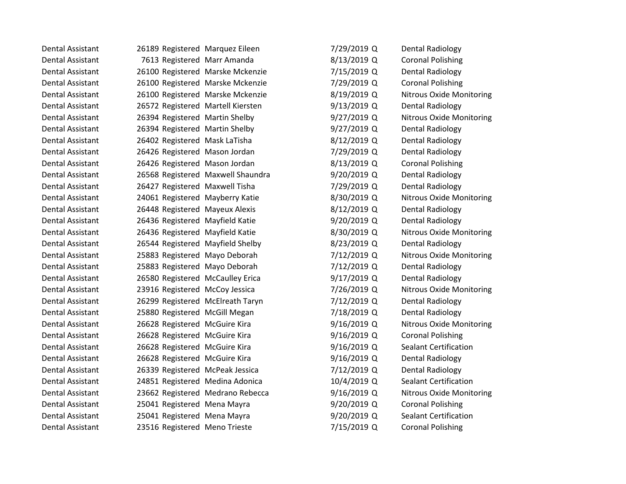Dental Assistant 26189 Registered Marquez Eileen 7/2 Dental Assistant 7613 Registered Marr Amanda 8/1 Dental Assistant 26100 Registered Marske Mckenzie 7/1 Dental Assistant 26100 Registered Marske Mckenzie 7/2 Dental Assistant 26100 Registered Marske Mckenzie 1991 Charles Assets Dental Assistant 26572 Registered Martell Kiersten 19/13 Dental Assistant 26394 Registered Martin Shelby 9/2 Dental Assistant 26394 Registered Martin Shelby 9/2 Dental Assistant 26402 Registered Mask LaTisha 26/1 Dental Assistant 26426 Registered Mason Jordan 7/2 Dental Assistant 26426 Registered Mason Jordan 8/1 Dental Assistant 26568 Registered Maxwell Shaundra 19/2019 Dental Assistant 26427 Registered Maxwell Tisha 7/2 Dental Assistant 24061 Registered Mayberry Katie 8/3 Dental Assistant 26448 Registered Mayeux Alexis 2012 Dental Assistant 26436 Registered Mayfield Katie 19/20 Dental Assistant 26436 Registered Mayfield Katie 8/3 Dental Assistant 26544 Registered Mayfield Shelby 8/2 Dental Assistant 25883 Registered Mayo Deborah 7/1 Dental Assistant 25883 Registered Mayo Deborah 7/1 Dental Assistant 26580 Registered McCaulley Erica 3/1 Dental Assistant 23916 Registered McCoy Jessica 7/2 Dental Assistant 26299 Registered McElreath Taryn 7/1 Dental Assistant 25880 Registered McGill Megan 7/1 Dental Assistant 26628 Registered McGuire Kira 1676 19/16 Dental Assistant 26628 Registered McGuire Kira 1600 Coronal Politics (9/16) Dental Assistant 26628 Registered McGuire Kira 616 March 2014 Dental Assistant 26628 Registered McGuire Kira 19/16 Dental Assistant 26339 Registered McPeak Jessica 7/1 Dental Assistant 24851 Registered Medina Adonica 10, Dental Assistant 23662 Registered Medrano Rebecca 9/1 Dental Assistant 25041 Registered Mena Mayra 29/2 Dental Assistant 25041 Registered Mena Mayra 1997 Dental Assistant 23516 Registered Meno Trieste 7/15

| 29/2019 Q | Dental Radiology             |
|-----------|------------------------------|
| 13/2019 Q | <b>Coronal Polishing</b>     |
| 15/2019 Q | Dental Radiology             |
| 29/2019 Q | <b>Coronal Polishing</b>     |
| 19/2019 Q | Nitrous Oxide Monitoring     |
| 13/2019 Q | <b>Dental Radiology</b>      |
| 27/2019 Q | Nitrous Oxide Monitoring     |
| 27/2019 Q | <b>Dental Radiology</b>      |
| 12/2019 Q | <b>Dental Radiology</b>      |
| 29/2019 Q | <b>Dental Radiology</b>      |
| 13/2019 Q | <b>Coronal Polishing</b>     |
| 20/2019 Q | Dental Radiology             |
| 29/2019 Q | <b>Dental Radiology</b>      |
| 30/2019 Q | Nitrous Oxide Monitoring     |
| 12/2019 Q | <b>Dental Radiology</b>      |
| 20/2019 Q | <b>Dental Radiology</b>      |
| 30/2019 Q | Nitrous Oxide Monitoring     |
| 23/2019 Q | <b>Dental Radiology</b>      |
| 12/2019 Q | Nitrous Oxide Monitoring     |
| 12/2019 Q | Dental Radiology             |
| 17/2019 Q | <b>Dental Radiology</b>      |
| 26/2019 Q | Nitrous Oxide Monitoring     |
| 12/2019 Q | Dental Radiology             |
| 18/2019 Q | <b>Dental Radiology</b>      |
| 16/2019 Q | Nitrous Oxide Monitoring     |
| 16/2019 Q | <b>Coronal Polishing</b>     |
| 16/2019 Q | <b>Sealant Certification</b> |
| 16/2019 Q | <b>Dental Radiology</b>      |
| 12/2019 Q | <b>Dental Radiology</b>      |
| /4/2019 Q | <b>Sealant Certification</b> |
| 16/2019 Q | Nitrous Oxide Monitoring     |
| 20/2019 Q | <b>Coronal Polishing</b>     |
| 20/2019 Q | <b>Sealant Certification</b> |
| 15/2019 Q | <b>Coronal Polishing</b>     |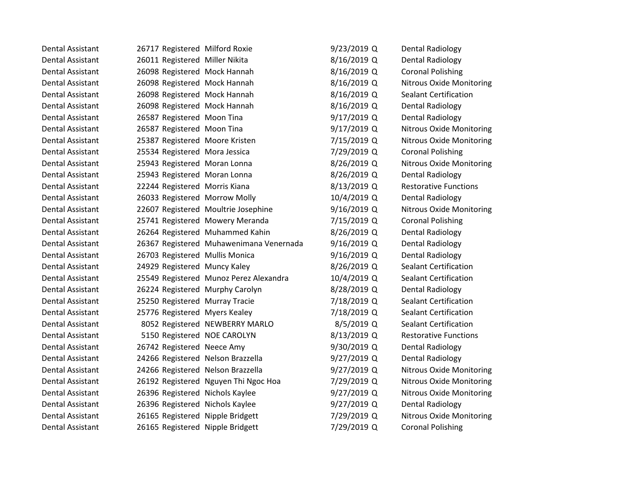| Dental Assistant        | 26717 Registered Milford Roxie    |                                         | 9/23/2019 Q | Dental Radiology                |
|-------------------------|-----------------------------------|-----------------------------------------|-------------|---------------------------------|
| <b>Dental Assistant</b> | 26011 Registered Miller Nikita    |                                         | 8/16/2019 Q | <b>Dental Radiology</b>         |
| Dental Assistant        | 26098 Registered Mock Hannah      |                                         | 8/16/2019 Q | <b>Coronal Polishing</b>        |
| <b>Dental Assistant</b> | 26098 Registered Mock Hannah      |                                         | 8/16/2019 Q | <b>Nitrous Oxide Monitoring</b> |
| Dental Assistant        | 26098 Registered Mock Hannah      |                                         | 8/16/2019 Q | Sealant Certification           |
| Dental Assistant        | 26098 Registered Mock Hannah      |                                         | 8/16/2019 Q | <b>Dental Radiology</b>         |
| <b>Dental Assistant</b> | 26587 Registered Moon Tina        |                                         | 9/17/2019 Q | <b>Dental Radiology</b>         |
| <b>Dental Assistant</b> | 26587 Registered Moon Tina        |                                         | 9/17/2019 Q | <b>Nitrous Oxide Monitoring</b> |
| <b>Dental Assistant</b> | 25387 Registered Moore Kristen    |                                         | 7/15/2019 Q | <b>Nitrous Oxide Monitoring</b> |
| <b>Dental Assistant</b> | 25534 Registered Mora Jessica     |                                         | 7/29/2019 Q | <b>Coronal Polishing</b>        |
| Dental Assistant        | 25943 Registered Moran Lonna      |                                         | 8/26/2019 Q | <b>Nitrous Oxide Monitoring</b> |
| <b>Dental Assistant</b> | 25943 Registered Moran Lonna      |                                         | 8/26/2019 Q | <b>Dental Radiology</b>         |
| <b>Dental Assistant</b> | 22244 Registered Morris Kiana     |                                         | 8/13/2019 Q | <b>Restorative Functions</b>    |
| Dental Assistant        | 26033 Registered Morrow Molly     |                                         | 10/4/2019 Q | <b>Dental Radiology</b>         |
| <b>Dental Assistant</b> |                                   | 22607 Registered Moultrie Josephine     | 9/16/2019 Q | Nitrous Oxide Monitoring        |
| Dental Assistant        |                                   | 25741 Registered Mowery Meranda         | 7/15/2019 Q | <b>Coronal Polishing</b>        |
| <b>Dental Assistant</b> |                                   | 26264 Registered Muhammed Kahin         | 8/26/2019 Q | <b>Dental Radiology</b>         |
| <b>Dental Assistant</b> |                                   | 26367 Registered Muhawenimana Venernada | 9/16/2019 Q | <b>Dental Radiology</b>         |
| <b>Dental Assistant</b> | 26703 Registered Mullis Monica    |                                         | 9/16/2019 Q | <b>Dental Radiology</b>         |
| Dental Assistant        | 24929 Registered Muncy Kaley      |                                         | 8/26/2019 Q | <b>Sealant Certification</b>    |
| <b>Dental Assistant</b> |                                   | 25549 Registered Munoz Perez Alexandra  | 10/4/2019 Q | <b>Sealant Certification</b>    |
| Dental Assistant        | 26224 Registered Murphy Carolyn   |                                         | 8/28/2019 Q | <b>Dental Radiology</b>         |
| <b>Dental Assistant</b> | 25250 Registered Murray Tracie    |                                         | 7/18/2019 Q | <b>Sealant Certification</b>    |
| <b>Dental Assistant</b> | 25776 Registered Myers Kealey     |                                         | 7/18/2019 Q | <b>Sealant Certification</b>    |
| <b>Dental Assistant</b> |                                   | 8052 Registered NEWBERRY MARLO          | 8/5/2019 Q  | <b>Sealant Certification</b>    |
| <b>Dental Assistant</b> | 5150 Registered NOE CAROLYN       |                                         | 8/13/2019 Q | <b>Restorative Functions</b>    |
| <b>Dental Assistant</b> | 26742 Registered Neece Amy        |                                         | 9/30/2019 Q | <b>Dental Radiology</b>         |
| <b>Dental Assistant</b> | 24266 Registered Nelson Brazzella |                                         | 9/27/2019 Q | <b>Dental Radiology</b>         |
| <b>Dental Assistant</b> | 24266 Registered Nelson Brazzella |                                         | 9/27/2019 Q | <b>Nitrous Oxide Monitoring</b> |
| Dental Assistant        |                                   | 26192 Registered Nguyen Thi Ngoc Hoa    | 7/29/2019 Q | <b>Nitrous Oxide Monitoring</b> |
| <b>Dental Assistant</b> | 26396 Registered Nichols Kaylee   |                                         | 9/27/2019 Q | <b>Nitrous Oxide Monitoring</b> |
| <b>Dental Assistant</b> | 26396 Registered Nichols Kaylee   |                                         | 9/27/2019 Q | <b>Dental Radiology</b>         |
| <b>Dental Assistant</b> | 26165 Registered Nipple Bridgett  |                                         | 7/29/2019 Q | <b>Nitrous Oxide Monitoring</b> |
| Dental Assistant        | 26165 Registered Nipple Bridgett  |                                         | 7/29/2019 Q | <b>Coronal Polishing</b>        |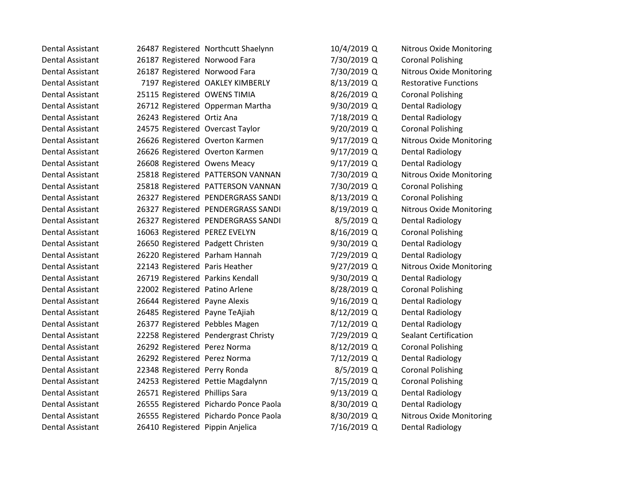| Dental Assistant        |                                   | 26487 Registered Northcutt Shaelynn   | 10/4/2019 Q | <b>Nitrous Oxide Monitoring</b> |
|-------------------------|-----------------------------------|---------------------------------------|-------------|---------------------------------|
| <b>Dental Assistant</b> | 26187 Registered Norwood Fara     |                                       | 7/30/2019 Q | <b>Coronal Polishing</b>        |
| <b>Dental Assistant</b> | 26187 Registered Norwood Fara     |                                       | 7/30/2019 Q | <b>Nitrous Oxide Monitoring</b> |
| Dental Assistant        |                                   | 7197 Registered OAKLEY KIMBERLY       | 8/13/2019 Q | <b>Restorative Functions</b>    |
| <b>Dental Assistant</b> | 25115 Registered OWENS TIMIA      |                                       | 8/26/2019 Q | <b>Coronal Polishing</b>        |
| <b>Dental Assistant</b> |                                   | 26712 Registered Opperman Martha      | 9/30/2019 Q | <b>Dental Radiology</b>         |
| <b>Dental Assistant</b> | 26243 Registered Ortiz Ana        |                                       | 7/18/2019 Q | Dental Radiology                |
| <b>Dental Assistant</b> | 24575 Registered Overcast Taylor  |                                       | 9/20/2019 Q | <b>Coronal Polishing</b>        |
| <b>Dental Assistant</b> | 26626 Registered Overton Karmen   |                                       | 9/17/2019 Q | <b>Nitrous Oxide Monitoring</b> |
| <b>Dental Assistant</b> | 26626 Registered Overton Karmen   |                                       | 9/17/2019 Q | Dental Radiology                |
| <b>Dental Assistant</b> | 26608 Registered Owens Meacy      |                                       | 9/17/2019 Q | <b>Dental Radiology</b>         |
| Dental Assistant        |                                   | 25818 Registered PATTERSON VANNAN     | 7/30/2019 Q | <b>Nitrous Oxide Monitoring</b> |
| <b>Dental Assistant</b> |                                   | 25818 Registered PATTERSON VANNAN     | 7/30/2019 Q | <b>Coronal Polishing</b>        |
| <b>Dental Assistant</b> |                                   | 26327 Registered PENDERGRASS SANDI    | 8/13/2019 Q | <b>Coronal Polishing</b>        |
| Dental Assistant        |                                   | 26327 Registered PENDERGRASS SANDI    | 8/19/2019 Q | <b>Nitrous Oxide Monitoring</b> |
| Dental Assistant        |                                   | 26327 Registered PENDERGRASS SANDI    | 8/5/2019 Q  | Dental Radiology                |
| Dental Assistant        | 16063 Registered PEREZ EVELYN     |                                       | 8/16/2019 Q | <b>Coronal Polishing</b>        |
| Dental Assistant        | 26650 Registered Padgett Christen |                                       | 9/30/2019 Q | Dental Radiology                |
| <b>Dental Assistant</b> | 26220 Registered Parham Hannah    |                                       | 7/29/2019 Q | <b>Dental Radiology</b>         |
| Dental Assistant        | 22143 Registered Paris Heather    |                                       | 9/27/2019 Q | <b>Nitrous Oxide Monitoring</b> |
| Dental Assistant        | 26719 Registered Parkins Kendall  |                                       | 9/30/2019 Q | <b>Dental Radiology</b>         |
| <b>Dental Assistant</b> | 22002 Registered Patino Arlene    |                                       | 8/28/2019 Q | <b>Coronal Polishing</b>        |
| Dental Assistant        | 26644 Registered Payne Alexis     |                                       | 9/16/2019 Q | <b>Dental Radiology</b>         |
| Dental Assistant        | 26485 Registered Payne TeAjiah    |                                       | 8/12/2019 Q | Dental Radiology                |
| <b>Dental Assistant</b> | 26377 Registered Pebbles Magen    |                                       | 7/12/2019 Q | <b>Dental Radiology</b>         |
| <b>Dental Assistant</b> |                                   | 22258 Registered Pendergrast Christy  | 7/29/2019 Q | <b>Sealant Certification</b>    |
| <b>Dental Assistant</b> | 26292 Registered Perez Norma      |                                       | 8/12/2019 Q | <b>Coronal Polishing</b>        |
| <b>Dental Assistant</b> | 26292 Registered Perez Norma      |                                       | 7/12/2019 Q | Dental Radiology                |
| <b>Dental Assistant</b> | 22348 Registered Perry Ronda      |                                       | 8/5/2019 Q  | <b>Coronal Polishing</b>        |
| <b>Dental Assistant</b> | 24253 Registered Pettie Magdalynn |                                       | 7/15/2019 Q | <b>Coronal Polishing</b>        |
| <b>Dental Assistant</b> | 26571 Registered Phillips Sara    |                                       | 9/13/2019 Q | <b>Dental Radiology</b>         |
| <b>Dental Assistant</b> |                                   | 26555 Registered Pichardo Ponce Paola | 8/30/2019 Q | <b>Dental Radiology</b>         |
| <b>Dental Assistant</b> |                                   | 26555 Registered Pichardo Ponce Paola | 8/30/2019 Q | Nitrous Oxide Monitoring        |
| <b>Dental Assistant</b> | 26410 Registered Pippin Anjelica  |                                       | 7/16/2019 Q | Dental Radiology                |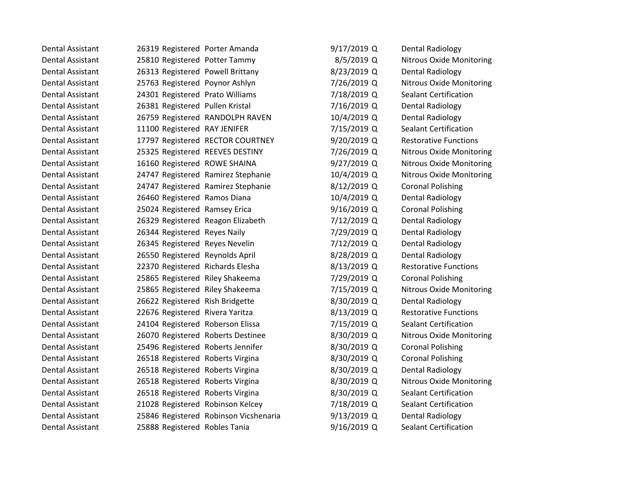| Dental Assistant        | 26319 Registered Porter Amanda    |                                       | $9/17/2019$ Q | <b>Dental Radiology</b>         |
|-------------------------|-----------------------------------|---------------------------------------|---------------|---------------------------------|
| <b>Dental Assistant</b> | 25810 Registered Potter Tammy     |                                       | 8/5/2019 Q    | <b>Nitrous Oxide Monitoring</b> |
| Dental Assistant        | 26313 Registered Powell Brittany  |                                       | 8/23/2019 Q   | <b>Dental Radiology</b>         |
| <b>Dental Assistant</b> | 25763 Registered Poynor Ashlyn    |                                       | 7/26/2019 Q   | <b>Nitrous Oxide Monitoring</b> |
| <b>Dental Assistant</b> | 24301 Registered Prato Williams   |                                       | 7/18/2019 Q   | <b>Sealant Certification</b>    |
| Dental Assistant        | 26381 Registered Pullen Kristal   |                                       | 7/16/2019 Q   | <b>Dental Radiology</b>         |
| <b>Dental Assistant</b> |                                   | 26759 Registered RANDOLPH RAVEN       | 10/4/2019 Q   | <b>Dental Radiology</b>         |
| <b>Dental Assistant</b> | 11100 Registered RAY JENIFER      |                                       | 7/15/2019 Q   | <b>Sealant Certification</b>    |
| Dental Assistant        |                                   | 17797 Registered RECTOR COURTNEY      | 9/20/2019 Q   | <b>Restorative Functions</b>    |
| <b>Dental Assistant</b> | 25325 Registered REEVES DESTINY   |                                       | 7/26/2019 Q   | <b>Nitrous Oxide Monitoring</b> |
| Dental Assistant        | 16160 Registered ROWE SHAINA      |                                       | 9/27/2019 Q   | <b>Nitrous Oxide Monitoring</b> |
| <b>Dental Assistant</b> |                                   | 24747 Registered Ramirez Stephanie    | 10/4/2019 Q   | <b>Nitrous Oxide Monitoring</b> |
| <b>Dental Assistant</b> |                                   | 24747 Registered Ramirez Stephanie    | 8/12/2019 Q   | <b>Coronal Polishing</b>        |
| Dental Assistant        | 26460 Registered Ramos Diana      |                                       | 10/4/2019 Q   | <b>Dental Radiology</b>         |
| <b>Dental Assistant</b> | 25024 Registered Ramsey Erica     |                                       | 9/16/2019 Q   | <b>Coronal Polishing</b>        |
| <b>Dental Assistant</b> | 26329 Registered Reagon Elizabeth |                                       | 7/12/2019 Q   | Dental Radiology                |
| Dental Assistant        | 26344 Registered Reyes Naily      |                                       | 7/29/2019 Q   | <b>Dental Radiology</b>         |
| <b>Dental Assistant</b> | 26345 Registered Reyes Nevelin    |                                       | 7/12/2019 Q   | <b>Dental Radiology</b>         |
| <b>Dental Assistant</b> | 26550 Registered Reynolds April   |                                       | 8/28/2019 Q   | <b>Dental Radiology</b>         |
| Dental Assistant        | 22370 Registered Richards Elesha  |                                       | 8/13/2019 Q   | <b>Restorative Functions</b>    |
| <b>Dental Assistant</b> | 25865 Registered Riley Shakeema   |                                       | 7/29/2019 Q   | <b>Coronal Polishing</b>        |
| <b>Dental Assistant</b> | 25865 Registered Riley Shakeema   |                                       | 7/15/2019 Q   | <b>Nitrous Oxide Monitoring</b> |
| Dental Assistant        | 26622 Registered Rish Bridgette   |                                       | 8/30/2019 Q   | <b>Dental Radiology</b>         |
| <b>Dental Assistant</b> | 22676 Registered Rivera Yaritza   |                                       | 8/13/2019 Q   | <b>Restorative Functions</b>    |
| Dental Assistant        | 24104 Registered Roberson Elissa  |                                       | 7/15/2019 Q   | <b>Sealant Certification</b>    |
| <b>Dental Assistant</b> | 26070 Registered Roberts Destinee |                                       | 8/30/2019 Q   | <b>Nitrous Oxide Monitoring</b> |
| <b>Dental Assistant</b> | 25496 Registered Roberts Jennifer |                                       | 8/30/2019 Q   | <b>Coronal Polishing</b>        |
| Dental Assistant        | 26518 Registered Roberts Virgina  |                                       | 8/30/2019 Q   | <b>Coronal Polishing</b>        |
| <b>Dental Assistant</b> | 26518 Registered Roberts Virgina  |                                       | 8/30/2019 Q   | <b>Dental Radiology</b>         |
| <b>Dental Assistant</b> | 26518 Registered Roberts Virgina  |                                       | 8/30/2019 Q   | <b>Nitrous Oxide Monitoring</b> |
| Dental Assistant        | 26518 Registered Roberts Virgina  |                                       | 8/30/2019 Q   | <b>Sealant Certification</b>    |
| <b>Dental Assistant</b> | 21028 Registered Robinson Kelcey  |                                       | 7/18/2019 Q   | <b>Sealant Certification</b>    |
| <b>Dental Assistant</b> |                                   | 25846 Registered Robinson Vicshenaria | 9/13/2019 Q   | <b>Dental Radiology</b>         |
| Dental Assistant        | 25888 Registered Robles Tania     |                                       | 9/16/2019 Q   | <b>Sealant Certification</b>    |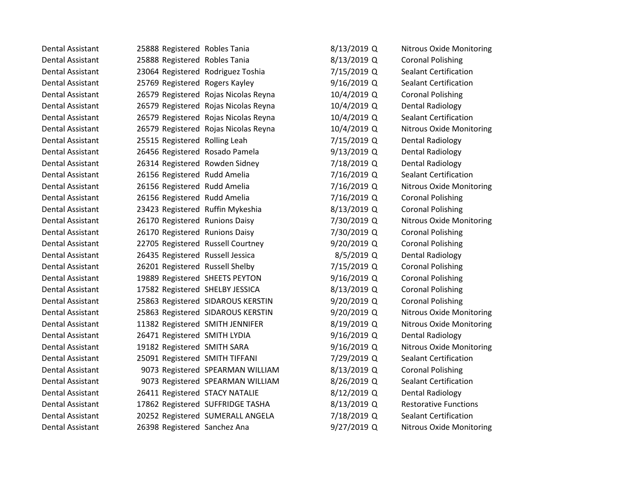| Dental Assistant        | 25888 Registered Robles Tania     |                                      | 8/13/2019 Q   | <b>Nitrous Oxide Monitoring</b> |
|-------------------------|-----------------------------------|--------------------------------------|---------------|---------------------------------|
| <b>Dental Assistant</b> | 25888 Registered Robles Tania     |                                      | 8/13/2019 Q   | <b>Coronal Polishing</b>        |
| <b>Dental Assistant</b> | 23064 Registered Rodriguez Toshia |                                      | 7/15/2019 Q   | <b>Sealant Certification</b>    |
| <b>Dental Assistant</b> | 25769 Registered Rogers Kayley    |                                      | 9/16/2019 Q   | <b>Sealant Certification</b>    |
| <b>Dental Assistant</b> |                                   | 26579 Registered Rojas Nicolas Reyna | 10/4/2019 Q   | <b>Coronal Polishing</b>        |
| <b>Dental Assistant</b> |                                   | 26579 Registered Rojas Nicolas Reyna | 10/4/2019 Q   | <b>Dental Radiology</b>         |
| <b>Dental Assistant</b> |                                   | 26579 Registered Rojas Nicolas Reyna | 10/4/2019 Q   | <b>Sealant Certification</b>    |
| <b>Dental Assistant</b> |                                   | 26579 Registered Rojas Nicolas Reyna | 10/4/2019 Q   | <b>Nitrous Oxide Monitoring</b> |
| <b>Dental Assistant</b> | 25515 Registered Rolling Leah     |                                      | 7/15/2019 Q   | <b>Dental Radiology</b>         |
| <b>Dental Assistant</b> | 26456 Registered Rosado Pamela    |                                      | $9/13/2019$ Q | <b>Dental Radiology</b>         |
| <b>Dental Assistant</b> | 26314 Registered Rowden Sidney    |                                      | 7/18/2019 Q   | <b>Dental Radiology</b>         |
| <b>Dental Assistant</b> | 26156 Registered Rudd Amelia      |                                      | 7/16/2019 Q   | <b>Sealant Certification</b>    |
| <b>Dental Assistant</b> | 26156 Registered Rudd Amelia      |                                      | 7/16/2019 Q   | <b>Nitrous Oxide Monitoring</b> |
| <b>Dental Assistant</b> | 26156 Registered Rudd Amelia      |                                      | 7/16/2019 Q   | <b>Coronal Polishing</b>        |
| <b>Dental Assistant</b> | 23423 Registered Ruffin Mykeshia  |                                      | 8/13/2019 Q   | <b>Coronal Polishing</b>        |
| <b>Dental Assistant</b> | 26170 Registered Runions Daisy    |                                      | 7/30/2019 Q   | <b>Nitrous Oxide Monitoring</b> |
| <b>Dental Assistant</b> | 26170 Registered Runions Daisy    |                                      | 7/30/2019 Q   | <b>Coronal Polishing</b>        |
| <b>Dental Assistant</b> | 22705 Registered Russell Courtney |                                      | 9/20/2019 Q   | <b>Coronal Polishing</b>        |
| <b>Dental Assistant</b> | 26435 Registered Russell Jessica  |                                      | $8/5/2019$ Q  | <b>Dental Radiology</b>         |
| Dental Assistant        | 26201 Registered Russell Shelby   |                                      | 7/15/2019 Q   | <b>Coronal Polishing</b>        |
| <b>Dental Assistant</b> | 19889 Registered SHEETS PEYTON    |                                      | 9/16/2019 Q   | <b>Coronal Polishing</b>        |
| <b>Dental Assistant</b> | 17582 Registered SHELBY JESSICA   |                                      | 8/13/2019 Q   | <b>Coronal Polishing</b>        |
| <b>Dental Assistant</b> |                                   | 25863 Registered SIDAROUS KERSTIN    | 9/20/2019 Q   | <b>Coronal Polishing</b>        |
| <b>Dental Assistant</b> |                                   | 25863 Registered SIDAROUS KERSTIN    | 9/20/2019 Q   | <b>Nitrous Oxide Monitoring</b> |
| <b>Dental Assistant</b> | 11382 Registered SMITH JENNIFER   |                                      | 8/19/2019 Q   | <b>Nitrous Oxide Monitoring</b> |
| <b>Dental Assistant</b> | 26471 Registered SMITH LYDIA      |                                      | 9/16/2019 Q   | Dental Radiology                |
| <b>Dental Assistant</b> | 19182 Registered SMITH SARA       |                                      | 9/16/2019 Q   | <b>Nitrous Oxide Monitoring</b> |
| <b>Dental Assistant</b> | 25091 Registered SMITH TIFFANI    |                                      | 7/29/2019 Q   | <b>Sealant Certification</b>    |
| Dental Assistant        |                                   | 9073 Registered SPEARMAN WILLIAM     | 8/13/2019 Q   | <b>Coronal Polishing</b>        |
| <b>Dental Assistant</b> |                                   | 9073 Registered SPEARMAN WILLIAM     | 8/26/2019 Q   | <b>Sealant Certification</b>    |
| <b>Dental Assistant</b> | 26411 Registered STACY NATALIE    |                                      | 8/12/2019 Q   | <b>Dental Radiology</b>         |
| <b>Dental Assistant</b> |                                   | 17862 Registered SUFFRIDGE TASHA     | 8/13/2019 Q   | <b>Restorative Functions</b>    |
| <b>Dental Assistant</b> |                                   | 20252 Registered SUMERALL ANGELA     | 7/18/2019 Q   | <b>Sealant Certification</b>    |
| <b>Dental Assistant</b> | 26398 Registered Sanchez Ana      |                                      | 9/27/2019 Q   | <b>Nitrous Oxide Monitoring</b> |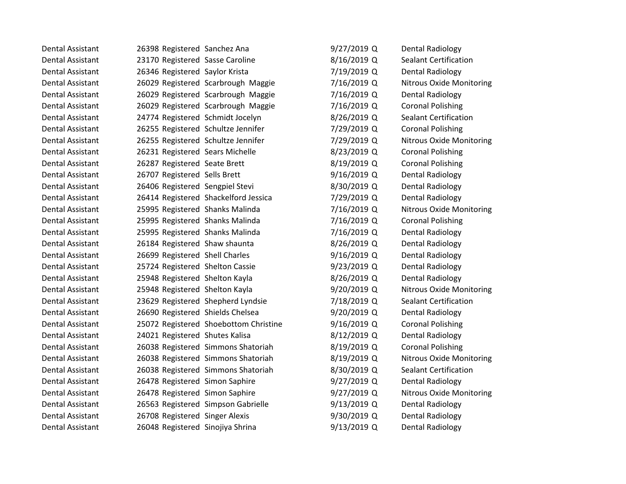| Dental Assistant        | 26398 Registered Sanchez Ana     |                                       | 9/27/2019 Q   | <b>Dental Radiology</b>         |
|-------------------------|----------------------------------|---------------------------------------|---------------|---------------------------------|
| <b>Dental Assistant</b> | 23170 Registered Sasse Caroline  |                                       | 8/16/2019 Q   | <b>Sealant Certification</b>    |
| Dental Assistant        | 26346 Registered Saylor Krista   |                                       | 7/19/2019 Q   | Dental Radiology                |
| Dental Assistant        |                                  | 26029 Registered Scarbrough Maggie    | 7/16/2019 Q   | <b>Nitrous Oxide Monitoring</b> |
| <b>Dental Assistant</b> |                                  | 26029 Registered Scarbrough Maggie    | 7/16/2019 Q   | <b>Dental Radiology</b>         |
| <b>Dental Assistant</b> |                                  | 26029 Registered Scarbrough Maggie    | 7/16/2019 Q   | <b>Coronal Polishing</b>        |
| Dental Assistant        | 24774 Registered Schmidt Jocelyn |                                       | 8/26/2019 Q   | <b>Sealant Certification</b>    |
| <b>Dental Assistant</b> |                                  | 26255 Registered Schultze Jennifer    | 7/29/2019 Q   | <b>Coronal Polishing</b>        |
| Dental Assistant        |                                  | 26255 Registered Schultze Jennifer    | 7/29/2019 Q   | <b>Nitrous Oxide Monitoring</b> |
| Dental Assistant        | 26231 Registered Sears Michelle  |                                       | 8/23/2019 Q   | <b>Coronal Polishing</b>        |
| Dental Assistant        | 26287 Registered Seate Brett     |                                       | 8/19/2019 Q   | <b>Coronal Polishing</b>        |
| <b>Dental Assistant</b> | 26707 Registered Sells Brett     |                                       | 9/16/2019 Q   | <b>Dental Radiology</b>         |
| Dental Assistant        | 26406 Registered Sengpiel Stevi  |                                       | 8/30/2019 Q   | Dental Radiology                |
| <b>Dental Assistant</b> |                                  | 26414 Registered Shackelford Jessica  | 7/29/2019 Q   | <b>Dental Radiology</b>         |
| <b>Dental Assistant</b> | 25995 Registered Shanks Malinda  |                                       | 7/16/2019 Q   | <b>Nitrous Oxide Monitoring</b> |
| Dental Assistant        | 25995 Registered Shanks Malinda  |                                       | 7/16/2019 Q   | <b>Coronal Polishing</b>        |
| <b>Dental Assistant</b> | 25995 Registered Shanks Malinda  |                                       | 7/16/2019 Q   | <b>Dental Radiology</b>         |
| <b>Dental Assistant</b> | 26184 Registered Shaw shaunta    |                                       | 8/26/2019 Q   | <b>Dental Radiology</b>         |
| <b>Dental Assistant</b> | 26699 Registered Shell Charles   |                                       | $9/16/2019$ Q | <b>Dental Radiology</b>         |
| Dental Assistant        | 25724 Registered Shelton Cassie  |                                       | 9/23/2019 Q   | <b>Dental Radiology</b>         |
| <b>Dental Assistant</b> | 25948 Registered Shelton Kayla   |                                       | 8/26/2019 Q   | Dental Radiology                |
| <b>Dental Assistant</b> | 25948 Registered Shelton Kayla   |                                       | 9/20/2019 Q   | Nitrous Oxide Monitoring        |
| Dental Assistant        |                                  | 23629 Registered Shepherd Lyndsie     | 7/18/2019 Q   | <b>Sealant Certification</b>    |
| Dental Assistant        | 26690 Registered Shields Chelsea |                                       | 9/20/2019 Q   | <b>Dental Radiology</b>         |
| Dental Assistant        |                                  | 25072 Registered Shoebottom Christine | 9/16/2019 Q   | <b>Coronal Polishing</b>        |
| Dental Assistant        | 24021 Registered Shutes Kalisa   |                                       | 8/12/2019 Q   | <b>Dental Radiology</b>         |
| Dental Assistant        |                                  | 26038 Registered Simmons Shatoriah    | 8/19/2019 Q   | <b>Coronal Polishing</b>        |
| <b>Dental Assistant</b> |                                  | 26038 Registered Simmons Shatoriah    | 8/19/2019 Q   | <b>Nitrous Oxide Monitoring</b> |
| Dental Assistant        |                                  | 26038 Registered Simmons Shatoriah    | 8/30/2019 Q   | <b>Sealant Certification</b>    |
| Dental Assistant        | 26478 Registered Simon Saphire   |                                       | $9/27/2019$ Q | <b>Dental Radiology</b>         |
| Dental Assistant        | 26478 Registered Simon Saphire   |                                       | 9/27/2019 Q   | <b>Nitrous Oxide Monitoring</b> |
| <b>Dental Assistant</b> |                                  | 26563 Registered Simpson Gabrielle    | $9/13/2019$ Q | <b>Dental Radiology</b>         |
| <b>Dental Assistant</b> | 26708 Registered Singer Alexis   |                                       | 9/30/2019 Q   | <b>Dental Radiology</b>         |
| Dental Assistant        | 26048 Registered Sinojiya Shrina |                                       | 9/13/2019 Q   | Dental Radiology                |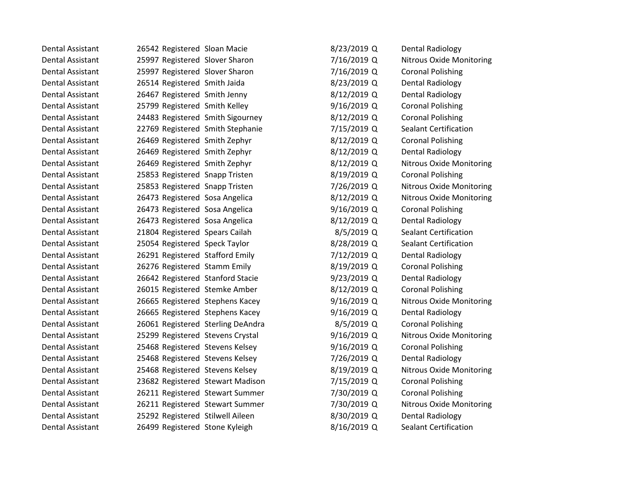| Dental Assistant        | 26542 Registered Sloan Macie      | 8/23/2019 Q   | <b>Dental Radiology</b>         |
|-------------------------|-----------------------------------|---------------|---------------------------------|
| Dental Assistant        | 25997 Registered Slover Sharon    | 7/16/2019 Q   | <b>Nitrous Oxide Monitoring</b> |
| <b>Dental Assistant</b> | 25997 Registered Slover Sharon    | 7/16/2019 Q   | <b>Coronal Polishing</b>        |
| <b>Dental Assistant</b> | 26514 Registered Smith Jaida      | 8/23/2019 Q   | <b>Dental Radiology</b>         |
| Dental Assistant        | 26467 Registered Smith Jenny      | 8/12/2019 Q   | Dental Radiology                |
| <b>Dental Assistant</b> | 25799 Registered Smith Kelley     | 9/16/2019 Q   | <b>Coronal Polishing</b>        |
| <b>Dental Assistant</b> | 24483 Registered Smith Sigourney  | 8/12/2019 Q   | <b>Coronal Polishing</b>        |
| <b>Dental Assistant</b> | 22769 Registered Smith Stephanie  | 7/15/2019 Q   | <b>Sealant Certification</b>    |
| <b>Dental Assistant</b> | 26469 Registered Smith Zephyr     | 8/12/2019 Q   | <b>Coronal Polishing</b>        |
| <b>Dental Assistant</b> | 26469 Registered Smith Zephyr     | 8/12/2019 Q   | <b>Dental Radiology</b>         |
| Dental Assistant        | 26469 Registered Smith Zephyr     | 8/12/2019 Q   | <b>Nitrous Oxide Monitoring</b> |
| <b>Dental Assistant</b> | 25853 Registered Snapp Tristen    | 8/19/2019 Q   | <b>Coronal Polishing</b>        |
| <b>Dental Assistant</b> | 25853 Registered Snapp Tristen    | 7/26/2019 Q   | <b>Nitrous Oxide Monitoring</b> |
| Dental Assistant        | 26473 Registered Sosa Angelica    | 8/12/2019 Q   | <b>Nitrous Oxide Monitoring</b> |
| <b>Dental Assistant</b> | 26473 Registered Sosa Angelica    | 9/16/2019 Q   | <b>Coronal Polishing</b>        |
| Dental Assistant        | 26473 Registered Sosa Angelica    | 8/12/2019 Q   | <b>Dental Radiology</b>         |
| <b>Dental Assistant</b> | 21804 Registered Spears Cailah    | 8/5/2019 Q    | <b>Sealant Certification</b>    |
| <b>Dental Assistant</b> | 25054 Registered Speck Taylor     | 8/28/2019 Q   | <b>Sealant Certification</b>    |
| <b>Dental Assistant</b> | 26291 Registered Stafford Emily   | 7/12/2019 Q   | <b>Dental Radiology</b>         |
| <b>Dental Assistant</b> | 26276 Registered Stamm Emily      | 8/19/2019 Q   | <b>Coronal Polishing</b>        |
| <b>Dental Assistant</b> | 26642 Registered Stanford Stacie  | 9/23/2019 Q   | <b>Dental Radiology</b>         |
| <b>Dental Assistant</b> | 26015 Registered Stemke Amber     | 8/12/2019 Q   | <b>Coronal Polishing</b>        |
| <b>Dental Assistant</b> | 26665 Registered Stephens Kacey   | 9/16/2019 Q   | <b>Nitrous Oxide Monitoring</b> |
| <b>Dental Assistant</b> | 26665 Registered Stephens Kacey   | $9/16/2019$ Q | <b>Dental Radiology</b>         |
| Dental Assistant        | 26061 Registered Sterling DeAndra | 8/5/2019 Q    | <b>Coronal Polishing</b>        |
| <b>Dental Assistant</b> | 25299 Registered Stevens Crystal  | 9/16/2019 Q   | <b>Nitrous Oxide Monitoring</b> |
| Dental Assistant        | 25468 Registered Stevens Kelsey   | 9/16/2019 Q   | <b>Coronal Polishing</b>        |
| <b>Dental Assistant</b> | 25468 Registered Stevens Kelsey   | 7/26/2019 Q   | <b>Dental Radiology</b>         |
| <b>Dental Assistant</b> | 25468 Registered Stevens Kelsey   | 8/19/2019 Q   | <b>Nitrous Oxide Monitoring</b> |
| Dental Assistant        | 23682 Registered Stewart Madison  | 7/15/2019 Q   | <b>Coronal Polishing</b>        |
| <b>Dental Assistant</b> | 26211 Registered Stewart Summer   | 7/30/2019 Q   | <b>Coronal Polishing</b>        |
| <b>Dental Assistant</b> | 26211 Registered Stewart Summer   | 7/30/2019 Q   | <b>Nitrous Oxide Monitoring</b> |
| <b>Dental Assistant</b> | 25292 Registered Stilwell Aileen  | 8/30/2019 Q   | <b>Dental Radiology</b>         |
| Dental Assistant        | 26499 Registered Stone Kyleigh    | 8/16/2019 Q   | <b>Sealant Certification</b>    |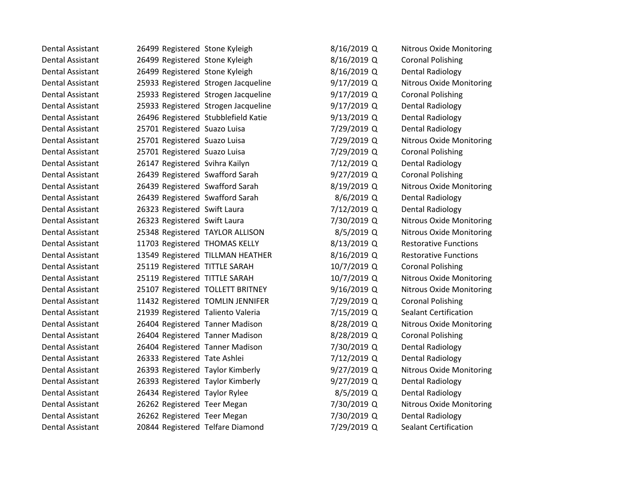| Dental Assistant        | 26499 Registered Stone Kyleigh      | 8/16/2019 Q   | <b>Nitrous Oxide Monitoring</b> |
|-------------------------|-------------------------------------|---------------|---------------------------------|
| <b>Dental Assistant</b> | 26499 Registered Stone Kyleigh      | 8/16/2019 Q   | <b>Coronal Polishing</b>        |
| <b>Dental Assistant</b> | 26499 Registered Stone Kyleigh      | 8/16/2019 Q   | <b>Dental Radiology</b>         |
| <b>Dental Assistant</b> | 25933 Registered Strogen Jacqueline | 9/17/2019 Q   | <b>Nitrous Oxide Monitoring</b> |
| <b>Dental Assistant</b> | 25933 Registered Strogen Jacqueline | 9/17/2019 Q   | <b>Coronal Polishing</b>        |
| <b>Dental Assistant</b> | 25933 Registered Strogen Jacqueline | $9/17/2019$ Q | <b>Dental Radiology</b>         |
| Dental Assistant        | 26496 Registered Stubblefield Katie | 9/13/2019 Q   | Dental Radiology                |
| <b>Dental Assistant</b> | 25701 Registered Suazo Luisa        | 7/29/2019 Q   | <b>Dental Radiology</b>         |
| <b>Dental Assistant</b> | 25701 Registered Suazo Luisa        | 7/29/2019 Q   | <b>Nitrous Oxide Monitoring</b> |
| Dental Assistant        | 25701 Registered Suazo Luisa        | 7/29/2019 Q   | <b>Coronal Polishing</b>        |
| <b>Dental Assistant</b> | 26147 Registered Svihra Kailyn      | 7/12/2019 Q   | <b>Dental Radiology</b>         |
| <b>Dental Assistant</b> | 26439 Registered Swafford Sarah     | 9/27/2019 Q   | <b>Coronal Polishing</b>        |
| <b>Dental Assistant</b> | 26439 Registered Swafford Sarah     | 8/19/2019 Q   | Nitrous Oxide Monitoring        |
| Dental Assistant        | 26439 Registered Swafford Sarah     | 8/6/2019 Q    | Dental Radiology                |
| <b>Dental Assistant</b> | 26323 Registered Swift Laura        | 7/12/2019 Q   | <b>Dental Radiology</b>         |
| Dental Assistant        | 26323 Registered Swift Laura        | 7/30/2019 Q   | Nitrous Oxide Monitoring        |
| Dental Assistant        | 25348 Registered TAYLOR ALLISON     | 8/5/2019 Q    | <b>Nitrous Oxide Monitoring</b> |
| <b>Dental Assistant</b> | 11703 Registered THOMAS KELLY       | 8/13/2019 Q   | <b>Restorative Functions</b>    |
| Dental Assistant        | 13549 Registered TILLMAN HEATHER    | 8/16/2019 Q   | <b>Restorative Functions</b>    |
| Dental Assistant        | 25119 Registered TITTLE SARAH       | 10/7/2019 Q   | <b>Coronal Polishing</b>        |
| <b>Dental Assistant</b> | 25119 Registered TITTLE SARAH       | 10/7/2019 Q   | <b>Nitrous Oxide Monitoring</b> |
| <b>Dental Assistant</b> | 25107 Registered TOLLETT BRITNEY    | 9/16/2019 Q   | <b>Nitrous Oxide Monitoring</b> |
| Dental Assistant        | 11432 Registered TOMLIN JENNIFER    | 7/29/2019 Q   | <b>Coronal Polishing</b>        |
| <b>Dental Assistant</b> | 21939 Registered Taliento Valeria   | 7/15/2019 Q   | <b>Sealant Certification</b>    |
| <b>Dental Assistant</b> | 26404 Registered Tanner Madison     | 8/28/2019 Q   | <b>Nitrous Oxide Monitoring</b> |
| Dental Assistant        | 26404 Registered Tanner Madison     | 8/28/2019 Q   | <b>Coronal Polishing</b>        |
| Dental Assistant        | 26404 Registered Tanner Madison     | 7/30/2019 Q   | Dental Radiology                |
| <b>Dental Assistant</b> | 26333 Registered Tate Ashlei        | 7/12/2019 Q   | <b>Dental Radiology</b>         |
| <b>Dental Assistant</b> | 26393 Registered Taylor Kimberly    | 9/27/2019 Q   | Nitrous Oxide Monitoring        |
| Dental Assistant        | 26393 Registered Taylor Kimberly    | 9/27/2019 Q   | <b>Dental Radiology</b>         |
| Dental Assistant        | 26434 Registered Taylor Rylee       | 8/5/2019 Q    | <b>Dental Radiology</b>         |
| <b>Dental Assistant</b> | 26262 Registered Teer Megan         | 7/30/2019 Q   | <b>Nitrous Oxide Monitoring</b> |
| <b>Dental Assistant</b> | 26262 Registered Teer Megan         | 7/30/2019 Q   | <b>Dental Radiology</b>         |
| <b>Dental Assistant</b> | 20844 Registered Telfare Diamond    | 7/29/2019 Q   | <b>Sealant Certification</b>    |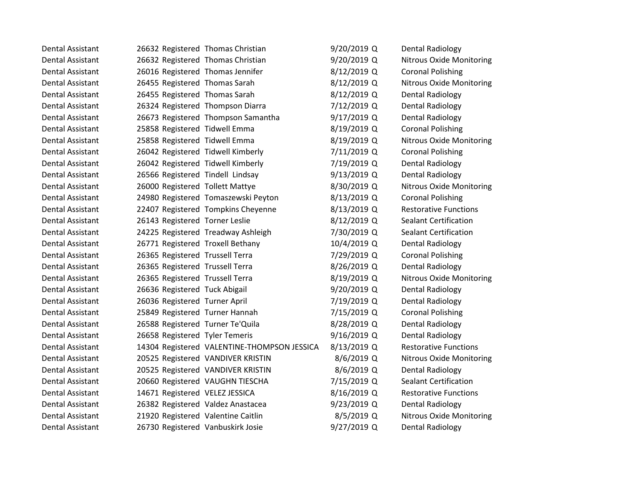| Dental Assistant        | 26632 Registered Thomas Christian  |                                             | 9/20/2019 Q | Dental Radiology                |
|-------------------------|------------------------------------|---------------------------------------------|-------------|---------------------------------|
| <b>Dental Assistant</b> | 26632 Registered Thomas Christian  |                                             | 9/20/2019 Q | <b>Nitrous Oxide Monitoring</b> |
| <b>Dental Assistant</b> | 26016 Registered Thomas Jennifer   |                                             | 8/12/2019 Q | <b>Coronal Polishing</b>        |
| <b>Dental Assistant</b> | 26455 Registered Thomas Sarah      |                                             | 8/12/2019 Q | <b>Nitrous Oxide Monitoring</b> |
| Dental Assistant        | 26455 Registered Thomas Sarah      |                                             | 8/12/2019 Q | <b>Dental Radiology</b>         |
| Dental Assistant        | 26324 Registered Thompson Diarra   |                                             | 7/12/2019 Q | Dental Radiology                |
| Dental Assistant        |                                    | 26673 Registered Thompson Samantha          | 9/17/2019 Q | Dental Radiology                |
| <b>Dental Assistant</b> | 25858 Registered Tidwell Emma      |                                             | 8/19/2019 Q | <b>Coronal Polishing</b>        |
| <b>Dental Assistant</b> | 25858 Registered Tidwell Emma      |                                             | 8/19/2019 Q | <b>Nitrous Oxide Monitoring</b> |
| Dental Assistant        | 26042 Registered Tidwell Kimberly  |                                             | 7/11/2019 Q | <b>Coronal Polishing</b>        |
| <b>Dental Assistant</b> | 26042 Registered Tidwell Kimberly  |                                             | 7/19/2019 Q | Dental Radiology                |
| <b>Dental Assistant</b> | 26566 Registered Tindell Lindsay   |                                             | 9/13/2019 Q | <b>Dental Radiology</b>         |
| <b>Dental Assistant</b> | 26000 Registered Tollett Mattye    |                                             | 8/30/2019 Q | <b>Nitrous Oxide Monitoring</b> |
| <b>Dental Assistant</b> |                                    | 24980 Registered Tomaszewski Peyton         | 8/13/2019 Q | <b>Coronal Polishing</b>        |
| Dental Assistant        |                                    | 22407 Registered Tompkins Cheyenne          | 8/13/2019 Q | <b>Restorative Functions</b>    |
| <b>Dental Assistant</b> | 26143 Registered Torner Leslie     |                                             | 8/12/2019 Q | <b>Sealant Certification</b>    |
| Dental Assistant        |                                    | 24225 Registered Treadway Ashleigh          | 7/30/2019 Q | <b>Sealant Certification</b>    |
| <b>Dental Assistant</b> | 26771 Registered Troxell Bethany   |                                             | 10/4/2019 Q | <b>Dental Radiology</b>         |
| <b>Dental Assistant</b> | 26365 Registered Trussell Terra    |                                             | 7/29/2019 Q | <b>Coronal Polishing</b>        |
| Dental Assistant        | 26365 Registered Trussell Terra    |                                             | 8/26/2019 Q | <b>Dental Radiology</b>         |
| <b>Dental Assistant</b> | 26365 Registered Trussell Terra    |                                             | 8/19/2019 Q | <b>Nitrous Oxide Monitoring</b> |
| <b>Dental Assistant</b> | 26636 Registered Tuck Abigail      |                                             | 9/20/2019 Q | <b>Dental Radiology</b>         |
| <b>Dental Assistant</b> | 26036 Registered Turner April      |                                             | 7/19/2019 Q | Dental Radiology                |
| <b>Dental Assistant</b> | 25849 Registered Turner Hannah     |                                             | 7/15/2019 Q | <b>Coronal Polishing</b>        |
| Dental Assistant        | 26588 Registered Turner Te'Quila   |                                             | 8/28/2019 Q | <b>Dental Radiology</b>         |
| <b>Dental Assistant</b> | 26658 Registered Tyler Temeris     |                                             | 9/16/2019 Q | <b>Dental Radiology</b>         |
| Dental Assistant        |                                    | 14304 Registered VALENTINE-THOMPSON JESSICA | 8/13/2019 Q | <b>Restorative Functions</b>    |
| <b>Dental Assistant</b> |                                    | 20525 Registered VANDIVER KRISTIN           | 8/6/2019 Q  | <b>Nitrous Oxide Monitoring</b> |
| <b>Dental Assistant</b> |                                    | 20525 Registered VANDIVER KRISTIN           | 8/6/2019 Q  | <b>Dental Radiology</b>         |
| <b>Dental Assistant</b> |                                    | 20660 Registered VAUGHN TIESCHA             | 7/15/2019 Q | <b>Sealant Certification</b>    |
| <b>Dental Assistant</b> | 14671 Registered VELEZ JESSICA     |                                             | 8/16/2019 Q | <b>Restorative Functions</b>    |
| Dental Assistant        | 26382 Registered Valdez Anastacea  |                                             | 9/23/2019 Q | <b>Dental Radiology</b>         |
| <b>Dental Assistant</b> | 21920 Registered Valentine Caitlin |                                             | 8/5/2019 Q  | <b>Nitrous Oxide Monitoring</b> |
| <b>Dental Assistant</b> | 26730 Registered Vanbuskirk Josie  |                                             | 9/27/2019 Q | Dental Radiology                |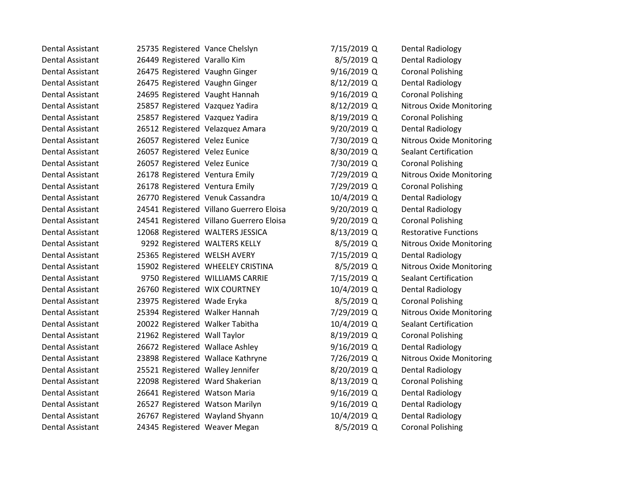| Dental Assistant        | 25735 Registered Vance Chelslyn   |                                          | 7/15/2019 Q | <b>Dental Radiology</b>         |
|-------------------------|-----------------------------------|------------------------------------------|-------------|---------------------------------|
| <b>Dental Assistant</b> | 26449 Registered Varallo Kim      |                                          | 8/5/2019 Q  | <b>Dental Radiology</b>         |
| Dental Assistant        | 26475 Registered Vaughn Ginger    |                                          | 9/16/2019 Q | <b>Coronal Polishing</b>        |
| <b>Dental Assistant</b> | 26475 Registered Vaughn Ginger    |                                          | 8/12/2019 Q | <b>Dental Radiology</b>         |
| <b>Dental Assistant</b> | 24695 Registered Vaught Hannah    |                                          | 9/16/2019 Q | <b>Coronal Polishing</b>        |
| <b>Dental Assistant</b> | 25857 Registered Vazquez Yadira   |                                          | 8/12/2019 Q | Nitrous Oxide Monitoring        |
| <b>Dental Assistant</b> | 25857 Registered Vazquez Yadira   |                                          | 8/19/2019 Q | <b>Coronal Polishing</b>        |
| <b>Dental Assistant</b> | 26512 Registered Velazquez Amara  |                                          | 9/20/2019 Q | <b>Dental Radiology</b>         |
| <b>Dental Assistant</b> | 26057 Registered Velez Eunice     |                                          | 7/30/2019 Q | Nitrous Oxide Monitoring        |
| Dental Assistant        | 26057 Registered Velez Eunice     |                                          | 8/30/2019 Q | <b>Sealant Certification</b>    |
| <b>Dental Assistant</b> | 26057 Registered Velez Eunice     |                                          | 7/30/2019 Q | <b>Coronal Polishing</b>        |
| <b>Dental Assistant</b> | 26178 Registered Ventura Emily    |                                          | 7/29/2019 Q | Nitrous Oxide Monitoring        |
| Dental Assistant        | 26178 Registered Ventura Emily    |                                          | 7/29/2019 Q | <b>Coronal Polishing</b>        |
| <b>Dental Assistant</b> | 26770 Registered Venuk Cassandra  |                                          | 10/4/2019 Q | <b>Dental Radiology</b>         |
| <b>Dental Assistant</b> |                                   | 24541 Registered Villano Guerrero Eloisa | 9/20/2019 Q | Dental Radiology                |
| Dental Assistant        |                                   | 24541 Registered Villano Guerrero Eloisa | 9/20/2019 Q | <b>Coronal Polishing</b>        |
| <b>Dental Assistant</b> |                                   | 12068 Registered WALTERS JESSICA         | 8/13/2019 Q | <b>Restorative Functions</b>    |
| <b>Dental Assistant</b> | 9292 Registered WALTERS KELLY     |                                          | 8/5/2019 Q  | <b>Nitrous Oxide Monitoring</b> |
| <b>Dental Assistant</b> | 25365 Registered WELSH AVERY      |                                          | 7/15/2019 Q | <b>Dental Radiology</b>         |
| Dental Assistant        |                                   | 15902 Registered WHEELEY CRISTINA        | 8/5/2019 Q  | Nitrous Oxide Monitoring        |
| <b>Dental Assistant</b> |                                   | 9750 Registered WILLIAMS CARRIE          | 7/15/2019 Q | <b>Sealant Certification</b>    |
| <b>Dental Assistant</b> | 26760 Registered WIX COURTNEY     |                                          | 10/4/2019 Q | <b>Dental Radiology</b>         |
| Dental Assistant        | 23975 Registered Wade Eryka       |                                          | 8/5/2019 Q  | <b>Coronal Polishing</b>        |
| <b>Dental Assistant</b> | 25394 Registered Walker Hannah    |                                          | 7/29/2019 Q | <b>Nitrous Oxide Monitoring</b> |
| <b>Dental Assistant</b> | 20022 Registered Walker Tabitha   |                                          | 10/4/2019 Q | <b>Sealant Certification</b>    |
| Dental Assistant        | 21962 Registered Wall Taylor      |                                          | 8/19/2019 Q | <b>Coronal Polishing</b>        |
| Dental Assistant        | 26672 Registered Wallace Ashley   |                                          | 9/16/2019 Q | <b>Dental Radiology</b>         |
| <b>Dental Assistant</b> | 23898 Registered Wallace Kathryne |                                          | 7/26/2019 Q | <b>Nitrous Oxide Monitoring</b> |
| Dental Assistant        | 25521 Registered Walley Jennifer  |                                          | 8/20/2019 Q | Dental Radiology                |
| Dental Assistant        | 22098 Registered Ward Shakerian   |                                          | 8/13/2019 Q | <b>Coronal Polishing</b>        |
| <b>Dental Assistant</b> | 26641 Registered Watson Maria     |                                          | 9/16/2019 Q | <b>Dental Radiology</b>         |
| <b>Dental Assistant</b> | 26527 Registered Watson Marilyn   |                                          | 9/16/2019 Q | <b>Dental Radiology</b>         |
| <b>Dental Assistant</b> | 26767 Registered Wayland Shyann   |                                          | 10/4/2019 Q | <b>Dental Radiology</b>         |
| Dental Assistant        | 24345 Registered Weaver Megan     |                                          | 8/5/2019 Q  | <b>Coronal Polishing</b>        |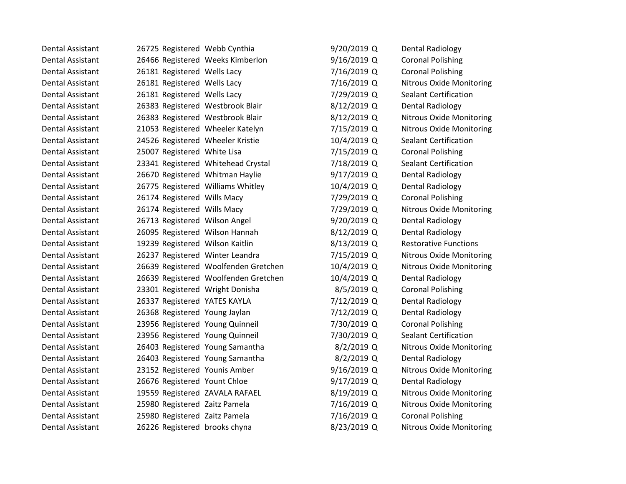| Dental Assistant        | 26725 Registered Webb Cynthia        | 9/20/2019 Q | Dental Radiology                |
|-------------------------|--------------------------------------|-------------|---------------------------------|
| <b>Dental Assistant</b> | 26466 Registered Weeks Kimberlon     | 9/16/2019 Q | <b>Coronal Polishing</b>        |
| Dental Assistant        | 26181 Registered Wells Lacy          | 7/16/2019 Q | <b>Coronal Polishing</b>        |
| <b>Dental Assistant</b> | 26181 Registered Wells Lacy          | 7/16/2019 Q | <b>Nitrous Oxide Monitoring</b> |
| <b>Dental Assistant</b> | 26181 Registered Wells Lacy          | 7/29/2019 Q | <b>Sealant Certification</b>    |
| <b>Dental Assistant</b> | 26383 Registered Westbrook Blair     | 8/12/2019 Q | <b>Dental Radiology</b>         |
| Dental Assistant        | 26383 Registered Westbrook Blair     | 8/12/2019 Q | <b>Nitrous Oxide Monitoring</b> |
| <b>Dental Assistant</b> | 21053 Registered Wheeler Katelyn     | 7/15/2019 Q | <b>Nitrous Oxide Monitoring</b> |
| <b>Dental Assistant</b> | 24526 Registered Wheeler Kristie     | 10/4/2019 Q | <b>Sealant Certification</b>    |
| Dental Assistant        | 25007 Registered White Lisa          | 7/15/2019 Q | <b>Coronal Polishing</b>        |
| <b>Dental Assistant</b> | 23341 Registered Whitehead Crystal   | 7/18/2019 Q | <b>Sealant Certification</b>    |
| <b>Dental Assistant</b> | 26670 Registered Whitman Haylie      | 9/17/2019 Q | <b>Dental Radiology</b>         |
| Dental Assistant        | 26775 Registered Williams Whitley    | 10/4/2019 Q | <b>Dental Radiology</b>         |
| <b>Dental Assistant</b> | 26174 Registered Wills Macy          | 7/29/2019 Q | <b>Coronal Polishing</b>        |
| <b>Dental Assistant</b> | 26174 Registered Wills Macy          | 7/29/2019 Q | <b>Nitrous Oxide Monitoring</b> |
| Dental Assistant        | 26713 Registered Wilson Angel        | 9/20/2019 Q | <b>Dental Radiology</b>         |
| <b>Dental Assistant</b> | 26095 Registered Wilson Hannah       | 8/12/2019 Q | <b>Dental Radiology</b>         |
| <b>Dental Assistant</b> | 19239 Registered Wilson Kaitlin      | 8/13/2019 Q | <b>Restorative Functions</b>    |
| <b>Dental Assistant</b> | 26237 Registered Winter Leandra      | 7/15/2019 Q | <b>Nitrous Oxide Monitoring</b> |
| Dental Assistant        | 26639 Registered Woolfenden Gretchen | 10/4/2019 Q | <b>Nitrous Oxide Monitoring</b> |
| <b>Dental Assistant</b> | 26639 Registered Woolfenden Gretchen | 10/4/2019 Q | <b>Dental Radiology</b>         |
| <b>Dental Assistant</b> | 23301 Registered Wright Donisha      | 8/5/2019 Q  | <b>Coronal Polishing</b>        |
| Dental Assistant        | 26337 Registered YATES KAYLA         | 7/12/2019 Q | <b>Dental Radiology</b>         |
| <b>Dental Assistant</b> | 26368 Registered Young Jaylan        | 7/12/2019 Q | <b>Dental Radiology</b>         |
| <b>Dental Assistant</b> | 23956 Registered Young Quinneil      | 7/30/2019 Q | <b>Coronal Polishing</b>        |
| <b>Dental Assistant</b> | 23956 Registered Young Quinneil      | 7/30/2019 Q | <b>Sealant Certification</b>    |
| Dental Assistant        | 26403 Registered Young Samantha      | 8/2/2019 Q  | Nitrous Oxide Monitoring        |
| <b>Dental Assistant</b> | 26403 Registered Young Samantha      | 8/2/2019 Q  | <b>Dental Radiology</b>         |
| Dental Assistant        | 23152 Registered Younis Amber        | 9/16/2019 Q | Nitrous Oxide Monitoring        |
| <b>Dental Assistant</b> | 26676 Registered Yount Chloe         | 9/17/2019 Q | <b>Dental Radiology</b>         |
| <b>Dental Assistant</b> | 19559 Registered ZAVALA RAFAEL       | 8/19/2019 Q | <b>Nitrous Oxide Monitoring</b> |
| <b>Dental Assistant</b> | 25980 Registered Zaitz Pamela        | 7/16/2019 Q | Nitrous Oxide Monitoring        |
| <b>Dental Assistant</b> | 25980 Registered Zaitz Pamela        | 7/16/2019 Q | <b>Coronal Polishing</b>        |
| Dental Assistant        | 26226 Registered brooks chyna        | 8/23/2019 Q | <b>Nitrous Oxide Monitoring</b> |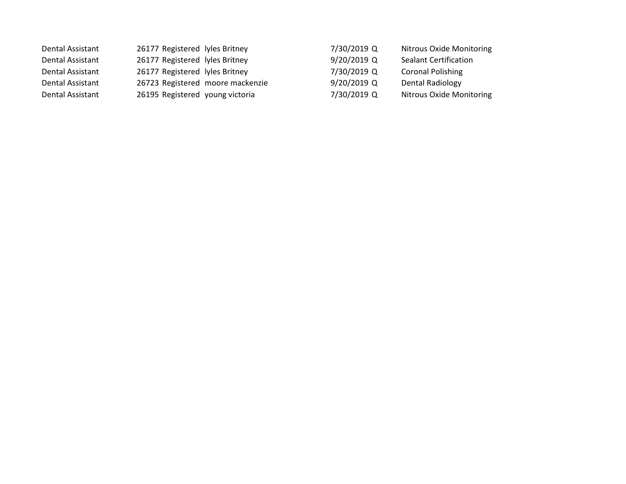| Dental Assistant | 26177 Registered lyles Britney   | 7/30/2019 Q   | <b>Nitrous Oxide Monitoring</b> |
|------------------|----------------------------------|---------------|---------------------------------|
| Dental Assistant | 26177 Registered lyles Britney   | $9/20/2019$ Q | <b>Sealant Certification</b>    |
| Dental Assistant | 26177 Registered lyles Britney   | 7/30/2019 Q   | <b>Coronal Polishing</b>        |
| Dental Assistant | 26723 Registered moore mackenzie | $9/20/2019$ Q | Dental Radiology                |
| Dental Assistant | 26195 Registered young victoria  | 7/30/2019 Q   | Nitrous Oxide Monitoring        |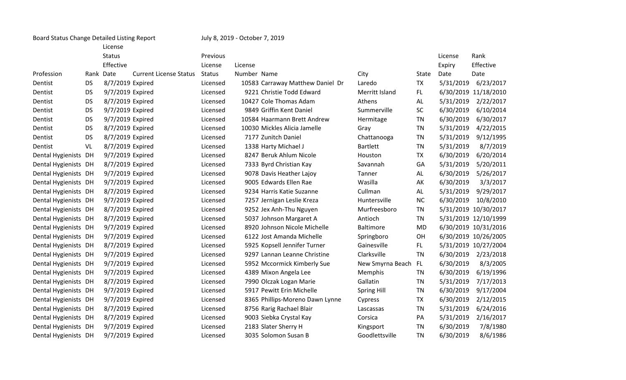| Board Status Change Detailed Listing Report |           | July 8, 2019 - October 7, 2019 |                               |               |             |                                  |                    |           |           |                      |
|---------------------------------------------|-----------|--------------------------------|-------------------------------|---------------|-------------|----------------------------------|--------------------|-----------|-----------|----------------------|
|                                             |           | License                        |                               |               |             |                                  |                    |           |           |                      |
|                                             |           | <b>Status</b>                  |                               | Previous      |             |                                  |                    |           | License   | Rank                 |
|                                             |           | Effective                      |                               | License       | License     |                                  |                    |           | Expiry    | Effective            |
| Profession                                  |           | Rank Date                      | <b>Current License Status</b> | <b>Status</b> | Number Name |                                  | City               | State     | Date      | Date                 |
| Dentist                                     | <b>DS</b> | 8/7/2019 Expired               |                               | Licensed      |             | 10583 Carraway Matthew Daniel Dr | Laredo             | <b>TX</b> | 5/31/2019 | 6/23/2017            |
| Dentist                                     | <b>DS</b> | 9/7/2019 Expired               |                               | Licensed      |             | 9221 Christie Todd Edward        | Merritt Island     | FL.       |           | 6/30/2019 11/18/2010 |
| Dentist                                     | <b>DS</b> | 8/7/2019 Expired               |                               | Licensed      |             | 10427 Cole Thomas Adam           | Athens             | AL        | 5/31/2019 | 2/22/2017            |
| Dentist                                     | <b>DS</b> | 9/7/2019 Expired               |                               | Licensed      |             | 9849 Griffin Kent Daniel         | Summerville        | <b>SC</b> | 6/30/2019 | 6/10/2014            |
| Dentist                                     | <b>DS</b> | 9/7/2019 Expired               |                               | Licensed      |             | 10584 Haarmann Brett Andrew      | Hermitage          | <b>TN</b> | 6/30/2019 | 6/30/2017            |
| Dentist                                     | <b>DS</b> | 8/7/2019 Expired               |                               | Licensed      |             | 10030 Mickles Alicia Jamelle     | Gray               | <b>TN</b> | 5/31/2019 | 4/22/2015            |
| Dentist                                     | <b>DS</b> | 8/7/2019 Expired               |                               | Licensed      |             | 7177 Zunitch Daniel              | Chattanooga        | <b>TN</b> | 5/31/2019 | 9/12/1995            |
| Dentist                                     | VL        | 8/7/2019 Expired               |                               | Licensed      |             | 1338 Harty Michael J             | <b>Bartlett</b>    | <b>TN</b> | 5/31/2019 | 8/7/2019             |
| Dental Hygienists DH                        |           | 9/7/2019 Expired               |                               | Licensed      |             | 8247 Beruk Ahlum Nicole          | Houston            | <b>TX</b> | 6/30/2019 | 6/20/2014            |
| Dental Hygienists DH                        |           | 8/7/2019 Expired               |                               | Licensed      |             | 7333 Byrd Christian Kay          | Savannah           | GA        | 5/31/2019 | 5/20/2011            |
| Dental Hygienists DH                        |           | 9/7/2019 Expired               |                               | Licensed      |             | 9078 Davis Heather Lajoy         | Tanner             | AL        | 6/30/2019 | 5/26/2017            |
| Dental Hygienists DH                        |           | 9/7/2019 Expired               |                               | Licensed      |             | 9005 Edwards Ellen Rae           | Wasilla            | AK        | 6/30/2019 | 3/3/2017             |
| Dental Hygienists DH                        |           | 8/7/2019 Expired               |                               | Licensed      |             | 9234 Harris Katie Suzanne        | Cullman            | AL        | 5/31/2019 | 9/29/2017            |
| Dental Hygienists DH                        |           | 9/7/2019 Expired               |                               | Licensed      |             | 7257 Jernigan Leslie Kreza       | Huntersville       | <b>NC</b> | 6/30/2019 | 10/8/2010            |
| Dental Hygienists DH                        |           | 8/7/2019 Expired               |                               | Licensed      |             | 9252 Jex Anh-Thu Nguyen          | Murfreesboro       | TN        |           | 5/31/2019 10/30/2017 |
| Dental Hygienists DH                        |           | 8/7/2019 Expired               |                               | Licensed      |             | 5037 Johnson Margaret A          | Antioch            | TN        |           | 5/31/2019 12/10/1999 |
| Dental Hygienists DH                        |           | 9/7/2019 Expired               |                               | Licensed      |             | 8920 Johnson Nicole Michelle     | <b>Baltimore</b>   | <b>MD</b> |           | 6/30/2019 10/31/2016 |
| Dental Hygienists DH                        |           | 9/7/2019 Expired               |                               | Licensed      |             | 6122 Jost Amanda Michelle        | Springboro         | OH        |           | 6/30/2019 10/26/2005 |
| Dental Hygienists DH                        |           | 8/7/2019 Expired               |                               | Licensed      |             | 5925 Kopsell Jennifer Turner     | Gainesville        | FL.       |           | 5/31/2019 10/27/2004 |
| Dental Hygienists DH                        |           | 9/7/2019 Expired               |                               | Licensed      |             | 9297 Lannan Leanne Christine     | Clarksville        | <b>TN</b> | 6/30/2019 | 2/23/2018            |
| Dental Hygienists DH                        |           | 9/7/2019 Expired               |                               | Licensed      |             | 5952 Mccormick Kimberly Sue      | New Smyrna Beach   | FL.       | 6/30/2019 | 8/3/2005             |
| Dental Hygienists DH                        |           | 9/7/2019 Expired               |                               | Licensed      |             | 4389 Mixon Angela Lee            | Memphis            | <b>TN</b> | 6/30/2019 | 6/19/1996            |
| Dental Hygienists DH                        |           | 8/7/2019 Expired               |                               | Licensed      |             | 7990 Olczak Logan Marie          | Gallatin           | <b>TN</b> | 5/31/2019 | 7/17/2013            |
| Dental Hygienists DH                        |           | 9/7/2019 Expired               |                               | Licensed      |             | 5917 Pewitt Erin Michelle        | <b>Spring Hill</b> | <b>TN</b> | 6/30/2019 | 9/17/2004            |
| Dental Hygienists DH                        |           | 9/7/2019 Expired               |                               | Licensed      |             | 8365 Phillips-Moreno Dawn Lynne  | Cypress            | <b>TX</b> | 6/30/2019 | 2/12/2015            |
| Dental Hygienists DH                        |           | 8/7/2019 Expired               |                               | Licensed      |             | 8756 Rarig Rachael Blair         | Lascassas          | <b>TN</b> | 5/31/2019 | 6/24/2016            |
| Dental Hygienists DH                        |           | 8/7/2019 Expired               |                               | Licensed      |             | 9003 Siebka Crystal Kay          | Corsica            | PA        | 5/31/2019 | 2/16/2017            |
| Dental Hygienists DH                        |           | 9/7/2019 Expired               |                               | Licensed      |             | 2183 Slater Sherry H             | Kingsport          | <b>TN</b> | 6/30/2019 | 7/8/1980             |
| Dental Hygienists DH                        |           | 9/7/2019 Expired               |                               | Licensed      |             | 3035 Solomon Susan B             | Goodlettsville     | <b>TN</b> | 6/30/2019 | 8/6/1986             |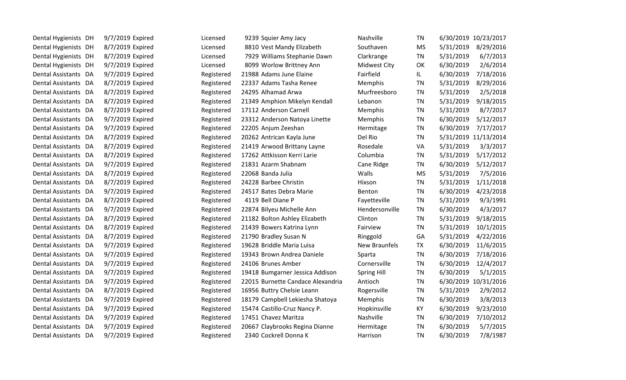| Dental Hygienists DH           | 9/7/2019 Expired | Licensed   | 9239 Squier Amy Jacy              | Nashville            | TN        |           | 6/30/2019 10/23/2017 |
|--------------------------------|------------------|------------|-----------------------------------|----------------------|-----------|-----------|----------------------|
| Dental Hygienists DH           | 8/7/2019 Expired | Licensed   | 8810 Vest Mandy Elizabeth         | Southaven            | <b>MS</b> | 5/31/2019 | 8/29/2016            |
| Dental Hygienists DH           | 8/7/2019 Expired | Licensed   | 7929 Williams Stephanie Dawn      | Clarkrange           | TN        | 5/31/2019 | 6/7/2013             |
| Dental Hygienists DH           | 9/7/2019 Expired | Licensed   | 8099 Worlow Brittney Ann          | <b>Midwest City</b>  | OK        | 6/30/2019 | 2/6/2014             |
| Dental Assistants<br>DA        | 9/7/2019 Expired | Registered | 21988 Adams June Elaine           | Fairfield            | IL.       | 6/30/2019 | 7/18/2016            |
| <b>Dental Assistants</b><br>DA | 8/7/2019 Expired | Registered | 22337 Adams Tasha Renee           | Memphis              | <b>TN</b> | 5/31/2019 | 8/29/2016            |
| Dental Assistants DA           | 8/7/2019 Expired | Registered | 24295 Alhamad Arwa                | Murfreesboro         | TN        | 5/31/2019 | 2/5/2018             |
| Dental Assistants DA           | 8/7/2019 Expired | Registered | 21349 Amphion Mikelyn Kendall     | Lebanon              | TN        | 5/31/2019 | 9/18/2015            |
| Dental Assistants DA           | 8/7/2019 Expired | Registered | 17112 Anderson Carnell            | Memphis              | TN        | 5/31/2019 | 8/7/2017             |
| Dental Assistants DA           | 9/7/2019 Expired | Registered | 23312 Anderson Natoya Linette     | Memphis              | TN        | 6/30/2019 | 5/12/2017            |
| Dental Assistants<br>DA        | 9/7/2019 Expired | Registered | 22205 Anjum Zeeshan               | Hermitage            | <b>TN</b> | 6/30/2019 | 7/17/2017            |
| <b>Dental Assistants</b><br>DA | 8/7/2019 Expired | Registered | 20262 Antrican Kayla June         | Del Rio              | TN        |           | 5/31/2019 11/13/2014 |
| Dental Assistants DA           | 8/7/2019 Expired | Registered | 21419 Arwood Brittany Layne       | Rosedale             | VA        | 5/31/2019 | 3/3/2017             |
| Dental Assistants DA           | 8/7/2019 Expired | Registered | 17262 Attkisson Kerri Larie       | Columbia             | TN        | 5/31/2019 | 5/17/2012            |
| Dental Assistants DA           | 9/7/2019 Expired | Registered | 21831 Azarm Shabnam               | Cane Ridge           | <b>TN</b> | 6/30/2019 | 5/12/2017            |
| Dental Assistants DA           | 8/7/2019 Expired | Registered | 22068 Banda Julia                 | Walls                | <b>MS</b> | 5/31/2019 | 7/5/2016             |
| <b>Dental Assistants</b><br>DA | 8/7/2019 Expired | Registered | 24228 Barbee Christin             | Hixson               | <b>TN</b> | 5/31/2019 | 1/11/2018            |
| Dental Assistants<br>DA        | 9/7/2019 Expired | Registered | 24517 Bates Debra Marie           | Benton               | TN.       | 6/30/2019 | 4/23/2018            |
| Dental Assistants<br>DA        | 8/7/2019 Expired | Registered | 4119 Bell Diane P                 | Fayetteville         | TN        | 5/31/2019 | 9/3/1991             |
| Dental Assistants DA           | 9/7/2019 Expired | Registered | 22874 Bilyeu Michelle Ann         | Hendersonville       | <b>TN</b> | 6/30/2019 | 4/3/2017             |
| Dental Assistants DA           | 8/7/2019 Expired | Registered | 21182 Bolton Ashley Elizabeth     | Clinton              | TN        | 5/31/2019 | 9/18/2015            |
| <b>Dental Assistants</b><br>DA | 8/7/2019 Expired | Registered | 21439 Bowers Katrina Lynn         | Fairview             | <b>TN</b> | 5/31/2019 | 10/1/2015            |
| Dental Assistants<br>DA        | 8/7/2019 Expired | Registered | 21790 Bradley Susan N             | Ringgold             | GA        | 5/31/2019 | 4/22/2016            |
| Dental Assistants DA           | 9/7/2019 Expired | Registered | 19628 Briddle Maria Luisa         | <b>New Braunfels</b> | <b>TX</b> | 6/30/2019 | 11/6/2015            |
| <b>Dental Assistants</b><br>DA | 9/7/2019 Expired | Registered | 19343 Brown Andrea Daniele        | Sparta               | TN        | 6/30/2019 | 7/18/2016            |
| Dental Assistants DA           | 9/7/2019 Expired | Registered | 24106 Brunes Amber                | Cornersville         | TN        | 6/30/2019 | 12/4/2017            |
| Dental Assistants<br>DA        | 9/7/2019 Expired | Registered | 19418 Bumgarner Jessica Addison   | Spring Hill          | TN        | 6/30/2019 | 5/1/2015             |
| <b>Dental Assistants</b><br>DA | 9/7/2019 Expired | Registered | 22015 Burnette Candace Alexandria | Antioch              | TN        |           | 6/30/2019 10/31/2016 |
| <b>Dental Assistants</b><br>DA | 8/7/2019 Expired | Registered | 16956 Buttry Chelsie Leann        | Rogersville          | TN        | 5/31/2019 | 2/9/2012             |
| Dental Assistants DA           | 9/7/2019 Expired | Registered | 18179 Campbell Lekiesha Shatoya   | <b>Memphis</b>       | TN        | 6/30/2019 | 3/8/2013             |
| <b>Dental Assistants</b><br>DA | 9/7/2019 Expired | Registered | 15474 Castillo-Cruz Nancy P.      | Hopkinsville         | KY        | 6/30/2019 | 9/23/2010            |
| Dental Assistants DA           | 9/7/2019 Expired | Registered | 17451 Chavez Maritza              | Nashville            | <b>TN</b> | 6/30/2019 | 7/10/2012            |
| Dental Assistants DA           | 9/7/2019 Expired | Registered | 20667 Claybrooks Regina Dianne    | Hermitage            | <b>TN</b> | 6/30/2019 | 5/7/2015             |
| Dental Assistants DA           | 9/7/2019 Expired | Registered | 2340 Cockrell Donna K             | Harrison             | <b>TN</b> | 6/30/2019 | 7/8/1987             |
|                                |                  |            |                                   |                      |           |           |                      |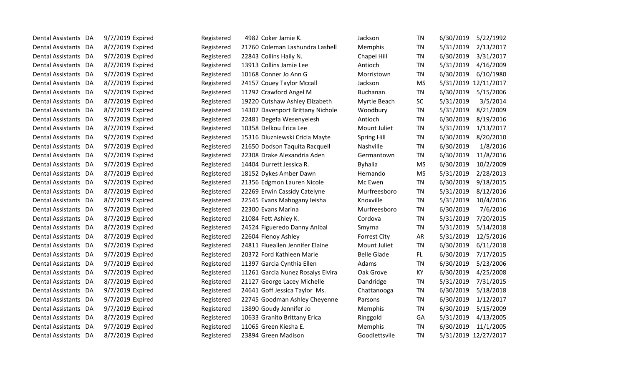| Dental Assistants DA           | 9/7/2019 Expired | Registered | 4982 Coker Jamie K.               | Jackson             | ΤN        | 6/30/2019 | 5/22/1992            |
|--------------------------------|------------------|------------|-----------------------------------|---------------------|-----------|-----------|----------------------|
| Dental Assistants DA           | 8/7/2019 Expired | Registered | 21760 Coleman Lashundra Lashell   | Memphis             | ΤN        | 5/31/2019 | 2/13/2017            |
| Dental Assistants DA           | 9/7/2019 Expired | Registered | 22843 Collins Haily N.            | Chapel Hill         | ΤN        | 6/30/2019 | 3/31/2017            |
| <b>Dental Assistants</b><br>DA | 8/7/2019 Expired | Registered | 13913 Collins Jamie Lee           | Antioch             | <b>TN</b> | 5/31/2019 | 4/16/2009            |
| Dental Assistants<br>DA        | 9/7/2019 Expired | Registered | 10168 Conner Jo Ann G             | Morristown          | ΤN        | 6/30/2019 | 6/10/1980            |
| Dental Assistants<br>DA        | 8/7/2019 Expired | Registered | 24157 Couey Taylor Mccall         | Jackson             | <b>MS</b> | 5/31/2019 | 12/11/2017           |
| <b>Dental Assistants</b><br>DA | 9/7/2019 Expired | Registered | 11292 Crawford Angel M            | Buchanan            | ΤN        | 6/30/2019 | 5/15/2006            |
| Dental Assistants<br>DA        | 8/7/2019 Expired | Registered | 19220 Cutshaw Ashley Elizabeth    | Myrtle Beach        | <b>SC</b> | 5/31/2019 | 3/5/2014             |
| Dental Assistants<br>DA        | 8/7/2019 Expired | Registered | 14307 Davenport Brittany Nichole  | Woodbury            | ΤN        | 5/31/2019 | 8/21/2009            |
| <b>Dental Assistants</b><br>DA | 9/7/2019 Expired | Registered | 22481 Degefa Wesenyelesh          | Antioch             | ΤN        | 6/30/2019 | 8/19/2016            |
| <b>Dental Assistants</b><br>DA | 8/7/2019 Expired | Registered | 10358 Delkou Erica Lee            | Mount Juliet        | ΤN        | 5/31/2019 | 1/13/2017            |
| Dental Assistants DA           | 9/7/2019 Expired | Registered | 15316 Dluzniewski Cricia Mayte    | <b>Spring Hill</b>  | ΤN        | 6/30/2019 | 8/20/2010            |
| Dental Assistants<br>DA        | 9/7/2019 Expired | Registered | 21650 Dodson Taquita Racquell     | Nashville           | ΤN        | 6/30/2019 | 1/8/2016             |
| <b>Dental Assistants</b><br>DA | 9/7/2019 Expired | Registered | 22308 Drake Alexandria Aden       | Germantown          | ΤN        | 6/30/2019 | 11/8/2016            |
| <b>Dental Assistants</b><br>DA | 9/7/2019 Expired | Registered | 14404 Durrett Jessica R.          | <b>Byhalia</b>      | <b>MS</b> | 6/30/2019 | 10/2/2009            |
| <b>Dental Assistants</b><br>DA | 8/7/2019 Expired | Registered | 18152 Dykes Amber Dawn            | Hernando            | <b>MS</b> | 5/31/2019 | 2/28/2013            |
| Dental Assistants<br>DA        | 9/7/2019 Expired | Registered | 21356 Edgmon Lauren Nicole        | Mc Ewen             | TN        | 6/30/2019 | 9/18/2015            |
| <b>Dental Assistants</b><br>DA | 8/7/2019 Expired | Registered | 22269 Erwin Cassidy Catelyne      | Murfreesboro        | <b>TN</b> | 5/31/2019 | 8/12/2016            |
| <b>Dental Assistants</b><br>DA | 8/7/2019 Expired | Registered | 22545 Evans Mahogany leisha       | Knoxville           | ΤN        | 5/31/2019 | 10/4/2016            |
| <b>Dental Assistants</b><br>DA | 9/7/2019 Expired | Registered | 22300 Evans Marina                | Murfreesboro        | ΤN        | 6/30/2019 | 7/6/2016             |
| Dental Assistants DA           | 8/7/2019 Expired | Registered | 21084 Fett Ashley K.              | Cordova             | ΤN        | 5/31/2019 | 7/20/2015            |
| Dental Assistants DA           | 8/7/2019 Expired | Registered | 24524 Figueredo Danny Anibal      | Smyrna              | ΤN        | 5/31/2019 | 5/14/2018            |
| Dental Assistants<br>DA        | 8/7/2019 Expired | Registered | 22604 Flenoy Ashley               | <b>Forrest City</b> | AR        | 5/31/2019 | 12/5/2016            |
| Dental Assistants<br>DA        | 9/7/2019 Expired | Registered | 24811 Flueallen Jennifer Elaine   | Mount Juliet        | ΤN        | 6/30/2019 | 6/11/2018            |
| <b>Dental Assistants</b><br>DA | 9/7/2019 Expired | Registered | 20372 Ford Kathleen Marie         | <b>Belle Glade</b>  | FL.       | 6/30/2019 | 7/17/2015            |
| <b>Dental Assistants</b><br>DA | 9/7/2019 Expired | Registered | 11397 Garcia Cynthia Ellen        | Adams               | ΤN        | 6/30/2019 | 5/23/2006            |
| Dental Assistants<br>DA        | 9/7/2019 Expired | Registered | 11261 Garcia Nunez Rosalys Elvira | Oak Grove           | KY        | 6/30/2019 | 4/25/2008            |
| <b>Dental Assistants</b><br>DA | 8/7/2019 Expired | Registered | 21127 George Lacey Michelle       | Dandridge           | ΤN        | 5/31/2019 | 7/31/2015            |
| Dental Assistants<br>DA        | 9/7/2019 Expired | Registered | 24641 Goff Jessica Taylor Ms.     | Chattanooga         | ΤN        | 6/30/2019 | 5/18/2018            |
| <b>Dental Assistants</b><br>DA | 9/7/2019 Expired | Registered | 22745 Goodman Ashley Cheyenne     | Parsons             | <b>TN</b> | 6/30/2019 | 1/12/2017            |
| <b>Dental Assistants</b><br>DA | 9/7/2019 Expired | Registered | 13890 Goudy Jennifer Jo           | Memphis             | ΤN        | 6/30/2019 | 5/15/2009            |
| <b>Dental Assistants</b><br>DA | 8/7/2019 Expired | Registered | 10633 Granito Brittany Erica      | Ringgold            | GA        | 5/31/2019 | 4/13/2005            |
| <b>Dental Assistants</b><br>DA | 9/7/2019 Expired | Registered | 11065 Green Kiesha E.             | Memphis             | ΤN        | 6/30/2019 | 11/1/2005            |
| Dental Assistants DA           | 8/7/2019 Expired | Registered | 23894 Green Madison               | Goodlettsvlle       | ΤN        |           | 5/31/2019 12/27/2017 |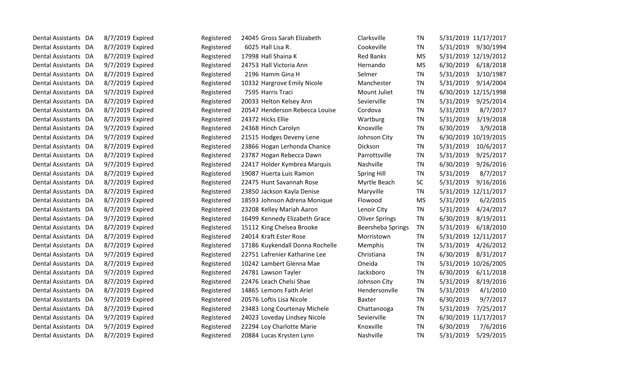| Dental Assistants DA     |    | 8/7/2019 Expired | Registered | 24045 Gross Sarah Elizabeth     | Clarksville           | ΤN        |           | 5/31/2019 11/17/2017 |
|--------------------------|----|------------------|------------|---------------------------------|-----------------------|-----------|-----------|----------------------|
| Dental Assistants DA     |    | 8/7/2019 Expired | Registered | 6025 Hall Lisa R.               | Cookeville            | TN        | 5/31/2019 | 9/30/1994            |
| Dental Assistants DA     |    | 8/7/2019 Expired | Registered | 17998 Hall Shaina K             | <b>Red Banks</b>      | <b>MS</b> |           | 5/31/2019 12/19/2012 |
| Dental Assistants        | DA | 9/7/2019 Expired | Registered | 24753 Hall Victoria Ann         | Hernando              | <b>MS</b> | 6/30/2019 | 6/18/2018            |
| Dental Assistants        | DA | 8/7/2019 Expired | Registered | 2196 Hamm Gina H                | Selmer                | ΤN        | 5/31/2019 | 3/10/1987            |
| Dental Assistants        | DA | 8/7/2019 Expired | Registered | 10332 Hargrove Emily Nicole     | Manchester            | <b>TN</b> | 5/31/2019 | 9/14/2004            |
| Dental Assistants DA     |    | 9/7/2019 Expired | Registered | 7595 Harris Traci               | Mount Juliet          | ΤN        | 6/30/2019 | 12/15/1998           |
| Dental Assistants DA     |    | 8/7/2019 Expired | Registered | 20033 Helton Kelsey Ann         | Sevierville           | <b>TN</b> | 5/31/2019 | 9/25/2014            |
| <b>Dental Assistants</b> | DA | 8/7/2019 Expired | Registered | 20547 Henderson Rebecca Louise  | Cordova               | <b>TN</b> | 5/31/2019 | 8/7/2017             |
| Dental Assistants DA     |    | 8/7/2019 Expired | Registered | 24372 Hicks Ellie               | Wartburg              | <b>TN</b> | 5/31/2019 | 3/19/2018            |
| Dental Assistants DA     |    | 9/7/2019 Expired | Registered | 24368 Hinch Carolyn             | Knoxville             | ΤN        | 6/30/2019 | 3/9/2018             |
| Dental Assistants DA     |    | 9/7/2019 Expired | Registered | 21515 Hodges Deveny Lene        | Johnson City          | TN        |           | 6/30/2019 10/19/2015 |
| Dental Assistants DA     |    | 8/7/2019 Expired | Registered | 23866 Hogan Lerhonda Chanice    | Dickson               | TN        | 5/31/2019 | 10/6/2017            |
| Dental Assistants        | DA | 8/7/2019 Expired | Registered | 23787 Hogan Rebecca Dawn        | Parrottsville         | ΤN        | 5/31/2019 | 9/25/2017            |
| Dental Assistants        | DA | 9/7/2019 Expired | Registered | 22417 Holder Kymbrea Marquis    | Nashville             | <b>TN</b> | 6/30/2019 | 9/26/2016            |
| Dental Assistants DA     |    | 8/7/2019 Expired | Registered | 19087 Huerta Luis Ramon         | <b>Spring Hill</b>    | <b>TN</b> | 5/31/2019 | 8/7/2017             |
| Dental Assistants DA     |    | 8/7/2019 Expired | Registered | 22475 Hunt Savannah Rose        | Myrtle Beach          | <b>SC</b> | 5/31/2019 | 9/16/2016            |
| <b>Dental Assistants</b> | DA | 8/7/2019 Expired | Registered | 23850 Jackson Kayla Denise      | Maryville             | <b>TN</b> |           | 5/31/2019 12/11/2017 |
| <b>Dental Assistants</b> | DA | 8/7/2019 Expired | Registered | 18593 Johnson Adrena Monique    | Flowood               | <b>MS</b> | 5/31/2019 | 6/2/2015             |
| Dental Assistants DA     |    | 8/7/2019 Expired | Registered | 23208 Kelley Mariah Aaron       | Lenoir City           | TN        | 5/31/2019 | 4/24/2017            |
| Dental Assistants DA     |    | 9/7/2019 Expired | Registered | 16499 Kennedy Elizabeth Grace   | <b>Oliver Springs</b> | TN        | 6/30/2019 | 8/19/2011            |
| Dental Assistants DA     |    | 8/7/2019 Expired | Registered | 15112 King Chelsea Brooke       | Beersheba Springs     | ΤN        | 5/31/2019 | 6/18/2010            |
| <b>Dental Assistants</b> | DA | 8/7/2019 Expired | Registered | 24014 Kraft Ester Rose          | Morristown            | TN        |           | 5/31/2019 12/11/2017 |
| <b>Dental Assistants</b> | DA | 8/7/2019 Expired | Registered | 17186 Kuykendall Donna Rochelle | Memphis               | ΤN        | 5/31/2019 | 4/26/2012            |
| <b>Dental Assistants</b> | DA | 9/7/2019 Expired | Registered | 22751 Lafrenier Katharine Lee   | Christiana            | <b>TN</b> | 6/30/2019 | 8/31/2017            |
| Dental Assistants DA     |    | 8/7/2019 Expired | Registered | 10242 Lambert Glenna Mae        | Oneida                | TN        | 5/31/2019 | 10/26/2005           |
| Dental Assistants DA     |    | 9/7/2019 Expired | Registered | 24781 Lawson Tayler             | Jacksboro             | <b>TN</b> | 6/30/2019 | 6/11/2018            |
| Dental Assistants        | DA | 8/7/2019 Expired | Registered | 22476 Leach Chelsi Shae         | Johnson City          | TN        | 5/31/2019 | 8/19/2016            |
| Dental Assistants DA     |    | 8/7/2019 Expired | Registered | 14865 Lemons Faith Ariel        | Hendersonvile         | TN        | 5/31/2019 | 4/1/2010             |
| Dental Assistants DA     |    | 9/7/2019 Expired | Registered | 20576 Loftis Lisa Nicole        | Baxter                | <b>TN</b> | 6/30/2019 | 9/7/2017             |
| Dental Assistants DA     |    | 8/7/2019 Expired | Registered | 23483 Long Courtenay Michele    | Chattanooga           | <b>TN</b> | 5/31/2019 | 7/25/2017            |
| Dental Assistants        | DA | 9/7/2019 Expired | Registered | 24023 Loveday Lindsey Nicole    | Sevierville           | TN        |           | 6/30/2019 11/17/2017 |
| Dental Assistants        | DA | 9/7/2019 Expired | Registered | 22294 Loy Charlotte Marie       | Knoxville             | ΤN        | 6/30/2019 | 7/6/2016             |
| Dental Assistants DA     |    | 8/7/2019 Expired | Registered | 20884 Lucas Krysten Lynn        | <b>Nashville</b>      | ΤN        | 5/31/2019 | 5/29/2015            |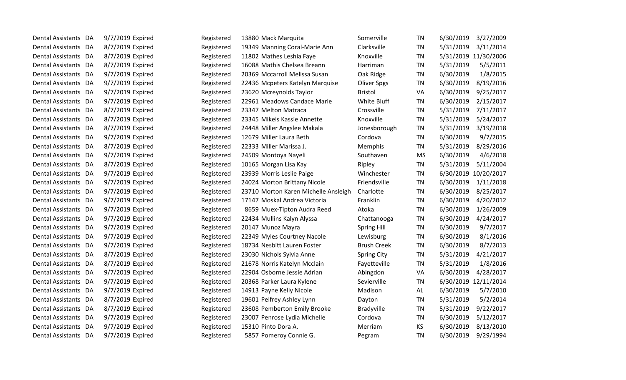| Dental Assistants DA | 9/7/2019 Expired | Registered | 13880 Mack Marquita                  | Somerville         | TN        | 6/30/2019 | 3/27/2009            |
|----------------------|------------------|------------|--------------------------------------|--------------------|-----------|-----------|----------------------|
| Dental Assistants DA | 8/7/2019 Expired | Registered | 19349 Manning Coral-Marie Ann        | Clarksville        | TN        | 5/31/2019 | 3/11/2014            |
| Dental Assistants DA | 8/7/2019 Expired | Registered | 11802 Mathes Leshia Faye             | Knoxville          | TN        |           | 5/31/2019 11/30/2006 |
| Dental Assistants DA | 8/7/2019 Expired | Registered | 16088 Mathis Chelsea Breann          | Harriman           | <b>TN</b> | 5/31/2019 | 5/5/2011             |
| Dental Assistants DA | 9/7/2019 Expired | Registered | 20369 Mccarroll Melissa Susan        | Oak Ridge          | <b>TN</b> | 6/30/2019 | 1/8/2015             |
| Dental Assistants DA | 9/7/2019 Expired | Registered | 22436 Mcpeters Katelyn Marquise      | <b>Oliver Spgs</b> | TN        | 6/30/2019 | 8/19/2016            |
| Dental Assistants DA | 9/7/2019 Expired | Registered | 23620 Mcreynolds Taylor              | <b>Bristol</b>     | VA        | 6/30/2019 | 9/25/2017            |
| Dental Assistants DA | 9/7/2019 Expired | Registered | 22961 Meadows Candace Marie          | White Bluff        | <b>TN</b> | 6/30/2019 | 2/15/2017            |
| Dental Assistants DA | 8/7/2019 Expired | Registered | 23347 Melton Matraca                 | Crossville         | <b>TN</b> | 5/31/2019 | 7/11/2017            |
| Dental Assistants DA | 8/7/2019 Expired | Registered | 23345 Mikels Kassie Annette          | Knoxville          | <b>TN</b> | 5/31/2019 | 5/24/2017            |
| Dental Assistants DA | 8/7/2019 Expired | Registered | 24448 Miller Angslee Makala          | Jonesborough       | <b>TN</b> | 5/31/2019 | 3/19/2018            |
| Dental Assistants DA | 9/7/2019 Expired | Registered | 12679 Miller Laura Beth              | Cordova            | TN        | 6/30/2019 | 9/7/2015             |
| Dental Assistants DA | 8/7/2019 Expired | Registered | 22333 Miller Marissa J.              | Memphis            | TN        | 5/31/2019 | 8/29/2016            |
| Dental Assistants DA | 9/7/2019 Expired | Registered | 24509 Montoya Nayeli                 | Southaven          | <b>MS</b> | 6/30/2019 | 4/6/2018             |
| Dental Assistants DA | 8/7/2019 Expired | Registered | 10165 Morgan Lisa Kay                | Ripley             | TN        | 5/31/2019 | 5/11/2004            |
| Dental Assistants DA | 9/7/2019 Expired | Registered | 23939 Morris Leslie Paige            | Winchester         | <b>TN</b> |           | 6/30/2019 10/20/2017 |
| Dental Assistants DA | 9/7/2019 Expired | Registered | 24024 Morton Brittany Nicole         | Friendsville       | <b>TN</b> | 6/30/2019 | 1/11/2018            |
| Dental Assistants DA | 9/7/2019 Expired | Registered | 23710 Morton Karen Michelle Ansleigh | Charlotte          | <b>TN</b> | 6/30/2019 | 8/25/2017            |
| Dental Assistants DA | 9/7/2019 Expired | Registered | 17147 Moskal Andrea Victoria         | Franklin           | TN        | 6/30/2019 | 4/20/2012            |
| Dental Assistants DA | 9/7/2019 Expired | Registered | 8659 Muex-Tipton Audra Reed          | Atoka              | TN        | 6/30/2019 | 1/26/2009            |
| Dental Assistants DA | 9/7/2019 Expired | Registered | 22434 Mullins Kalyn Alyssa           | Chattanooga        | <b>TN</b> | 6/30/2019 | 4/24/2017            |
| Dental Assistants DA | 9/7/2019 Expired | Registered | 20147 Munoz Mayra                    | <b>Spring Hill</b> | TN        | 6/30/2019 | 9/7/2017             |
| Dental Assistants DA | 9/7/2019 Expired | Registered | 22349 Myles Courtney Nacole          | Lewisburg          | <b>TN</b> | 6/30/2019 | 8/1/2016             |
| Dental Assistants DA | 9/7/2019 Expired | Registered | 18734 Nesbitt Lauren Foster          | <b>Brush Creek</b> | TN        | 6/30/2019 | 8/7/2013             |
| Dental Assistants DA | 8/7/2019 Expired | Registered | 23030 Nichols Sylvia Anne            | <b>Spring City</b> | <b>TN</b> | 5/31/2019 | 4/21/2017            |
| Dental Assistants DA | 8/7/2019 Expired | Registered | 21678 Norris Katelyn Mcclain         | Fayetteville       | <b>TN</b> | 5/31/2019 | 1/8/2016             |
| Dental Assistants DA | 9/7/2019 Expired | Registered | 22904 Osborne Jessie Adrian          | Abingdon           | VA        | 6/30/2019 | 4/28/2017            |
| Dental Assistants DA | 9/7/2019 Expired | Registered | 20368 Parker Laura Kylene            | Sevierville        | <b>TN</b> |           | 6/30/2019 12/11/2014 |
| Dental Assistants DA | 9/7/2019 Expired | Registered | 14913 Payne Kelly Nicole             | Madison            | AL        | 6/30/2019 | 5/7/2010             |
| Dental Assistants DA | 8/7/2019 Expired | Registered | 19601 Pelfrey Ashley Lynn            | Dayton             | <b>TN</b> | 5/31/2019 | 5/2/2014             |
| Dental Assistants DA | 8/7/2019 Expired | Registered | 23608 Pemberton Emily Brooke         | <b>Bradyville</b>  | <b>TN</b> | 5/31/2019 | 9/22/2017            |
| Dental Assistants DA | 9/7/2019 Expired | Registered | 23007 Penrose Lydia Michelle         | Cordova            | TN        | 6/30/2019 | 5/12/2017            |
| Dental Assistants DA | 9/7/2019 Expired | Registered | 15310 Pinto Dora A.                  | Merriam            | <b>KS</b> | 6/30/2019 | 8/13/2010            |
| Dental Assistants DA | 9/7/2019 Expired | Registered | 5857 Pomeroy Connie G.               | Pegram             | <b>TN</b> | 6/30/2019 | 9/29/1994            |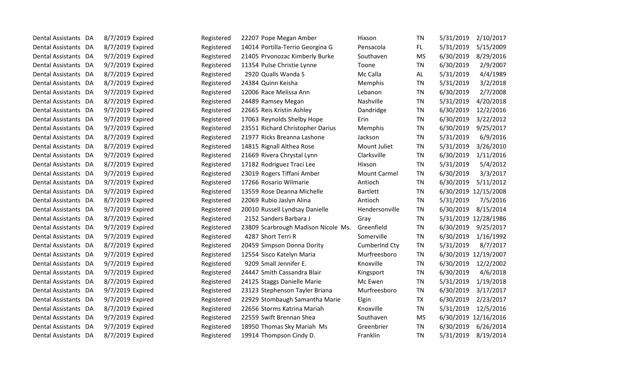| Dental Assistants DA           | 8/7/2019 Expired | Registered | 22207 Pope Megan Amber              | Hixson              | TN        | 5/31/2019 | 2/10/2017            |
|--------------------------------|------------------|------------|-------------------------------------|---------------------|-----------|-----------|----------------------|
| Dental Assistants DA           | 8/7/2019 Expired | Registered | 14014 Portilla-Terrio Georgina G    | Pensacola           | FL.       | 5/31/2019 | 5/15/2009            |
| Dental Assistants DA           | 9/7/2019 Expired | Registered | 21405 Prvonozac Kimberly Burke      | Southaven           | <b>MS</b> | 6/30/2019 | 8/29/2016            |
| Dental Assistants<br>DA        | 9/7/2019 Expired | Registered | 11354 Pulse Christie Lynne          | Toone               | <b>TN</b> | 6/30/2019 | 2/9/2007             |
| Dental Assistants<br>DA        | 8/7/2019 Expired | Registered | 2920 Qualls Wanda S                 | Mc Calla            | AL        | 5/31/2019 | 4/4/1989             |
| Dental Assistants DA           | 8/7/2019 Expired | Registered | 24384 Quinn Keisha                  | Memphis             | ΤN        | 5/31/2019 | 3/2/2018             |
| Dental Assistants DA           | 9/7/2019 Expired | Registered | 12006 Race Melissa Ann              | Lebanon             | <b>TN</b> | 6/30/2019 | 2/7/2008             |
| Dental Assistants DA           | 8/7/2019 Expired | Registered | 24489 Ramsey Megan                  | Nashville           | <b>TN</b> | 5/31/2019 | 4/20/2018            |
| <b>Dental Assistants</b><br>DA | 9/7/2019 Expired | Registered | 22665 Reis Kristin Ashley           | Dandridge           | <b>TN</b> | 6/30/2019 | 12/2/2016            |
| Dental Assistants DA           | 9/7/2019 Expired | Registered | 17063 Reynolds Shelby Hope          | Erin                | <b>TN</b> | 6/30/2019 | 3/22/2012            |
| Dental Assistants DA           | 9/7/2019 Expired | Registered | 23551 Richard Christopher Darius    | Memphis             | <b>TN</b> | 6/30/2019 | 9/25/2017            |
| Dental Assistants DA           | 8/7/2019 Expired | Registered | 21977 Ricks Breanna Lashone         | Jackson             | <b>TN</b> | 5/31/2019 | 6/9/2016             |
| Dental Assistants DA           | 8/7/2019 Expired | Registered | 14815 Rignall Althea Rose           | Mount Juliet        | <b>TN</b> | 5/31/2019 | 3/26/2010            |
| Dental Assistants<br>DA        | 9/7/2019 Expired | Registered | 21669 Rivera Chrystal Lynn          | Clarksville         | TN        | 6/30/2019 | 1/11/2016            |
| Dental Assistants DA           | 8/7/2019 Expired | Registered | 17182 Rodriguez Traci Lee           | Hixson              | TN        | 5/31/2019 | 5/4/2012             |
| Dental Assistants DA           | 9/7/2019 Expired | Registered | 23019 Rogers Tiffani Amber          | <b>Mount Carmel</b> | <b>TN</b> | 6/30/2019 | 3/3/2017             |
| Dental Assistants DA           | 9/7/2019 Expired | Registered | 17266 Rosario Wilmarie              | Antioch             | <b>TN</b> | 6/30/2019 | 5/11/2012            |
| Dental Assistants<br>DA        | 9/7/2019 Expired | Registered | 13559 Rose Deanna Michelle          | <b>Bartlett</b>     | <b>TN</b> |           | 6/30/2019 12/15/2008 |
| Dental Assistants DA           | 8/7/2019 Expired | Registered | 22069 Rubio Jaslyn Alina            | Antioch             | <b>TN</b> | 5/31/2019 | 7/5/2016             |
| Dental Assistants DA           | 9/7/2019 Expired | Registered | 20010 Russell Lyndsay Danielle      | Hendersonville      | <b>TN</b> | 6/30/2019 | 8/15/2014            |
| Dental Assistants DA           | 8/7/2019 Expired | Registered | 2152 Sanders Barbara J              | Gray                | <b>TN</b> |           | 5/31/2019 12/28/1986 |
| Dental Assistants DA           | 9/7/2019 Expired | Registered | 23809 Scarbrough Madison Nicole Ms. | Greenfield          | TN        | 6/30/2019 | 9/25/2017            |
| Dental Assistants<br>DA        | 9/7/2019 Expired | Registered | 4287 Short Terri R                  | Somerville          | <b>TN</b> | 6/30/2019 | 1/16/1992            |
| Dental Assistants<br>DA        | 8/7/2019 Expired | Registered | 20459 Simpson Donna Dority          | CumberInd Cty       | <b>TN</b> | 5/31/2019 | 8/7/2017             |
| Dental Assistants DA           | 9/7/2019 Expired | Registered | 12554 Sisco Katelyn Maria           | Murfreesboro        | TN        |           | 6/30/2019 12/19/2007 |
| Dental Assistants DA           | 9/7/2019 Expired | Registered | 9209 Small Jennifer E.              | Knoxville           | <b>TN</b> | 6/30/2019 | 12/2/2002            |
| Dental Assistants DA           | 9/7/2019 Expired | Registered | 24447 Smith Cassandra Blair         | Kingsport           | <b>TN</b> | 6/30/2019 | 4/6/2018             |
| Dental Assistants<br>DA        | 8/7/2019 Expired | Registered | 24125 Staggs Danielle Marie         | Mc Ewen             | <b>TN</b> | 5/31/2019 | 1/19/2018            |
| Dental Assistants DA           | 9/7/2019 Expired | Registered | 23123 Stephenson Tayler Briana      | Murfreesboro        | <b>TN</b> | 6/30/2019 | 3/17/2017            |
| Dental Assistants<br>DA        | 9/7/2019 Expired | Registered | 22929 Stombaugh Samantha Marie      | Elgin               | <b>TX</b> | 6/30/2019 | 2/23/2017            |
| Dental Assistants DA           | 8/7/2019 Expired | Registered | 22656 Storms Katrina Mariah         | Knoxville           | <b>TN</b> | 5/31/2019 | 12/5/2016            |
| Dental Assistants<br>DA        | 9/7/2019 Expired | Registered | 22559 Swift Brennan Shea            | Southaven           | <b>MS</b> |           | 6/30/2019 12/16/2016 |
| Dental Assistants<br>DA        | 9/7/2019 Expired | Registered | 18950 Thomas Sky Mariah Ms          | Greenbrier          | <b>TN</b> | 6/30/2019 | 6/26/2014            |
| Dental Assistants DA           | 8/7/2019 Expired | Registered | 19914 Thompson Cindy D.             | Franklin            | TN        | 5/31/2019 | 8/19/2014            |